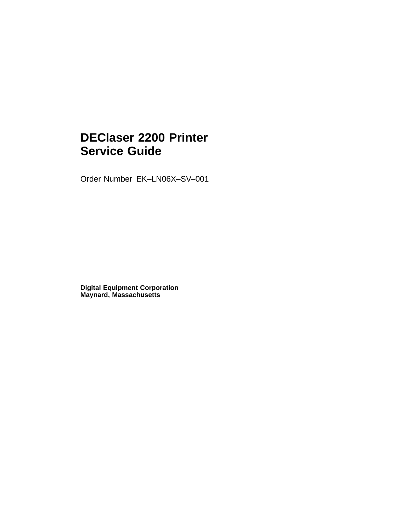# **DEClaser 2200 Printer Service Guide**

Order Number EK–LN06X–SV–001

**Digital Equipment Corporation Maynard, Massachusetts**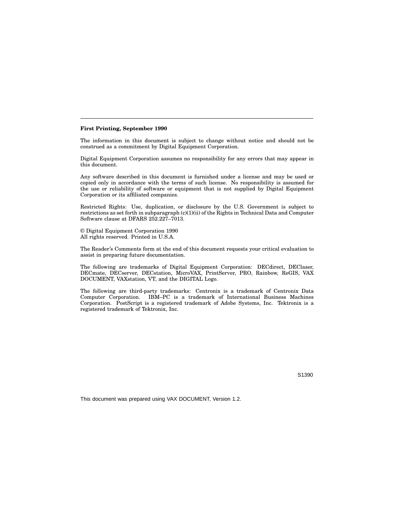#### **First Printing, September 1990**

The information in this document is subject to change without notice and should not be construed as a commitment by Digital Equipment Corporation.

Digital Equipment Corporation assumes no responsibility for any errors that may appear in this document.

Any software described in this document is furnished under a license and may be used or copied only in accordance with the terms of such license. No responsibility is assumed for the use or reliability of software or equipment that is not supplied by Digital Equipment Corporation or its affiliated companies.

Restricted Rights: Use, duplication, or disclosure by the U.S. Government is subject to restrictions as set forth in subparagraph (c)(1)(ii) of the Rights in Technical Data and Computer Software clause at DFARS 252.227–7013.

© Digital Equipment Corporation 1990 All rights reserved. Printed in U.S.A.

The Reader's Comments form at the end of this document requests your critical evaluation to assist in preparing future documentation.

The following are trademarks of Digital Equipment Corporation: DECdirect, DEClaser, DECmate, DECserver, DECstation, MicroVAX, PrintServer, PRO, Rainbow, ReGIS, VAX DOCUMENT, VAXstation, VT, and the DIGITAL Logo.

The following are third-party trademarks: Centronix is a trademark of Centronix Data Computer Corporation. IBM–PC is a trademark of International Business Machines Corporation. PostScript is a registered trademark of Adobe Systems, Inc. Tektronix is a registered trademark of Tektronix, Inc.

S1390

This document was prepared using VAX DOCUMENT, Version 1.2.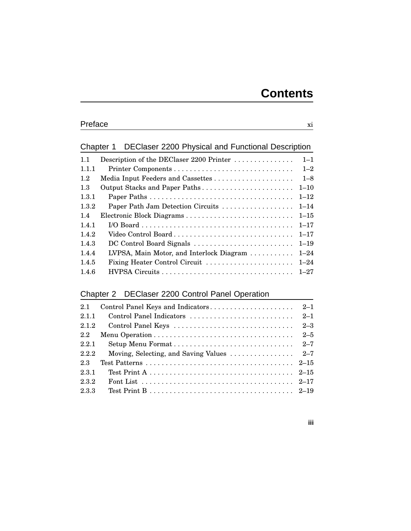### Chapter 1 DEClaser 2200 Physical and Functional Description

| Description of the DEClaser 2200 Printer | $1 - 1$  |
|------------------------------------------|----------|
|                                          | $1 - 2$  |
| Media Input Feeders and Cassettes        | $1 - 8$  |
| Output Stacks and Paper Paths            | $1 - 10$ |
|                                          | $1 - 12$ |
| Paper Path Jam Detection Circuits        | $1 - 14$ |
|                                          | $1 - 15$ |
|                                          | $1 - 17$ |
| Video Control Board                      | $1 - 17$ |
| DC Control Board Signals                 | $1 - 19$ |
| LVPSA, Main Motor, and Interlock Diagram | $1 - 24$ |
| Fixing Heater Control Circuit            | $1 - 24$ |
|                                          | $1 - 27$ |
|                                          |          |

### Chapter 2 DEClaser 2200 Control Panel Operation

| 2.1   |                                                                               |         |
|-------|-------------------------------------------------------------------------------|---------|
| 2.1.1 |                                                                               |         |
| 2.1.2 | Control Panel Keys                                                            | $2 - 3$ |
| 2.2   |                                                                               | $2 - 5$ |
| 2.2.1 |                                                                               |         |
| 2.2.2 | Moving, Selecting, and Saving Values $\ldots \ldots \ldots \ldots \ldots$ 2–7 |         |
| 2.3   |                                                                               |         |
| 2.3.1 |                                                                               |         |
| 2.3.2 |                                                                               |         |
| 2.3.3 |                                                                               |         |

#### **iii**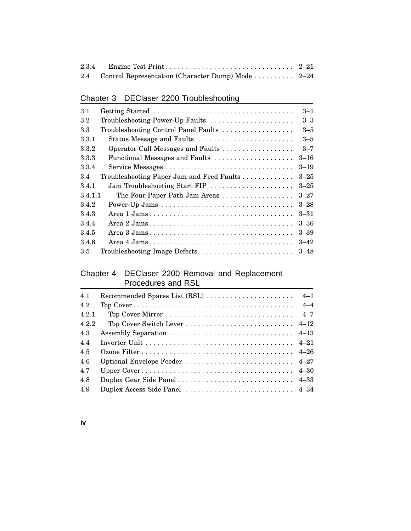| 2.4 Control Representation (Character Dump) Mode  2–24 |  |
|--------------------------------------------------------|--|

## Chapter 3 DEClaser 2200 Troubleshooting

| Getting Started<br>3.1                           | $3 - 1$  |
|--------------------------------------------------|----------|
| $3.2\,$<br>Troubleshooting Power-Up Faults       | $3 - 3$  |
| Troubleshooting Control Panel Faults<br>3.3      | $3 - 5$  |
| Status Message and Faults<br>3.3.1               | $3 - 5$  |
| 3.3.2<br>Operator Call Messages and Faults       | $3 - 7$  |
| 3.3.3<br>Functional Messages and Faults          | $3 - 16$ |
| 3.3.4                                            | $3 - 19$ |
| 3.4<br>Troubleshooting Paper Jam and Feed Faults | $3 - 25$ |
| Jam Troubleshooting Start FIP<br>3.4.1           | $3 - 25$ |
| 3.4.1.1<br>The Four Paper Path Jam Areas         | $3 - 27$ |
| Power-Up Jams<br>3.4.2                           | $3 - 28$ |
| 3.4.3                                            | $3 - 31$ |
| 3.4.4                                            | $3 - 36$ |
| 3.4.5                                            | $3 - 39$ |
| 3.4.6                                            | $3 - 42$ |
| Troubleshooting Image Defects<br>3.5             | $3 - 48$ |

#### Chapter 4 DEClaser 2200 Removal and Replacement Procedures and RSL

| 4.1   |                                |  |
|-------|--------------------------------|--|
| 4.2   |                                |  |
| 4.2.1 |                                |  |
| 4.2.2 |                                |  |
| 4.3   |                                |  |
| 4.4   |                                |  |
| 4.5   |                                |  |
| 4.6   | Optional Envelope Feeder  4–27 |  |
| 4.7   |                                |  |
| 4.8   |                                |  |
| 4.9   | Duplex Access Side Panel  4-34 |  |

**iv**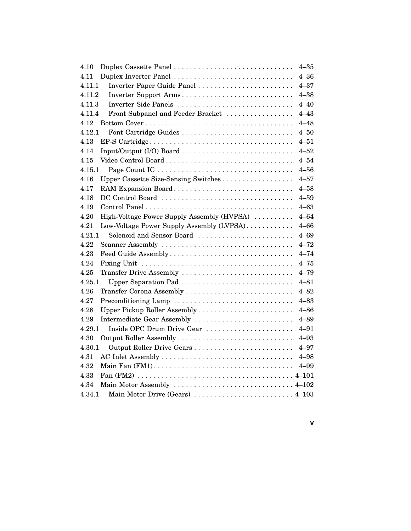| Duplex Cassette Panel<br>4.10                      | $4 - 35$ |
|----------------------------------------------------|----------|
| Duplex Inverter Panel<br>4.11                      | $4 - 36$ |
| Inverter Paper Guide Panel<br>4.11.1               | $4 - 37$ |
| Inverter Support Arms<br>4.11.2                    | $4 - 38$ |
| Inverter Side Panels<br>4.11.3                     | $4 - 40$ |
| 4.11.4<br>Front Subpanel and Feeder Bracket        | $4 - 43$ |
| 4.12                                               | $4 - 48$ |
| 4.12.1<br>Font Cartridge Guides                    | $4 - 50$ |
| 4.13                                               | $4 - 51$ |
| 4.14                                               | $4 - 52$ |
| Video Control Board<br>4.15                        | $4 - 54$ |
| 4.15.1                                             | $4 - 56$ |
| Upper Cassette Size-Sensing Switches<br>4.16       | $4 - 57$ |
| 4.17<br>RAM Expansion Board                        | $4 - 58$ |
| DC Control Board<br>4.18                           | $4 - 59$ |
| 4.19                                               | $4 - 63$ |
| High-Voltage Power Supply Assembly (HVPSA)<br>4.20 | $4 - 64$ |
| 4.21<br>Low-Voltage Power Supply Assembly (LVPSA)  | $4 - 66$ |
| 4.21.1<br>Solenoid and Sensor Board                | $4 - 69$ |
| Scanner Assembly<br>4.22                           | $4 - 72$ |
| Feed Guide Assembly<br>4.23                        | $4 - 74$ |
| 4.24                                               | $4 - 75$ |
| 4.25<br>Transfer Drive Assembly                    | $4 - 79$ |
| Upper Separation Pad<br>4.25.1                     | $4 - 81$ |
| 4.26<br>Transfer Corona Assembly                   | $4 - 82$ |
| 4.27<br>Preconditioning Lamp                       | $4 - 83$ |
| 4.28<br>Upper Pickup Roller Assembly               | $4 - 86$ |
| 4.29<br>Intermediate Gear Assembly                 | $4 - 89$ |
| Inside OPC Drum Drive Gear<br>4.29.1               | $4 - 91$ |
| 4.30<br>Output Roller Assembly                     | $4 - 93$ |
| Output Roller Drive Gears<br>4.30.1                | $4 - 97$ |
| 4.31                                               | $4 - 98$ |
| 4.32                                               | $4 - 99$ |
| 4.33                                               |          |
| 4.34<br>Main Motor Assembly  4–102                 |          |
| 4.34.1<br>Main Motor Drive (Gears)  4–103          |          |

**v**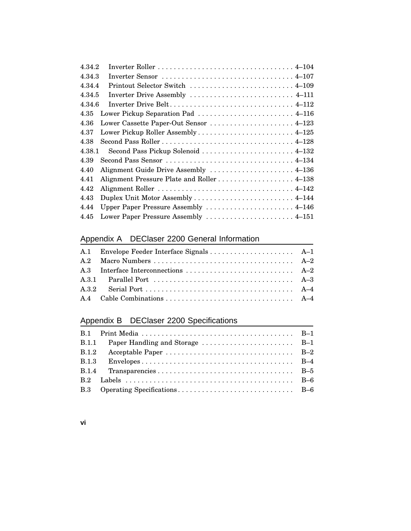| 4.34.2                                                                                                         |
|----------------------------------------------------------------------------------------------------------------|
| 4.34.3<br>Inverter Sensor $\ldots \ldots \ldots \ldots \ldots \ldots \ldots \ldots \ldots \ldots \ldots 4-107$ |
| 4.34.4<br>Printout Selector Switch  4–109                                                                      |
| Inverter Drive Assembly  4–111<br>4.34.5                                                                       |
| 4.34.6                                                                                                         |
| 4.35<br>Lower Pickup Separation Pad  4–116                                                                     |
| 4.36<br>Lower Cassette Paper-Out Sensor  4–123                                                                 |
| 4.37                                                                                                           |
| 4.38                                                                                                           |
| 4.38.1<br>Second Pass Pickup Solenoid  4–132                                                                   |
| Second Pass Sensor  4–134<br>4.39                                                                              |
| Alignment Guide Drive Assembly  4-136<br>4.40                                                                  |
| Alignment Pressure Plate and Roller 4-138<br>4.41                                                              |
| 4.42                                                                                                           |
| 4.43                                                                                                           |
| Upper Paper Pressure Assembly  4–146<br>4.44                                                                   |
| Lower Paper Pressure Assembly  4-151<br>4.45                                                                   |

## Appendix A DEClaser 2200 General Information

## Appendix B DEClaser 2200 Specifications

| <b>B.1.1</b> |  |
|--------------|--|
|              |  |
| B.1.3        |  |
|              |  |
|              |  |
|              |  |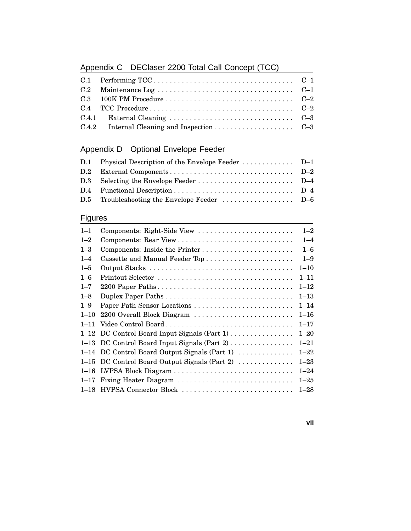# Appendix C DEClaser 2200 Total Call Concept (TCC)

## Appendix D Optional Envelope Feeder

| D.1 Physical Description of the Envelope Feeder  D-1 |  |
|------------------------------------------------------|--|
|                                                      |  |
|                                                      |  |
|                                                      |  |
|                                                      |  |
|                                                      |  |

## **Figures**

| $1 - 1$  | Components: Right-Side View                    | $1 - 2$  |
|----------|------------------------------------------------|----------|
| $1 - 2$  |                                                | $1 - 4$  |
| $1 - 3$  | Components: Inside the Printer                 | $1 - 6$  |
| $1 - 4$  |                                                | $1 - 9$  |
| $1 - 5$  |                                                | $1 - 10$ |
| $1 - 6$  | Printout Selector                              | $1 - 11$ |
| $1 - 7$  |                                                | $1 - 12$ |
| $1 - 8$  |                                                | $1 - 13$ |
| $1 - 9$  | Paper Path Sensor Locations                    | $1 - 14$ |
| $1 - 10$ | 2200 Overall Block Diagram                     | $1 - 16$ |
| $1 - 11$ | Video Control Board                            | $1 - 17$ |
|          | 1–12 DC Control Board Input Signals $(Part 1)$ | $1 - 20$ |
|          | 1–13 DC Control Board Input Signals (Part 2)   | $1 - 21$ |
|          | 1-14 DC Control Board Output Signals (Part 1)  | $1 - 22$ |
| $1 - 15$ | DC Control Board Output Signals (Part 2)       | $1 - 23$ |
| $1 - 16$ |                                                | $1 - 24$ |
| $1 - 17$ | Fixing Heater Diagram                          | $1 - 25$ |
|          | 1–18 HVPSA Connector Block                     | $1 - 28$ |

**vii**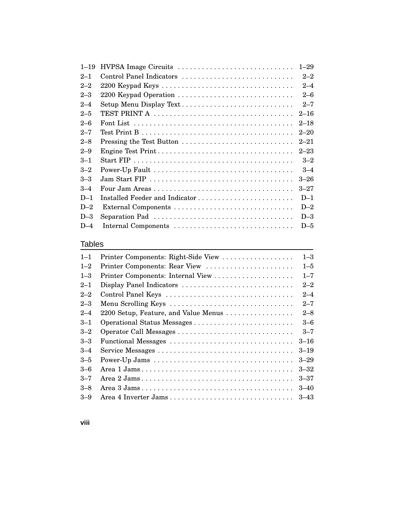| $1 - 19$ |                                | $1 - 29$ |
|----------|--------------------------------|----------|
| $2 - 1$  | Control Panel Indicators       | $2 - 2$  |
| $2 - 2$  | 2200 Keypad Keys               | $2 - 4$  |
| $2 - 3$  | 2200 Keypad Operation          | $2 - 6$  |
| $2 - 4$  | Setup Menu Display Text        | $2 - 7$  |
| $2 - 5$  |                                | $2 - 16$ |
| $2 - 6$  |                                | $2 - 18$ |
| $2 - 7$  |                                | $2 - 20$ |
| $2 - 8$  |                                | $2 - 21$ |
| $2 - 9$  | Engine Test Print              | $2 - 23$ |
| $3 - 1$  |                                | $3 - 2$  |
| $3 - 2$  |                                | $3 - 4$  |
| $3 - 3$  |                                | $3 - 26$ |
| $3 - 4$  |                                | $3 - 27$ |
| $D-1$    | Installed Feeder and Indicator | $D-1$    |
| $D-2$    |                                | $D-2$    |
| $D-3$    |                                | $D-3$    |
| $D-4$    | Internal Components            | $D-5$    |

### Tables

| $1 - 1$ | Printer Components: Right-Side View  | $1 - 3$  |
|---------|--------------------------------------|----------|
| $1 - 2$ | Printer Components: Rear View        | $1 - 5$  |
| $1 - 3$ |                                      | $1 - 7$  |
| $2 - 1$ | Display Panel Indicators             | $2 - 2$  |
| $2 - 2$ | Control Panel Keys                   | $2 - 4$  |
| $2 - 3$ | Menu Scrolling Keys                  | $2 - 7$  |
| $2 - 4$ | 2200 Setup, Feature, and Value Menus | $2 - 8$  |
| $3 - 1$ |                                      | $3 - 6$  |
| $3 - 2$ | Operator Call Messages               | $3 - 7$  |
| $3 - 3$ | Functional Messages                  | $3 - 16$ |
| $3 - 4$ | Service Messages                     | $3 - 19$ |
| $3 - 5$ |                                      | $3 - 29$ |
| $3 - 6$ |                                      | $3 - 32$ |
| $3 - 7$ |                                      | $3 - 37$ |
| $-8$    |                                      | $3 - 40$ |
| $3 - 9$ |                                      | $3 - 43$ |
|         |                                      |          |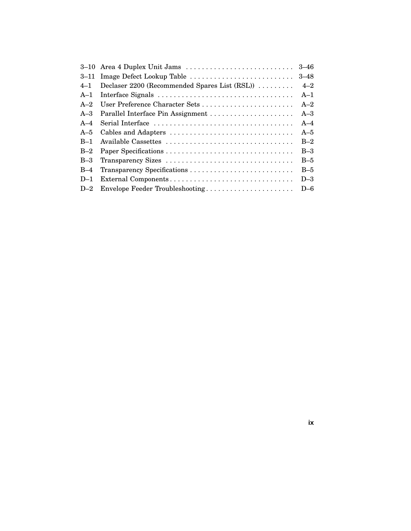|         | 3-10 Area 4 Duplex Unit Jams                  | $3 - 46$ |
|---------|-----------------------------------------------|----------|
|         | 3–11 Image Defect Lookup Table                | $3 - 48$ |
| $4 - 1$ | Declaser 2200 (Recommended Spares List (RSL)) | $4 - 2$  |
| $A-1$   |                                               | $A-1$    |
| $A-2$   | User Preference Character Sets                | $A-2$    |
| $A - 3$ |                                               | $A-3$    |
| $A-4$   |                                               | $A-4$    |
| $A-5$   |                                               | $A-5$    |
| $B-1$   |                                               | $B-2$    |
| $B-2$   |                                               | $B-3$    |
| $B-3$   | Transparency Sizes                            | $B-5$    |
| $B-4$   |                                               | $B-5$    |
| $D-1$   | External Components                           | $D-3$    |
| $D-2$   | Envelope Feeder Troubleshooting               | $D-6$    |

**ix**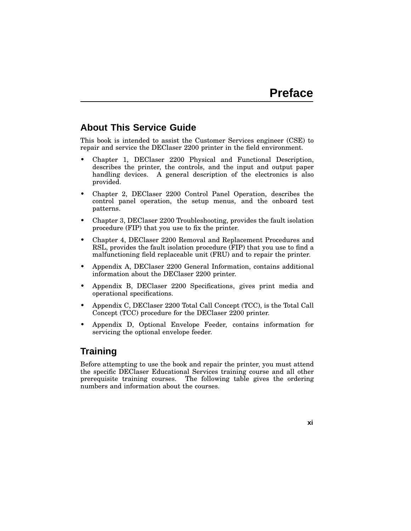### **About This Service Guide**

This book is intended to assist the Customer Services engineer (CSE) to repair and service the DEClaser 2200 printer in the field environment.

- Chapter 1, DEClaser 2200 Physical and Functional Description, describes the printer, the controls, and the input and output paper handling devices. A general description of the electronics is also provided.
- Chapter 2, DEClaser 2200 Control Panel Operation, describes the control panel operation, the setup menus, and the onboard test patterns.
- Chapter 3, DEClaser 2200 Troubleshooting, provides the fault isolation procedure (FIP) that you use to fix the printer.
- Chapter 4, DEClaser 2200 Removal and Replacement Procedures and RSL, provides the fault isolation procedure (FIP) that you use to find a malfunctioning field replaceable unit (FRU) and to repair the printer.
- Appendix A, DEClaser 2200 General Information, contains additional information about the DEClaser 2200 printer.
- Appendix B, DEClaser 2200 Specifications, gives print media and operational specifications.
- Appendix C, DEClaser 2200 Total Call Concept (TCC), is the Total Call Concept (TCC) procedure for the DEClaser 2200 printer.
- Appendix D, Optional Envelope Feeder, contains information for servicing the optional envelope feeder.

### **Training**

Before attempting to use the book and repair the printer, you must attend the specific DEClaser Educational Services training course and all other prerequisite training courses. The following table gives the ordering numbers and information about the courses.

**xi**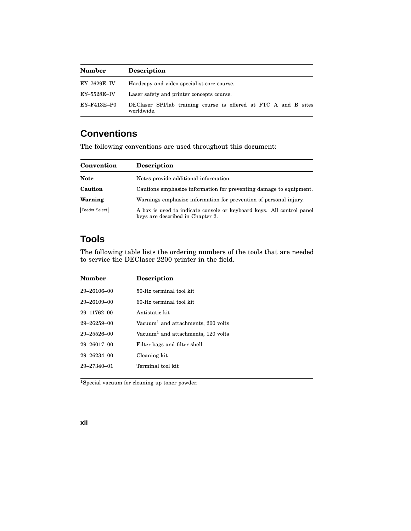| <b>Number</b>      | <b>Description</b>                                                             |
|--------------------|--------------------------------------------------------------------------------|
| <b>EY–7629E–IV</b> | Hardcopy and video specialist core course.                                     |
| $EY$ –5528 $E$ –IV | Laser safety and printer concepts course.                                      |
| EY-F413E-P0        | DEClaser SPI/lab training course is offered at FTC A and B sites<br>worldwide. |

## **Conventions**

The following conventions are used throughout this document:

| Convention    | <b>Description</b>                                                                                        |
|---------------|-----------------------------------------------------------------------------------------------------------|
| <b>Note</b>   | Notes provide additional information.                                                                     |
| Caution       | Cautions emphasize information for preventing damage to equipment.                                        |
| Warning       | Warnings emphasize information for prevention of personal injury.                                         |
| Feeder Select | A box is used to indicate console or keyboard keys. All control panel<br>keys are described in Chapter 2. |

## **Tools**

The following table lists the ordering numbers of the tools that are needed to service the DEClaser 2200 printer in the field.

| <b>Number</b>     | <b>Description</b>                             |
|-------------------|------------------------------------------------|
| $29 - 26106 - 00$ | 50-Hz terminal tool kit                        |
| $29 - 26109 - 00$ | 60-Hz terminal tool kit.                       |
| 29-11762-00       | Antistatic kit                                 |
| $29 - 26259 - 00$ | Vacuum <sup>1</sup> and attachments, 200 volts |
| $29 - 25526 - 00$ | Vacuum <sup>1</sup> and attachments, 120 volts |
| $29 - 26017 - 00$ | Filter bags and filter shell                   |
| $29 - 26234 - 00$ | Cleaning kit                                   |
| $29 - 27340 - 01$ | Terminal tool kit                              |
|                   |                                                |

<sup>1</sup>Special vacuum for cleaning up toner powder.

#### **xii**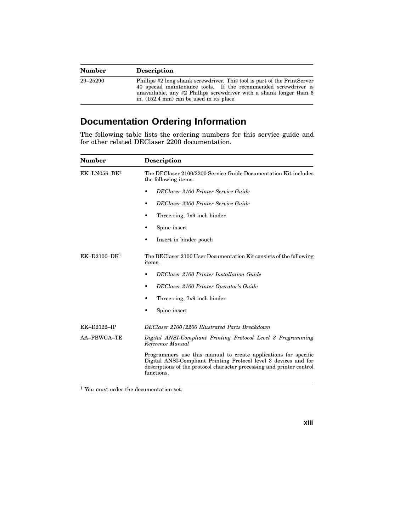| <b>Number</b> | <b>Description</b>                                                                                                                                                                                                                                                       |
|---------------|--------------------------------------------------------------------------------------------------------------------------------------------------------------------------------------------------------------------------------------------------------------------------|
| 29–25290      | Phillips #2 long shank screwdriver. This tool is part of the PrintServer<br>40 special maintenance tools. If the recommended screwdriver is<br>unavailable, any #2 Phillips screwdriver with a shank longer than 6<br>in. $(152.4 \text{ mm})$ can be used in its place. |

# **Documentation Ordering Information**

The following table lists the ordering numbers for this service guide and for other related DEClaser 2200 documentation.

| Number         | <b>Description</b>                                                                                                                                                                                                         |  |  |  |
|----------------|----------------------------------------------------------------------------------------------------------------------------------------------------------------------------------------------------------------------------|--|--|--|
| $EK-LN056-DK1$ | The DEClaser 2100/2200 Service Guide Documentation Kit includes<br>the following items.                                                                                                                                    |  |  |  |
|                | DEClaser 2100 Printer Service Guide                                                                                                                                                                                        |  |  |  |
|                | DEClaser 2200 Printer Service Guide                                                                                                                                                                                        |  |  |  |
|                | Three-ring, 7x9 inch binder                                                                                                                                                                                                |  |  |  |
|                | Spine insert                                                                                                                                                                                                               |  |  |  |
|                | Insert in binder pouch                                                                                                                                                                                                     |  |  |  |
| $EK-D2100-DK1$ | The DEClaser 2100 User Documentation Kit consists of the following<br>items.                                                                                                                                               |  |  |  |
|                | <b>DEClaser 2100 Printer Installation Guide</b>                                                                                                                                                                            |  |  |  |
|                | DEClaser 2100 Printer Operator's Guide<br>٠                                                                                                                                                                                |  |  |  |
|                | Three-ring, 7x9 inch binder                                                                                                                                                                                                |  |  |  |
|                | Spine insert                                                                                                                                                                                                               |  |  |  |
| EK-D2122-IP    | DEClaser 2100/2200 Illustrated Parts Breakdown                                                                                                                                                                             |  |  |  |
| AA-PBWGA-TE    | Digital ANSI-Compliant Printing Protocol Level 3 Programming<br>Reference Manual                                                                                                                                           |  |  |  |
|                | Programmers use this manual to create applications for specific<br>Digital ANSI-Compliant Printing Protocol level 3 devices and for<br>descriptions of the protocol character processing and printer control<br>functions. |  |  |  |

<sup>1</sup> You must order the documentation set.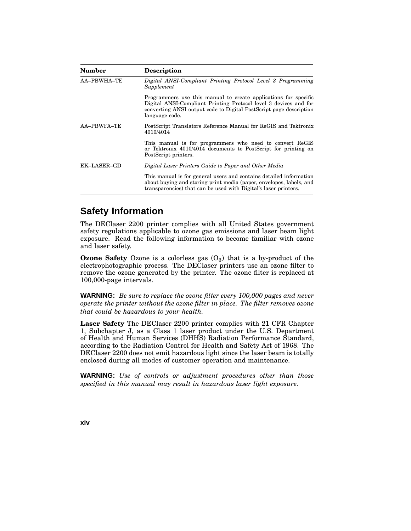| Number             | <b>Description</b>                                                                                                                                                                                                          |
|--------------------|-----------------------------------------------------------------------------------------------------------------------------------------------------------------------------------------------------------------------------|
| <b>AA-PBWHA-TE</b> | Digital ANSI-Compliant Printing Protocol Level 3 Programming<br>Supplement                                                                                                                                                  |
|                    | Programmers use this manual to create applications for specific<br>Digital ANSI-Compliant Printing Protocol level 3 devices and for<br>converting ANSI output code to Digital PostScript page description<br>language code. |
| AA-PBWFA-TE        | PostScript Translators Reference Manual for ReGIS and Tektronix<br>4010/4014                                                                                                                                                |
|                    | This manual is for programmers who need to convert ReGIS<br>or Tektronix 4010/4014 documents to PostScript for printing on<br>PostScript printers.                                                                          |
| EK–LASER–GD        | Digital Laser Printers Guide to Paper and Other Media                                                                                                                                                                       |
|                    | This manual is for general users and contains detailed information<br>about buying and storing print media (paper, envelopes, labels, and<br>transparencies) that can be used with Digital's laser printers.                |

### **Safety Information**

The DEClaser 2200 printer complies with all United States government safety regulations applicable to ozone gas emissions and laser beam light exposure. Read the following information to become familiar with ozone and laser safety.

**Ozone Safety** Ozone is a colorless gas  $(O_3)$  that is a by-product of the electrophotographic process. The DEClaser printers use an ozone filter to remove the ozone generated by the printer. The ozone filter is replaced at 100,000-page intervals.

**WARNING:** *Be sure to replace the ozone filter every 100,000 pages and never operate the printer without the ozone filter in place. The filter removes ozone that could be hazardous to your health.*

**Laser Safety** The DEClaser 2200 printer complies with 21 CFR Chapter 1, Subchapter J, as a Class 1 laser product under the U.S. Department of Health and Human Services (DHHS) Radiation Performance Standard, according to the Radiation Control for Health and Safety Act of 1968. The DEClaser 2200 does not emit hazardous light since the laser beam is totally enclosed during all modes of customer operation and maintenance.

**WARNING:** *Use of controls or adjustment procedures other than those specified in this manual may result in hazardous laser light exposure.*

**xiv**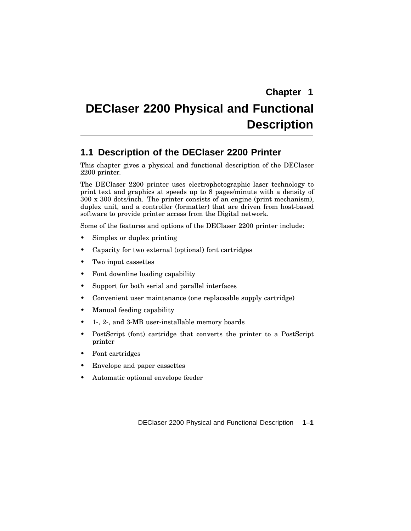# **DEClaser 2200 Physical and Functional Description**

### **1.1 Description of the DEClaser 2200 Printer**

This chapter gives a physical and functional description of the DEClaser 2200 printer.

The DEClaser 2200 printer uses electrophotographic laser technology to print text and graphics at speeds up to 8 pages/minute with a density of 300 x 300 dots/inch. The printer consists of an engine (print mechanism), duplex unit, and a controller (formatter) that are driven from host-based software to provide printer access from the Digital network.

Some of the features and options of the DEClaser 2200 printer include:

- Simplex or duplex printing
- Capacity for two external (optional) font cartridges
- Two input cassettes
- Font downline loading capability
- Support for both serial and parallel interfaces
- Convenient user maintenance (one replaceable supply cartridge)
- Manual feeding capability
- 1-, 2-, and 3-MB user-installable memory boards
- PostScript (font) cartridge that converts the printer to a PostScript printer
- Font cartridges
- Envelope and paper cassettes
- Automatic optional envelope feeder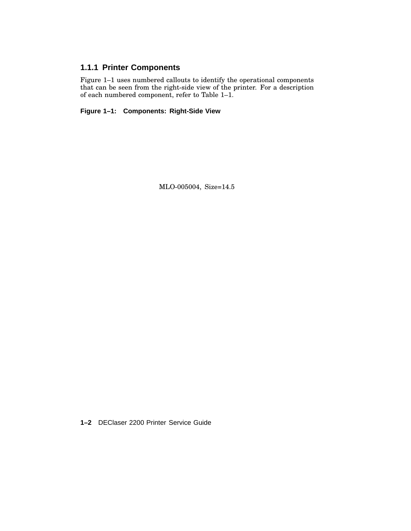### **1.1.1 Printer Components**

Figure 1–1 uses numbered callouts to identify the operational components that can be seen from the right-side view of the printer. For a description of each numbered component, refer to Table 1–1.

**Figure 1–1: Components: Right-Side View**

MLO-005004, Size=14.5

**1–2** DEClaser 2200 Printer Service Guide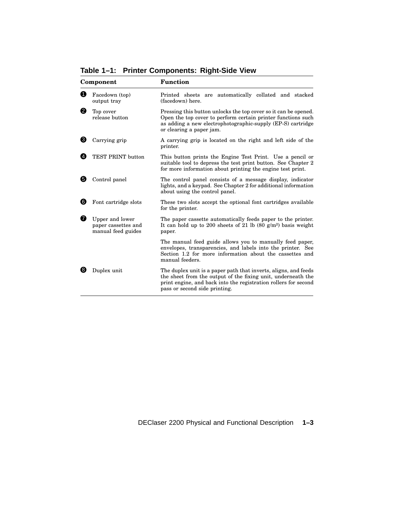| Component |                                                              | <b>Function</b>                                                                                                                                                                                                                     |  |  |
|-----------|--------------------------------------------------------------|-------------------------------------------------------------------------------------------------------------------------------------------------------------------------------------------------------------------------------------|--|--|
| O         | Facedown (top)<br>output tray                                | Printed sheets are automatically collated and stacked<br>(facedown) here.                                                                                                                                                           |  |  |
| 0         | Top cover<br>release button                                  | Pressing this button unlocks the top cover so it can be opened.<br>Open the top cover to perform certain printer functions such<br>as adding a new electrophotographic-supply (EP-S) cartridge<br>or clearing a paper jam.          |  |  |
| ❸         | Carrying grip                                                | A carrying grip is located on the right and left side of the<br>printer.                                                                                                                                                            |  |  |
|           | TEST PRINT button                                            | This button prints the Engine Test Print. Use a pencil or<br>suitable tool to depress the test print button. See Chapter 2<br>for more information about printing the engine test print.                                            |  |  |
| 6         | Control panel                                                | The control panel consists of a message display, indicator<br>lights, and a keypad. See Chapter 2 for additional information<br>about using the control panel.                                                                      |  |  |
| ❺         | Font cartridge slots                                         | These two slots accept the optional font cartridges available<br>for the printer.                                                                                                                                                   |  |  |
| Ø         | Upper and lower<br>paper cassettes and<br>manual feed guides | The paper cassette automatically feeds paper to the printer.<br>It can hold up to 200 sheets of 21 lb $(80 \text{ g/m}^2)$ basis weight<br>paper.                                                                                   |  |  |
|           |                                                              | The manual feed guide allows you to manually feed paper,<br>envelopes, transparencies, and labels into the printer. See<br>Section 1.2 for more information about the cassettes and<br>manual feeders.                              |  |  |
| 83        | Duplex unit                                                  | The duplex unit is a paper path that inverts, aligns, and feeds<br>the sheet from the output of the fixing unit, underneath the<br>print engine, and back into the registration rollers for second<br>pass or second side printing. |  |  |

**Table 1–1: Printer Components: Right-Side View**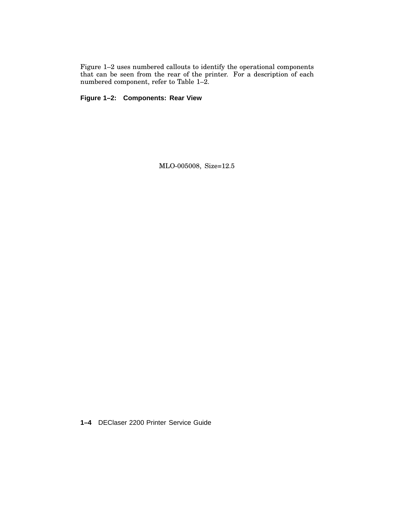Figure 1–2 uses numbered callouts to identify the operational components that can be seen from the rear of the printer. For a description of each numbered component, refer to Table 1–2.

**Figure 1–2: Components: Rear View**

MLO-005008, Size=12.5

**1–4** DEClaser 2200 Printer Service Guide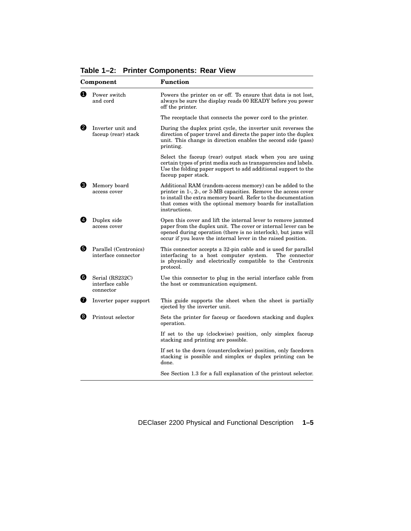| Component |                                                 | <b>Function</b>                                                                                                                                                                                                                                                              |  |
|-----------|-------------------------------------------------|------------------------------------------------------------------------------------------------------------------------------------------------------------------------------------------------------------------------------------------------------------------------------|--|
| A         | Power switch<br>and cord                        | Powers the printer on or off. To ensure that data is not lost,<br>always be sure the display reads 00 READY before you power<br>off the printer.                                                                                                                             |  |
|           |                                                 | The receptacle that connects the power cord to the printer.                                                                                                                                                                                                                  |  |
| 0         | Inverter unit and<br>faceup (rear) stack        | During the duplex print cycle, the inverter unit reverses the<br>direction of paper travel and directs the paper into the duplex<br>unit. This change in direction enables the second side (pass)<br>printing.                                                               |  |
|           |                                                 | Select the faceup (rear) output stack when you are using<br>certain types of print media such as transparencies and labels.<br>Use the folding paper support to add additional support to the<br>faceup paper stack.                                                         |  |
| ❸         | Memory board<br>access cover                    | Additional RAM (random-access memory) can be added to the<br>printer in 1-, 2-, or 3-MB capacities. Remove the access cover<br>to install the extra memory board. Refer to the documentation<br>that comes with the optional memory boards for installation<br>instructions. |  |
| Ø         | Duplex side<br>access cover                     | Open this cover and lift the internal lever to remove jammed<br>paper from the duplex unit. The cover or internal lever can be<br>opened during operation (there is no interlock), but jams will<br>occur if you leave the internal lever in the raised position.            |  |
| 6         | Parallel (Centronics)<br>interface connector    | This connector accepts a 32-pin cable and is used for parallel<br>interfacing to a host computer system.<br>The connector<br>is physically and electrically compatible to the Centronix<br>protocol.                                                                         |  |
| ❺         | Serial (RS232C)<br>interface cable<br>connector | Use this connector to plug in the serial interface cable from<br>the host or communication equipment.                                                                                                                                                                        |  |
| ❼         | Inverter paper support                          | This guide supports the sheet when the sheet is partially<br>ejected by the inverter unit.                                                                                                                                                                                   |  |
| 8         | Printout selector                               | Sets the printer for faceup or facedown stacking and duplex<br>operation.                                                                                                                                                                                                    |  |
|           |                                                 | If set to the up (clockwise) position, only simplex faceup<br>stacking and printing are possible.                                                                                                                                                                            |  |
|           |                                                 | If set to the down (counterclockwise) position, only facedown<br>stacking is possible and simplex or duplex printing can be<br>done.                                                                                                                                         |  |
|           |                                                 | See Section 1.3 for a full explanation of the printout selector.                                                                                                                                                                                                             |  |

**Table 1–2: Printer Components: Rear View**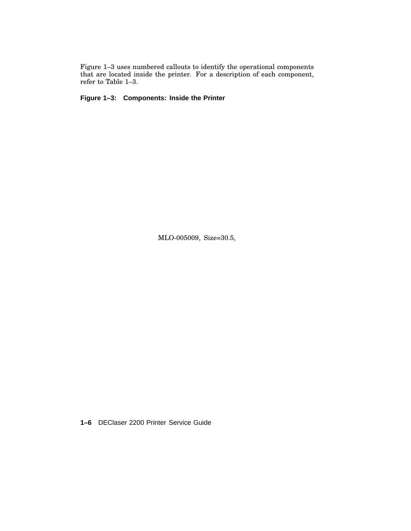Figure 1–3 uses numbered callouts to identify the operational components that are located inside the printer. For a description of each component, refer to Table 1–3.

**Figure 1–3: Components: Inside the Printer**

MLO-005009, Size=30.5,

**1–6** DEClaser 2200 Printer Service Guide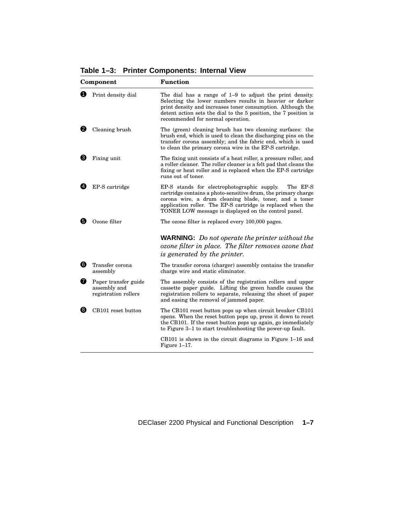**Table 1–3: Printer Components: Internal View**

| Component      |                                                              | Function                                                                                                                                                                                                                                                                                                  |
|----------------|--------------------------------------------------------------|-----------------------------------------------------------------------------------------------------------------------------------------------------------------------------------------------------------------------------------------------------------------------------------------------------------|
| O              | Print density dial                                           | The dial has a range of $1-9$ to adjust the print density.<br>Selecting the lower numbers results in heavier or darker<br>print density and increases toner consumption. Although the<br>detent action sets the dial to the 5 position, the 7 position is<br>recommended for normal operation.            |
| 2.             | Cleaning brush                                               | The (green) cleaning brush has two cleaning surfaces: the<br>brush end, which is used to clean the discharging pins on the<br>transfer corona assembly; and the fabric end, which is used<br>to clean the primary corona wire in the EP-S cartridge.                                                      |
| ❸              | Fixing unit                                                  | The fixing unit consists of a heat roller, a pressure roller, and<br>a roller cleaner. The roller cleaner is a felt pad that cleans the<br>fixing or heat roller and is replaced when the EP-S cartridge<br>runs out of toner.                                                                            |
| $\overline{4}$ | EP-S cartridge                                               | EP-S stands for electrophotographic supply.<br>The EP-S<br>cartridge contains a photo-sensitive drum, the primary charge<br>corona wire, a drum cleaning blade, toner, and a toner<br>application roller. The EP-S cartridge is replaced when the<br>TONER LOW message is displayed on the control panel. |
| 6)             | Ozone filter                                                 | The ozone filter is replaced every 100,000 pages.                                                                                                                                                                                                                                                         |
|                |                                                              | <b>WARNING:</b> Do not operate the printer without the<br>ozone filter in place. The filter removes ozone that<br>is generated by the printer.                                                                                                                                                            |
| 6              | Transfer corona<br>assembly                                  | The transfer corona (charger) assembly contains the transfer<br>charge wire and static eliminator.                                                                                                                                                                                                        |
| ❼              | Paper transfer guide<br>assembly and<br>registration rollers | The assembly consists of the registration rollers and upper<br>cassette paper guide. Lifting the green handle causes the<br>registration rollers to separate, releasing the sheet of paper<br>and easing the removal of jammed paper.                                                                     |
| 6              | CB101 reset button                                           | The CB101 reset button pops up when circuit breaker CB101<br>opens. When the reset button pops up, press it down to reset<br>the CB101. If the reset button pops up again, go immediately<br>to Figure 3–1 to start troubleshooting the power-up fault.                                                   |
|                |                                                              | $CB101$ is shown in the circuit diagrams in Figure 1–16 and<br>Figure $1-17$ .                                                                                                                                                                                                                            |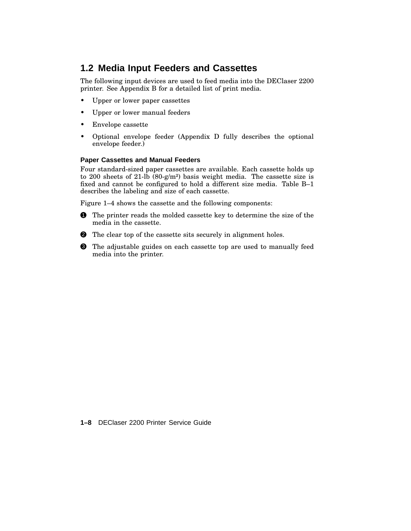### **1.2 Media Input Feeders and Cassettes**

The following input devices are used to feed media into the DEClaser 2200 printer. See Appendix B for a detailed list of print media.

- Upper or lower paper cassettes
- Upper or lower manual feeders
- Envelope cassette
- Optional envelope feeder (Appendix D fully describes the optional envelope feeder.)

#### **Paper Cassettes and Manual Feeders**

Four standard-sized paper cassettes are available. Each cassette holds up to 200 sheets of 21-lb  $(80-g/m^2)$  basis weight media. The cassette size is fixed and cannot be configured to hold a different size media. Table B–1 describes the labeling and size of each cassette.

Figure 1–4 shows the cassette and the following components:

- **1** The printer reads the molded cassette key to determine the size of the media in the cassette.
- 2 The clear top of the cassette sits securely in alignment holes.
- 3 The adjustable guides on each cassette top are used to manually feed media into the printer.

**1–8** DEClaser 2200 Printer Service Guide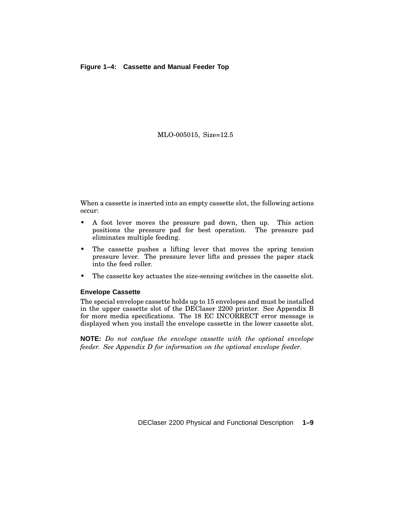#### **Figure 1–4: Cassette and Manual Feeder Top**

#### MLO-005015, Size=12.5

When a cassette is inserted into an empty cassette slot, the following actions occur:

- A foot lever moves the pressure pad down, then up. This action positions the pressure pad for best operation. The pressure pad eliminates multiple feeding.
- The cassette pushes a lifting lever that moves the spring tension pressure lever. The pressure lever lifts and presses the paper stack into the feed roller.
- The cassette key actuates the size-sensing switches in the cassette slot.

#### **Envelope Cassette**

The special envelope cassette holds up to 15 envelopes and must be installed in the upper cassette slot of the DEClaser 2200 printer. See Appendix B for more media specifications. The 18 EC INCORRECT error message is displayed when you install the envelope cassette in the lower cassette slot.

**NOTE:** *Do not confuse the envelope cassette with the optional envelope feeder. See Appendix D for information on the optional envelope feeder.*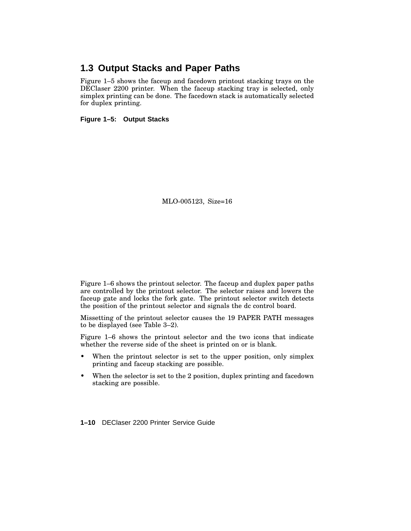### **1.3 Output Stacks and Paper Paths**

Figure 1–5 shows the faceup and facedown printout stacking trays on the DEClaser 2200 printer. When the faceup stacking tray is selected, only simplex printing can be done. The facedown stack is automatically selected for duplex printing.

**Figure 1–5: Output Stacks**

MLO-005123, Size=16

Figure 1–6 shows the printout selector. The faceup and duplex paper paths are controlled by the printout selector. The selector raises and lowers the faceup gate and locks the fork gate. The printout selector switch detects the position of the printout selector and signals the dc control board.

Missetting of the printout selector causes the 19 PAPER PATH messages to be displayed (see Table 3–2).

Figure 1–6 shows the printout selector and the two icons that indicate whether the reverse side of the sheet is printed on or is blank.

- When the printout selector is set to the upper position, only simplex printing and faceup stacking are possible.
- When the selector is set to the 2 position, duplex printing and facedown stacking are possible.

**1–10** DEClaser 2200 Printer Service Guide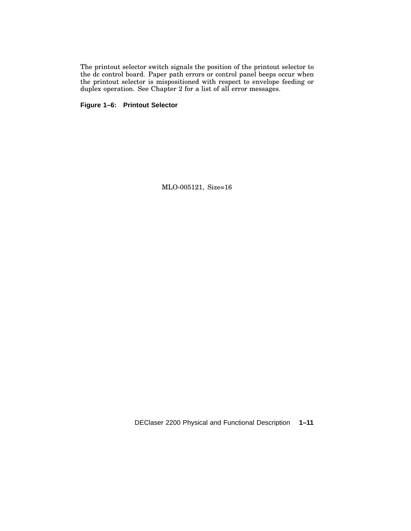The printout selector switch signals the position of the printout selector to the dc control board. Paper path errors or control panel beeps occur when the printout selector is mispositioned with respect to envelope feeding or duplex operation. See Chapter 2 for a list of all error messages.

**Figure 1–6: Printout Selector**

MLO-005121, Size=16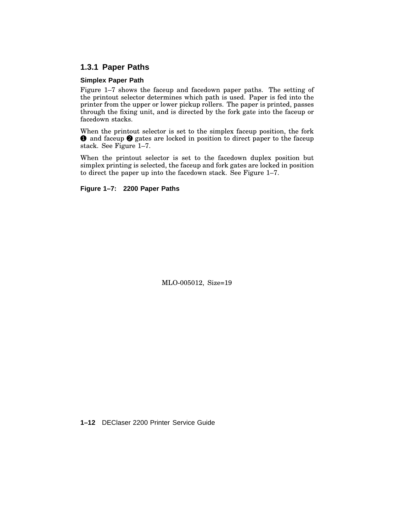#### **1.3.1 Paper Paths**

#### **Simplex Paper Path**

Figure 1–7 shows the faceup and facedown paper paths. The setting of the printout selector determines which path is used. Paper is fed into the printer from the upper or lower pickup rollers. The paper is printed, passes through the fixing unit, and is directed by the fork gate into the faceup or facedown stacks.

When the printout selector is set to the simplex faceup position, the fork **1** and faceup **2** gates are locked in position to direct paper to the faceup stack. See Figure 1–7.

When the printout selector is set to the facedown duplex position but simplex printing is selected, the faceup and fork gates are locked in position to direct the paper up into the facedown stack. See Figure 1–7.

**Figure 1–7: 2200 Paper Paths**

MLO-005012, Size=19

**1–12** DEClaser 2200 Printer Service Guide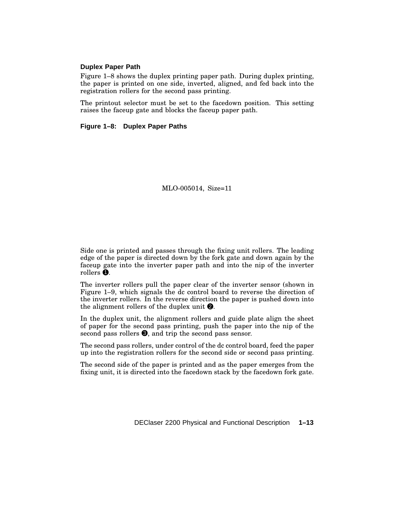#### **Duplex Paper Path**

Figure 1–8 shows the duplex printing paper path. During duplex printing, the paper is printed on one side, inverted, aligned, and fed back into the registration rollers for the second pass printing.

The printout selector must be set to the facedown position. This setting raises the faceup gate and blocks the faceup paper path.

#### **Figure 1–8: Duplex Paper Paths**

MLO-005014, Size=11

Side one is printed and passes through the fixing unit rollers. The leading edge of the paper is directed down by the fork gate and down again by the faceup gate into the inverter paper path and into the nip of the inverter rollers  $\ddot{\bullet}$ .

The inverter rollers pull the paper clear of the inverter sensor (shown in Figure 1–9, which signals the dc control board to reverse the direction of the inverter rollers. In the reverse direction the paper is pushed down into the alignment rollers of the duplex unit  $\bullet$ .

In the duplex unit, the alignment rollers and guide plate align the sheet of paper for the second pass printing, push the paper into the nip of the second pass rollers  $\bigcirc$ , and trip the second pass sensor.

The second pass rollers, under control of the dc control board, feed the paper up into the registration rollers for the second side or second pass printing.

The second side of the paper is printed and as the paper emerges from the fixing unit, it is directed into the facedown stack by the facedown fork gate.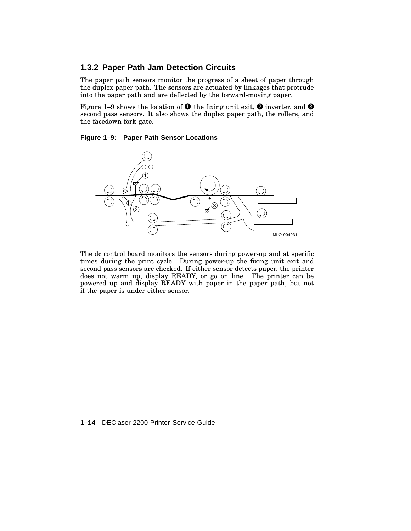#### **1.3.2 Paper Path Jam Detection Circuits**

The paper path sensors monitor the progress of a sheet of paper through the duplex paper path. The sensors are actuated by linkages that protrude into the paper path and are deflected by the forward-moving paper.

Figure 1–9 shows the location of  $\bullet$  the fixing unit exit,  $\bullet$  inverter, and  $\bullet$ second pass sensors. It also shows the duplex paper path, the rollers, and the facedown fork gate.

#### **Figure 1–9: Paper Path Sensor Locations**



The dc control board monitors the sensors during power-up and at specific times during the print cycle. During power-up the fixing unit exit and second pass sensors are checked. If either sensor detects paper, the printer does not warm up, display READY, or go on line. The printer can be powered up and display READY with paper in the paper path, but not if the paper is under either sensor.

**1–14** DEClaser 2200 Printer Service Guide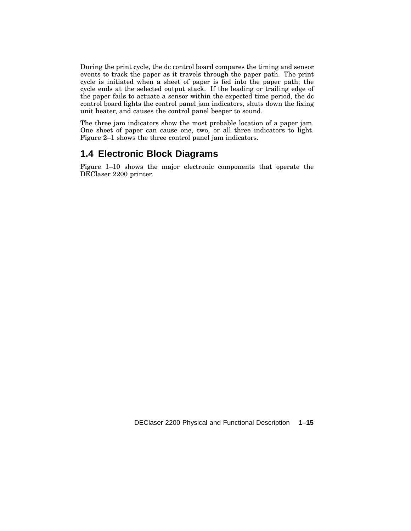During the print cycle, the dc control board compares the timing and sensor events to track the paper as it travels through the paper path. The print cycle is initiated when a sheet of paper is fed into the paper path; the cycle ends at the selected output stack. If the leading or trailing edge of the paper fails to actuate a sensor within the expected time period, the dc control board lights the control panel jam indicators, shuts down the fixing unit heater, and causes the control panel beeper to sound.

The three jam indicators show the most probable location of a paper jam. One sheet of paper can cause one, two, or all three indicators to light. Figure 2–1 shows the three control panel jam indicators.

### **1.4 Electronic Block Diagrams**

Figure 1–10 shows the major electronic components that operate the DEClaser 2200 printer.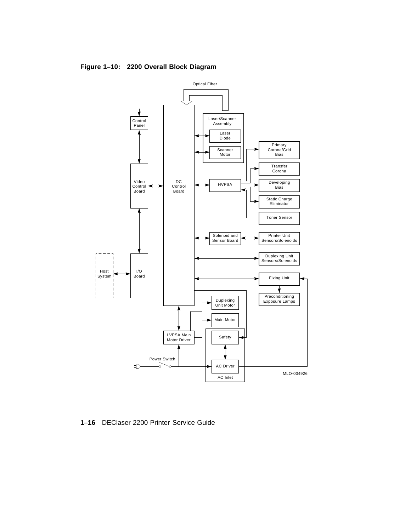

**Figure 1–10: 2200 Overall Block Diagram**

**1–16** DEClaser 2200 Printer Service Guide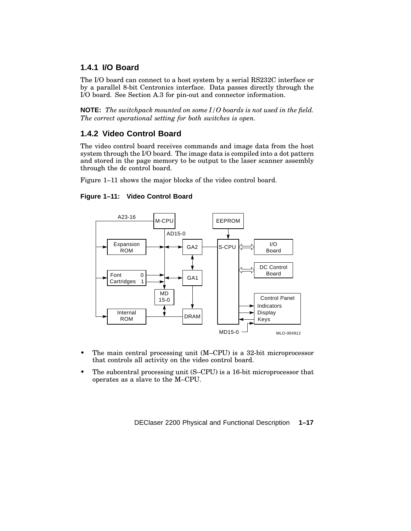#### **1.4.1 I/O Board**

The I/O board can connect to a host system by a serial RS232C interface or by a parallel 8-bit Centronics interface. Data passes directly through the I/O board. See Section A.3 for pin-out and connector information.

**NOTE:** *The switchpack mounted on some I/O boards is not used in the field. The correct operational setting for both switches is open.*

#### **1.4.2 Video Control Board**

The video control board receives commands and image data from the host system through the I/O board. The image data is compiled into a dot pattern and stored in the page memory to be output to the laser scanner assembly through the dc control board.

Figure 1–11 shows the major blocks of the video control board.

#### **Figure 1–11: Video Control Board**



- The main central processing unit (M–CPU) is a 32-bit microprocessor that controls all activity on the video control board.
- The subcentral processing unit (S–CPU) is a 16-bit microprocessor that operates as a slave to the M–CPU.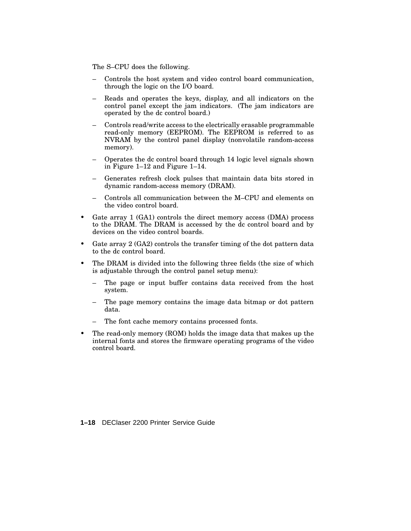The S–CPU does the following.

- Controls the host system and video control board communication, through the logic on the I/O board.
- Reads and operates the keys, display, and all indicators on the control panel except the jam indicators. (The jam indicators are operated by the dc control board.)
- Controls read/write access to the electrically erasable programmable read-only memory (EEPROM). The EEPROM is referred to as NVRAM by the control panel display (nonvolatile random-access memory).
- Operates the dc control board through 14 logic level signals shown in Figure 1–12 and Figure 1–14.
- Generates refresh clock pulses that maintain data bits stored in dynamic random-access memory (DRAM).
- Controls all communication between the M–CPU and elements on the video control board.
- Gate array 1 (GA1) controls the direct memory access (DMA) process to the DRAM. The DRAM is accessed by the dc control board and by devices on the video control boards.
- Gate array 2 (GA2) controls the transfer timing of the dot pattern data to the dc control board.
- The DRAM is divided into the following three fields (the size of which is adjustable through the control panel setup menu):
	- The page or input buffer contains data received from the host system.
	- The page memory contains the image data bitmap or dot pattern data.
	- The font cache memory contains processed fonts.
- The read-only memory (ROM) holds the image data that makes up the internal fonts and stores the firmware operating programs of the video control board.

**1–18** DEClaser 2200 Printer Service Guide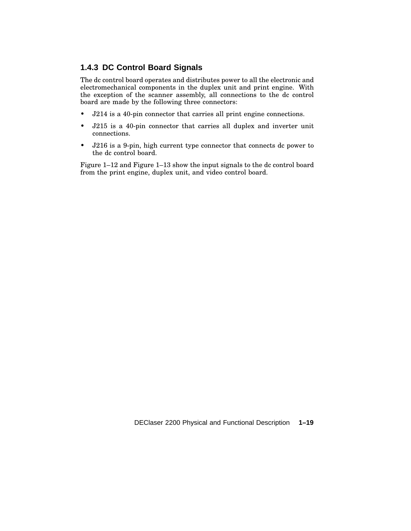#### **1.4.3 DC Control Board Signals**

The dc control board operates and distributes power to all the electronic and electromechanical components in the duplex unit and print engine. With the exception of the scanner assembly, all connections to the dc control board are made by the following three connectors:

- J214 is a 40-pin connector that carries all print engine connections.
- J215 is a 40-pin connector that carries all duplex and inverter unit connections.
- J216 is a 9-pin, high current type connector that connects dc power to the dc control board.

Figure 1–12 and Figure 1–13 show the input signals to the dc control board from the print engine, duplex unit, and video control board.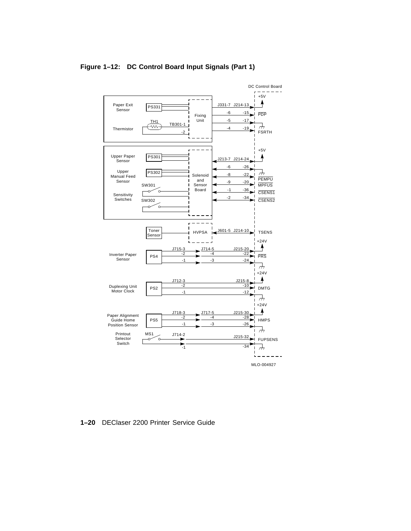

#### **Figure 1–12: DC Control Board Input Signals (Part 1)**

**1–20** DEClaser 2200 Printer Service Guide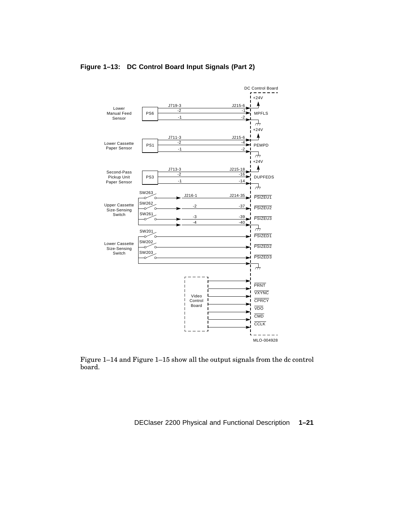

#### **Figure 1–13: DC Control Board Input Signals (Part 2)**

Figure 1–14 and Figure 1–15 show all the output signals from the dc control board.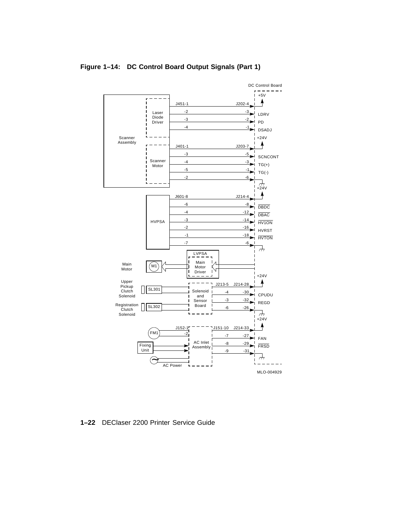

**Figure 1–14: DC Control Board Output Signals (Part 1)**

**1–22** DEClaser 2200 Printer Service Guide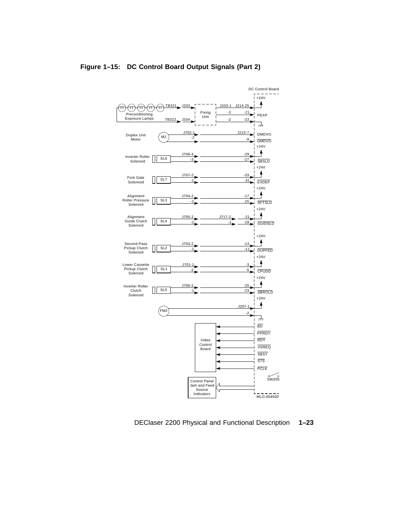

#### **Figure 1–15: DC Control Board Output Signals (Part 2)**

DEClaser 2200 Physical and Functional Description **1–23**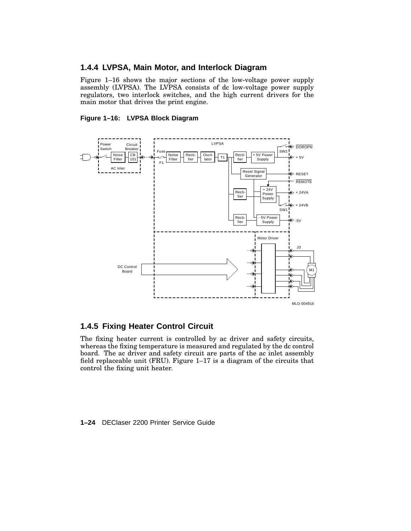## **1.4.4 LVPSA, Main Motor, and Interlock Diagram**

Figure 1–16 shows the major sections of the low-voltage power supply assembly (LVPSA). The LVPSA consists of dc low-voltage power supply regulators, two interlock switches, and the high current drivers for the main motor that drives the print engine.

#### **Figure 1–16: LVPSA Block Diagram**



## **1.4.5 Fixing Heater Control Circuit**

The fixing heater current is controlled by ac driver and safety circuits, whereas the fixing temperature is measured and regulated by the dc control board. The ac driver and safety circuit are parts of the ac inlet assembly field replaceable unit (FRU). Figure 1–17 is a diagram of the circuits that control the fixing unit heater.

#### **1–24** DEClaser 2200 Printer Service Guide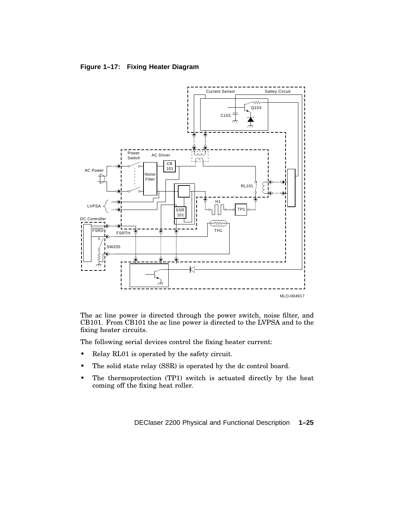#### **Figure 1–17: Fixing Heater Diagram**



The ac line power is directed through the power switch, noise filter, and CB101. From CB101 the ac line power is directed to the LVPSA and to the fixing heater circuits.

The following serial devices control the fixing heater current:

- Relay RL01 is operated by the safety circuit.
- The solid state relay (SSR) is operated by the dc control board.
- The thermoprotection (TP1) switch is actuated directly by the heat coming off the fixing heat roller.

DEClaser 2200 Physical and Functional Description **1–25**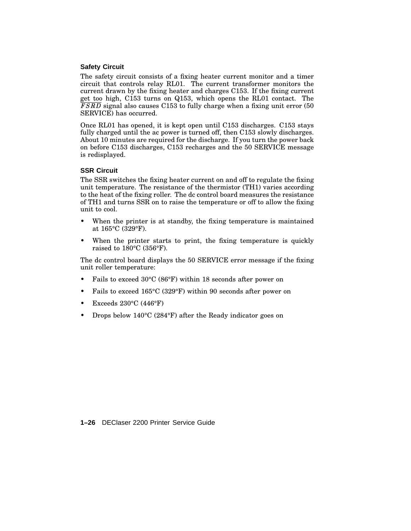#### **Safety Circuit**

The safety circuit consists of a fixing heater current monitor and a timer circuit that controls relay RL01. The current transformer monitors the current drawn by the fixing heater and charges C153. If the fixing current get too high, C153 turns on Q153, which opens the RL01 contact. The FSRD signal also causes C153 to fully charge when a fixing unit error (50 SERVICE) has occurred.

Once RL01 has opened, it is kept open until C153 discharges. C153 stays fully charged until the ac power is turned off, then C153 slowly discharges. About 10 minutes are required for the discharge. If you turn the power back on before C153 discharges, C153 recharges and the 50 SERVICE message is redisplayed.

#### **SSR Circuit**

The SSR switches the fixing heater current on and off to regulate the fixing unit temperature. The resistance of the thermistor (TH1) varies according to the heat of the fixing roller. The dc control board measures the resistance of TH1 and turns SSR on to raise the temperature or off to allow the fixing unit to cool.

- When the printer is at standby, the fixing temperature is maintained at 165°C (329°F).
- When the printer starts to print, the fixing temperature is quickly raised to 180°C (356°F).

The dc control board displays the 50 SERVICE error message if the fixing unit roller temperature:

- Fails to exceed 30°C (86°F) within 18 seconds after power on
- Fails to exceed 165°C (329°F) within 90 seconds after power on
- Exceeds  $230^{\circ}$ C (446°F)
- Drops below 140°C (284°F) after the Ready indicator goes on

**1–26** DEClaser 2200 Printer Service Guide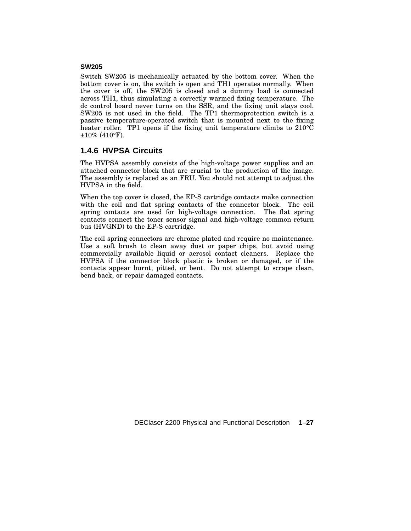#### **SW205**

Switch SW205 is mechanically actuated by the bottom cover. When the bottom cover is on, the switch is open and TH1 operates normally. When the cover is off, the SW205 is closed and a dummy load is connected across TH1, thus simulating a correctly warmed fixing temperature. The dc control board never turns on the SSR, and the fixing unit stays cool. SW205 is not used in the field. The TP1 thermoprotection switch is a passive temperature-operated switch that is mounted next to the fixing heater roller. TP1 opens if the fixing unit temperature climbs to 210°C  $\pm 10\%$  (410°F).

## **1.4.6 HVPSA Circuits**

The HVPSA assembly consists of the high-voltage power supplies and an attached connector block that are crucial to the production of the image. The assembly is replaced as an FRU. You should not attempt to adjust the HVPSA in the field.

When the top cover is closed, the EP-S cartridge contacts make connection with the coil and flat spring contacts of the connector block. The coil spring contacts are used for high-voltage connection. The flat spring contacts connect the toner sensor signal and high-voltage common return bus (HVGND) to the EP-S cartridge.

The coil spring connectors are chrome plated and require no maintenance. Use a soft brush to clean away dust or paper chips, but avoid using commercially available liquid or aerosol contact cleaners. Replace the HVPSA if the connector block plastic is broken or damaged, or if the contacts appear burnt, pitted, or bent. Do not attempt to scrape clean, bend back, or repair damaged contacts.

DEClaser 2200 Physical and Functional Description **1–27**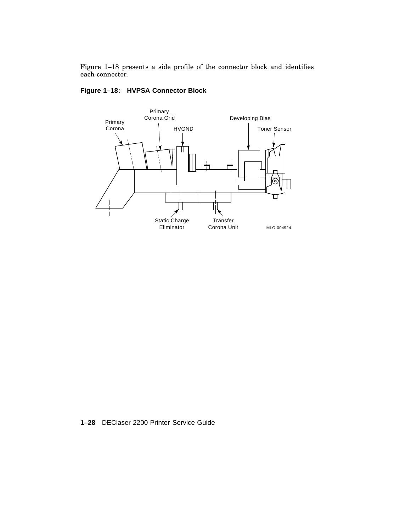Figure 1–18 presents a side profile of the connector block and identifies each connector.





**1–28** DEClaser 2200 Printer Service Guide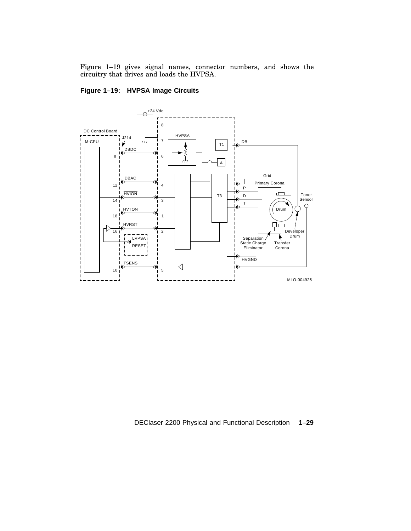Figure 1–19 gives signal names, connector numbers, and shows the circuitry that drives and loads the HVPSA.

#### **Figure 1–19: HVPSA Image Circuits**



DEClaser 2200 Physical and Functional Description **1–29**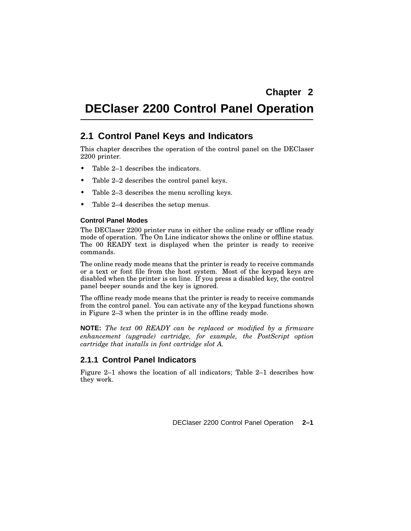# **DEClaser 2200 Control Panel Operation**

# **2.1 Control Panel Keys and Indicators**

This chapter describes the operation of the control panel on the DEClaser 2200 printer.

- Table 2–1 describes the indicators.
- Table 2–2 describes the control panel keys.
- Table 2–3 describes the menu scrolling keys.
- Table 2–4 describes the setup menus.

#### **Control Panel Modes**

The DEClaser 2200 printer runs in either the online ready or offline ready mode of operation. The On Line indicator shows the online or offline status. The 00 READY text is displayed when the printer is ready to receive commands.

The online ready mode means that the printer is ready to receive commands or a text or font file from the host system. Most of the keypad keys are disabled when the printer is on line. If you press a disabled key, the control panel beeper sounds and the key is ignored.

The offline ready mode means that the printer is ready to receive commands from the control panel. You can activate any of the keypad functions shown in Figure 2–3 when the printer is in the offline ready mode.

**NOTE:** *The text 00 READY can be replaced or modified by a firmware enhancement (upgrade) cartridge, for example, the PostScript option cartridge that installs in font cartridge slot A.*

## **2.1.1 Control Panel Indicators**

Figure 2–1 shows the location of all indicators; Table 2–1 describes how they work.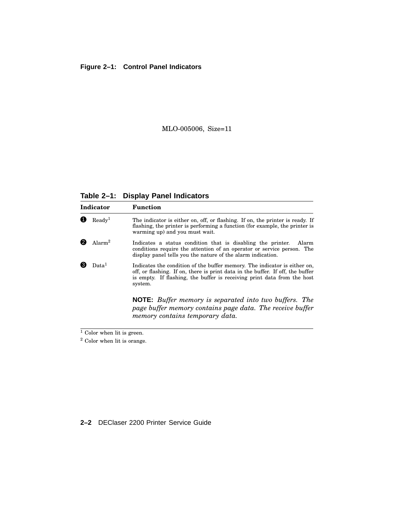## **Figure 2–1: Control Panel Indicators**

## MLO-005006, Size=11

## **Table 2–1: Display Panel Indicators**

| Indicator          |                    | Function                                                                                                                                                                                                                                          |  |  |  |  |
|--------------------|--------------------|---------------------------------------------------------------------------------------------------------------------------------------------------------------------------------------------------------------------------------------------------|--|--|--|--|
|                    | Readv <sup>1</sup> | The indicator is either on, off, or flashing. If on, the printer is ready. If<br>flashing, the printer is performing a function (for example, the printer is<br>warming up) and you must wait.                                                    |  |  |  |  |
| Alarm <sup>2</sup> |                    | Indicates a status condition that is disabling the printer.<br>Alarm<br>conditions require the attention of an operator or service person. The<br>display panel tells you the nature of the alarm indication.                                     |  |  |  |  |
|                    | Data <sup>1</sup>  | Indicates the condition of the buffer memory. The indicator is either on,<br>off, or flashing. If on, there is print data in the buffer. If off, the buffer<br>is empty. If flashing, the buffer is receiving print data from the host<br>system. |  |  |  |  |
|                    |                    | <b>NOTE:</b> Buffer memory is separated into two buffers. The<br>page buffer memory contains page data. The receive buffer<br>memory contains temporary data.                                                                                     |  |  |  |  |

 $\frac{1}{1}$  Color when lit is green.

<sup>2</sup> Color when lit is orange.

#### **2–2** DEClaser 2200 Printer Service Guide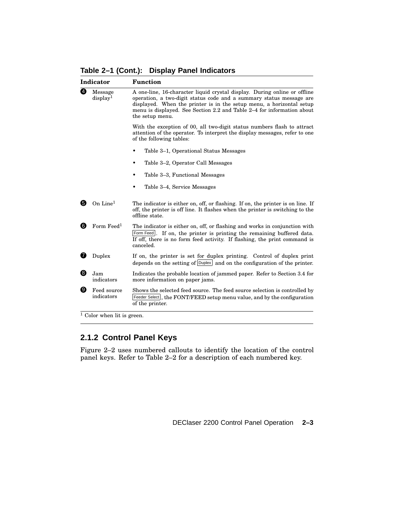**Table 2–1 (Cont.): Display Panel Indicators**

|   | Indicator                       | <b>Function</b>                                                                                                                                                                                                                                                                                                       |  |  |  |
|---|---------------------------------|-----------------------------------------------------------------------------------------------------------------------------------------------------------------------------------------------------------------------------------------------------------------------------------------------------------------------|--|--|--|
| ❹ | Message<br>display <sup>1</sup> | A one-line, 16-character liquid crystal display. During online or offline<br>operation, a two-digit status code and a summary status message are<br>displayed. When the printer is in the setup menu, a horizontal setup<br>menu is displayed. See Section 2.2 and Table 2–4 for information about<br>the setup menu. |  |  |  |
|   |                                 | With the exception of 00, all two-digit status numbers flash to attract<br>attention of the operator. To interpret the display messages, refer to one<br>of the following tables:                                                                                                                                     |  |  |  |
|   |                                 | Table 3–1, Operational Status Messages                                                                                                                                                                                                                                                                                |  |  |  |
|   |                                 | Table 3-2, Operator Call Messages                                                                                                                                                                                                                                                                                     |  |  |  |
|   |                                 | Table 3–3, Functional Messages                                                                                                                                                                                                                                                                                        |  |  |  |
|   |                                 | Table 3–4, Service Messages                                                                                                                                                                                                                                                                                           |  |  |  |
| 6 | On Line $1$                     | The indicator is either on, off, or flashing. If on, the printer is on line. If<br>off, the printer is off line. It flashes when the printer is switching to the<br>offline state.                                                                                                                                    |  |  |  |
| 6 | Form $\mathrm{Feed}^1$          | The indicator is either on, off, or flashing and works in conjunction with<br>Form Feed. If on, the printer is printing the remaining buffered data.<br>If off, there is no form feed activity. If flashing, the print command is<br>canceled.                                                                        |  |  |  |
| 7 | Duplex                          | If on, the printer is set for duplex printing. Control of duplex print<br>depends on the setting of Duplex and on the configuration of the printer.                                                                                                                                                                   |  |  |  |
| ❸ | Jam<br>indicators               | Indicates the probable location of jammed paper. Refer to Section 3.4 for<br>more information on paper jams.                                                                                                                                                                                                          |  |  |  |
| Ø | Feed source<br>indicators       | Shows the selected feed source. The feed source selection is controlled by<br>Feeder Select, the FONT/FEED setup menu value, and by the configuration<br>of the printer.                                                                                                                                              |  |  |  |

Color when lit is green.

## **2.1.2 Control Panel Keys**

Figure 2–2 uses numbered callouts to identify the location of the control panel keys. Refer to Table 2–2 for a description of each numbered key.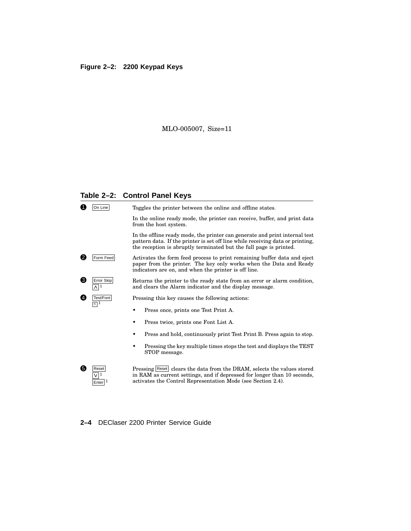# **Figure 2–2: 2200 Keypad Keys**

## MLO-005007, Size=11

## **Table 2–2: Control Panel Keys**

| 1. | On Line                          | Toggles the printer between the online and offline states.                                                                                                                                                                          |  |  |  |  |
|----|----------------------------------|-------------------------------------------------------------------------------------------------------------------------------------------------------------------------------------------------------------------------------------|--|--|--|--|
|    |                                  | In the online ready mode, the printer can receive, buffer, and print data<br>from the host system.                                                                                                                                  |  |  |  |  |
|    |                                  | In the offline ready mode, the printer can generate and print internal test<br>pattern data. If the printer is set off line while receiving data or printing,<br>the reception is abruptly terminated but the full page is printed. |  |  |  |  |
| 2. | Form Feed                        | Activates the form feed process to print remaining buffer data and eject<br>paper from the printer. The key only works when the Data and Ready<br>indicators are on, and when the printer is off line.                              |  |  |  |  |
| 3) | Error Skip<br>1                  | Returns the printer to the ready state from an error or alarm condition,<br>and clears the Alarm indicator and the display message.                                                                                                 |  |  |  |  |
|    | Test/Font<br>$\leq$ <sup>1</sup> | Pressing this key causes the following actions:                                                                                                                                                                                     |  |  |  |  |
|    |                                  | Press once, prints one Test Print A.                                                                                                                                                                                                |  |  |  |  |
|    |                                  | Press twice, prints one Font List A.                                                                                                                                                                                                |  |  |  |  |
|    |                                  | Press and hold, continuously print Test Print B. Press again to stop.                                                                                                                                                               |  |  |  |  |
|    |                                  | Pressing the key multiple times stops the test and displays the TEST<br>STOP message.                                                                                                                                               |  |  |  |  |
| 5) | Reset<br>Enter                   | Pressing Reset clears the data from the DRAM, selects the values stored<br>in RAM as current settings, and if depressed for longer than 10 seconds,<br>activates the Control Representation Mode (see Section 2.4).                 |  |  |  |  |

**2–4** DEClaser 2200 Printer Service Guide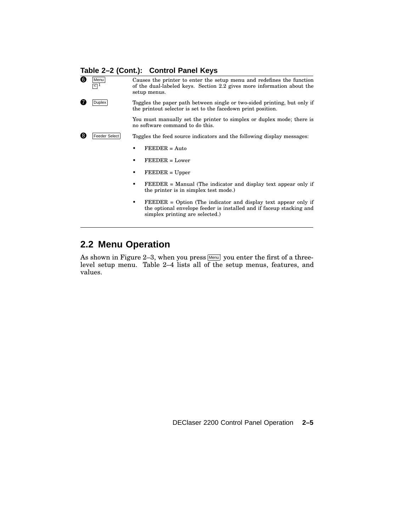## **Table 2–2 (Cont.): Control Panel Keys**

| 6) | Menu<br>र∣म          | Causes the printer to enter the setup menu and redefines the function<br>of the dual-labeled keys. Section 2.2 gives more information about the<br>setup menus. |  |  |  |
|----|----------------------|-----------------------------------------------------------------------------------------------------------------------------------------------------------------|--|--|--|
| 7  | <b>Duplex</b>        | Toggles the paper path between single or two-sided printing, but only if<br>the printout selector is set to the facedown print position.                        |  |  |  |
|    |                      | You must manually set the printer to simplex or duplex mode; there is<br>no software command to do this.                                                        |  |  |  |
| 8. | <b>Feeder Select</b> | Toggles the feed source indicators and the following display messages:                                                                                          |  |  |  |
|    |                      | $FEEDER = Auto$<br>٠                                                                                                                                            |  |  |  |
|    |                      | $FEEDER = Lower$<br>٠                                                                                                                                           |  |  |  |
|    |                      | $FEEDER = Upper$<br>٠                                                                                                                                           |  |  |  |
|    |                      | $FEEDER = Manual$ (The indicator and display text appear only if<br>٠<br>the printer is in simplex test mode.)                                                  |  |  |  |
|    |                      | $FEEDER = Option$ (The indicator and display text appear only if                                                                                                |  |  |  |

the optional envelope feeder is installed and if faceup stacking and simplex printing are selected.)

# **2.2 Menu Operation**

As shown in Figure 2–3, when you press  $\boxed{\text{Menu}}$  you enter the first of a threelevel setup menu. Table 2–4 lists all of the setup menus, features, and values.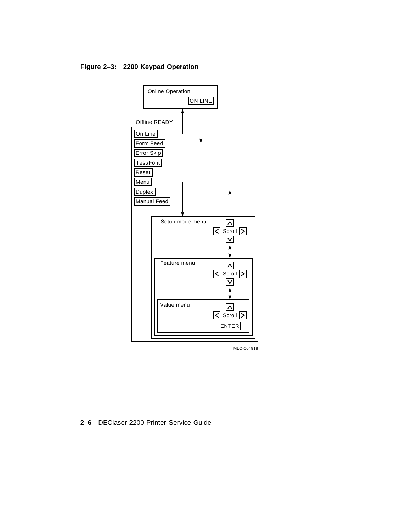**Figure 2–3: 2200 Keypad Operation**



MLO-004918

**2–6** DEClaser 2200 Printer Service Guide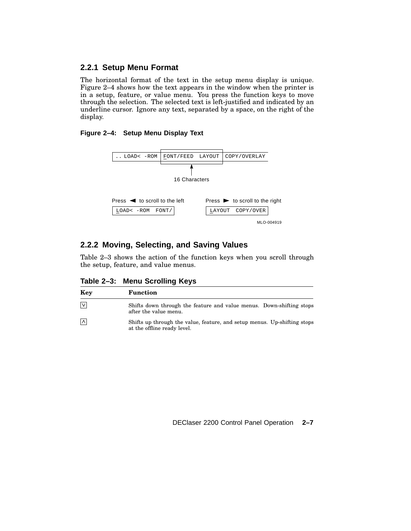## **2.2.1 Setup Menu Format**

The horizontal format of the text in the setup menu display is unique. Figure 2–4 shows how the text appears in the window when the printer is in a setup, feature, or value menu. You press the function keys to move through the selection. The selected text is left-justified and indicated by an underline cursor. Ignore any text, separated by a space, on the right of the display.

#### **Figure 2–4: Setup Menu Display Text**



## **2.2.2 Moving, Selecting, and Saving Values**

Table 2–3 shows the action of the function keys when you scroll through the setup, feature, and value menus.

**Table 2–3: Menu Scrolling Keys**

| Key               | <b>Function</b>                                                                                         |
|-------------------|---------------------------------------------------------------------------------------------------------|
| $\mathsf{I} \vee$ | Shifts down through the feature and value menus. Down-shifting stops<br>after the value menu.           |
| $\Lambda$         | Shifts up through the value, feature, and setup menus. Up-shifting stops<br>at the offline ready level. |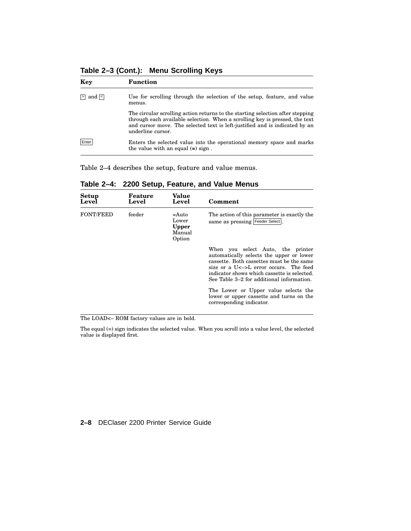**Table 2–3 (Cont.): Menu Scrolling Keys**

| Key         | <b>Function</b>                                                                                                                                                                                                                                                   |  |  |  |  |
|-------------|-------------------------------------------------------------------------------------------------------------------------------------------------------------------------------------------------------------------------------------------------------------------|--|--|--|--|
| $>$ and $<$ | Use for scrolling through the selection of the setup, feature, and value<br>menus.                                                                                                                                                                                |  |  |  |  |
|             | The circular scrolling action returns to the starting selection after stepping<br>through each available selection. When a scrolling key is pressed, the text<br>and cursor move. The selected text is left-justified and is indicated by an<br>underline cursor. |  |  |  |  |
| Enter       | Enters the selected value into the operational memory space and marks<br>the value with an equal $(=)$ sign.                                                                                                                                                      |  |  |  |  |

Table 2–4 describes the setup, feature and value menus.

| Setup<br>Level   | Feature<br>Level | Value<br>Level                                     | Comment                                                                                                                                                                                                                                                          |
|------------------|------------------|----------------------------------------------------|------------------------------------------------------------------------------------------------------------------------------------------------------------------------------------------------------------------------------------------------------------------|
| <b>FONT/FEED</b> | feeder           | =Auto<br>Lower<br><b>Upper</b><br>Manual<br>Option | The action of this parameter is exactly the<br>same as pressing Feeder Select.                                                                                                                                                                                   |
|                  |                  |                                                    | When you select Auto, the printer<br>automatically selects the upper or lower<br>cassette. Both cassettes must be the same<br>size or a U<->L error occurs. The feed<br>indicator shows which cassette is selected.<br>See Table 3–2 for additional information. |
|                  |                  |                                                    | The Lower or Upper value selects the<br>lower or upper cassette and turns on the<br>corresponding indicator.                                                                                                                                                     |

**Table 2–4: 2200 Setup, Feature, and Value Menus**

The LOAD<– ROM factory values are in bold.

The equal (=) sign indicates the selected value. When you scroll into a value level, the selected value is displayed first.

#### **2–8** DEClaser 2200 Printer Service Guide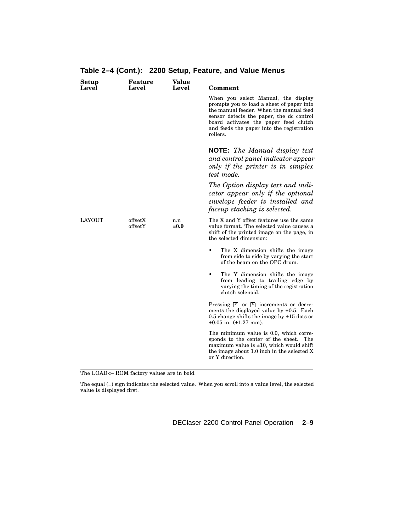| Setup<br>Level | Feature<br>Level   | Value<br>Level | Comment                                                                                                                                                                                                                                                                   |
|----------------|--------------------|----------------|---------------------------------------------------------------------------------------------------------------------------------------------------------------------------------------------------------------------------------------------------------------------------|
|                |                    |                | When you select Manual, the display<br>prompts you to load a sheet of paper into<br>the manual feeder. When the manual feed<br>sensor detects the paper, the dc control<br>board activates the paper feed clutch<br>and feeds the paper into the registration<br>rollers. |
|                |                    |                | <b>NOTE:</b> The Manual display text<br>and control panel indicator appear<br>only if the printer is in simplex<br>test mode.                                                                                                                                             |
|                |                    |                | The Option display text and indi-<br>cator appear only if the optional<br>envelope feeder is installed and<br>faceup stacking is selected.                                                                                                                                |
| <b>LAYOUT</b>  | offsetX<br>offsetY | n.n<br>$=0.0$  | The X and Y offset features use the same<br>value format. The selected value causes a<br>shift of the printed image on the page, in<br>the selected dimension:                                                                                                            |
|                |                    |                | $\bullet$<br>The X dimension shifts the image<br>from side to side by varying the start<br>of the beam on the OPC drum.                                                                                                                                                   |
|                |                    |                | The Y dimension shifts the image<br>٠<br>from leading to trailing edge by<br>varying the timing of the registration<br>clutch solenoid.                                                                                                                                   |
|                |                    |                | Pressing $\leq$ or $\geq$ increments or decre-<br>ments the displayed value by $\pm 0.5$ . Each<br>0.5 change shifts the image by $\pm 15$ dots or<br>$\pm 0.05$ in. ( $\pm 1.27$ mm).                                                                                    |
|                |                    |                | The minimum value is 0.0, which corre-<br>sponds to the center of the sheet. The<br>maximum value is $\pm 10$ , which would shift<br>the image about 1.0 inch in the selected X<br>or Y direction.                                                                        |

**Table 2–4 (Cont.): 2200 Setup, Feature, and Value Menus**

The equal (=) sign indicates the selected value. When you scroll into a value level, the selected value is displayed first.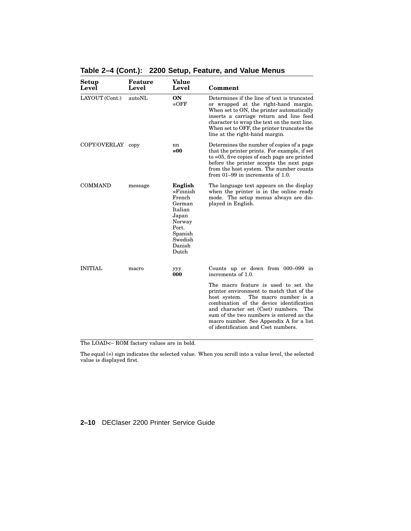| Setup<br>Level    | Feature<br>Level | Value<br>Level                                                                                                             | Comment                                                                                                                                                                                                                                                                                                                                         |
|-------------------|------------------|----------------------------------------------------------------------------------------------------------------------------|-------------------------------------------------------------------------------------------------------------------------------------------------------------------------------------------------------------------------------------------------------------------------------------------------------------------------------------------------|
| LAYOUT (Cont.)    | autoNL           | <b>ON</b><br>$=$ OFF                                                                                                       | Determines if the line of text is truncated<br>or wrapped at the right-hand margin.<br>When set to ON, the printer automatically<br>inserts a carriage return and line feed<br>character to wrap the text on the next line.<br>When set to OFF, the printer truncates the<br>line at the right-hand margin.                                     |
| COPY/OVERLAY copy |                  | nn<br>$=00$                                                                                                                | Determines the number of copies of a page<br>that the printer prints. For example, if set<br>to $=05$ , five copies of each page are printed<br>before the printer accepts the next page<br>from the host system. The number counts<br>from $01-99$ in increments of 1.0.                                                                       |
| <b>COMMAND</b>    | message          | English<br>$=$ Finnish<br>French<br>German<br>Italian<br>Japan<br>Norway<br>Port.<br>Spanish<br>Swedish<br>Danish<br>Dutch | The language text appears on the display<br>when the printer is in the online ready<br>mode. The setup menus always are dis-<br>played in English.                                                                                                                                                                                              |
| <b>INITIAL</b>    | macro            | ууу<br>000                                                                                                                 | Counts up or down from $000-099$ in<br>increments of 1.0.                                                                                                                                                                                                                                                                                       |
|                   |                  |                                                                                                                            | The macro feature is used to set the<br>printer environment to match that of the<br>host system.<br>The macro number is a<br>combination of the device identification<br>and character set (Cset) numbers.<br>The<br>sum of the two numbers is entered as the<br>macro number. See Appendix A for a list<br>of identification and Cset numbers. |

**Table 2–4 (Cont.): 2200 Setup, Feature, and Value Menus**

The equal (=) sign indicates the selected value. When you scroll into a value level, the selected value is displayed first.

#### **2–10** DEClaser 2200 Printer Service Guide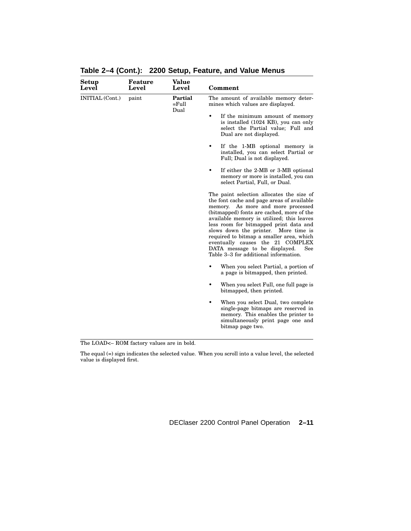| Setup<br>Level  | Feature<br>Level | Value<br>Level              | Comment                                                                                                                                                                                                                                                                                                                                                                                                                                                                    |
|-----------------|------------------|-----------------------------|----------------------------------------------------------------------------------------------------------------------------------------------------------------------------------------------------------------------------------------------------------------------------------------------------------------------------------------------------------------------------------------------------------------------------------------------------------------------------|
| INITIAL (Cont.) | paint            | Partial<br>$=$ Full<br>Dual | The amount of available memory deter-<br>mines which values are displayed.                                                                                                                                                                                                                                                                                                                                                                                                 |
|                 |                  |                             | $\bullet$<br>If the minimum amount of memory<br>is installed (1024 KB), you can only<br>select the Partial value; Full and<br>Dual are not displayed.                                                                                                                                                                                                                                                                                                                      |
|                 |                  |                             | If the 1-MB optional memory is<br>$\bullet$<br>installed, you can select Partial or<br>Full; Dual is not displayed.                                                                                                                                                                                                                                                                                                                                                        |
|                 |                  |                             | If either the 2-MB or 3-MB optional<br>memory or more is installed, you can<br>select Partial, Full, or Dual.                                                                                                                                                                                                                                                                                                                                                              |
|                 |                  |                             | The paint selection allocates the size of<br>the font cache and page areas of available<br>memory. As more and more processed<br>(bitmapped) fonts are cached, more of the<br>available memory is utilized; this leaves<br>less room for bitmapped print data and<br>slows down the printer. More time is<br>required to bitmap a smaller area, which<br>eventually causes the 21 COMPLEX<br>DATA message to be displayed.<br>See<br>Table 3-3 for additional information. |
|                 |                  |                             | When you select Partial, a portion of<br>a page is bitmapped, then printed.                                                                                                                                                                                                                                                                                                                                                                                                |
|                 |                  |                             | When you select Full, one full page is<br>$\bullet$<br>bitmapped, then printed.                                                                                                                                                                                                                                                                                                                                                                                            |
|                 |                  |                             | When you select Dual, two complete<br>single-page bitmaps are reserved in<br>memory. This enables the printer to<br>simultaneously print page one and<br>bitmap page two.                                                                                                                                                                                                                                                                                                  |

**Table 2–4 (Cont.): 2200 Setup, Feature, and Value Menus**

The equal (=) sign indicates the selected value. When you scroll into a value level, the selected value is displayed first.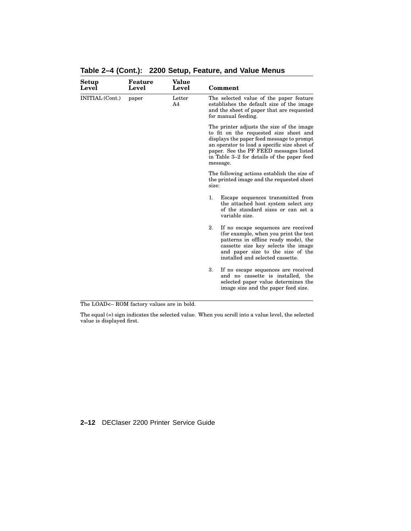| Feature<br>Level | Value<br>Level | Comment                                                                                                                                                                                                                                                                              |
|------------------|----------------|--------------------------------------------------------------------------------------------------------------------------------------------------------------------------------------------------------------------------------------------------------------------------------------|
| paper            | Letter<br>A4   | The selected value of the paper feature<br>establishes the default size of the image<br>and the sheet of paper that are requested<br>for manual feeding.                                                                                                                             |
|                  |                | The printer adjusts the size of the image<br>to fit on the requested size sheet and<br>displays the paper feed message to prompt<br>an operator to load a specific size sheet of<br>paper. See the PF FEED messages listed<br>in Table 3–2 for details of the paper feed<br>message. |
|                  |                | The following actions establish the size of<br>the printed image and the requested sheet<br>size:                                                                                                                                                                                    |
|                  |                | 1.<br>Escape sequences transmitted from<br>the attached host system select any<br>of the standard sizes or can set a<br>variable size.                                                                                                                                               |
|                  |                | 2.<br>If no escape sequences are received<br>(for example, when you print the test<br>patterns in offline ready mode), the<br>cassette size key selects the image<br>and paper size to the size of the<br>installed and selected cassette.                                           |
|                  |                | 3.<br>If no escape sequences are received<br>and no cassette is installed, the<br>selected paper value determines the<br>image size and the paper feed size.                                                                                                                         |
|                  |                |                                                                                                                                                                                                                                                                                      |

**Table 2–4 (Cont.): 2200 Setup, Feature, and Value Menus**

The equal (=) sign indicates the selected value. When you scroll into a value level, the selected value is displayed first.

**2–12** DEClaser 2200 Printer Service Guide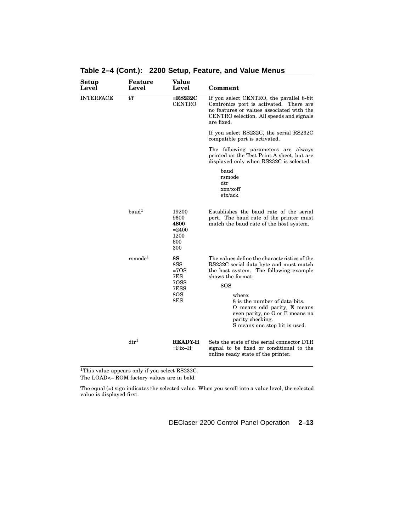| Setup<br>Level   | Feature<br>Level                     | Value<br>Level                                                  | Comment                                                                                                                                                                                                                                                                                                                        |
|------------------|--------------------------------------|-----------------------------------------------------------------|--------------------------------------------------------------------------------------------------------------------------------------------------------------------------------------------------------------------------------------------------------------------------------------------------------------------------------|
| <b>INTERFACE</b> | i/f                                  | $=$ RS232C<br><b>CENTRO</b>                                     | If you select CENTRO, the parallel 8-bit<br>Centronics port is activated. There are<br>no features or values associated with the<br>CENTRO selection. All speeds and signals<br>are fixed.                                                                                                                                     |
|                  |                                      |                                                                 | If you select RS232C, the serial RS232C<br>compatible port is activated.                                                                                                                                                                                                                                                       |
|                  |                                      |                                                                 | The following parameters are always<br>printed on the Test Print A sheet, but are<br>displayed only when RS232C is selected.                                                                                                                                                                                                   |
|                  |                                      |                                                                 | baud<br>rsmode<br>$_{\rm dtr}$<br>xon/xoff<br>etx/ack                                                                                                                                                                                                                                                                          |
|                  | $b$ aud <sup>1</sup>                 | 19200<br>9600<br>4800<br>$= 2400$<br>1200<br>600<br>300         | Establishes the baud rate of the serial<br>port. The baud rate of the printer must<br>match the baud rate of the host system.                                                                                                                                                                                                  |
|                  | $r \, \text{smode}^1$                | <b>8S</b><br>8SS<br>$=70S$<br>7ES<br>70SS<br>7ESS<br>8OS<br>8ES | The values define the characteristics of the<br>RS232C serial data byte and must match<br>the host system. The following example<br>shows the format:<br>8OS<br>where:<br>8 is the number of data bits.<br>O means odd parity, E means<br>even parity, no O or E means no<br>parity checking.<br>S means one stop bit is used. |
|                  | $\mathrm{d} \mathrm{t} \mathrm{r}^1$ | <b>READY-H</b><br>$=$ Fix $-$ H                                 | Sets the state of the serial connector DTR<br>signal to be fixed or conditional to the<br>online ready state of the printer.                                                                                                                                                                                                   |

**Table 2–4 (Cont.): 2200 Setup, Feature, and Value Menus**

<sup>1</sup>This value appears only if you select RS232C. The LOAD<– ROM factory values are in bold.

The equal (=) sign indicates the selected value. When you scroll into a value level, the selected value is displayed first.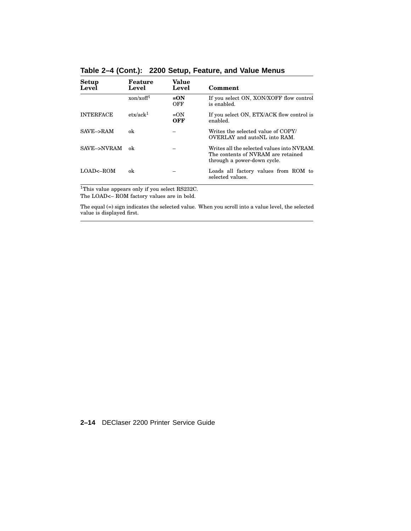| Setup<br>Level        | Feature<br>Level             | Value<br>Level | Comment                                                                                                         |
|-----------------------|------------------------------|----------------|-----------------------------------------------------------------------------------------------------------------|
|                       | $x$ on/ $x$ off <sup>1</sup> | $=ON$<br>OFF   | If you select ON, XON/XOFF flow control<br>is enabled.                                                          |
| <b>INTERFACE</b>      | $\text{etx}/\text{ack}^1$    | $=ON$<br>OFF   | If you select ON, ETX/ACK flow control is<br>enabled.                                                           |
| SAVE->RAM             | ok                           |                | Writes the selected value of COPY/<br>OVERLAY and autoNL into RAM.                                              |
| SAVE->NVRAM           | ok                           |                | Writes all the selected values into NVRAM.<br>The contents of NVRAM are retained<br>through a power-down cycle. |
| $LOAD \leftarrow ROM$ | ok                           |                | Loads all factory values from ROM to<br>selected values.                                                        |

**Table 2–4 (Cont.): 2200 Setup, Feature, and Value Menus**

<sup>1</sup>This value appears only if you select RS232C. The LOAD<– ROM factory values are in bold.

The equal (=) sign indicates the selected value. When you scroll into a value level, the selected value is displayed first.

## **2–14** DEClaser 2200 Printer Service Guide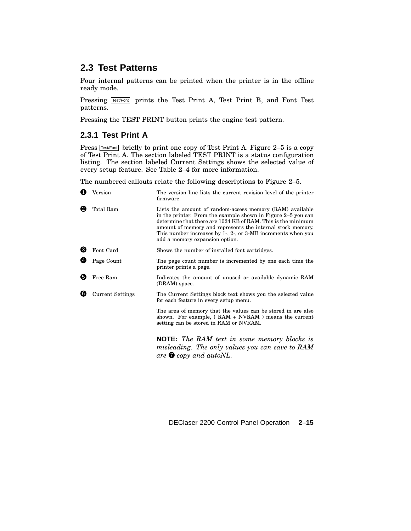# **2.3 Test Patterns**

Four internal patterns can be printed when the printer is in the offline ready mode.

Pressing Test/Font prints the Test Print A, Test Print B, and Font Test patterns.

Pressing the TEST PRINT button prints the engine test pattern.

## **2.3.1 Test Print A**

Press  $TestFont$  briefly to print one copy of Test Print A. Figure 2–5 is a copy of Test Print A. The section labeled TEST PRINT is a status configuration listing. The section labeled Current Settings shows the selected value of every setup feature. See Table 2–4 for more information.

The numbered callouts relate the following descriptions to Figure 2–5.

| O   | Version                 | The version line lists the current revision level of the printer<br>firmware.                                                                                                                                                                                                                                                                                   |
|-----|-------------------------|-----------------------------------------------------------------------------------------------------------------------------------------------------------------------------------------------------------------------------------------------------------------------------------------------------------------------------------------------------------------|
| 2   | Total Ram               | Lists the amount of random-access memory (RAM) available<br>in the printer. From the example shown in Figure 2–5 you can<br>determine that there are 1024 KB of RAM. This is the minimum<br>amount of memory and represents the internal stock memory.<br>This number increases by $1$ , $2$ , or $3$ -MB increments when you<br>add a memory expansion option. |
| ❸   | Font Card               | Shows the number of installed font cartridges.                                                                                                                                                                                                                                                                                                                  |
| Ø   | Page Count              | The page count number is incremented by one each time the<br>printer prints a page.                                                                                                                                                                                                                                                                             |
| 6   | Free Ram                | Indicates the amount of unused or available dynamic RAM<br>(DRAM) space.                                                                                                                                                                                                                                                                                        |
| (6) | <b>Current Settings</b> | The Current Settings block text shows you the selected value<br>for each feature in every setup menu.                                                                                                                                                                                                                                                           |
|     |                         | The area of memory that the values can be stored in are also<br>shown. For example, $(RAM + NVRAM)$ means the current<br>setting can be stored in RAM or NVRAM.                                                                                                                                                                                                 |
|     |                         | <b>NOTE:</b> The RAM text in some memory blocks is<br>misleading. The only values you can save to RAM<br>are $\bullet$ copy and autoNL.                                                                                                                                                                                                                         |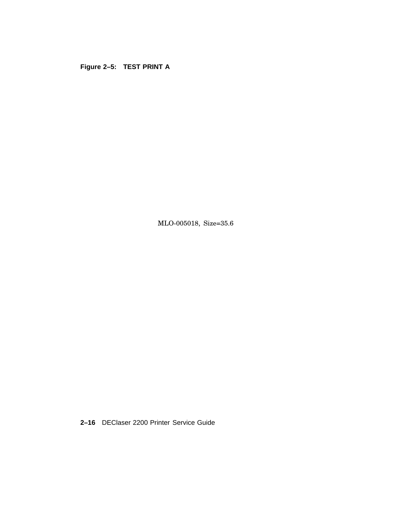**Figure 2–5: TEST PRINT A**

MLO-005018, Size=35.6

**2–16** DEClaser 2200 Printer Service Guide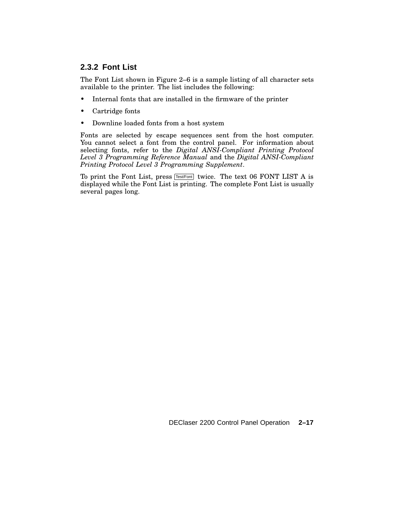## **2.3.2 Font List**

The Font List shown in Figure 2–6 is a sample listing of all character sets available to the printer. The list includes the following:

- Internal fonts that are installed in the firmware of the printer
- Cartridge fonts
- Downline loaded fonts from a host system

Fonts are selected by escape sequences sent from the host computer. You cannot select a font from the control panel. For information about selecting fonts, refer to the *Digital ANSI-Compliant Printing Protocol Level 3 Programming Reference Manual* and the *Digital ANSI-Compliant Printing Protocol Level 3 Programming Supplement*.

To print the Font List, press  $TestFont$  twice. The text 06 FONT LIST A is displayed while the Font List is printing. The complete Font List is usually several pages long.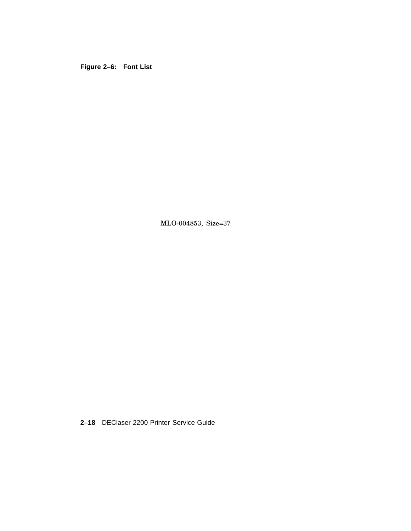**Figure 2–6: Font List**

MLO-004853, Size=37

**2–18** DEClaser 2200 Printer Service Guide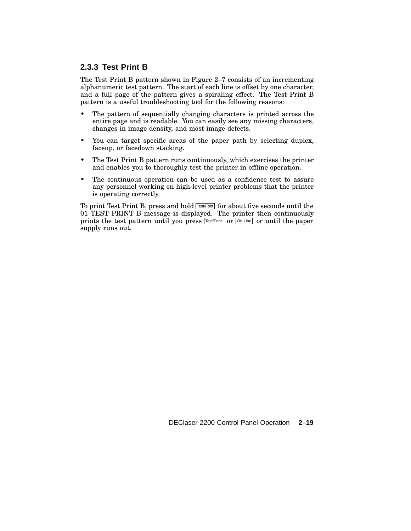## **2.3.3 Test Print B**

The Test Print B pattern shown in Figure 2–7 consists of an incrementing alphanumeric test pattern. The start of each line is offset by one character, and a full page of the pattern gives a spiraling effect. The Test Print B pattern is a useful troubleshooting tool for the following reasons:

- The pattern of sequentially changing characters is printed across the entire page and is readable. You can easily see any missing characters, changes in image density, and most image defects.
- You can target specific areas of the paper path by selecting duplex, faceup, or facedown stacking.
- The Test Print B pattern runs continuously, which exercises the printer and enables you to thoroughly test the printer in offline operation.
- The continuous operation can be used as a confidence test to assure any personnel working on high-level printer problems that the printer is operating correctly.

To print Test Print B, press and hold **Test/Font** for about five seconds until the 01 TEST PRINT B message is displayed. The printer then continuously prints the test pattern until you press  $Test/Font$  or  $\overline{On Line}$  or until the paper supply runs out.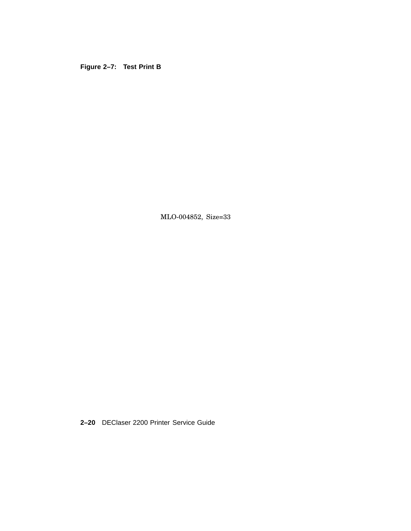**Figure 2–7: Test Print B**

MLO-004852, Size=33

**2–20** DEClaser 2200 Printer Service Guide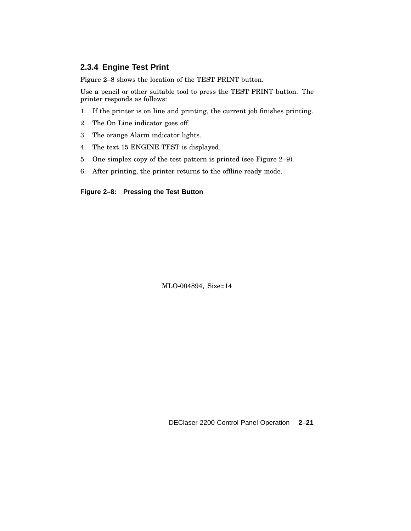## **2.3.4 Engine Test Print**

Figure 2–8 shows the location of the TEST PRINT button.

Use a pencil or other suitable tool to press the TEST PRINT button. The printer responds as follows:

- 1. If the printer is on line and printing, the current job finishes printing.
- 2. The On Line indicator goes off.
- 3. The orange Alarm indicator lights.
- 4. The text 15 ENGINE TEST is displayed.
- 5. One simplex copy of the test pattern is printed (see Figure 2–9).
- 6. After printing, the printer returns to the offline ready mode.

#### **Figure 2–8: Pressing the Test Button**

MLO-004894, Size=14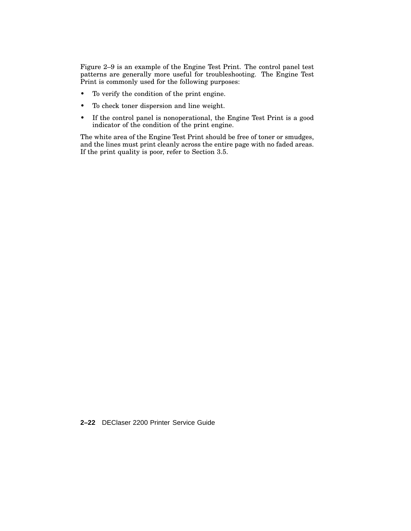Figure 2–9 is an example of the Engine Test Print. The control panel test patterns are generally more useful for troubleshooting. The Engine Test Print is commonly used for the following purposes:

- To verify the condition of the print engine.
- To check toner dispersion and line weight.
- If the control panel is nonoperational, the Engine Test Print is a good indicator of the condition of the print engine.

The white area of the Engine Test Print should be free of toner or smudges, and the lines must print cleanly across the entire page with no faded areas. If the print quality is poor, refer to Section 3.5.

**2–22** DEClaser 2200 Printer Service Guide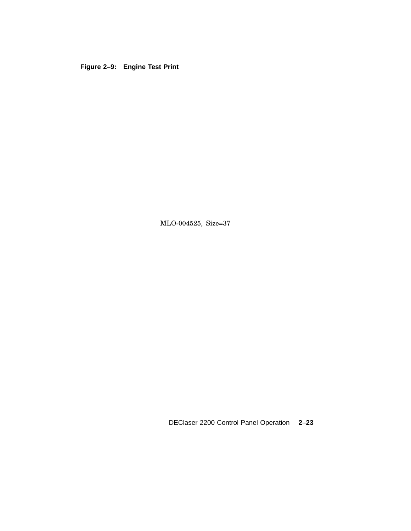## **Figure 2–9: Engine Test Print**

MLO-004525, Size=37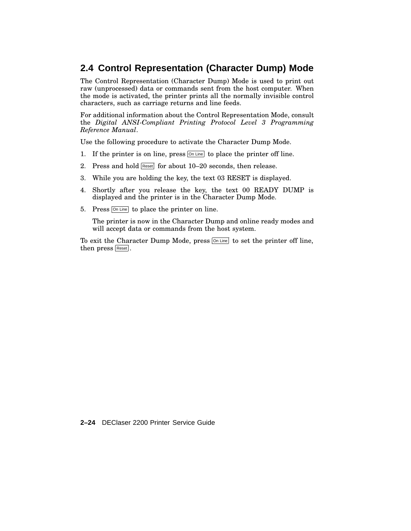# **2.4 Control Representation (Character Dump) Mode**

The Control Representation (Character Dump) Mode is used to print out raw (unprocessed) data or commands sent from the host computer. When the mode is activated, the printer prints all the normally invisible control characters, such as carriage returns and line feeds.

For additional information about the Control Representation Mode, consult the *Digital ANSI-Compliant Printing Protocol Level 3 Programming Reference Manual*.

Use the following procedure to activate the Character Dump Mode.

- 1. If the printer is on line, press  $\boxed{\circ}$  Line to place the printer off line.
- 2. Press and hold Reset for about 10-20 seconds, then release.
- 3. While you are holding the key, the text 03 RESET is displayed.
- 4. Shortly after you release the key, the text 00 READY DUMP is displayed and the printer is in the Character Dump Mode.
- 5. Press **On Line** to place the printer on line.

The printer is now in the Character Dump and online ready modes and will accept data or commands from the host system.

To exit the Character Dump Mode, press  $\boxed{\odot n \text{ Line}}$  to set the printer off line, then press Reset.

**2–24** DEClaser 2200 Printer Service Guide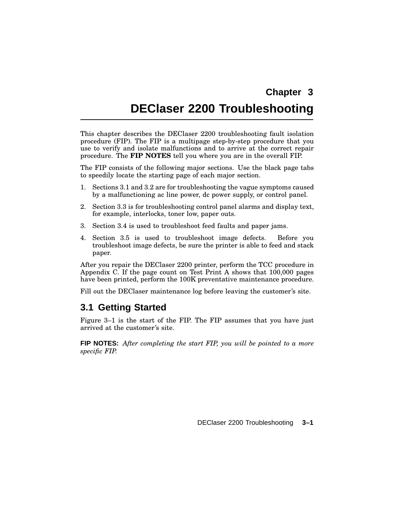# **Chapter 3**

# **DEClaser 2200 Troubleshooting**

This chapter describes the DEClaser 2200 troubleshooting fault isolation procedure (FIP). The FIP is a multipage step-by-step procedure that you use to verify and isolate malfunctions and to arrive at the correct repair procedure. The **FIP NOTES** tell you where you are in the overall FIP.

The FIP consists of the following major sections. Use the black page tabs to speedily locate the starting page of each major section.

- 1. Sections 3.1 and 3.2 are for troubleshooting the vague symptoms caused by a malfunctioning ac line power, dc power supply, or control panel.
- 2. Section 3.3 is for troubleshooting control panel alarms and display text, for example, interlocks, toner low, paper outs.
- 3. Section 3.4 is used to troubleshoot feed faults and paper jams.
- 4. Section 3.5 is used to troubleshoot image defects. Before you troubleshoot image defects, be sure the printer is able to feed and stack paper.

After you repair the DEClaser 2200 printer, perform the TCC procedure in Appendix C. If the page count on Test Print A shows that 100,000 pages have been printed, perform the 100K preventative maintenance procedure.

Fill out the DEClaser maintenance log before leaving the customer's site.

## **3.1 Getting Started**

Figure 3–1 is the start of the FIP. The FIP assumes that you have just arrived at the customer's site.

**FIP NOTES:** *After completing the start FIP, you will be pointed to a more specific FIP.*

DEClaser 2200 Troubleshooting **3–1**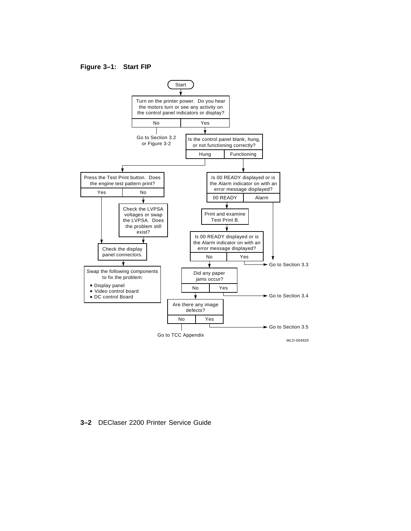#### **Figure 3–1: Start FIP**



**3–2** DEClaser 2200 Printer Service Guide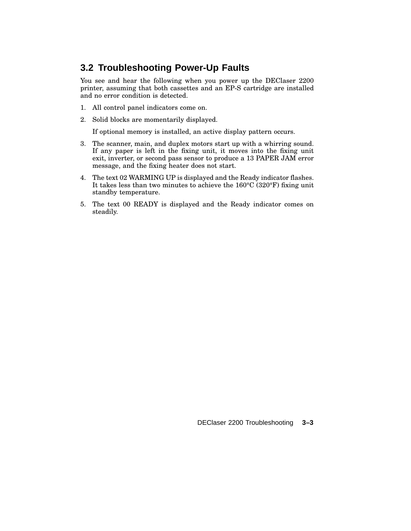# **3.2 Troubleshooting Power-Up Faults**

You see and hear the following when you power up the DEClaser 2200 printer, assuming that both cassettes and an EP-S cartridge are installed and no error condition is detected.

- 1. All control panel indicators come on.
- 2. Solid blocks are momentarily displayed.

If optional memory is installed, an active display pattern occurs.

- 3. The scanner, main, and duplex motors start up with a whirring sound. If any paper is left in the fixing unit, it moves into the fixing unit exit, inverter, or second pass sensor to produce a 13 PAPER JAM error message, and the fixing heater does not start.
- 4. The text 02 WARMING UP is displayed and the Ready indicator flashes. It takes less than two minutes to achieve the 160°C (320°F) fixing unit standby temperature.
- 5. The text 00 READY is displayed and the Ready indicator comes on steadily.

DEClaser 2200 Troubleshooting **3–3**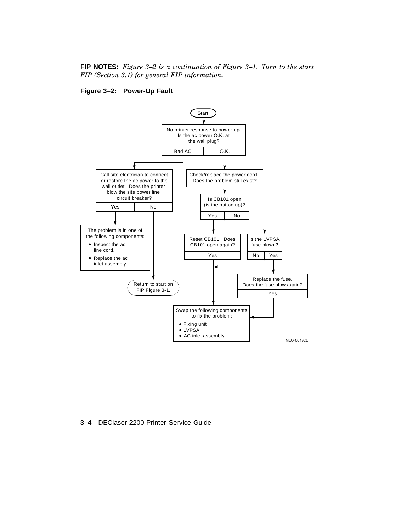#### **FIP NOTES:** *Figure 3–2 is a continuation of Figure 3–1. Turn to the start FIP (Section 3.1) for general FIP information.*

#### **Figure 3–2: Power-Up Fault**



**3–4** DEClaser 2200 Printer Service Guide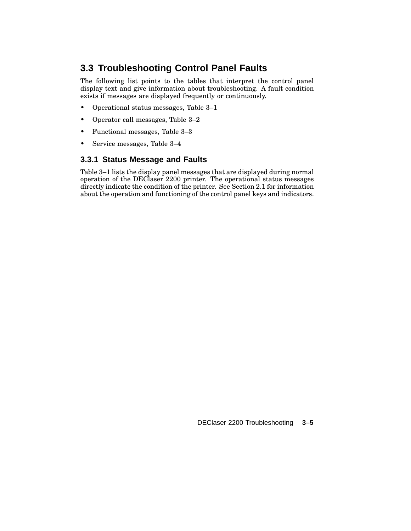# **3.3 Troubleshooting Control Panel Faults**

The following list points to the tables that interpret the control panel display text and give information about troubleshooting. A fault condition exists if messages are displayed frequently or continuously.

- Operational status messages, Table 3–1
- Operator call messages, Table 3–2
- Functional messages, Table 3–3
- Service messages, Table 3–4

## **3.3.1 Status Message and Faults**

Table 3–1 lists the display panel messages that are displayed during normal operation of the DEClaser 2200 printer. The operational status messages directly indicate the condition of the printer. See Section 2.1 for information about the operation and functioning of the control panel keys and indicators.

DEClaser 2200 Troubleshooting **3–5**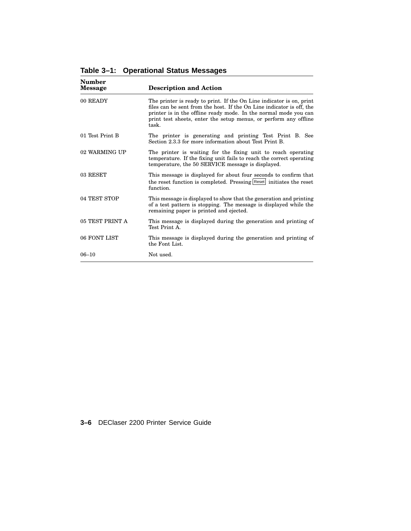| Number<br><b>Message</b> | <b>Description and Action</b>                                                                                                                                                                                                                                                                  |
|--------------------------|------------------------------------------------------------------------------------------------------------------------------------------------------------------------------------------------------------------------------------------------------------------------------------------------|
| 00 READY                 | The printer is ready to print. If the On Line indicator is on, print<br>files can be sent from the host. If the On Line indicator is off, the<br>printer is in the offline ready mode. In the normal mode you can<br>print test sheets, enter the setup menus, or perform any offline<br>task. |
| 01 Test Print B          | The printer is generating and printing Test Print B. See<br>Section 2.3.3 for more information about Test Print B.                                                                                                                                                                             |
| 02 WARMING UP            | The printer is waiting for the fixing unit to reach operating<br>temperature. If the fixing unit fails to reach the correct operating<br>temperature, the 50 SERVICE message is displayed.                                                                                                     |
| 03 RESET                 | This message is displayed for about four seconds to confirm that<br>the reset function is completed. Pressing Reset initiates the reset<br>function.                                                                                                                                           |
| 04 TEST STOP             | This message is displayed to show that the generation and printing<br>of a test pattern is stopping. The message is displayed while the<br>remaining paper is printed and ejected.                                                                                                             |
| 05 TEST PRINT A          | This message is displayed during the generation and printing of<br>Test Print A.                                                                                                                                                                                                               |
| 06 FONT LIST             | This message is displayed during the generation and printing of<br>the Font List.                                                                                                                                                                                                              |
| $06 - 10$                | Not used.                                                                                                                                                                                                                                                                                      |

**Table 3–1: Operational Status Messages**

**3–6** DEClaser 2200 Printer Service Guide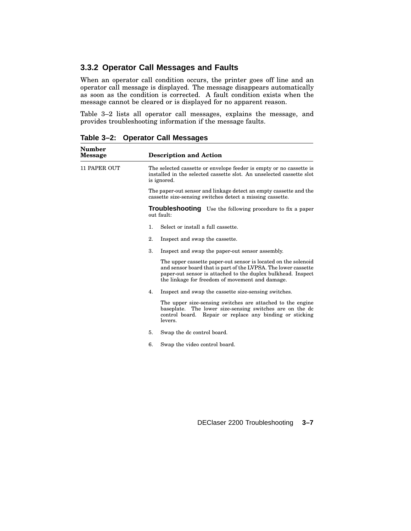### **3.3.2 Operator Call Messages and Faults**

When an operator call condition occurs, the printer goes off line and an operator call message is displayed. The message disappears automatically as soon as the condition is corrected. A fault condition exists when the message cannot be cleared or is displayed for no apparent reason.

Table 3–2 lists all operator call messages, explains the message, and provides troubleshooting information if the message faults.

**Table 3–2: Operator Call Messages**

| <b>Number</b><br><b>Message</b> | <b>Description and Action</b>                                                                                                                                                                                                                       |  |
|---------------------------------|-----------------------------------------------------------------------------------------------------------------------------------------------------------------------------------------------------------------------------------------------------|--|
| <b>11 PAPER OUT</b>             | The selected cassette or envelope feeder is empty or no cassette is<br>installed in the selected cassette slot. An unselected cassette slot<br>is ignored.                                                                                          |  |
|                                 | The paper-out sensor and linkage detect an empty cassette and the<br>cassette size-sensing switches detect a missing cassette.                                                                                                                      |  |
|                                 | <b>Troubleshooting</b> Use the following procedure to fix a paper<br>out fault:                                                                                                                                                                     |  |
|                                 | 1.<br>Select or install a full cassette.                                                                                                                                                                                                            |  |
|                                 | 2.<br>Inspect and swap the cassette.                                                                                                                                                                                                                |  |
|                                 | 3.<br>Inspect and swap the paper-out sensor assembly.                                                                                                                                                                                               |  |
|                                 | The upper cassette paper-out sensor is located on the solenoid<br>and sensor board that is part of the LVPSA. The lower cassette<br>paper-out sensor is attached to the duplex bulkhead. Inspect<br>the linkage for freedom of movement and damage. |  |
|                                 | 4.<br>Inspect and swap the cassette size-sensing switches.                                                                                                                                                                                          |  |
|                                 | The upper size-sensing switches are attached to the engine<br>baseplate. The lower size-sensing switches are on the dc<br>control board. Repair or replace any binding or sticking<br>levers.                                                       |  |
|                                 | 5.<br>Swap the dc control board.                                                                                                                                                                                                                    |  |
|                                 | 6.<br>Swap the video control board.                                                                                                                                                                                                                 |  |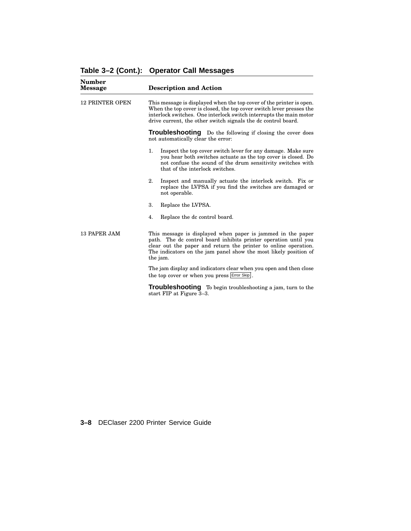| <b>Number</b><br><b>Message</b> | <b>Description and Action</b>                                                                                                                                                                                                                                                       |
|---------------------------------|-------------------------------------------------------------------------------------------------------------------------------------------------------------------------------------------------------------------------------------------------------------------------------------|
| <b>12 PRINTER OPEN</b>          | This message is displayed when the top cover of the printer is open.<br>When the top cover is closed, the top cover switch lever presses the<br>interlock switches. One interlock switch interrupts the main motor<br>drive current, the other switch signals the dc control board. |
|                                 | <b>Troubleshooting</b> Do the following if closing the cover does<br>not automatically clear the error:                                                                                                                                                                             |
|                                 | 1.<br>Inspect the top cover switch lever for any damage. Make sure<br>you hear both switches actuate as the top cover is closed. Do<br>not confuse the sound of the drum sensitivity switches with<br>that of the interlock switches.                                               |
|                                 | 2.<br>Inspect and manually actuate the interlock switch. Fix or<br>replace the LVPSA if you find the switches are damaged or<br>not operable.                                                                                                                                       |
|                                 | 3.<br>Replace the LVPSA.                                                                                                                                                                                                                                                            |
|                                 | 4.<br>Replace the dc control board.                                                                                                                                                                                                                                                 |
| 13 PAPER JAM                    | This message is displayed when paper is jammed in the paper<br>path. The dc control board inhibits printer operation until you<br>clear out the paper and return the printer to online operation.<br>The indicators on the jam panel show the most likely position of<br>the jam.   |
|                                 | The jam display and indicators clear when you open and then close<br>the top cover or when you press Error Skip.                                                                                                                                                                    |
|                                 | Troubleshooting To begin troubleshooting a jam, turn to the<br>start FIP at Figure 3-3.                                                                                                                                                                                             |

**Table 3–2 (Cont.): Operator Call Messages**

**3–8** DEClaser 2200 Printer Service Guide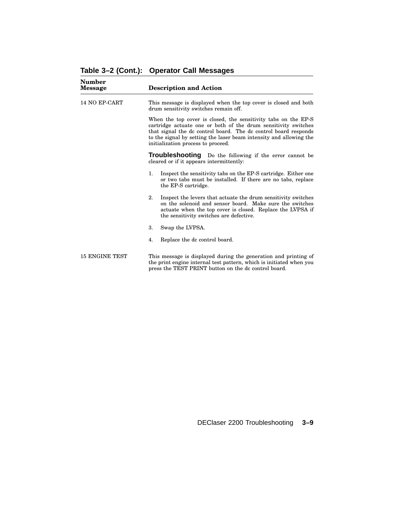| Number<br><b>Message</b> | <b>Description and Action</b>                                                                                                                                                                                                                                                                                   |
|--------------------------|-----------------------------------------------------------------------------------------------------------------------------------------------------------------------------------------------------------------------------------------------------------------------------------------------------------------|
| 14 NO EP-CART            | This message is displayed when the top cover is closed and both<br>drum sensitivity switches remain off.                                                                                                                                                                                                        |
|                          | When the top cover is closed, the sensitivity tabs on the EP-S<br>cartridge actuate one or both of the drum sensitivity switches<br>that signal the dc control board. The dc control board responds<br>to the signal by setting the laser beam intensity and allowing the<br>initialization process to proceed. |
|                          | Troubleshooting Do the following if the error cannot be<br>cleared or if it appears intermittently:                                                                                                                                                                                                             |
|                          | $\mathbf{1}$ .<br>Inspect the sensitivity tabs on the EP-S cartridge. Either one<br>or two tabs must be installed. If there are no tabs, replace<br>the EP-S cartridge.                                                                                                                                         |
|                          | 2.<br>Inspect the levers that actuate the drum sensitivity switches<br>on the solenoid and sensor board. Make sure the switches<br>actuate when the top cover is closed. Replace the LVPSA if<br>the sensitivity switches are defective.                                                                        |
|                          | Swap the LVPSA.<br>3.                                                                                                                                                                                                                                                                                           |
|                          | Replace the dc control board.<br>4.                                                                                                                                                                                                                                                                             |
| <b>15 ENGINE TEST</b>    | This message is displayed during the generation and printing of<br>the print engine internal test pattern, which is initiated when you<br>press the TEST PRINT button on the dc control board.                                                                                                                  |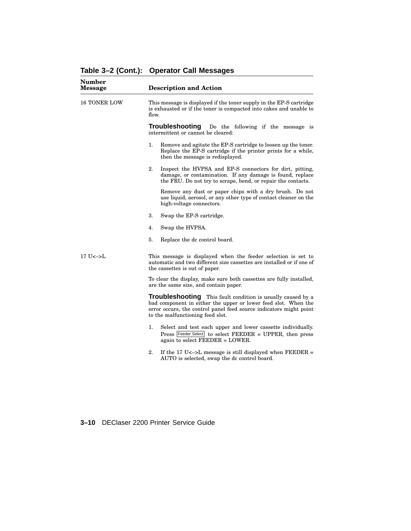| <b>Number</b><br><b>Message</b>                 | <b>Description and Action</b>                                                                                                                                                                                                           |
|-------------------------------------------------|-----------------------------------------------------------------------------------------------------------------------------------------------------------------------------------------------------------------------------------------|
| <b>16 TONER LOW</b>                             | This message is displayed if the toner supply in the EP-S cartridge<br>is exhausted or if the toner is compacted into cakes and unable to<br>flow.                                                                                      |
|                                                 | <b>Troubleshooting</b><br>Do the following if the message is<br>intermittent or cannot be cleared:                                                                                                                                      |
|                                                 | 1.<br>Remove and agitate the EP-S cartridge to loosen up the toner.<br>Replace the EP-S cartridge if the printer prints for a while,<br>then the message is redisplayed.                                                                |
|                                                 | 2.<br>Inspect the HVPSA and EP-S connectors for dirt, pitting,<br>damage, or contamination. If any damage is found, replace<br>the FRU. Do not try to scrape, bend, or repair the contacts.                                             |
|                                                 | Remove any dust or paper chips with a dry brush. Do not<br>use liquid, aerosol, or any other type of contact cleaner on the<br>high-voltage connectors.                                                                                 |
|                                                 | 3.<br>Swap the EP-S cartridge.                                                                                                                                                                                                          |
|                                                 | Swap the HVPSA.<br>4.                                                                                                                                                                                                                   |
|                                                 | 5.<br>Replace the dc control board.                                                                                                                                                                                                     |
| $17$ U $\leftarrow$ $\leftarrow$ $\leftarrow$ L | This message is displayed when the feeder selection is set to<br>automatic and two different size cassettes are installed or if one of<br>the cassettes is out of paper.                                                                |
|                                                 | To clear the display, make sure both cassettes are fully installed,<br>are the same size, and contain paper.                                                                                                                            |
|                                                 | Troubleshooting This fault condition is usually caused by a<br>bad component in either the upper or lower feed slot. When the<br>error occurs, the control panel feed source indicators might point<br>to the malfunctioning feed slot. |
|                                                 | 1.<br>Select and test each upper and lower cassette individually.<br>Press Feeder Select to select FEEDER = UPPER, then press<br>again to select FEEDER = LOWER.                                                                        |
|                                                 | 2.<br>If the 17 U< $\sim$ - $\geq$ L message is still displayed when FEEDER =<br>AUTO is selected, swap the dc control board.                                                                                                           |

# **Table 3–2 (Cont.): Operator Call Messages**

**3–10** DEClaser 2200 Printer Service Guide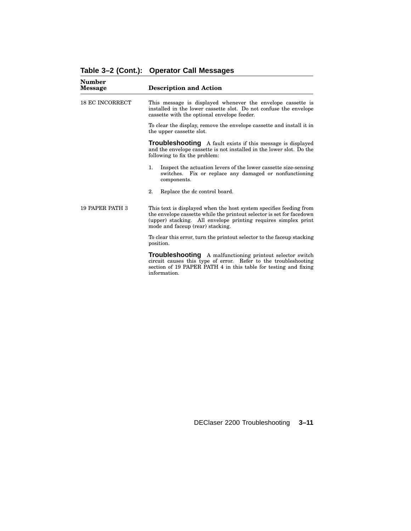| <b>Number</b><br><b>Message</b> | <b>Description and Action</b>                                                                                                                                                                                                                     |  |
|---------------------------------|---------------------------------------------------------------------------------------------------------------------------------------------------------------------------------------------------------------------------------------------------|--|
| <b>18 EC INCORRECT</b>          | This message is displayed whenever the envelope cassette is<br>installed in the lower cassette slot. Do not confuse the envelope<br>cassette with the optional envelope feeder.                                                                   |  |
|                                 | To clear the display, remove the envelope cassette and install it in<br>the upper cassette slot.                                                                                                                                                  |  |
|                                 | <b>Troubleshooting</b> A fault exists if this message is displayed<br>and the envelope cassette is not installed in the lower slot. Do the<br>following to fix the problem:                                                                       |  |
|                                 | 1.<br>Inspect the actuation levers of the lower cassette size-sensing<br>switches. Fix or replace any damaged or nonfunctioning<br>components.                                                                                                    |  |
|                                 | 2.<br>Replace the dc control board.                                                                                                                                                                                                               |  |
| 19 PAPER PATH 3                 | This text is displayed when the host system specifies feeding from<br>the envelope cassette while the printout selector is set for facedown<br>(upper) stacking. All envelope printing requires simplex print<br>mode and faceup (rear) stacking. |  |
|                                 | To clear this error, turn the printout selector to the faceup stacking<br>position.                                                                                                                                                               |  |
|                                 | Troubleshootina<br>A malfunctioning printout selector switch                                                                                                                                                                                      |  |

# **Table 3–2 (Cont.): Operator Call Messages**

**Troubleshooting** A malfunctioning printout selector switch circuit causes this type of error. Refer to the troubleshooting section of 19 PAPER PATH 4 in this table for testing and fixing information.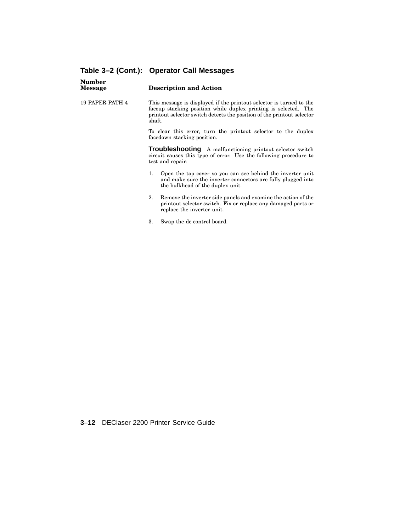| Number<br><b>Message</b> | <b>Description and Action</b>                                                                                                                                                                                              |
|--------------------------|----------------------------------------------------------------------------------------------------------------------------------------------------------------------------------------------------------------------------|
| <b>19 PAPER PATH 4</b>   | This message is displayed if the printout selector is turned to the<br>faceup stacking position while duplex printing is selected. The<br>printout selector switch detects the position of the printout selector<br>shaft. |
|                          | To clear this error, turn the printout selector to the duplex<br>facedown stacking position.                                                                                                                               |
|                          | <b>Troubleshooting</b> A malfunctioning printout selector switch<br>circuit causes this type of error. Use the following procedure to<br>test and repair:                                                                  |
|                          | Open the top cover so you can see behind the inverter unit<br>1.<br>and make sure the inverter connectors are fully plugged into<br>the bulkhead of the duplex unit.                                                       |
|                          | Remove the inverter side panels and examine the action of the<br>2.<br>printout selector switch. Fix or replace any damaged parts or<br>replace the inverter unit.                                                         |

3. Swap the dc control board.

**3–12** DEClaser 2200 Printer Service Guide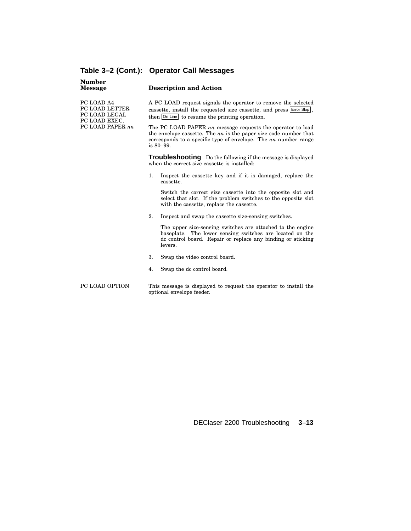| <b>Number</b><br><b>Message</b>                                |    | <b>Description and Action</b>                                                                                                                                                                                           |
|----------------------------------------------------------------|----|-------------------------------------------------------------------------------------------------------------------------------------------------------------------------------------------------------------------------|
| PC LOAD A4<br>PC LOAD LETTER<br>PC LOAD LEGAL<br>PC LOAD EXEC. |    | A PC LOAD request signals the operator to remove the selected<br>cassette, install the requested size cassette, and press Error Skip,<br>then  on Line   to resume the printing operation.                              |
| PC LOAD PAPER nn                                               |    | The PC LOAD PAPER nn message requests the operator to load<br>the envelope cassette. The $nn$ is the paper size code number that<br>corresponds to a specific type of envelope. The $nn$ number range<br>is $80 - 99$ . |
|                                                                |    | <b>Troubleshooting</b> Do the following if the message is displayed<br>when the correct size cassette is installed:                                                                                                     |
|                                                                | 1. | Inspect the cassette key and if it is damaged, replace the<br>cassette.                                                                                                                                                 |
|                                                                |    | Switch the correct size cassette into the opposite slot and<br>select that slot. If the problem switches to the opposite slot<br>with the cassette, replace the cassette.                                               |
|                                                                | 2. | Inspect and swap the cassette size-sensing switches.                                                                                                                                                                    |
|                                                                |    | The upper size-sensing switches are attached to the engine<br>baseplate. The lower sensing switches are located on the<br>de control board. Repair or replace any binding or sticking<br>levers.                        |
|                                                                | 3. | Swap the video control board.                                                                                                                                                                                           |
|                                                                | 4. | Swap the dc control board.                                                                                                                                                                                              |
| PC LOAD OPTION                                                 |    | This message is displayed to request the operator to install the<br>optional envelope feeder.                                                                                                                           |

**Table 3–2 (Cont.): Operator Call Messages**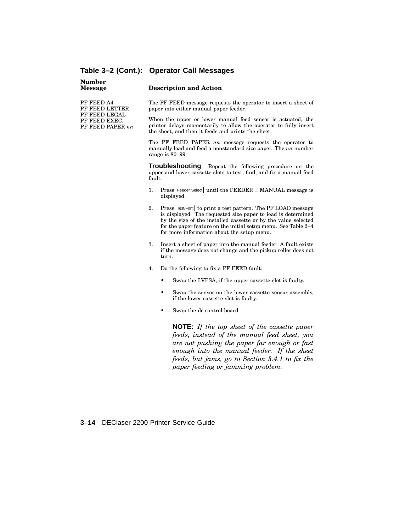| <b>Number</b><br>Message                                                           | <b>Description and Action</b>                                                                                                                                                                                                                                                                                        |
|------------------------------------------------------------------------------------|----------------------------------------------------------------------------------------------------------------------------------------------------------------------------------------------------------------------------------------------------------------------------------------------------------------------|
| PF FEED A4<br>PF FEED LETTER<br>PF FEED LEGAL<br>PF FEED EXEC.<br>PF FEED PAPER nn | The PF FEED message requests the operator to insert a sheet of<br>paper into either manual paper feeder.                                                                                                                                                                                                             |
|                                                                                    | When the upper or lower manual feed sensor is actuated, the<br>printer delays momentarily to allow the operator to fully insert<br>the sheet, and then it feeds and prints the sheet.                                                                                                                                |
|                                                                                    | The PF FEED PAPER nn message requests the operator to<br>manually load and feed a nonstandard size paper. The nn number<br>range is $80-99$ .                                                                                                                                                                        |
|                                                                                    | <b>Troubleshooting</b><br>Repeat the following procedure on the<br>upper and lower cassette slots to test, find, and fix a manual feed<br>fault.                                                                                                                                                                     |
|                                                                                    | Press Feeder Select until the FEEDER = MANUAL message is<br>1.<br>displayed.                                                                                                                                                                                                                                         |
|                                                                                    | 2.<br>Press Test/Font to print a test pattern. The PF LOAD message<br>is displayed. The requested size paper to load is determined<br>by the size of the installed cassette or by the value selected<br>for the paper feature on the initial setup menu. See Table 2–4<br>for more information about the setup menu. |
|                                                                                    | 3.<br>Insert a sheet of paper into the manual feeder. A fault exists<br>if the message does not change and the pickup roller does not<br>turn.                                                                                                                                                                       |
|                                                                                    | 4.<br>Do the following to fix a PF FEED fault:                                                                                                                                                                                                                                                                       |
|                                                                                    | Swap the LVPSA, if the upper cassette slot is faulty.                                                                                                                                                                                                                                                                |
|                                                                                    | ٠<br>Swap the sensor on the lower cassette sensor assembly,<br>if the lower cassette slot is faulty.                                                                                                                                                                                                                 |
|                                                                                    | Swap the dc control board.                                                                                                                                                                                                                                                                                           |
|                                                                                    | <b>NOTE:</b> If the top sheet of the cassette paper<br>feeds, instead of the manual feed sheet, you<br>are not pushing the paper far enough or fast<br>enough into the manual feeder. If the sheet<br>feeds, but jams, go to Section 3.4.1 to fix the                                                                |

*paper feeding or jamming problem.*

# **Table 3–2 (Cont.): Operator Call Messages**

**3–14** DEClaser 2200 Printer Service Guide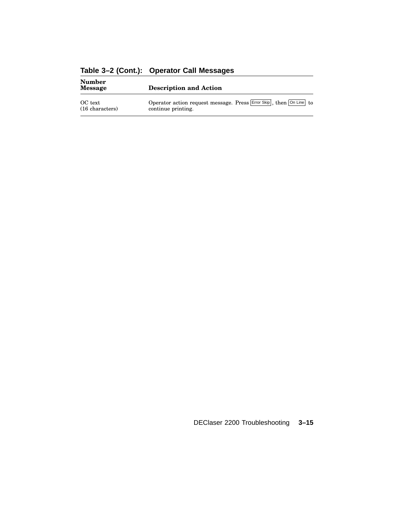| <b>Number</b><br>Message   | <b>Description and Action</b>                                                            |
|----------------------------|------------------------------------------------------------------------------------------|
| OC text<br>(16 characters) | Operator action request message. Press Error Skip, then On Line to<br>continue printing. |

**Table 3–2 (Cont.): Operator Call Messages**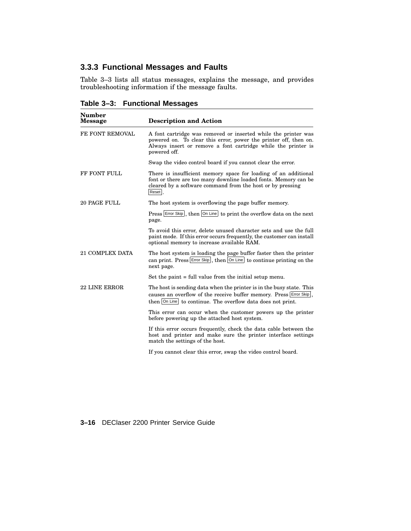# **3.3.3 Functional Messages and Faults**

Table 3–3 lists all status messages, explains the message, and provides troubleshooting information if the message faults.

**Table 3–3: Functional Messages**

| <b>Number</b><br><b>Message</b> | <b>Description and Action</b>                                                                                                                                                                                       |
|---------------------------------|---------------------------------------------------------------------------------------------------------------------------------------------------------------------------------------------------------------------|
| FE FONT REMOVAL                 | A font cartridge was removed or inserted while the printer was<br>powered on. To clear this error, power the printer off, then on.<br>Always insert or remove a font cartridge while the printer is<br>powered off. |
|                                 | Swap the video control board if you cannot clear the error.                                                                                                                                                         |
| FF FONT FULL                    | There is insufficient memory space for loading of an additional<br>font or there are too many downline loaded fonts. Memory can be<br>cleared by a software command from the host or by pressing<br>Reset.          |
| 20 PAGE FULL                    | The host system is overflowing the page buffer memory.                                                                                                                                                              |
|                                 | Press Error Skip, then On Line to print the overflow data on the next<br>page.                                                                                                                                      |
|                                 | To avoid this error, delete unused character sets and use the full<br>paint mode. If this error occurs frequently, the customer can install<br>optional memory to increase available RAM.                           |
| <b>21 COMPLEX DATA</b>          | The host system is loading the page buffer faster then the printer<br>can print. Press $\left \text{Error Skip}\right $ , then $\left \text{On Line}\right $ to continue printing on the<br>next page.              |
|                                 | Set the paint $=$ full value from the initial setup menu.                                                                                                                                                           |
| <b>22 LINE ERROR</b>            | The host is sending data when the printer is in the busy state. This<br>causes an overflow of the receive buffer memory. Press Error Skip,<br>then On Line to continue. The overflow data does not print.           |
|                                 | This error can occur when the customer powers up the printer<br>before powering up the attached host system.                                                                                                        |
|                                 | If this error occurs frequently, check the data cable between the<br>host and printer and make sure the printer interface settings<br>match the settings of the host.                                               |
|                                 | If you cannot clear this error, swap the video control board.                                                                                                                                                       |

#### **3–16** DEClaser 2200 Printer Service Guide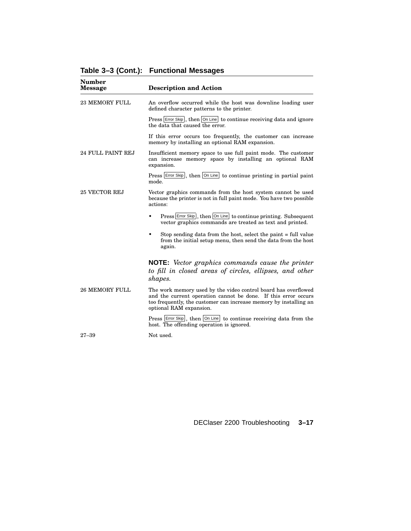| Number<br><b>Message</b> | <b>Description and Action</b>                                                                                                                                                                                                    |
|--------------------------|----------------------------------------------------------------------------------------------------------------------------------------------------------------------------------------------------------------------------------|
| <b>23 MEMORY FULL</b>    | An overflow occurred while the host was downline loading user<br>defined character patterns to the printer.                                                                                                                      |
|                          | Press Error Skip, then On Line to continue receiving data and ignore<br>the data that caused the error.                                                                                                                          |
|                          | If this error occurs too frequently, the customer can increase<br>memory by installing an optional RAM expansion.                                                                                                                |
| 24 FULL PAINT REJ        | Insufficient memory space to use full paint mode. The customer<br>can increase memory space by installing an optional RAM<br>expansion.                                                                                          |
|                          | Press Error Skip, then On Line to continue printing in partial paint<br>mode.                                                                                                                                                    |
| 25 VECTOR REJ            | Vector graphics commands from the host system cannot be used<br>because the printer is not in full paint mode. You have two possible<br>actions:                                                                                 |
|                          | Press Error Skip, then On Line to continue printing. Subsequent<br>$\bullet$<br>vector graphics commands are treated as text and printed.                                                                                        |
|                          | Stop sending data from the host, select the paint = full value<br>٠<br>from the initial setup menu, then send the data from the host<br>again.                                                                                   |
|                          | <b>NOTE:</b> Vector graphics commands cause the printer<br>to fill in closed areas of circles, ellipses, and other<br>shapes.                                                                                                    |
| <b>26 MEMORY FULL</b>    | The work memory used by the video control board has overflowed<br>and the current operation cannot be done. If this error occurs<br>too frequently, the customer can increase memory by installing an<br>optional RAM expansion. |
|                          | Press Error Skip, then On Line to continue receiving data from the<br>host. The offending operation is ignored.                                                                                                                  |
| $27 - 39$                | Not used.                                                                                                                                                                                                                        |

# **Table 3–3 (Cont.): Functional Messages**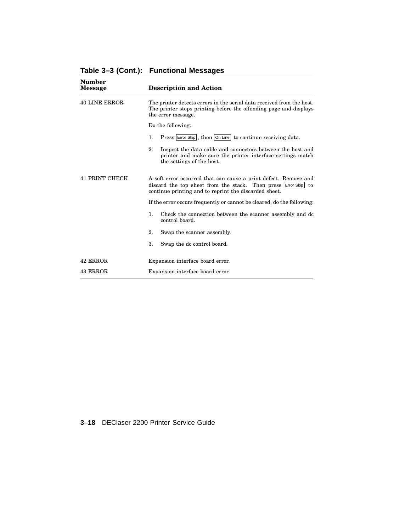| Number<br>Message     | <b>Description and Action</b>                                                                                                                                                                 |
|-----------------------|-----------------------------------------------------------------------------------------------------------------------------------------------------------------------------------------------|
| <b>40 LINE ERROR</b>  | The printer detects errors in the serial data received from the host.<br>The printer stops printing before the offending page and displays<br>the error message.                              |
|                       | Do the following:                                                                                                                                                                             |
|                       | Press Error Skip, then On Line to continue receiving data.<br>1.                                                                                                                              |
|                       | 2.<br>Inspect the data cable and connectors between the host and<br>printer and make sure the printer interface settings match<br>the settings of the host.                                   |
| <b>41 PRINT CHECK</b> | A soft error occurred that can cause a print defect. Remove and<br>discard the top sheet from the stack. Then press Error Skip<br>to<br>continue printing and to reprint the discarded sheet. |
|                       | If the error occurs frequently or cannot be cleared, do the following:                                                                                                                        |
|                       | $\mathbf{1}$ .<br>Check the connection between the scanner assembly and dc<br>control board.                                                                                                  |
|                       | 2.<br>Swap the scanner assembly.                                                                                                                                                              |
|                       | 3.<br>Swap the dc control board.                                                                                                                                                              |
| 42 ERROR              | Expansion interface board error.                                                                                                                                                              |
| 43 ERROR              | Expansion interface board error.                                                                                                                                                              |

**Table 3–3 (Cont.): Functional Messages**

**3–18** DEClaser 2200 Printer Service Guide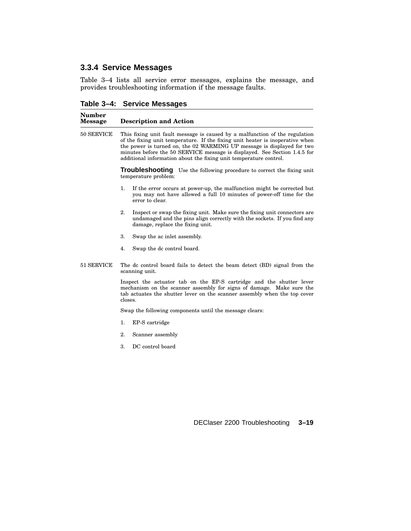# **3.3.4 Service Messages**

Table 3–4 lists all service error messages, explains the message, and provides troubleshooting information if the message faults.

**Table 3–4: Service Messages**

| Number<br><b>Message</b> | <b>Description and Action</b>                                                                                                                                                                                                                                                                                                                                                            |
|--------------------------|------------------------------------------------------------------------------------------------------------------------------------------------------------------------------------------------------------------------------------------------------------------------------------------------------------------------------------------------------------------------------------------|
| 50 SERVICE               | This fixing unit fault message is caused by a malfunction of the regulation<br>of the fixing unit temperature. If the fixing unit heater is inoperative when<br>the power is turned on, the 02 WARMING UP message is displayed for two<br>minutes before the 50 SERVICE message is displayed. See Section 1.4.5 for<br>additional information about the fixing unit temperature control. |
|                          | <b>Troubleshooting</b> Use the following procedure to correct the fixing unit<br>temperature problem:                                                                                                                                                                                                                                                                                    |
|                          | 1.<br>If the error occurs at power-up, the malfunction might be corrected but<br>you may not have allowed a full 10 minutes of power-off time for the<br>error to clear.                                                                                                                                                                                                                 |
|                          | 2.<br>Inspect or swap the fixing unit. Make sure the fixing unit connectors are<br>undamaged and the pins align correctly with the sockets. If you find any<br>damage, replace the fixing unit.                                                                                                                                                                                          |
|                          | 3.<br>Swap the ac inlet assembly.                                                                                                                                                                                                                                                                                                                                                        |
|                          | Swap the dc control board.<br>4.                                                                                                                                                                                                                                                                                                                                                         |
| 51 SERVICE               | The dc control board fails to detect the beam detect (BD) signal from the<br>scanning unit.                                                                                                                                                                                                                                                                                              |
|                          | Inspect the actuator tab on the EP-S cartridge and the shutter lever<br>mechanism on the scanner assembly for signs of damage. Make sure the<br>tab actuates the shutter lever on the scanner assembly when the top cover<br>closes.                                                                                                                                                     |
|                          | Swap the following components until the message clears:                                                                                                                                                                                                                                                                                                                                  |
|                          | 1.<br>EP-S cartridge                                                                                                                                                                                                                                                                                                                                                                     |
|                          | 2.<br>Scanner assembly                                                                                                                                                                                                                                                                                                                                                                   |
|                          | DC control board<br>3.                                                                                                                                                                                                                                                                                                                                                                   |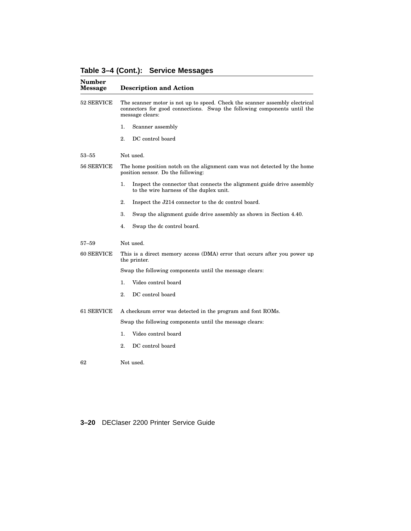**Table 3–4 (Cont.): Service Messages**

| <b>Number</b><br><b>Message</b> | <b>Description and Action</b>                                                                                                                                              |
|---------------------------------|----------------------------------------------------------------------------------------------------------------------------------------------------------------------------|
| 52 SERVICE                      | The scanner motor is not up to speed. Check the scanner assembly electrical<br>connectors for good connections. Swap the following components until the<br>message clears: |
|                                 | 1.<br>Scanner assembly                                                                                                                                                     |
|                                 | DC control board<br>2.                                                                                                                                                     |
| 53–55                           | Not used.                                                                                                                                                                  |
| 56 SERVICE                      | The home position notch on the alignment cam was not detected by the home<br>position sensor. Do the following:                                                            |
|                                 | Inspect the connector that connects the alignment guide drive assembly<br>1.<br>to the wire harness of the duplex unit.                                                    |
|                                 | 2.<br>Inspect the J214 connector to the dc control board.                                                                                                                  |
|                                 | 3.<br>Swap the alignment guide drive assembly as shown in Section 4.40.                                                                                                    |
|                                 | 4.<br>Swap the dc control board.                                                                                                                                           |
| $57 - 59$                       | Not used.                                                                                                                                                                  |
| 60 SERVICE                      | This is a direct memory access (DMA) error that occurs after you power up<br>the printer.                                                                                  |
|                                 | Swap the following components until the message clears:                                                                                                                    |
|                                 | 1.<br>Video control board                                                                                                                                                  |
|                                 | 2.<br>DC control board                                                                                                                                                     |
| 61 SERVICE                      | A checksum error was detected in the program and font ROMs.                                                                                                                |
|                                 | Swap the following components until the message clears:                                                                                                                    |
|                                 | Video control board<br>1.                                                                                                                                                  |
|                                 | 2.<br>DC control board                                                                                                                                                     |
| 62                              | Not used.                                                                                                                                                                  |

#### **3–20** DEClaser 2200 Printer Service Guide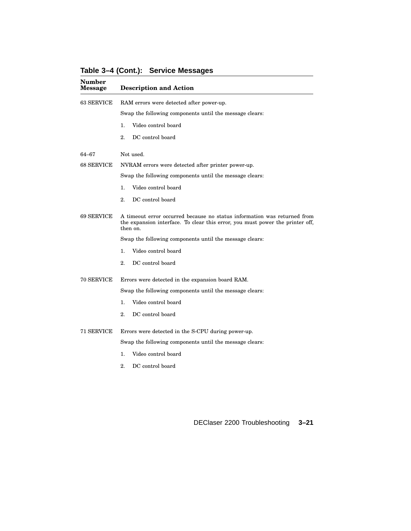| <b>Number</b><br>Message | <b>Description and Action</b>                                                                                                                                         |
|--------------------------|-----------------------------------------------------------------------------------------------------------------------------------------------------------------------|
| 63 SERVICE               | RAM errors were detected after power-up.                                                                                                                              |
|                          | Swap the following components until the message clears:                                                                                                               |
|                          | 1.<br>Video control board                                                                                                                                             |
|                          | 2.<br>DC control board                                                                                                                                                |
| 64–67                    | Not used.                                                                                                                                                             |
| 68 SERVICE               | NVRAM errors were detected after printer power-up.                                                                                                                    |
|                          | Swap the following components until the message clears:                                                                                                               |
|                          | Video control board<br>1.                                                                                                                                             |
|                          | 2.<br>DC control board                                                                                                                                                |
| 69 SERVICE               | A timeout error occurred because no status information was returned from<br>the expansion interface. To clear this error, you must power the printer off,<br>then on. |
|                          | Swap the following components until the message clears:                                                                                                               |
|                          | Video control board<br>1.                                                                                                                                             |
|                          | 2.<br>DC control board                                                                                                                                                |
| 70 SERVICE               | Errors were detected in the expansion board RAM.                                                                                                                      |
|                          | Swap the following components until the message clears:                                                                                                               |
|                          | Video control board<br>1.                                                                                                                                             |
|                          | DC control board<br>2.                                                                                                                                                |
| 71 SERVICE               | Errors were detected in the S-CPU during power-up.                                                                                                                    |
|                          | Swap the following components until the message clears:                                                                                                               |
|                          | Video control board<br>1.                                                                                                                                             |
|                          | 2.<br>DC control board                                                                                                                                                |

**Table 3–4 (Cont.): Service Messages**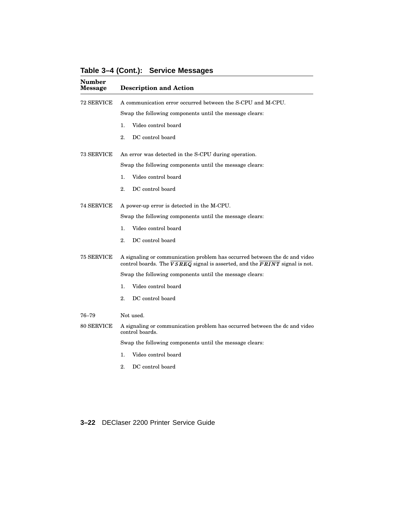| <b>Number</b><br><b>Message</b> | <b>Description and Action</b>                                                                                                                                                      |
|---------------------------------|------------------------------------------------------------------------------------------------------------------------------------------------------------------------------------|
| 72 SERVICE                      | A communication error occurred between the S-CPU and M-CPU.                                                                                                                        |
|                                 | Swap the following components until the message clears:                                                                                                                            |
|                                 | Video control board<br>1.                                                                                                                                                          |
|                                 | DC control board<br>2.                                                                                                                                                             |
| 73 SERVICE                      | An error was detected in the S-CPU during operation.                                                                                                                               |
|                                 | Swap the following components until the message clears:                                                                                                                            |
|                                 | Video control board<br>1.                                                                                                                                                          |
|                                 | 2.<br>DC control board                                                                                                                                                             |
| 74 SERVICE                      | A power-up error is detected in the M-CPU.                                                                                                                                         |
|                                 | Swap the following components until the message clears:                                                                                                                            |
|                                 | 1.<br>Video control board                                                                                                                                                          |
|                                 | $\overline{2}$ .<br>DC control board                                                                                                                                               |
| 75 SERVICE                      | A signaling or communication problem has occurred between the dc and video<br>control boards. The $\overline{VSREG}$ signal is asserted, and the $\overline{PRINT}$ signal is not. |
|                                 | Swap the following components until the message clears:                                                                                                                            |
|                                 | 1.<br>Video control board                                                                                                                                                          |
|                                 | 2.<br>DC control board                                                                                                                                                             |
| $76 - 79$                       | Not used.                                                                                                                                                                          |
| 80 SERVICE                      | A signaling or communication problem has occurred between the dc and video<br>control boards.                                                                                      |
|                                 | Swap the following components until the message clears:                                                                                                                            |
|                                 | Video control board<br>1.                                                                                                                                                          |

**Table 3–4 (Cont.): Service Messages**

**3–22** DEClaser 2200 Printer Service Guide

2. DC control board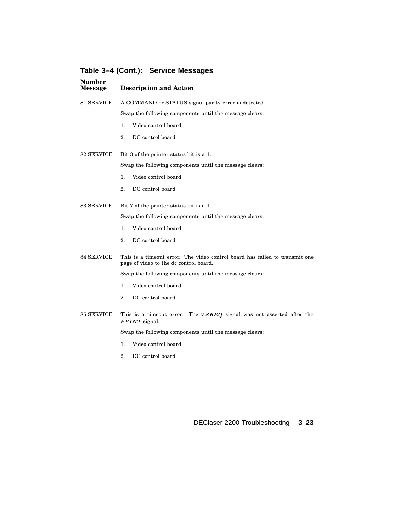**Number Message Description and Action** 81 SERVICE A COMMAND or STATUS signal parity error is detected. Swap the following components until the message clears: 1. Video control board 2. DC control board 82 SERVICE Bit 3 of the printer status bit is a 1. Swap the following components until the message clears: 1. Video control board 2. DC control board 83 SERVICE Bit 7 of the printer status bit is a 1. Swap the following components until the message clears: 1. Video control board 2. DC control board 84 SERVICE This is a timeout error. The video control board has failed to transmit one page of video to the dc control board. Swap the following components until the message clears: 1. Video control board 2. DC control board 85 SERVICE This is a timeout error. The  $VSREG$  signal was not asserted after the  $PRINT$  signal. Swap the following components until the message clears: 1. Video control board

**Table 3–4 (Cont.): Service Messages**

2. DC control board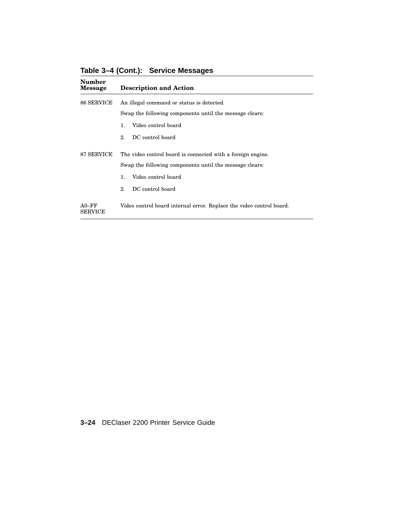| <b>Number</b><br><b>Message</b> | <b>Description and Action</b>                                        |  |
|---------------------------------|----------------------------------------------------------------------|--|
| 86 SERVICE                      | An illegal command or status is detected.                            |  |
|                                 | Swap the following components until the message clears:              |  |
|                                 | Video control board<br>1.                                            |  |
|                                 | DC control board<br>2.                                               |  |
| 87 SERVICE                      | The video control board is connected with a foreign engine.          |  |
|                                 | Swap the following components until the message clears:              |  |
|                                 | Video control board<br>$\mathbf{1}$ .                                |  |
|                                 | DC control board<br>2.                                               |  |
| $A0-FF$<br><b>SERVICE</b>       | Video control board internal error. Replace the video control board. |  |

**Table 3–4 (Cont.): Service Messages**

**3–24** DEClaser 2200 Printer Service Guide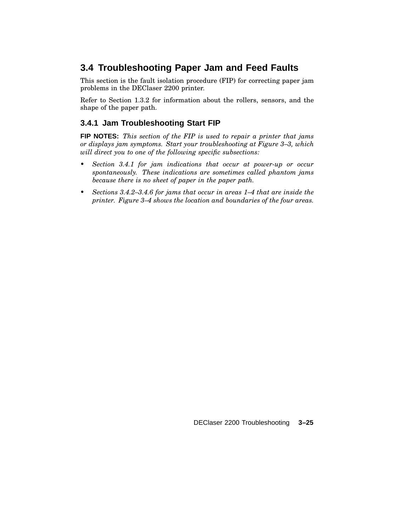# **3.4 Troubleshooting Paper Jam and Feed Faults**

This section is the fault isolation procedure (FIP) for correcting paper jam problems in the DEClaser 2200 printer.

Refer to Section 1.3.2 for information about the rollers, sensors, and the shape of the paper path.

### **3.4.1 Jam Troubleshooting Start FIP**

**FIP NOTES:** *This section of the FIP is used to repair a printer that jams or displays jam symptoms. Start your troubleshooting at Figure 3–3, which will direct you to one of the following specific subsections:*

- *• Section 3.4.1 for jam indications that occur at power-up or occur spontaneously. These indications are sometimes called phantom jams because there is no sheet of paper in the paper path.*
- *• Sections 3.4.2–3.4.6 for jams that occur in areas 1–4 that are inside the printer. Figure 3–4 shows the location and boundaries of the four areas.*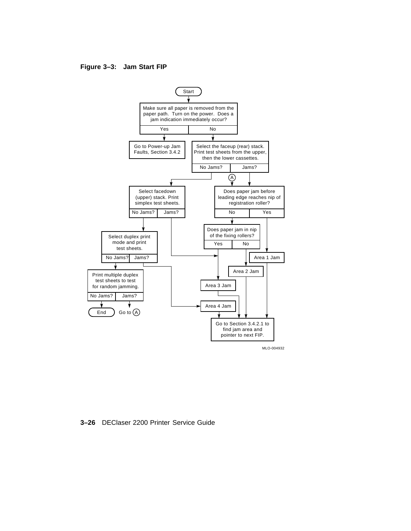#### **Figure 3–3: Jam Start FIP**



**3–26** DEClaser 2200 Printer Service Guide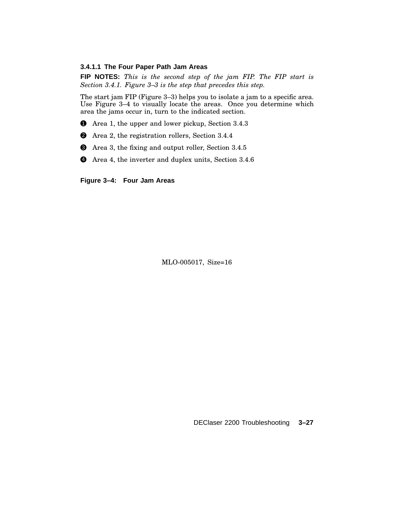#### **3.4.1.1 The Four Paper Path Jam Areas**

**FIP NOTES:** *This is the second step of the jam FIP. The FIP start is Section 3.4.1. Figure 3–3 is the step that precedes this step.*

The start jam FIP (Figure 3–3) helps you to isolate a jam to a specific area. Use Figure 3–4 to visually locate the areas. Once you determine which area the jams occur in, turn to the indicated section.

- **1** Area 1, the upper and lower pickup, Section 3.4.3
- 2 Area 2, the registration rollers, Section 3.4.4
- $\bullet$  Area 3, the fixing and output roller, Section 3.4.5
- 4 Area 4, the inverter and duplex units, Section 3.4.6

**Figure 3–4: Four Jam Areas**

MLO-005017, Size=16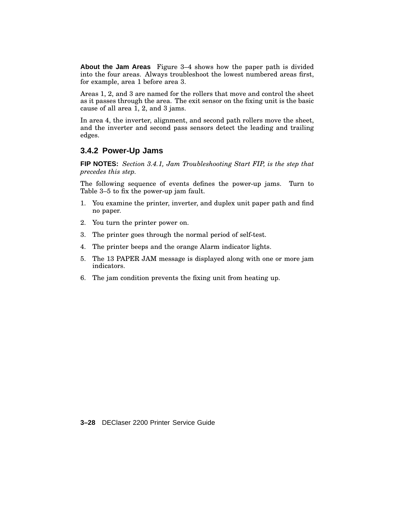**About the Jam Areas** Figure 3–4 shows how the paper path is divided into the four areas. Always troubleshoot the lowest numbered areas first, for example, area 1 before area 3.

Areas 1, 2, and 3 are named for the rollers that move and control the sheet as it passes through the area. The exit sensor on the fixing unit is the basic cause of all area 1, 2, and 3 jams.

In area 4, the inverter, alignment, and second path rollers move the sheet, and the inverter and second pass sensors detect the leading and trailing edges.

#### **3.4.2 Power-Up Jams**

**FIP NOTES:** *Section 3.4.1, Jam Troubleshooting Start FIP, is the step that precedes this step.*

The following sequence of events defines the power-up jams. Turn to Table 3–5 to fix the power-up jam fault.

- 1. You examine the printer, inverter, and duplex unit paper path and find no paper.
- 2. You turn the printer power on.
- 3. The printer goes through the normal period of self-test.
- 4. The printer beeps and the orange Alarm indicator lights.
- 5. The 13 PAPER JAM message is displayed along with one or more jam indicators.
- 6. The jam condition prevents the fixing unit from heating up.

**3–28** DEClaser 2200 Printer Service Guide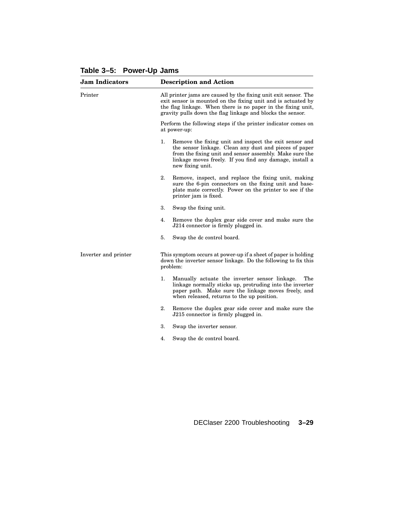# **Table 3–5: Power-Up Jams**

| <b>Jam Indicators</b> | <b>Description and Action</b>                                                                                                                                                                                                                                    |
|-----------------------|------------------------------------------------------------------------------------------------------------------------------------------------------------------------------------------------------------------------------------------------------------------|
| Printer               | All printer jams are caused by the fixing unit exit sensor. The<br>exit sensor is mounted on the fixing unit and is actuated by<br>the flag linkage. When there is no paper in the fixing unit,<br>gravity pulls down the flag linkage and blocks the sensor.    |
|                       | Perform the following steps if the printer indicator comes on<br>at power-up:                                                                                                                                                                                    |
|                       | 1.<br>Remove the fixing unit and inspect the exit sensor and<br>the sensor linkage. Clean any dust and pieces of paper<br>from the fixing unit and sensor assembly. Make sure the<br>linkage moves freely. If you find any damage, install a<br>new fixing unit. |
|                       | 2.<br>Remove, inspect, and replace the fixing unit, making<br>sure the 6-pin connectors on the fixing unit and base-<br>plate mate correctly. Power on the printer to see if the<br>printer jam is fixed.                                                        |
|                       | 3.<br>Swap the fixing unit.                                                                                                                                                                                                                                      |
|                       | Remove the duplex gear side cover and make sure the<br>4.<br>J214 connector is firmly plugged in.                                                                                                                                                                |
|                       | 5.<br>Swap the dc control board.                                                                                                                                                                                                                                 |
| Inverter and printer  | This symptom occurs at power-up if a sheet of paper is holding<br>down the inverter sensor linkage. Do the following to fix this<br>problem:                                                                                                                     |
|                       | 1.<br>Manually actuate the inverter sensor linkage.<br>The<br>linkage normally sticks up, protruding into the inverter<br>paper path. Make sure the linkage moves freely, and<br>when released, returns to the up position.                                      |
|                       | 2.<br>Remove the duplex gear side cover and make sure the<br>J215 connector is firmly plugged in.                                                                                                                                                                |
|                       | 3.<br>Swap the inverter sensor.                                                                                                                                                                                                                                  |
|                       | Swap the dc control board.<br>4.                                                                                                                                                                                                                                 |
|                       |                                                                                                                                                                                                                                                                  |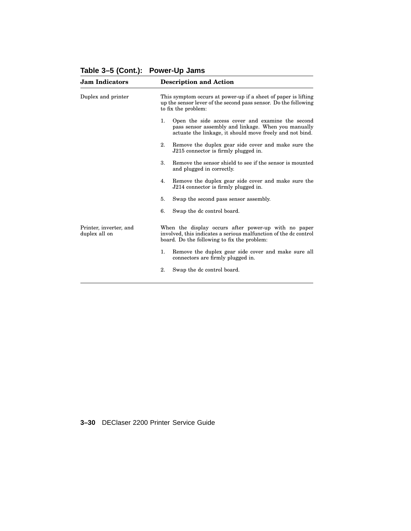| This symptom occurs at power-up if a sheet of paper is lifting<br>up the sensor lever of the second pass sensor. Do the following                                       |
|-------------------------------------------------------------------------------------------------------------------------------------------------------------------------|
| Open the side access cover and examine the second<br>pass sensor assembly and linkage. When you manually<br>actuate the linkage, it should move freely and not bind.    |
| Remove the duplex gear side cover and make sure the<br>J215 connector is firmly plugged in.                                                                             |
| Remove the sensor shield to see if the sensor is mounted                                                                                                                |
| Remove the duplex gear side cover and make sure the<br>J214 connector is firmly plugged in.                                                                             |
| Swap the second pass sensor assembly.                                                                                                                                   |
| Swap the dc control board.                                                                                                                                              |
| When the display occurs after power-up with no paper<br>involved, this indicates a serious malfunction of the dc control<br>board. Do the following to fix the problem: |
| Remove the duplex gear side cover and make sure all<br>connectors are firmly plugged in.                                                                                |
| Swap the dc control board.                                                                                                                                              |
|                                                                                                                                                                         |

**Table 3–5 (Cont.): Power-Up Jams**

**3–30** DEClaser 2200 Printer Service Guide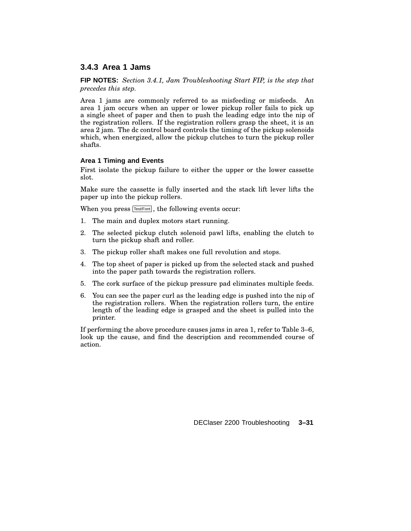### **3.4.3 Area 1 Jams**

**FIP NOTES:** *Section 3.4.1, Jam Troubleshooting Start FIP, is the step that precedes this step.*

Area 1 jams are commonly referred to as misfeeding or misfeeds. An area 1 jam occurs when an upper or lower pickup roller fails to pick up a single sheet of paper and then to push the leading edge into the nip of the registration rollers. If the registration rollers grasp the sheet, it is an area 2 jam. The dc control board controls the timing of the pickup solenoids which, when energized, allow the pickup clutches to turn the pickup roller shafts.

#### **Area 1 Timing and Events**

First isolate the pickup failure to either the upper or the lower cassette slot.

Make sure the cassette is fully inserted and the stack lift lever lifts the paper up into the pickup rollers.

When you press [Test/Font], the following events occur:

- 1. The main and duplex motors start running.
- 2. The selected pickup clutch solenoid pawl lifts, enabling the clutch to turn the pickup shaft and roller.
- 3. The pickup roller shaft makes one full revolution and stops.
- 4. The top sheet of paper is picked up from the selected stack and pushed into the paper path towards the registration rollers.
- 5. The cork surface of the pickup pressure pad eliminates multiple feeds.
- 6. You can see the paper curl as the leading edge is pushed into the nip of the registration rollers. When the registration rollers turn, the entire length of the leading edge is grasped and the sheet is pulled into the printer.

If performing the above procedure causes jams in area 1, refer to Table 3–6, look up the cause, and find the description and recommended course of action.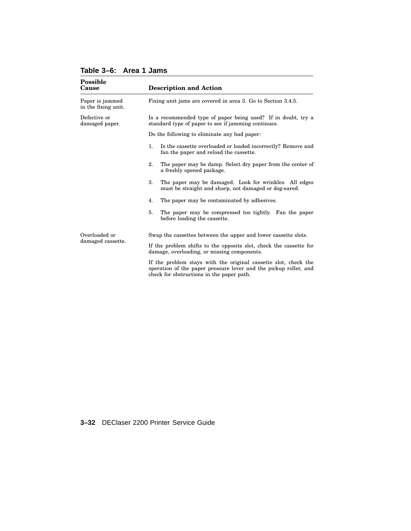| Possible<br>Cause                      | <b>Description and Action</b>                                                                                                                                                    |
|----------------------------------------|----------------------------------------------------------------------------------------------------------------------------------------------------------------------------------|
| Paper is jammed<br>in the fixing unit. | Fixing unit jams are covered in area 3. Go to Section 3.4.5.                                                                                                                     |
| Defective or<br>damaged paper.         | Is a recommended type of paper being used? If in doubt, try a<br>standard type of paper to see if jamming continues.                                                             |
|                                        | Do the following to eliminate any bad paper:                                                                                                                                     |
|                                        | 1.<br>Is the cassette overloaded or loaded incorrectly? Remove and<br>fan the paper and reload the cassette.                                                                     |
|                                        | 2.<br>The paper may be damp. Select dry paper from the center of<br>a freshly opened package.                                                                                    |
|                                        | 3.<br>The paper may be damaged. Look for wrinkles. All edges<br>must be straight and sharp, not damaged or dog-eared.                                                            |
|                                        | The paper may be contaminated by adhesives.<br>4.                                                                                                                                |
|                                        | 5.<br>The paper may be compressed too tightly. Fan the paper<br>before loading the cassette.                                                                                     |
| Overloaded or                          | Swap the cassettes between the upper and lower cassette slots.                                                                                                                   |
| damaged cassette.                      | If the problem shifts to the opposite slot, check the cassette for<br>damage, overloading, or missing components.                                                                |
|                                        | If the problem stays with the original cassette slot, check the<br>operation of the paper pressure lever and the pickup roller, and<br>check for obstructions in the paper path. |

# **Table 3–6: Area 1 Jams**

**3–32** DEClaser 2200 Printer Service Guide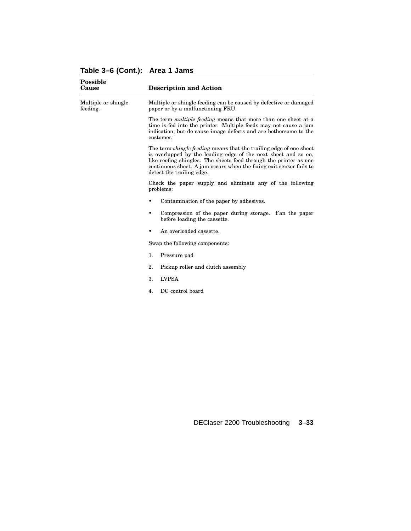# **Table 3–6 (Cont.): Area 1 Jams**

| <b>Possible</b><br>Cause        | <b>Description and Action</b>                                                                                                                                                                                                                                                                                        |
|---------------------------------|----------------------------------------------------------------------------------------------------------------------------------------------------------------------------------------------------------------------------------------------------------------------------------------------------------------------|
| Multiple or shingle<br>feeding. | Multiple or shingle feeding can be caused by defective or damaged<br>paper or by a malfunctioning FRU.                                                                                                                                                                                                               |
|                                 | The term <i>multiple feeding</i> means that more than one sheet at a<br>time is fed into the printer. Multiple feeds may not cause a jam<br>indication, but do cause image defects and are bothersome to the<br>customer.                                                                                            |
|                                 | The term <i>shingle feeding</i> means that the trailing edge of one sheet<br>is overlapped by the leading edge of the next sheet and so on,<br>like roofing shingles. The sheets feed through the printer as one<br>continuous sheet. A jam occurs when the fixing exit sensor fails to<br>detect the trailing edge. |
|                                 | Check the paper supply and eliminate any of the following<br>problems:                                                                                                                                                                                                                                               |
|                                 | Contamination of the paper by adhesives.                                                                                                                                                                                                                                                                             |
|                                 | Compression of the paper during storage. Fan the paper<br>٠<br>before loading the cassette.                                                                                                                                                                                                                          |
|                                 | An overloaded cassette.                                                                                                                                                                                                                                                                                              |
|                                 | Swap the following components:                                                                                                                                                                                                                                                                                       |
|                                 | 1.<br>Pressure pad                                                                                                                                                                                                                                                                                                   |
|                                 | 2.<br>Pickup roller and clutch assembly                                                                                                                                                                                                                                                                              |
|                                 | 3.<br><b>LVPSA</b>                                                                                                                                                                                                                                                                                                   |
|                                 | DC control board<br>4.                                                                                                                                                                                                                                                                                               |
|                                 |                                                                                                                                                                                                                                                                                                                      |
|                                 |                                                                                                                                                                                                                                                                                                                      |
|                                 |                                                                                                                                                                                                                                                                                                                      |
|                                 |                                                                                                                                                                                                                                                                                                                      |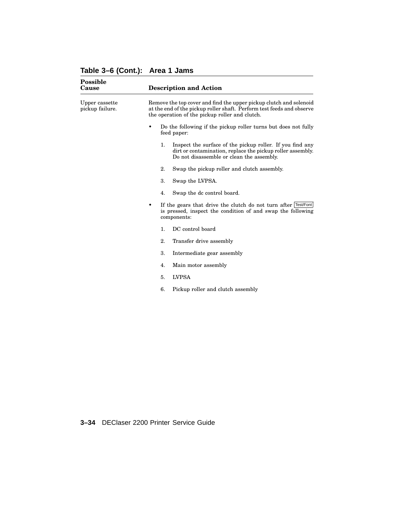#### **Table 3–6 (Cont.): Area 1 Jams**

| <b>Possible</b><br>Cause          | <b>Description and Action</b>                                                                                                                                                                 |
|-----------------------------------|-----------------------------------------------------------------------------------------------------------------------------------------------------------------------------------------------|
| Upper cassette<br>pickup failure. | Remove the top cover and find the upper pickup clutch and solenoid<br>at the end of the pickup roller shaft. Perform test feeds and observe<br>the operation of the pickup roller and clutch. |
|                                   | Do the following if the pickup roller turns but does not fully<br>٠<br>feed paper:                                                                                                            |
|                                   | Inspect the surface of the pickup roller. If you find any<br>1.<br>dirt or contamination, replace the pickup roller assembly.<br>Do not disassemble or clean the assembly.                    |
|                                   | 2.<br>Swap the pickup roller and clutch assembly.                                                                                                                                             |
|                                   | 3.<br>Swap the LVPSA.                                                                                                                                                                         |
|                                   | 4.<br>Swap the dc control board.                                                                                                                                                              |
|                                   | If the gears that drive the clutch do not turn after Test/Font<br>$\bullet$<br>is pressed, inspect the condition of and swap the following<br>components:                                     |
|                                   | DC control board<br>1.                                                                                                                                                                        |
|                                   | 2.<br>Transfer drive assembly                                                                                                                                                                 |
|                                   | 3.<br>Intermediate gear assembly                                                                                                                                                              |
|                                   | 4.<br>Main motor assembly                                                                                                                                                                     |
|                                   | <b>LVPSA</b><br>5.                                                                                                                                                                            |
|                                   | Pickup roller and clutch assembly<br>6.                                                                                                                                                       |
|                                   |                                                                                                                                                                                               |

**3–34** DEClaser 2200 Printer Service Guide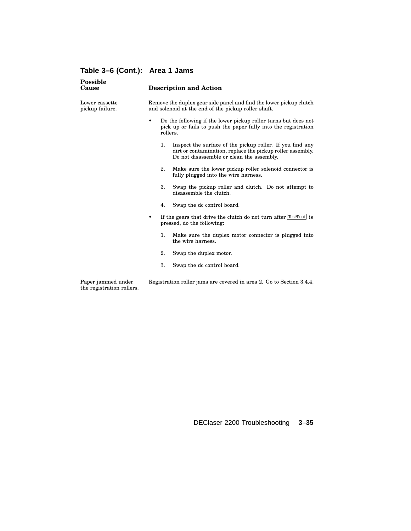|  |  | Table 3-6 (Cont.): Area 1 Jams |
|--|--|--------------------------------|
|--|--|--------------------------------|

| <b>Possible</b><br>Cause                        | <b>Description and Action</b>                                                                                                                                              |  |  |
|-------------------------------------------------|----------------------------------------------------------------------------------------------------------------------------------------------------------------------------|--|--|
| Lower cassette<br>pickup failure.               | Remove the duplex gear side panel and find the lower pickup clutch<br>and solenoid at the end of the pickup roller shaft.                                                  |  |  |
|                                                 | Do the following if the lower pickup roller turns but does not<br>٠<br>pick up or fails to push the paper fully into the registration<br>rollers.                          |  |  |
|                                                 | Inspect the surface of the pickup roller. If you find any<br>1.<br>dirt or contamination, replace the pickup roller assembly.<br>Do not disassemble or clean the assembly. |  |  |
|                                                 | 2.<br>Make sure the lower pickup roller solenoid connector is<br>fully plugged into the wire harness.                                                                      |  |  |
|                                                 | 3.<br>Swap the pickup roller and clutch. Do not attempt to<br>disassemble the clutch.                                                                                      |  |  |
|                                                 | 4.<br>Swap the dc control board.                                                                                                                                           |  |  |
|                                                 | If the gears that drive the clutch do not turn after Test/Font is<br>٠<br>pressed, do the following:                                                                       |  |  |
|                                                 | 1.<br>Make sure the duplex motor connector is plugged into<br>the wire harness.                                                                                            |  |  |
|                                                 | 2.<br>Swap the duplex motor.                                                                                                                                               |  |  |
|                                                 | 3.<br>Swap the dc control board.                                                                                                                                           |  |  |
| Paper jammed under<br>the registration rollers. | Registration roller jams are covered in area 2. Go to Section 3.4.4.                                                                                                       |  |  |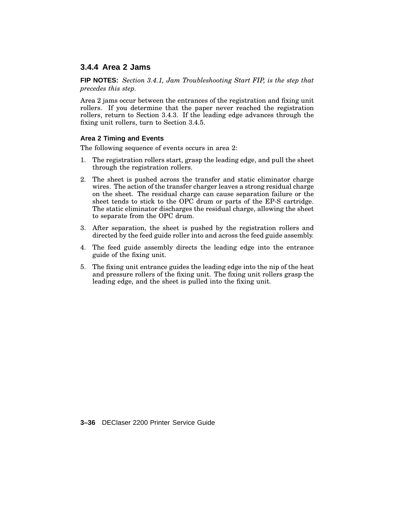### **3.4.4 Area 2 Jams**

**FIP NOTES:** *Section 3.4.1, Jam Troubleshooting Start FIP, is the step that precedes this step.*

Area 2 jams occur between the entrances of the registration and fixing unit rollers. If you determine that the paper never reached the registration rollers, return to Section 3.4.3. If the leading edge advances through the fixing unit rollers, turn to Section 3.4.5.

#### **Area 2 Timing and Events**

The following sequence of events occurs in area 2:

- 1. The registration rollers start, grasp the leading edge, and pull the sheet through the registration rollers.
- 2. The sheet is pushed across the transfer and static eliminator charge wires. The action of the transfer charger leaves a strong residual charge on the sheet. The residual charge can cause separation failure or the sheet tends to stick to the OPC drum or parts of the EP-S cartridge. The static eliminator discharges the residual charge, allowing the sheet to separate from the OPC drum.
- 3. After separation, the sheet is pushed by the registration rollers and directed by the feed guide roller into and across the feed guide assembly.
- 4. The feed guide assembly directs the leading edge into the entrance guide of the fixing unit.
- 5. The fixing unit entrance guides the leading edge into the nip of the heat and pressure rollers of the fixing unit. The fixing unit rollers grasp the leading edge, and the sheet is pulled into the fixing unit.

**3–36** DEClaser 2200 Printer Service Guide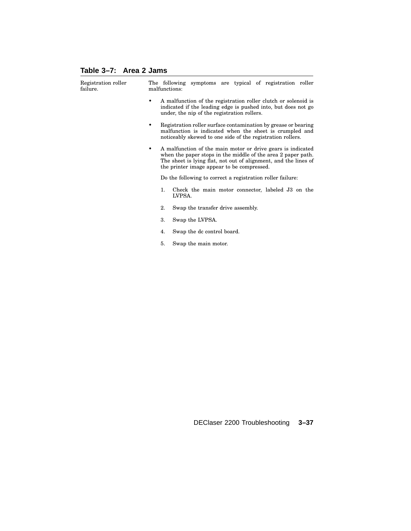# **Table 3–7: Area 2 Jams**

| Registration roller<br>failure. | The following symptoms are typical of registration roller<br>malfunctions:                                                                                                                                                                        |
|---------------------------------|---------------------------------------------------------------------------------------------------------------------------------------------------------------------------------------------------------------------------------------------------|
|                                 | A malfunction of the registration roller clutch or solenoid is<br>indicated if the leading edge is pushed into, but does not go<br>under, the nip of the registration rollers.                                                                    |
|                                 | Registration roller surface contamination by grease or bearing<br>٠<br>malfunction is indicated when the sheet is crumpled and<br>noticeably skewed to one side of the registration rollers.                                                      |
|                                 | A malfunction of the main motor or drive gears is indicated<br>٠<br>when the paper stops in the middle of the area 2 paper path.<br>The sheet is lying flat, not out of alignment, and the lines of<br>the printer image appear to be compressed. |
|                                 | Do the following to correct a registration roller failure:                                                                                                                                                                                        |
|                                 | 1.<br>Check the main motor connector, labeled J3 on the<br>LVPSA.                                                                                                                                                                                 |
|                                 | Swap the transfer drive assembly.<br>2.                                                                                                                                                                                                           |
|                                 | 3.<br>Swap the LVPSA.                                                                                                                                                                                                                             |
|                                 | Swap the dc control board.<br>4.                                                                                                                                                                                                                  |
|                                 | Swap the main motor.<br>5.                                                                                                                                                                                                                        |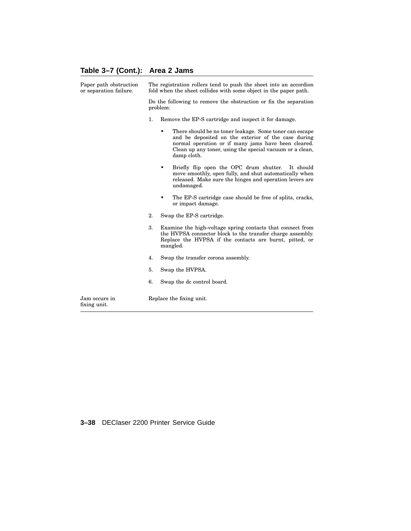#### **Table 3–7 (Cont.): Area 2 Jams**

| fixing unit.                                     |                                                                                                                                       |                                                                                                                                                                                                                                                       |  |
|--------------------------------------------------|---------------------------------------------------------------------------------------------------------------------------------------|-------------------------------------------------------------------------------------------------------------------------------------------------------------------------------------------------------------------------------------------------------|--|
| Jam occurs in                                    |                                                                                                                                       | Replace the fixing unit.                                                                                                                                                                                                                              |  |
|                                                  | 6.                                                                                                                                    | Swap the dc control board.                                                                                                                                                                                                                            |  |
|                                                  | 5.                                                                                                                                    | Swap the HVPSA.                                                                                                                                                                                                                                       |  |
|                                                  | 4.                                                                                                                                    | Swap the transfer corona assembly.                                                                                                                                                                                                                    |  |
|                                                  | 3.                                                                                                                                    | Examine the high-voltage spring contacts that connect from<br>the HVPSA connector block to the transfer charge assembly.<br>Replace the HVPSA if the contacts are burnt, pitted, or<br>mangled.                                                       |  |
|                                                  | 2.                                                                                                                                    | Swap the EP-S cartridge.                                                                                                                                                                                                                              |  |
|                                                  |                                                                                                                                       | The EP-S cartridge case should be free of splits, cracks,<br>or impact damage.                                                                                                                                                                        |  |
|                                                  |                                                                                                                                       | Briefly flip open the OPC drum shutter.<br>It should<br>٠<br>move smoothly, open fully, and shut automatically when<br>released. Make sure the hinges and operation levers are<br>undamaged.                                                          |  |
|                                                  |                                                                                                                                       | There should be no toner leakage. Some toner can escape<br>٠<br>and be deposited on the exterior of the case during<br>normal operation or if many jams have been cleared.<br>Clean up any toner, using the special vacuum or a clean,<br>damp cloth. |  |
|                                                  | 1.                                                                                                                                    | Remove the EP-S cartridge and inspect it for damage.                                                                                                                                                                                                  |  |
|                                                  | Do the following to remove the obstruction or fix the separation<br>problem:                                                          |                                                                                                                                                                                                                                                       |  |
| Paper path obstruction<br>or separation failure. | The registration rollers tend to push the sheet into an accordion<br>fold when the sheet collides with some object in the paper path. |                                                                                                                                                                                                                                                       |  |

#### **3–38** DEClaser 2200 Printer Service Guide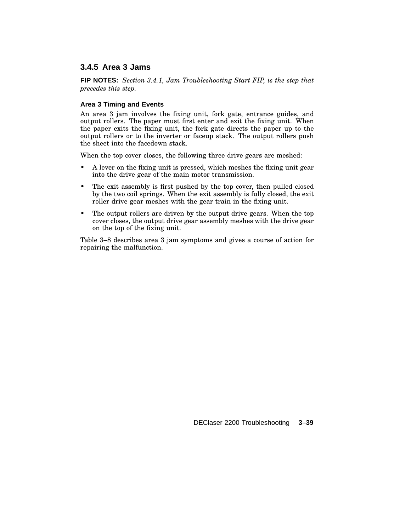# **3.4.5 Area 3 Jams**

**FIP NOTES:** *Section 3.4.1, Jam Troubleshooting Start FIP, is the step that precedes this step.*

#### **Area 3 Timing and Events**

An area 3 jam involves the fixing unit, fork gate, entrance guides, and output rollers. The paper must first enter and exit the fixing unit. When the paper exits the fixing unit, the fork gate directs the paper up to the output rollers or to the inverter or faceup stack. The output rollers push the sheet into the facedown stack.

When the top cover closes, the following three drive gears are meshed:

- A lever on the fixing unit is pressed, which meshes the fixing unit gear into the drive gear of the main motor transmission.
- The exit assembly is first pushed by the top cover, then pulled closed by the two coil springs. When the exit assembly is fully closed, the exit roller drive gear meshes with the gear train in the fixing unit.
- The output rollers are driven by the output drive gears. When the top cover closes, the output drive gear assembly meshes with the drive gear on the top of the fixing unit.

Table 3–8 describes area 3 jam symptoms and gives a course of action for repairing the malfunction.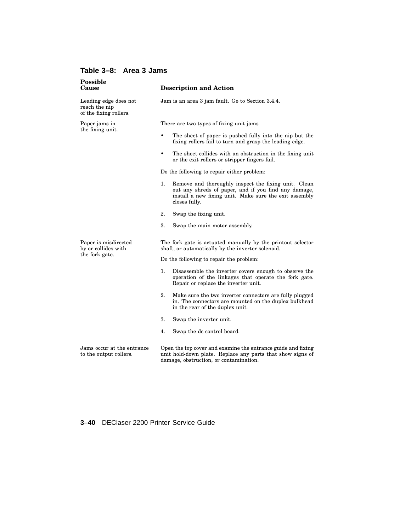| <b>Possible</b><br>Cause                                         | <b>Description and Action</b>                                                                                                                                                                 |  |
|------------------------------------------------------------------|-----------------------------------------------------------------------------------------------------------------------------------------------------------------------------------------------|--|
| Leading edge does not<br>reach the nip<br>of the fixing rollers. | Jam is an area 3 jam fault. Go to Section 3.4.4.                                                                                                                                              |  |
| Paper jams in<br>the fixing unit.                                | There are two types of fixing unit jams                                                                                                                                                       |  |
|                                                                  | The sheet of paper is pushed fully into the nip but the<br>fixing rollers fail to turn and grasp the leading edge.                                                                            |  |
|                                                                  | ٠<br>The sheet collides with an obstruction in the fixing unit<br>or the exit rollers or stripper fingers fail.                                                                               |  |
|                                                                  | Do the following to repair either problem:                                                                                                                                                    |  |
|                                                                  | Remove and thoroughly inspect the fixing unit. Clean<br>1.<br>out any shreds of paper, and if you find any damage,<br>install a new fixing unit. Make sure the exit assembly<br>closes fully. |  |
|                                                                  | 2.<br>Swap the fixing unit.                                                                                                                                                                   |  |
|                                                                  | 3.<br>Swap the main motor assembly.                                                                                                                                                           |  |
| Paper is misdirected<br>by or collides with                      | The fork gate is actuated manually by the printout selector<br>shaft, or automatically by the inverter solenoid.                                                                              |  |
| the fork gate.                                                   | Do the following to repair the problem:                                                                                                                                                       |  |
|                                                                  | 1.<br>Disassemble the inverter covers enough to observe the<br>operation of the linkages that operate the fork gate.<br>Repair or replace the inverter unit.                                  |  |
|                                                                  | 2.<br>Make sure the two inverter connectors are fully plugged<br>in. The connectors are mounted on the duplex bulkhead<br>in the rear of the duplex unit.                                     |  |
|                                                                  | 3.<br>Swap the inverter unit.                                                                                                                                                                 |  |
|                                                                  | 4.<br>Swap the dc control board.                                                                                                                                                              |  |
| Jams occur at the entrance<br>to the output rollers.             | Open the top cover and examine the entrance guide and fixing<br>unit hold-down plate. Replace any parts that show signs of<br>damage, obstruction, or contamination.                          |  |

### **Table 3–8: Area 3 Jams**

#### **3–40** DEClaser 2200 Printer Service Guide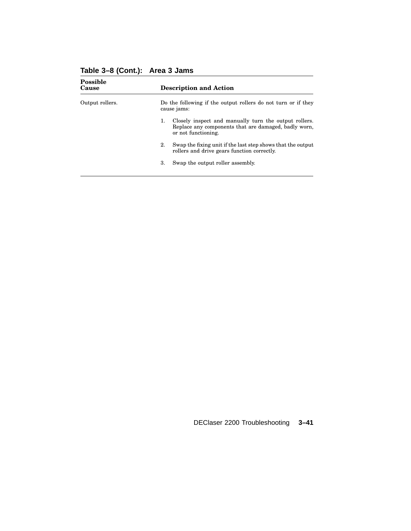| <b>Description and Action</b>                                                                                                              |
|--------------------------------------------------------------------------------------------------------------------------------------------|
| Do the following if the output rollers do not turn or if they<br>cause jams:                                                               |
| Closely inspect and manually turn the output rollers.<br>1.<br>Replace any components that are damaged, badly worn,<br>or not functioning. |
| Swap the fixing unit if the last step shows that the output<br>2.<br>rollers and drive gears function correctly.                           |
| 3.<br>Swap the output roller assembly.                                                                                                     |
|                                                                                                                                            |

# **Table 3–8 (Cont.): Area 3 Jams**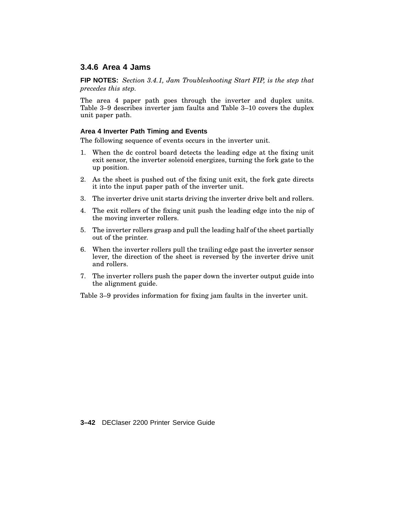### **3.4.6 Area 4 Jams**

**FIP NOTES:** *Section 3.4.1, Jam Troubleshooting Start FIP, is the step that precedes this step.*

The area 4 paper path goes through the inverter and duplex units. Table 3–9 describes inverter jam faults and Table 3–10 covers the duplex unit paper path.

#### **Area 4 Inverter Path Timing and Events**

The following sequence of events occurs in the inverter unit.

- 1. When the dc control board detects the leading edge at the fixing unit exit sensor, the inverter solenoid energizes, turning the fork gate to the up position.
- 2. As the sheet is pushed out of the fixing unit exit, the fork gate directs it into the input paper path of the inverter unit.
- 3. The inverter drive unit starts driving the inverter drive belt and rollers.
- 4. The exit rollers of the fixing unit push the leading edge into the nip of the moving inverter rollers.
- 5. The inverter rollers grasp and pull the leading half of the sheet partially out of the printer.
- 6. When the inverter rollers pull the trailing edge past the inverter sensor lever, the direction of the sheet is reversed by the inverter drive unit and rollers.
- 7. The inverter rollers push the paper down the inverter output guide into the alignment guide.

Table 3–9 provides information for fixing jam faults in the inverter unit.

**3–42** DEClaser 2200 Printer Service Guide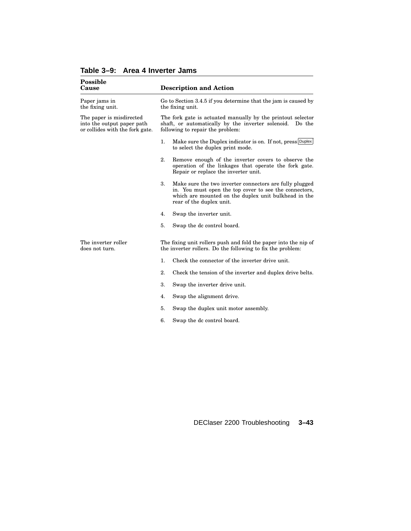| <b>Possible</b><br>Cause                                                                  | <b>Description and Action</b>                                                                                                                                                                               |  |  |
|-------------------------------------------------------------------------------------------|-------------------------------------------------------------------------------------------------------------------------------------------------------------------------------------------------------------|--|--|
| Paper jams in<br>the fixing unit.                                                         | Go to Section 3.4.5 if you determine that the jam is caused by<br>the fixing unit.                                                                                                                          |  |  |
| The paper is misdirected<br>into the output paper path<br>or collides with the fork gate. | The fork gate is actuated manually by the printout selector<br>shaft, or automatically by the inverter solenoid.<br>Do the<br>following to repair the problem:                                              |  |  |
|                                                                                           | 1.<br>Make sure the Duplex indicator is on. If not, press Duplex<br>to select the duplex print mode.                                                                                                        |  |  |
|                                                                                           | 2.<br>Remove enough of the inverter covers to observe the<br>operation of the linkages that operate the fork gate.<br>Repair or replace the inverter unit.                                                  |  |  |
|                                                                                           | 3.<br>Make sure the two inverter connectors are fully plugged<br>in. You must open the top cover to see the connectors,<br>which are mounted on the duplex unit bulkhead in the<br>rear of the duplex unit. |  |  |
|                                                                                           | 4.<br>Swap the inverter unit.                                                                                                                                                                               |  |  |
|                                                                                           | 5.<br>Swap the dc control board.                                                                                                                                                                            |  |  |
| The inverter roller<br>does not turn.                                                     | The fixing unit rollers push and fold the paper into the nip of<br>the inverter rollers. Do the following to fix the problem:                                                                               |  |  |
|                                                                                           | Check the connector of the inverter drive unit.<br>1.                                                                                                                                                       |  |  |
|                                                                                           | 2.<br>Check the tension of the inverter and duplex drive belts.                                                                                                                                             |  |  |
|                                                                                           | 3.<br>Swap the inverter drive unit.                                                                                                                                                                         |  |  |
|                                                                                           | Swap the alignment drive.<br>4.                                                                                                                                                                             |  |  |
|                                                                                           | 5.<br>Swap the duplex unit motor assembly.                                                                                                                                                                  |  |  |
|                                                                                           | 6.<br>Swap the dc control board.                                                                                                                                                                            |  |  |

**Table 3–9: Area 4 Inverter Jams**

DEClaser 2200 Troubleshooting **3–43**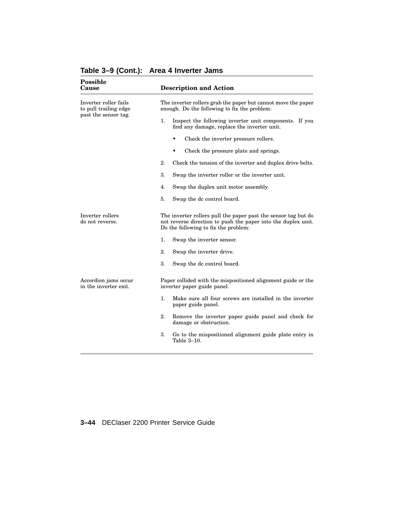| Possible<br>Cause                                                      | <b>Description and Action</b>                                                                                                                                           |  |  |  |
|------------------------------------------------------------------------|-------------------------------------------------------------------------------------------------------------------------------------------------------------------------|--|--|--|
| Inverter roller fails<br>to pull trailing edge<br>past the sensor tag. | The inverter rollers grab the paper but cannot move the paper<br>enough. Do the following to fix the problem:                                                           |  |  |  |
|                                                                        | 1.<br>Inspect the following inverter unit components. If you<br>find any damage, replace the inverter unit.                                                             |  |  |  |
|                                                                        | Check the inverter pressure rollers.                                                                                                                                    |  |  |  |
|                                                                        | Check the pressure plate and springs.                                                                                                                                   |  |  |  |
|                                                                        | 2.<br>Check the tension of the inverter and duplex drive belts.                                                                                                         |  |  |  |
|                                                                        | 3.<br>Swap the inverter roller or the inverter unit.                                                                                                                    |  |  |  |
|                                                                        | Swap the duplex unit motor assembly.<br>4.                                                                                                                              |  |  |  |
|                                                                        | 5.<br>Swap the dc control board.                                                                                                                                        |  |  |  |
| Inverter rollers<br>do not reverse.                                    | The inverter rollers pull the paper past the sensor tag but do<br>not reverse direction to push the paper into the duplex unit.<br>Do the following to fix the problem: |  |  |  |
|                                                                        | 1.<br>Swap the inverter sensor.                                                                                                                                         |  |  |  |
|                                                                        | 2.<br>Swap the inverter drive.                                                                                                                                          |  |  |  |
|                                                                        | 3.<br>Swap the dc control board.                                                                                                                                        |  |  |  |
| Accordion jams occur<br>in the inverter exit.                          | Paper collided with the mispositioned alignment guide or the<br>inverter paper guide panel.                                                                             |  |  |  |
|                                                                        | 1.<br>Make sure all four screws are installed in the inverter<br>paper guide panel.                                                                                     |  |  |  |
|                                                                        | 2.<br>Remove the inverter paper guide panel and check for<br>damage or obstruction.                                                                                     |  |  |  |
|                                                                        | 3.<br>Go to the mispositioned alignment guide plate entry in<br>Table 3-10.                                                                                             |  |  |  |
|                                                                        |                                                                                                                                                                         |  |  |  |

**Table 3–9 (Cont.): Area 4 Inverter Jams**

#### **3–44** DEClaser 2200 Printer Service Guide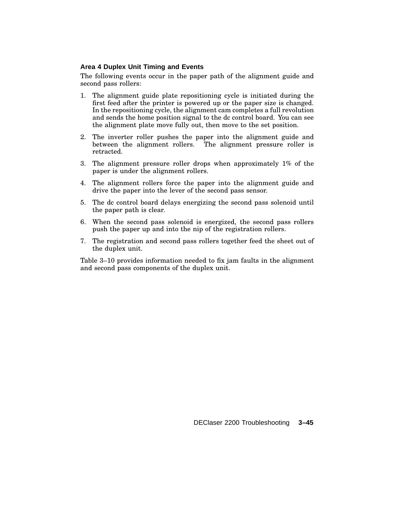#### **Area 4 Duplex Unit Timing and Events**

The following events occur in the paper path of the alignment guide and second pass rollers:

- 1. The alignment guide plate repositioning cycle is initiated during the first feed after the printer is powered up or the paper size is changed. In the repositioning cycle, the alignment cam completes a full revolution and sends the home position signal to the dc control board. You can see the alignment plate move fully out, then move to the set position.
- 2. The inverter roller pushes the paper into the alignment guide and between the alignment rollers. The alignment pressure roller is retracted.
- 3. The alignment pressure roller drops when approximately 1% of the paper is under the alignment rollers.
- 4. The alignment rollers force the paper into the alignment guide and drive the paper into the lever of the second pass sensor.
- 5. The dc control board delays energizing the second pass solenoid until the paper path is clear.
- 6. When the second pass solenoid is energized, the second pass rollers push the paper up and into the nip of the registration rollers.
- 7. The registration and second pass rollers together feed the sheet out of the duplex unit.

Table 3–10 provides information needed to fix jam faults in the alignment and second pass components of the duplex unit.

DEClaser 2200 Troubleshooting **3–45**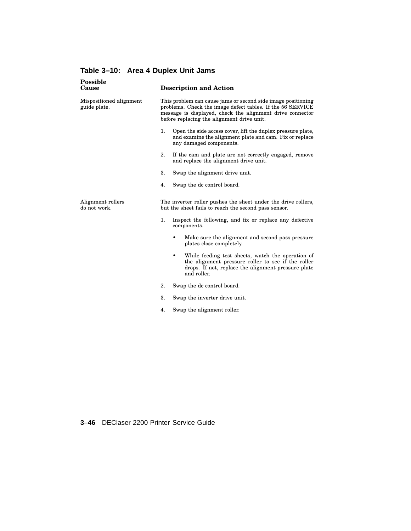| Possible<br>Cause                       |    | <b>Description and Action</b>                                                                                                                                                                                                         |  |  |  |
|-----------------------------------------|----|---------------------------------------------------------------------------------------------------------------------------------------------------------------------------------------------------------------------------------------|--|--|--|
| Mispositioned alignment<br>guide plate. |    | This problem can cause jams or second side image positioning<br>problems. Check the image defect tables. If the 56 SERVICE<br>message is displayed, check the alignment drive connector<br>before replacing the alignment drive unit. |  |  |  |
|                                         | 1. | Open the side access cover, lift the duplex pressure plate,<br>and examine the alignment plate and cam. Fix or replace<br>any damaged components.                                                                                     |  |  |  |
|                                         | 2. | If the cam and plate are not correctly engaged, remove<br>and replace the alignment drive unit.                                                                                                                                       |  |  |  |
|                                         | 3. | Swap the alignment drive unit.                                                                                                                                                                                                        |  |  |  |
|                                         | 4. | Swap the dc control board.                                                                                                                                                                                                            |  |  |  |
| Alignment rollers<br>do not work.       |    | The inverter roller pushes the sheet under the drive rollers,<br>but the sheet fails to reach the second pass sensor.                                                                                                                 |  |  |  |
|                                         | 1. | Inspect the following, and fix or replace any defective<br>components.                                                                                                                                                                |  |  |  |
|                                         |    | Make sure the alignment and second pass pressure<br>plates close completely.                                                                                                                                                          |  |  |  |
|                                         |    | While feeding test sheets, watch the operation of<br>٠<br>the alignment pressure roller to see if the roller<br>drops. If not, replace the alignment pressure plate<br>and roller.                                                    |  |  |  |
|                                         | 2. | Swap the dc control board.                                                                                                                                                                                                            |  |  |  |
|                                         | 3. | Swap the inverter drive unit.                                                                                                                                                                                                         |  |  |  |
|                                         | 4. | Swap the alignment roller.                                                                                                                                                                                                            |  |  |  |

**Table 3–10: Area 4 Duplex Unit Jams**

**3–46** DEClaser 2200 Printer Service Guide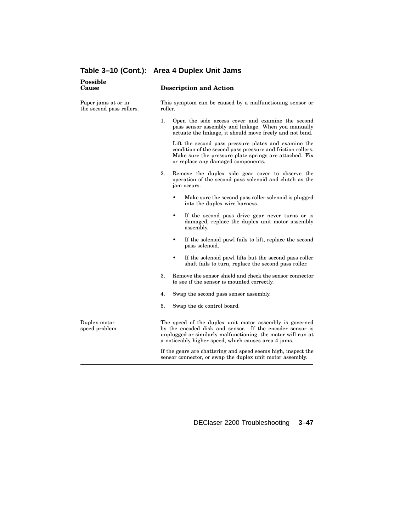| Possible<br>Cause                               | <b>Description and Action</b><br>This symptom can be caused by a malfunctioning sensor or<br>roller.                                                                                                                                        |  |  |
|-------------------------------------------------|---------------------------------------------------------------------------------------------------------------------------------------------------------------------------------------------------------------------------------------------|--|--|
| Paper jams at or in<br>the second pass rollers. |                                                                                                                                                                                                                                             |  |  |
|                                                 | 1.<br>Open the side access cover and examine the second<br>pass sensor assembly and linkage. When you manually<br>actuate the linkage, it should move freely and not bind.                                                                  |  |  |
|                                                 | Lift the second pass pressure plates and examine the<br>condition of the second pass pressure and friction rollers.<br>Make sure the pressure plate springs are attached. Fix<br>or replace any damaged components.                         |  |  |
|                                                 | 2.<br>Remove the duplex side gear cover to observe the<br>operation of the second pass solenoid and clutch as the<br>jam occurs.                                                                                                            |  |  |
|                                                 | Make sure the second pass roller solenoid is plugged<br>٠<br>into the duplex wire harness.                                                                                                                                                  |  |  |
|                                                 | ٠<br>If the second pass drive gear never turns or is<br>damaged, replace the duplex unit motor assembly<br>assembly.                                                                                                                        |  |  |
|                                                 | If the solenoid pawl fails to lift, replace the second<br>٠<br>pass solenoid.                                                                                                                                                               |  |  |
|                                                 | ٠<br>If the solenoid pawl lifts but the second pass roller<br>shaft fails to turn, replace the second pass roller.                                                                                                                          |  |  |
|                                                 | 3.<br>Remove the sensor shield and check the sensor connector<br>to see if the sensor is mounted correctly.                                                                                                                                 |  |  |
|                                                 | 4.<br>Swap the second pass sensor assembly.                                                                                                                                                                                                 |  |  |
|                                                 | 5.<br>Swap the dc control board.                                                                                                                                                                                                            |  |  |
| Duplex motor<br>speed problem.                  | The speed of the duplex unit motor assembly is governed<br>by the encoded disk and sensor. If the encoder sensor is<br>unplugged or similarly malfunctioning, the motor will run at<br>a noticeably higher speed, which causes area 4 jams. |  |  |
|                                                 | If the gears are chattering and speed seems high, inspect the<br>sensor connector, or swap the duplex unit motor assembly.                                                                                                                  |  |  |

#### **Table 3–10 (Cont.): Area 4 Duplex Unit Jams**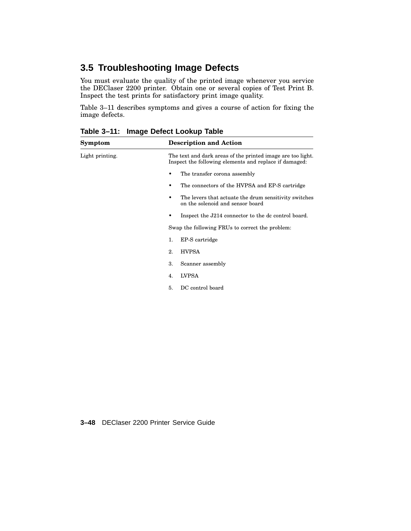## **3.5 Troubleshooting Image Defects**

You must evaluate the quality of the printed image whenever you service the DEClaser 2200 printer. Obtain one or several copies of Test Print B. Inspect the test prints for satisfactory print image quality.

Table 3–11 describes symptoms and gives a course of action for fixing the image defects.

| Symptom         | <b>Description and Action</b>                                                                                         |
|-----------------|-----------------------------------------------------------------------------------------------------------------------|
| Light printing. | The text and dark areas of the printed image are too light.<br>Inspect the following elements and replace if damaged: |
|                 | The transfer corona assembly                                                                                          |
|                 | The connectors of the HVPSA and EP-S cartridge<br>٠                                                                   |
|                 | The levers that actuate the drum sensitivity switches<br>on the solenoid and sensor board                             |
|                 | Inspect the J214 connector to the dc control board.                                                                   |
|                 | Swap the following FRUs to correct the problem:                                                                       |
|                 | EP-S cartridge<br>1.                                                                                                  |
|                 | <b>HVPSA</b><br>2.                                                                                                    |
|                 | 3.<br>Scanner assembly                                                                                                |
|                 | <b>LVPSA</b><br>$\overline{4}$ .                                                                                      |
|                 | DC control board<br>5.                                                                                                |
|                 |                                                                                                                       |

**Table 3–11: Image Defect Lookup Table**

**3–48** DEClaser 2200 Printer Service Guide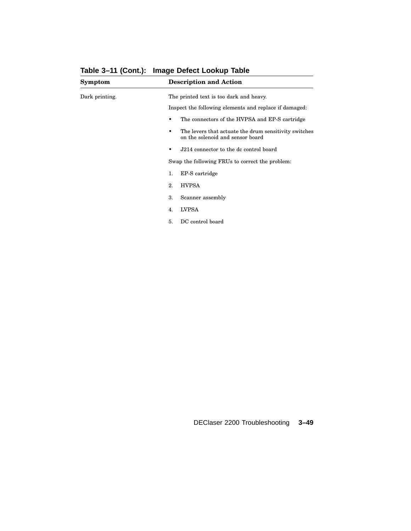| Symptom        | <b>Description and Action</b>                                                                  |
|----------------|------------------------------------------------------------------------------------------------|
| Dark printing. | The printed text is too dark and heavy.                                                        |
|                | Inspect the following elements and replace if damaged:                                         |
|                | The connectors of the HVPSA and EP-S cartridge                                                 |
|                | The levers that actuate the drum sensitivity switches<br>٠<br>on the solenoid and sensor board |
|                | J214 connector to the dc control board<br>٠                                                    |
|                | Swap the following FRUs to correct the problem:                                                |
|                | EP-S cartridge<br>1.                                                                           |
|                | <b>HVPSA</b><br>2.                                                                             |
|                | Scanner assembly<br>3.                                                                         |
|                | <b>LVPSA</b><br>4.                                                                             |
|                | DC control board<br>5.                                                                         |

#### **Table 3–11 (Cont.): Image Defect Lookup Table**

DEClaser 2200 Troubleshooting **3–49**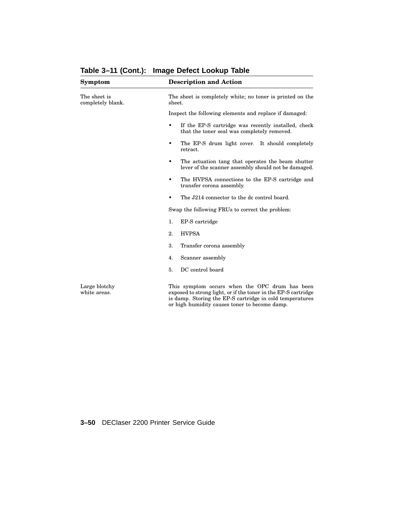| Symptom                           | <b>Description and Action</b>                                                                                                                                                                                                 |  |  |
|-----------------------------------|-------------------------------------------------------------------------------------------------------------------------------------------------------------------------------------------------------------------------------|--|--|
| The sheet is<br>completely blank. | The sheet is completely white; no toner is printed on the<br>sheet.                                                                                                                                                           |  |  |
|                                   | Inspect the following elements and replace if damaged:                                                                                                                                                                        |  |  |
|                                   | If the EP-S cartridge was recently installed, check<br>$\bullet$<br>that the toner seal was completely removed.                                                                                                               |  |  |
|                                   | The EP-S drum light cover. It should completely<br>٠<br>retract.                                                                                                                                                              |  |  |
|                                   | The actuation tang that operates the beam shutter<br>٠<br>lever of the scanner assembly should not be damaged.                                                                                                                |  |  |
|                                   | The HVPSA connections to the EP-S cartridge and<br>$\bullet$<br>transfer corona assembly.                                                                                                                                     |  |  |
|                                   | The J214 connector to the dc control board.<br>٠                                                                                                                                                                              |  |  |
|                                   | Swap the following FRUs to correct the problem:                                                                                                                                                                               |  |  |
|                                   | 1.<br>EP-S cartridge                                                                                                                                                                                                          |  |  |
|                                   | 2.<br><b>HVPSA</b>                                                                                                                                                                                                            |  |  |
|                                   | 3.<br>Transfer corona assembly                                                                                                                                                                                                |  |  |
|                                   | 4.<br>Scanner assembly                                                                                                                                                                                                        |  |  |
|                                   | 5.<br>DC control board                                                                                                                                                                                                        |  |  |
| Large blotchy<br>white areas.     | This symptom occurs when the OPC drum has been<br>exposed to strong light, or if the toner in the EP-S cartridge<br>is damp. Storing the EP-S cartridge in cold temperatures<br>or high humidity causes toner to become damp. |  |  |

**Table 3–11 (Cont.): Image Defect Lookup Table**

**3–50** DEClaser 2200 Printer Service Guide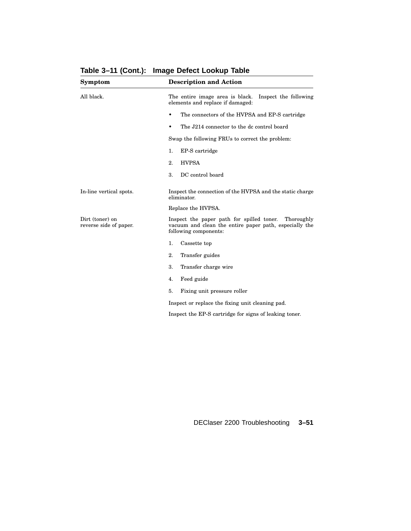| Inspect the following<br>The entire image area is black.<br>elements and replace if damaged:                                               |  |  |
|--------------------------------------------------------------------------------------------------------------------------------------------|--|--|
| The connectors of the HVPSA and EP-S cartridge<br>٠                                                                                        |  |  |
| The J214 connector to the dc control board<br>٠                                                                                            |  |  |
| Swap the following FRUs to correct the problem:                                                                                            |  |  |
| EP-S cartridge<br>1.                                                                                                                       |  |  |
| 2.<br><b>HVPSA</b>                                                                                                                         |  |  |
| 3.<br>DC control board                                                                                                                     |  |  |
| Inspect the connection of the HVPSA and the static charge<br>eliminator.                                                                   |  |  |
| Replace the HVPSA.                                                                                                                         |  |  |
| Inspect the paper path for spilled toner.<br>Thoroughly<br>vacuum and clean the entire paper path, especially the<br>following components: |  |  |
| 1.<br>Cassette top                                                                                                                         |  |  |
| 2.<br>Transfer guides                                                                                                                      |  |  |
| 3.<br>Transfer charge wire                                                                                                                 |  |  |
| 4.<br>Feed guide                                                                                                                           |  |  |
| 5.<br>Fixing unit pressure roller                                                                                                          |  |  |
| Inspect or replace the fixing unit cleaning pad.                                                                                           |  |  |
| Inspect the EP-S cartridge for signs of leaking toner.                                                                                     |  |  |
|                                                                                                                                            |  |  |

# **Table 3–11 (Cont.): Image Defect Lookup Table**

DEClaser 2200 Troubleshooting **3–51**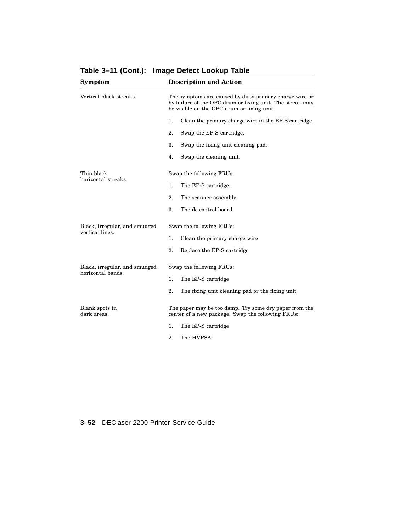| Symptom                                          | <b>Description and Action</b>                                                                                                                                      |  |  |  |
|--------------------------------------------------|--------------------------------------------------------------------------------------------------------------------------------------------------------------------|--|--|--|
| Vertical black streaks.                          | The symptoms are caused by dirty primary charge wire or<br>by failure of the OPC drum or fixing unit. The streak may<br>be visible on the OPC drum or fixing unit. |  |  |  |
|                                                  | 1.<br>Clean the primary charge wire in the EP-S cartridge.                                                                                                         |  |  |  |
|                                                  | 2.<br>Swap the EP-S cartridge.                                                                                                                                     |  |  |  |
|                                                  | 3.<br>Swap the fixing unit cleaning pad.                                                                                                                           |  |  |  |
|                                                  | Swap the cleaning unit.<br>4.                                                                                                                                      |  |  |  |
| Thin black<br>horizontal streaks.                | Swap the following FRUs:                                                                                                                                           |  |  |  |
|                                                  | 1.<br>The EP-S cartridge.                                                                                                                                          |  |  |  |
|                                                  | 2.<br>The scanner assembly.                                                                                                                                        |  |  |  |
|                                                  | 3.<br>The dc control board.                                                                                                                                        |  |  |  |
| Black, irregular, and smudged<br>vertical lines. | Swap the following FRUs:                                                                                                                                           |  |  |  |
|                                                  | 1.<br>Clean the primary charge wire                                                                                                                                |  |  |  |
|                                                  | 2.<br>Replace the EP-S cartridge                                                                                                                                   |  |  |  |
| Black, irregular, and smudged                    | Swap the following FRUs:                                                                                                                                           |  |  |  |
| horizontal bands.                                | 1.<br>The EP-S cartridge                                                                                                                                           |  |  |  |
|                                                  | 2.<br>The fixing unit cleaning pad or the fixing unit                                                                                                              |  |  |  |
| Blank spots in<br>dark areas.                    | The paper may be too damp. Try some dry paper from the<br>center of a new package. Swap the following FRUs:                                                        |  |  |  |
|                                                  | 1.<br>The EP-S cartridge                                                                                                                                           |  |  |  |
|                                                  | 2.<br>The HVPSA                                                                                                                                                    |  |  |  |

**Table 3–11 (Cont.): Image Defect Lookup Table**

**3–52** DEClaser 2200 Printer Service Guide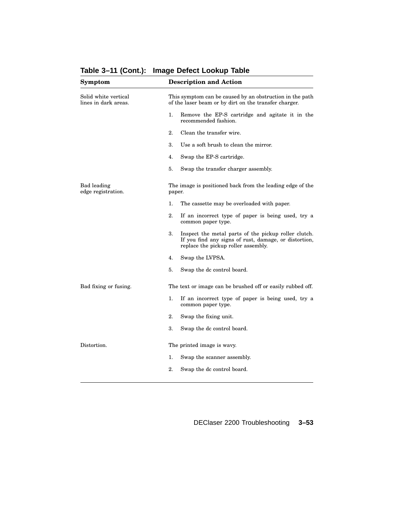| Symptom                                      | <b>Description and Action</b>                                                                                                                              |  |  |  |
|----------------------------------------------|------------------------------------------------------------------------------------------------------------------------------------------------------------|--|--|--|
| Solid white vertical<br>lines in dark areas. | This symptom can be caused by an obstruction in the path<br>of the laser beam or by dirt on the transfer charger.                                          |  |  |  |
|                                              | Remove the EP-S cartridge and agitate it in the<br>1.<br>recommended fashion.                                                                              |  |  |  |
|                                              | $\overline{2}$ .<br>Clean the transfer wire.                                                                                                               |  |  |  |
|                                              | 3.<br>Use a soft brush to clean the mirror.                                                                                                                |  |  |  |
|                                              | Swap the EP-S cartridge.<br>4.                                                                                                                             |  |  |  |
|                                              | 5.<br>Swap the transfer charger assembly.                                                                                                                  |  |  |  |
| Bad leading<br>edge registration.            | The image is positioned back from the leading edge of the<br>paper.                                                                                        |  |  |  |
|                                              | 1.<br>The cassette may be overloaded with paper.                                                                                                           |  |  |  |
|                                              | 2.<br>If an incorrect type of paper is being used, try a<br>common paper type.                                                                             |  |  |  |
|                                              | 3.<br>Inspect the metal parts of the pickup roller clutch.<br>If you find any signs of rust, damage, or distortion,<br>replace the pickup roller assembly. |  |  |  |
|                                              | 4.<br>Swap the LVPSA.                                                                                                                                      |  |  |  |
|                                              | 5.<br>Swap the dc control board.                                                                                                                           |  |  |  |
| Bad fixing or fusing.                        | The text or image can be brushed off or easily rubbed off.                                                                                                 |  |  |  |
|                                              | 1.<br>If an incorrect type of paper is being used, try a<br>common paper type.                                                                             |  |  |  |
|                                              | $\overline{2}$ .<br>Swap the fixing unit.                                                                                                                  |  |  |  |
|                                              | 3.<br>Swap the dc control board.                                                                                                                           |  |  |  |
| Distortion.                                  | The printed image is wavy.                                                                                                                                 |  |  |  |
|                                              | 1.<br>Swap the scanner assembly.                                                                                                                           |  |  |  |
|                                              | 2.<br>Swap the dc control board.                                                                                                                           |  |  |  |

**Table 3–11 (Cont.): Image Defect Lookup Table**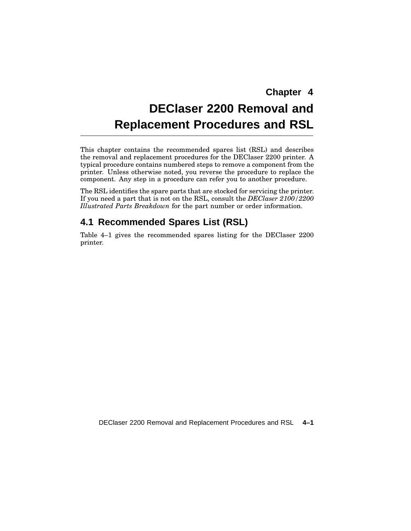# **DEClaser 2200 Removal and Replacement Procedures and RSL**

This chapter contains the recommended spares list (RSL) and describes the removal and replacement procedures for the DEClaser 2200 printer. A typical procedure contains numbered steps to remove a component from the printer. Unless otherwise noted, you reverse the procedure to replace the component. Any step in a procedure can refer you to another procedure.

The RSL identifies the spare parts that are stocked for servicing the printer. If you need a part that is not on the RSL, consult the *DEClaser 2100/2200 Illustrated Parts Breakdown* for the part number or order information.

## **4.1 Recommended Spares List (RSL)**

Table 4–1 gives the recommended spares listing for the DEClaser 2200 printer.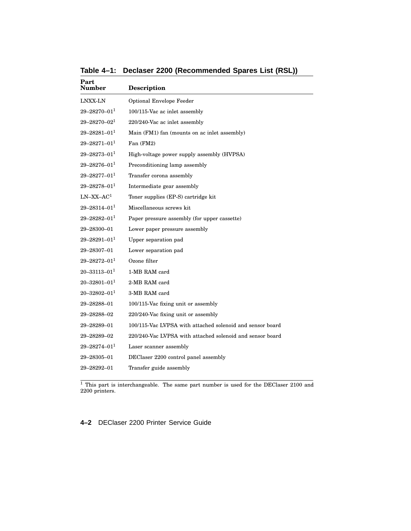| Part<br><b>Number</b> | <b>Description</b>                                        |
|-----------------------|-----------------------------------------------------------|
| LNXX-LN               | <b>Optional Envelope Feeder</b>                           |
| $29 - 28270 - 01^1$   | 100/115-Vac ac inlet assembly                             |
| $29 - 28270 - 021$    | 220/240-Vac ac inlet assembly                             |
| $29 - 28281 - 011$    | Main (FM1) fan (mounts on ac inlet assembly)              |
| $29 - 28271 - 01^1$   | Fan (FM2)                                                 |
| $29 - 28273 - 011$    | High-voltage power supply assembly (HVPSA)                |
| $29 - 28276 - 011$    | Preconditioning lamp assembly                             |
| $29 - 28277 - 011$    | Transfer corona assembly                                  |
| $29 - 28278 - 011$    | Intermediate gear assembly                                |
| $LN-XX-AC1$           | Toner supplies (EP-S) cartridge kit                       |
| $29 - 28314 - 011$    | Miscellaneous screws kit                                  |
| $29 - 28282 - 01^1$   | Paper pressure assembly (for upper cassette)              |
| 29-28300-01           | Lower paper pressure assembly                             |
| $29 - 28291 - 011$    | Upper separation pad                                      |
| 29-28307-01           | Lower separation pad                                      |
| $29 - 28272 - 011$    | Ozone filter                                              |
| $20 - 33113 - 01^1$   | 1-MB RAM card                                             |
| $20 - 32801 - 011$    | 2-MB RAM card                                             |
| $20 - 32802 - 011$    | 3-MB RAM card                                             |
| 29-28288-01           | 100/115-Vac fixing unit or assembly                       |
| 29-28288-02           | 220/240-Vac fixing unit or assembly                       |
| 29-28289-01           | 100/115-Vac LVPSA with attached solenoid and sensor board |
| 29-28289-02           | 220/240-Vac LVPSA with attached solenoid and sensor board |
| $29 - 28274 - 011$    | Laser scanner assembly                                    |
| 29-28305-01           | DEClaser 2200 control panel assembly                      |
| 29-28292-01           | Transfer guide assembly                                   |
|                       |                                                           |

**Table 4–1: Declaser 2200 (Recommended Spares List (RSL))**

<sup>1</sup> This part is interchangeable. The same part number is used for the DEClaser 2100 and 2200 printers.

**4–2** DEClaser 2200 Printer Service Guide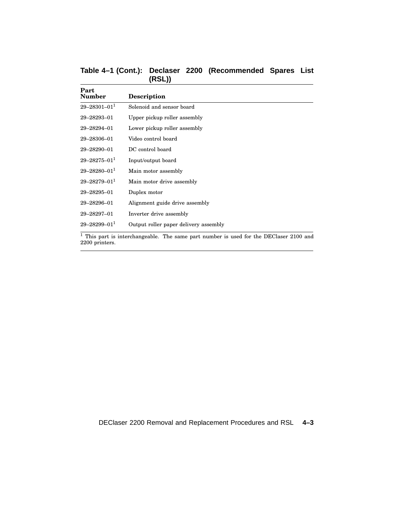| Table 4-1 (Cont.): Declaser 2200 (Recommended Spares List |        |  |  |
|-----------------------------------------------------------|--------|--|--|
|                                                           | (RSL)) |  |  |

| Part<br>Number                 | <b>Description</b>                                                                       |
|--------------------------------|------------------------------------------------------------------------------------------|
| $29 - 28301 - 01$ <sup>1</sup> | Solenoid and sensor board                                                                |
| 29-28293-01                    | Upper pickup roller assembly                                                             |
| 29-28294-01                    | Lower pickup roller assembly                                                             |
| 29-28306-01                    | Video control board                                                                      |
| 29-28290-01                    | DC control board                                                                         |
| $29 - 28275 - 011$             | Input/output board                                                                       |
| $29 - 28280 - 011$             | Main motor assembly                                                                      |
| $29 - 28279 - 011$             | Main motor drive assembly                                                                |
| 29-28295-01                    | Duplex motor                                                                             |
| 29-28296-01                    | Alignment guide drive assembly                                                           |
| 29-28297-01                    | Inverter drive assembly                                                                  |
| $29 - 28299 - 011$             | Output roller paper delivery assembly                                                    |
|                                | $1$ This part is interchangeable. The same part number is used for the DEClaser 2100 and |

2200 printers.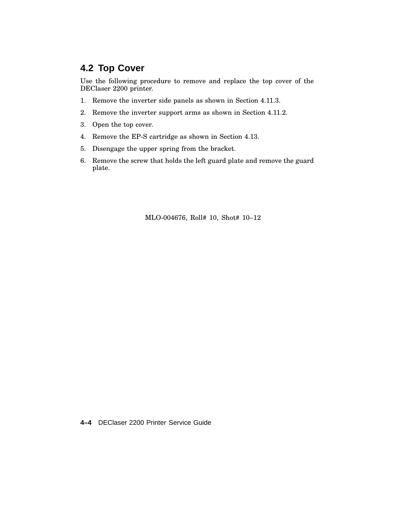## **4.2 Top Cover**

Use the following procedure to remove and replace the top cover of the DEClaser 2200 printer.

- 1. Remove the inverter side panels as shown in Section 4.11.3.
- 2. Remove the inverter support arms as shown in Section 4.11.2.
- 3. Open the top cover.
- 4. Remove the EP-S cartridge as shown in Section 4.13.
- 5. Disengage the upper spring from the bracket.
- 6. Remove the screw that holds the left guard plate and remove the guard plate.

MLO-004676, Roll# 10, Shot# 10–12

**4–4** DEClaser 2200 Printer Service Guide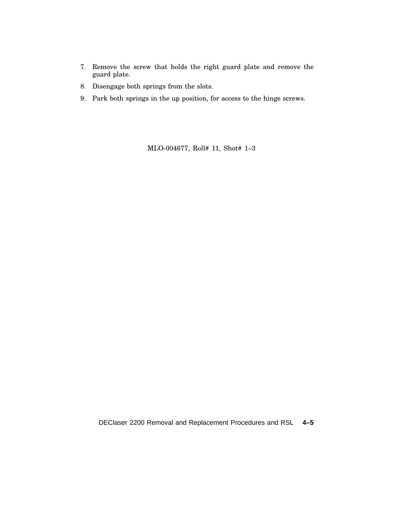- 7. Remove the screw that holds the right guard plate and remove the guard plate.
- 8. Disengage both springs from the slots.
- 9. Park both springs in the up position, for access to the hinge screws.

MLO-004677, Roll# 11, Shot# 1–3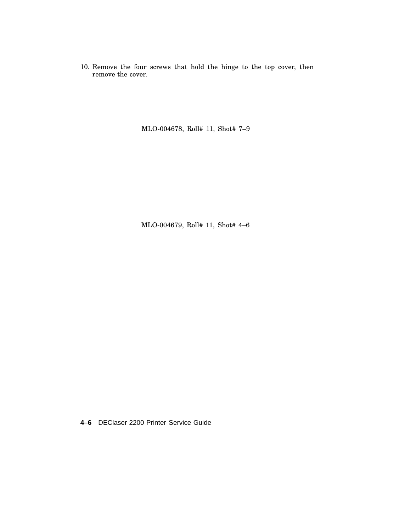10. Remove the four screws that hold the hinge to the top cover, then remove the cover.

MLO-004678, Roll# 11, Shot# 7–9

MLO-004679, Roll# 11, Shot# 4–6

**4–6** DEClaser 2200 Printer Service Guide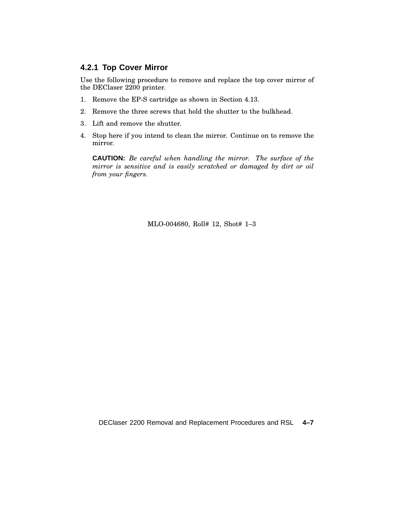#### **4.2.1 Top Cover Mirror**

Use the following procedure to remove and replace the top cover mirror of the DEClaser 2200 printer.

- 1. Remove the EP-S cartridge as shown in Section 4.13.
- 2. Remove the three screws that hold the shutter to the bulkhead.
- 3. Lift and remove the shutter.
- 4. Stop here if you intend to clean the mirror. Continue on to remove the mirror.

**CAUTION:** *Be careful when handling the mirror. The surface of the mirror is sensitive and is easily scratched or damaged by dirt or oil from your fingers.*

MLO-004680, Roll# 12, Shot# 1–3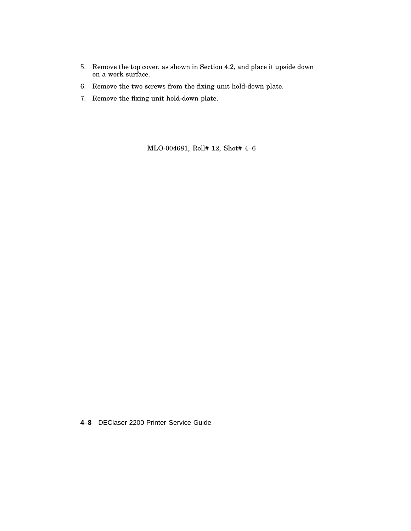- 5. Remove the top cover, as shown in Section 4.2, and place it upside down on a work surface.
- 6. Remove the two screws from the fixing unit hold-down plate.
- 7. Remove the fixing unit hold-down plate.

MLO-004681, Roll# 12, Shot# 4–6

**4–8** DEClaser 2200 Printer Service Guide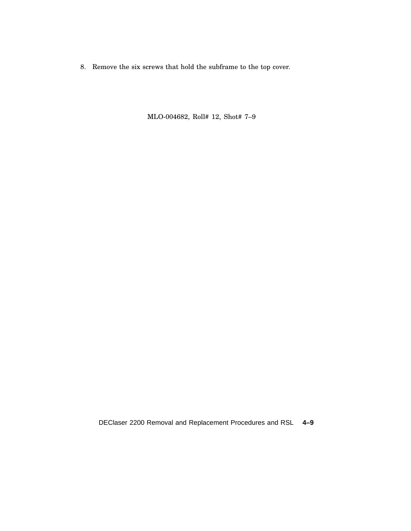8. Remove the six screws that hold the subframe to the top cover.

MLO-004682, Roll# 12, Shot# 7–9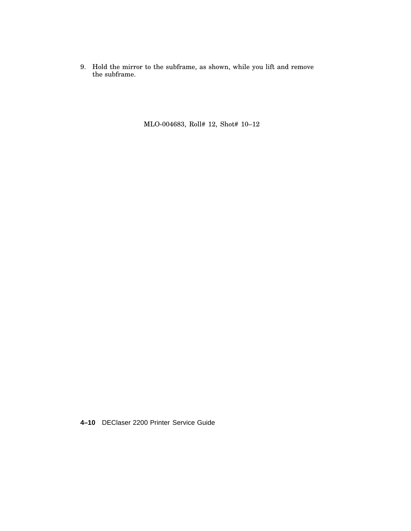9. Hold the mirror to the subframe, as shown, while you lift and remove the subframe.

MLO-004683, Roll# 12, Shot# 10–12

**4–10** DEClaser 2200 Printer Service Guide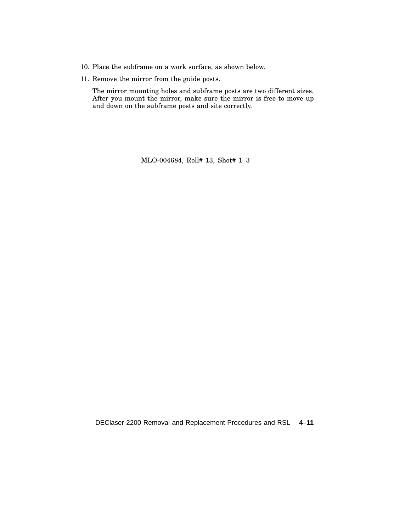- 10. Place the subframe on a work surface, as shown below.
- 11. Remove the mirror from the guide posts.

The mirror mounting holes and subframe posts are two different sizes. After you mount the mirror, make sure the mirror is free to move up and down on the subframe posts and site correctly.

MLO-004684, Roll# 13, Shot# 1–3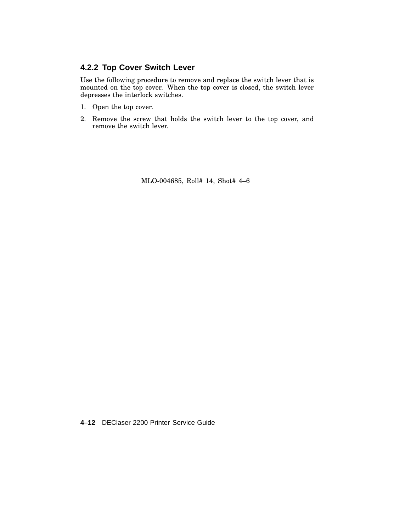#### **4.2.2 Top Cover Switch Lever**

Use the following procedure to remove and replace the switch lever that is mounted on the top cover. When the top cover is closed, the switch lever depresses the interlock switches.

- 1. Open the top cover.
- 2. Remove the screw that holds the switch lever to the top cover, and remove the switch lever.

MLO-004685, Roll# 14, Shot# 4–6

**4–12** DEClaser 2200 Printer Service Guide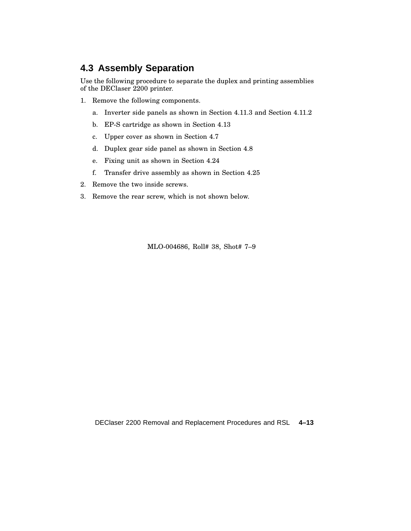## **4.3 Assembly Separation**

Use the following procedure to separate the duplex and printing assemblies of the DEClaser 2200 printer.

- 1. Remove the following components.
	- a. Inverter side panels as shown in Section 4.11.3 and Section 4.11.2
	- b. EP-S cartridge as shown in Section 4.13
	- c. Upper cover as shown in Section 4.7
	- d. Duplex gear side panel as shown in Section 4.8
	- e. Fixing unit as shown in Section 4.24
	- f. Transfer drive assembly as shown in Section 4.25
- 2. Remove the two inside screws.
- 3. Remove the rear screw, which is not shown below.

MLO-004686, Roll# 38, Shot# 7–9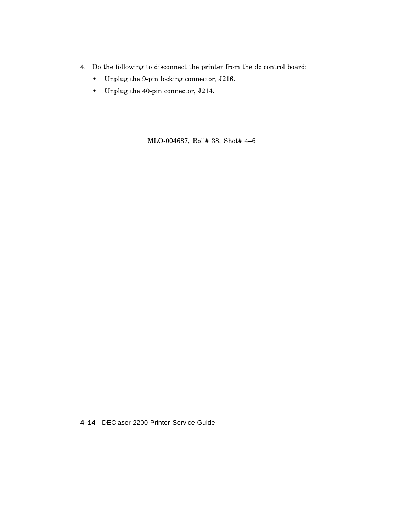- 4. Do the following to disconnect the printer from the dc control board:
	- Unplug the 9-pin locking connector, J216.
	- Unplug the 40-pin connector, J214.

MLO-004687, Roll# 38, Shot# 4–6

**4–14** DEClaser 2200 Printer Service Guide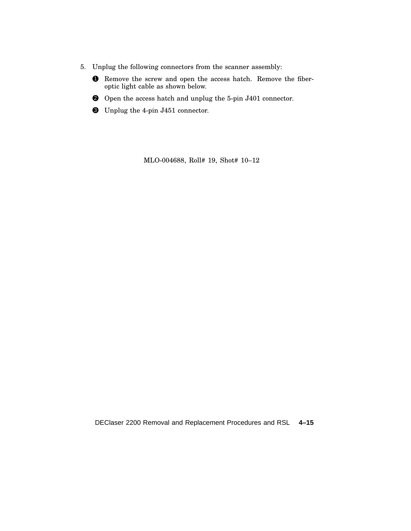- 5. Unplug the following connectors from the scanner assembly:
	- **1** Remove the screw and open the access hatch. Remove the fiberoptic light cable as shown below.
	- 2 Open the access hatch and unplug the 5-pin J401 connector.
	- 3 Unplug the 4-pin J451 connector.

MLO-004688, Roll# 19, Shot# 10–12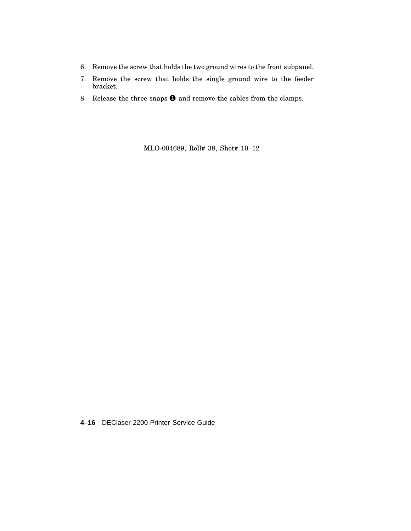- 6. Remove the screw that holds the two ground wires to the front subpanel.
- 7. Remove the screw that holds the single ground wire to the feeder bracket.
- 8. Release the three snaps  $\bullet$  and remove the cables from the clamps.

MLO-004689, Roll# 38, Shot# 10–12

**4–16** DEClaser 2200 Printer Service Guide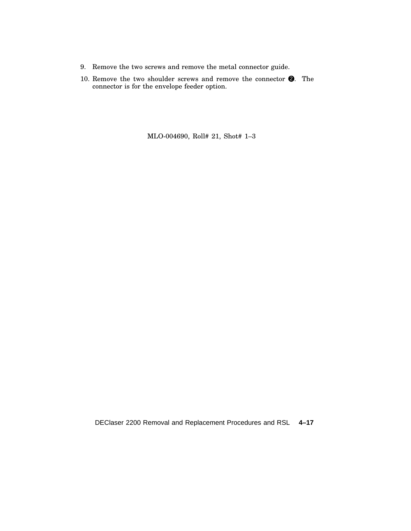- 9. Remove the two screws and remove the metal connector guide.
- 10. Remove the two shoulder screws and remove the connector  $\bigcirc$ . The connector is for the envelope feeder option.

MLO-004690, Roll# 21, Shot# 1–3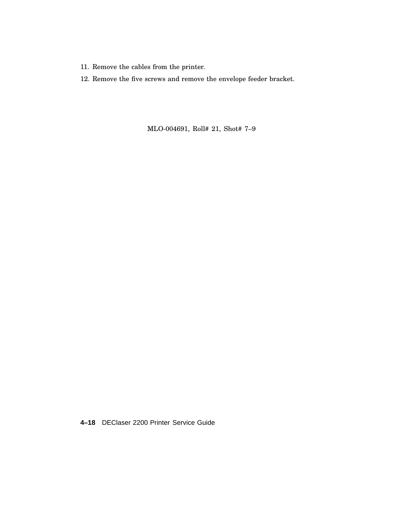- 11. Remove the cables from the printer.
- 12. Remove the five screws and remove the envelope feeder bracket.

MLO-004691, Roll# 21, Shot# 7–9

**4–18** DEClaser 2200 Printer Service Guide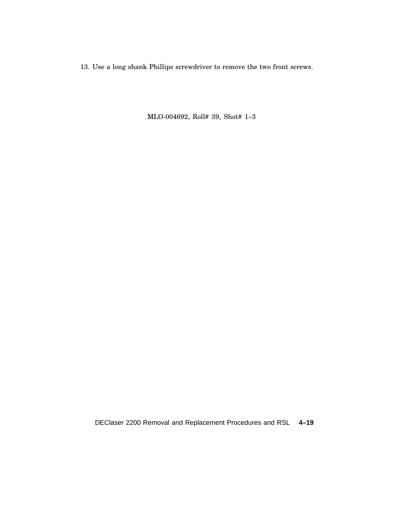13. Use a long shank Phillips screwdriver to remove the two front screws.

MLO-004692, Roll# 39, Shot# 1–3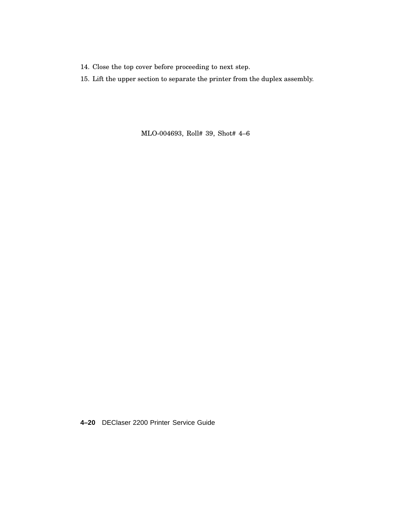- 14. Close the top cover before proceeding to next step.
- 15. Lift the upper section to separate the printer from the duplex assembly.

MLO-004693, Roll# 39, Shot# 4–6

**4–20** DEClaser 2200 Printer Service Guide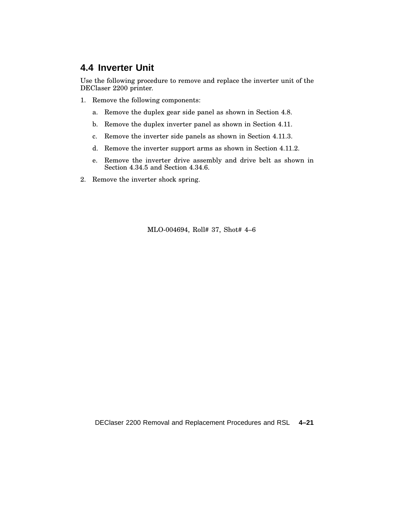## **4.4 Inverter Unit**

Use the following procedure to remove and replace the inverter unit of the DEClaser 2200 printer.

- 1. Remove the following components:
	- a. Remove the duplex gear side panel as shown in Section 4.8.
	- b. Remove the duplex inverter panel as shown in Section 4.11.
	- c. Remove the inverter side panels as shown in Section 4.11.3.
	- d. Remove the inverter support arms as shown in Section 4.11.2.
	- e. Remove the inverter drive assembly and drive belt as shown in Section 4.34.5 and Section 4.34.6.
- 2. Remove the inverter shock spring.

MLO-004694, Roll# 37, Shot# 4–6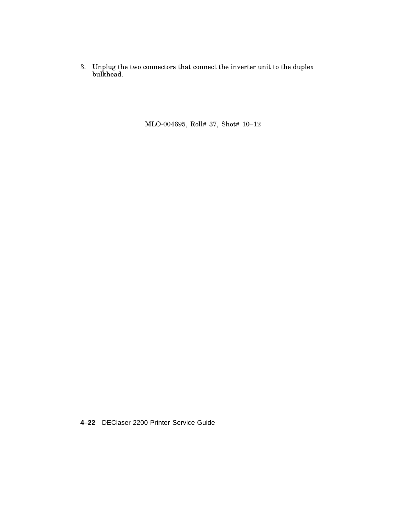3. Unplug the two connectors that connect the inverter unit to the duplex bulkhead.

MLO-004695, Roll# 37, Shot# 10–12

**4–22** DEClaser 2200 Printer Service Guide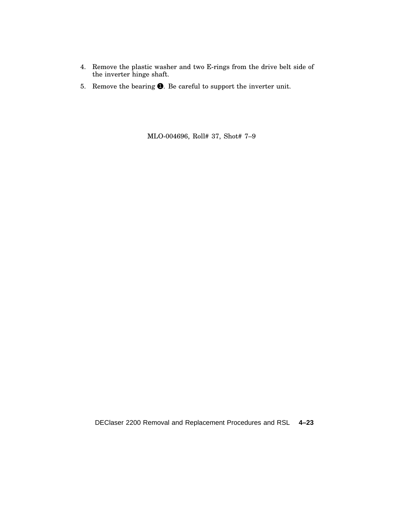- 4. Remove the plastic washer and two E-rings from the drive belt side of the inverter hinge shaft.
- 5. Remove the bearing  $\bigcirc$ . Be careful to support the inverter unit.

MLO-004696, Roll# 37, Shot# 7–9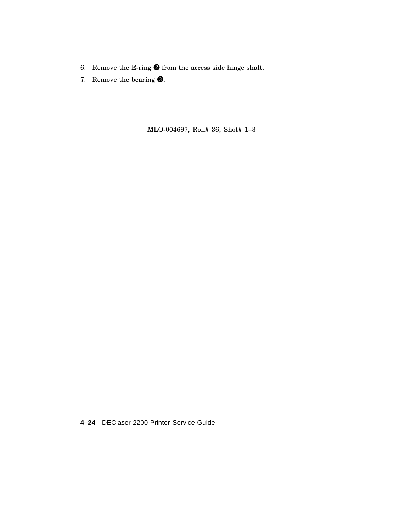- 6. Remove the E-ring  $\bigcirc$  from the access side hinge shaft.
- 7. Remove the bearing  $\bigcirc$ .

MLO-004697, Roll# 36, Shot# 1–3

**4–24** DEClaser 2200 Printer Service Guide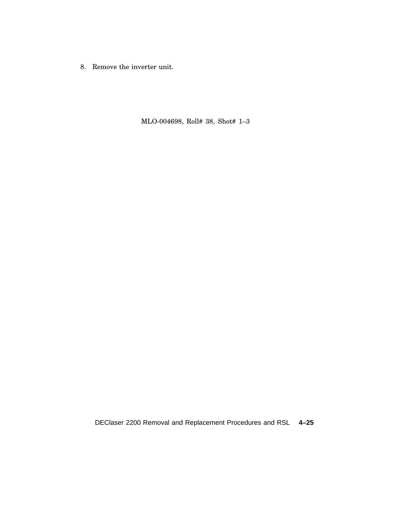8. Remove the inverter unit.

MLO-004698, Roll# 38, Shot# 1–3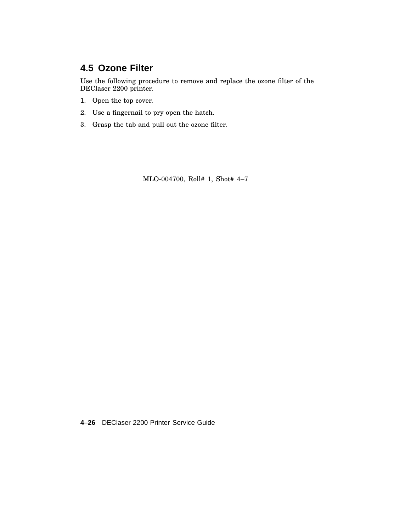# **4.5 Ozone Filter**

Use the following procedure to remove and replace the ozone filter of the DEClaser 2200 printer.

- 1. Open the top cover.
- 2. Use a fingernail to pry open the hatch.
- 3. Grasp the tab and pull out the ozone filter.

MLO-004700, Roll# 1, Shot# 4–7

**4–26** DEClaser 2200 Printer Service Guide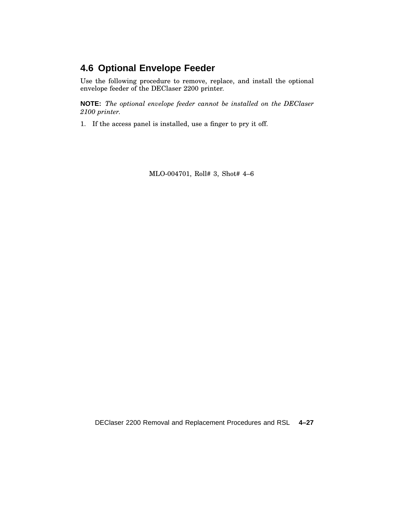# **4.6 Optional Envelope Feeder**

Use the following procedure to remove, replace, and install the optional envelope feeder of the DEClaser 2200 printer.

**NOTE:** *The optional envelope feeder cannot be installed on the DEClaser 2100 printer.*

1. If the access panel is installed, use a finger to pry it off.

MLO-004701, Roll# 3, Shot# 4–6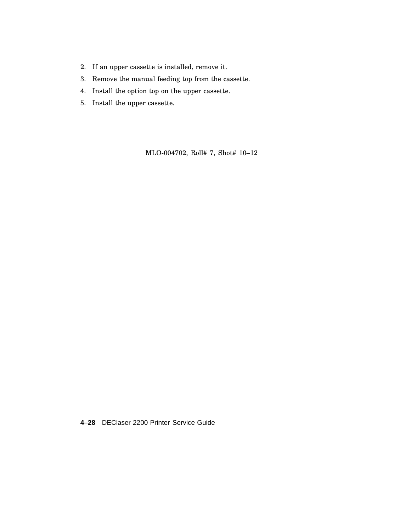- 2. If an upper cassette is installed, remove it.
- 3. Remove the manual feeding top from the cassette.
- 4. Install the option top on the upper cassette.
- 5. Install the upper cassette.

MLO-004702, Roll# 7, Shot# 10–12

**4–28** DEClaser 2200 Printer Service Guide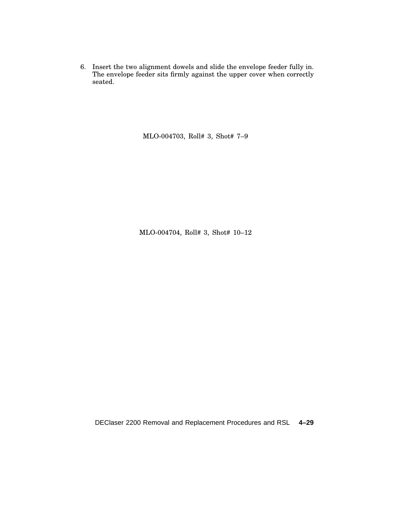6. Insert the two alignment dowels and slide the envelope feeder fully in. The envelope feeder sits firmly against the upper cover when correctly seated.

MLO-004703, Roll# 3, Shot# 7–9

MLO-004704, Roll# 3, Shot# 10–12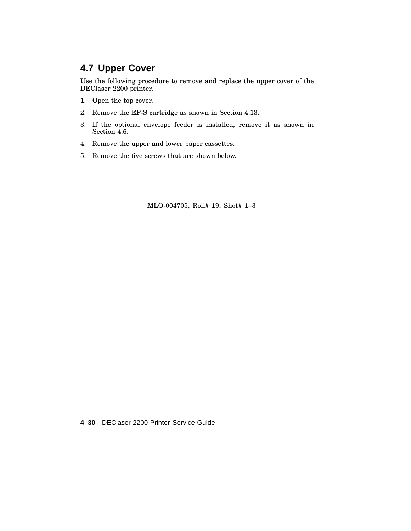## **4.7 Upper Cover**

Use the following procedure to remove and replace the upper cover of the DEClaser 2200 printer.

- 1. Open the top cover.
- 2. Remove the EP-S cartridge as shown in Section 4.13.
- 3. If the optional envelope feeder is installed, remove it as shown in Section 4.6.
- 4. Remove the upper and lower paper cassettes.
- 5. Remove the five screws that are shown below.

MLO-004705, Roll# 19, Shot# 1–3

**4–30** DEClaser 2200 Printer Service Guide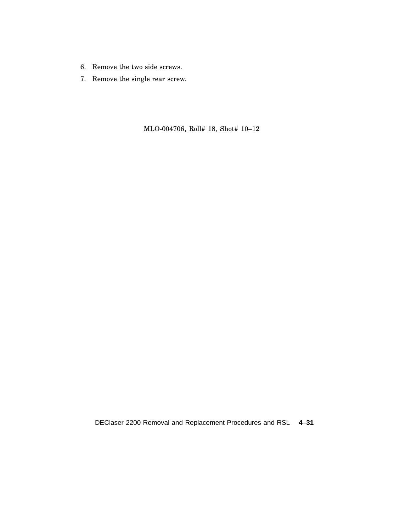- 6. Remove the two side screws.
- 7. Remove the single rear screw.

MLO-004706, Roll# 18, Shot# 10–12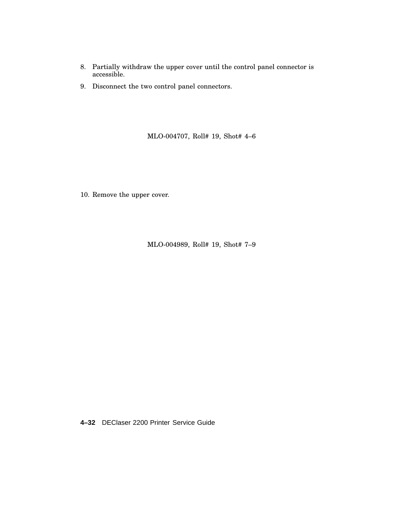- 8. Partially withdraw the upper cover until the control panel connector is accessible.
- 9. Disconnect the two control panel connectors.

MLO-004707, Roll# 19, Shot# 4–6

10. Remove the upper cover.

MLO-004989, Roll# 19, Shot# 7–9

**4–32** DEClaser 2200 Printer Service Guide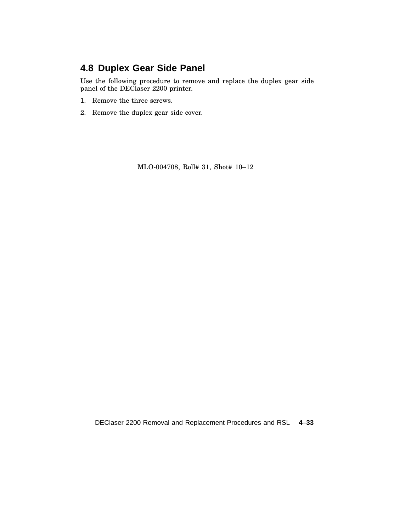# **4.8 Duplex Gear Side Panel**

Use the following procedure to remove and replace the duplex gear side panel of the DEClaser 2200 printer.

- 1. Remove the three screws.
- 2. Remove the duplex gear side cover.

MLO-004708, Roll# 31, Shot# 10–12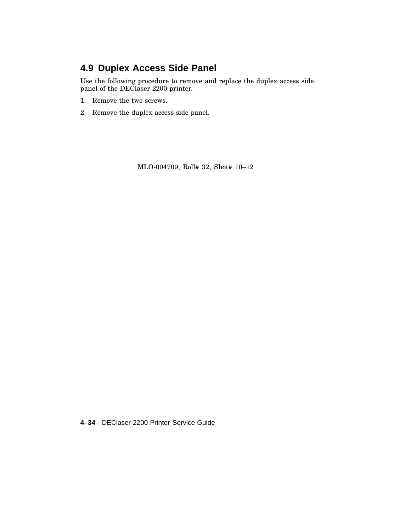# **4.9 Duplex Access Side Panel**

Use the following procedure to remove and replace the duplex access side panel of the DEClaser 2200 printer.

- 1. Remove the two screws.
- 2. Remove the duplex access side panel.

MLO-004709, Roll# 32, Shot# 10–12

**4–34** DEClaser 2200 Printer Service Guide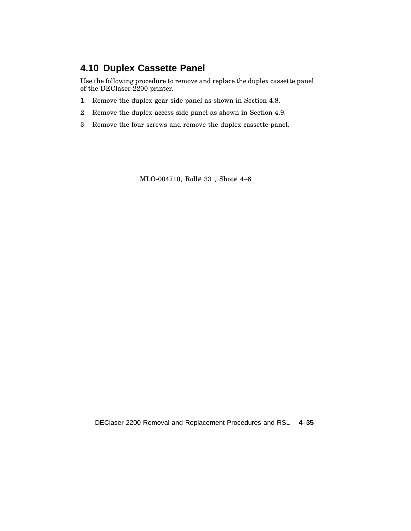# **4.10 Duplex Cassette Panel**

Use the following procedure to remove and replace the duplex cassette panel of the DEClaser 2200 printer.

- 1. Remove the duplex gear side panel as shown in Section 4.8.
- 2. Remove the duplex access side panel as shown in Section 4.9.
- 3. Remove the four screws and remove the duplex cassette panel.

MLO-004710, Roll# 33 , Shot# 4–6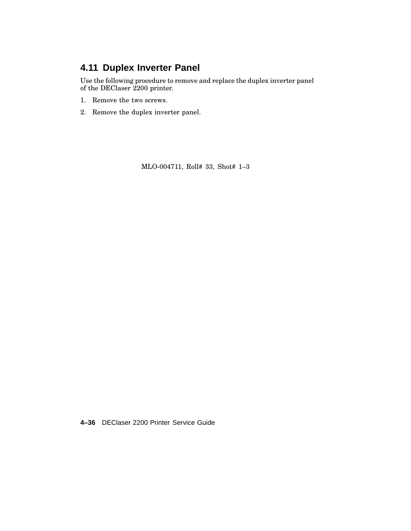# **4.11 Duplex Inverter Panel**

Use the following procedure to remove and replace the duplex inverter panel of the DEClaser 2200 printer.

- 1. Remove the two screws.
- 2. Remove the duplex inverter panel.

MLO-004711, Roll# 33, Shot# 1–3

**4–36** DEClaser 2200 Printer Service Guide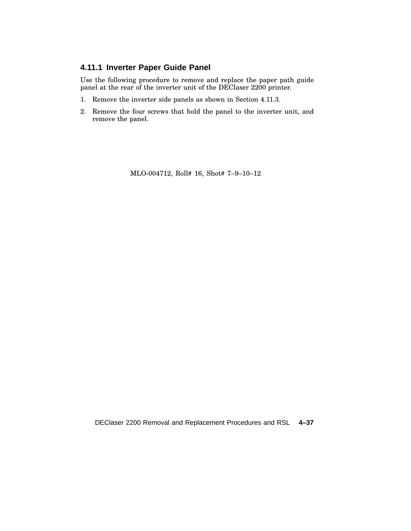#### **4.11.1 Inverter Paper Guide Panel**

Use the following procedure to remove and replace the paper path guide panel at the rear of the inverter unit of the DEClaser 2200 printer.

- 1. Remove the inverter side panels as shown in Section 4.11.3.
- 2. Remove the four screws that hold the panel to the inverter unit, and remove the panel.

MLO-004712, Roll# 16, Shot# 7–9–10–12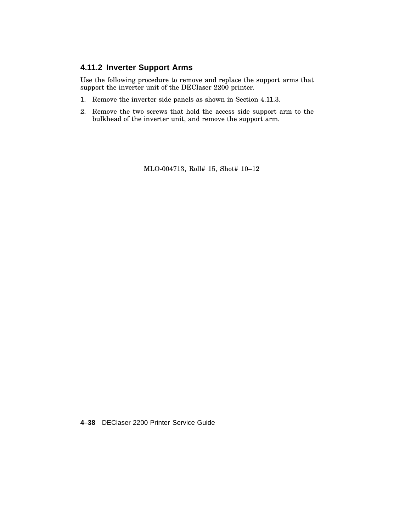#### **4.11.2 Inverter Support Arms**

Use the following procedure to remove and replace the support arms that support the inverter unit of the DEClaser 2200 printer.

- 1. Remove the inverter side panels as shown in Section 4.11.3.
- 2. Remove the two screws that hold the access side support arm to the bulkhead of the inverter unit, and remove the support arm.

MLO-004713, Roll# 15, Shot# 10–12

**4–38** DEClaser 2200 Printer Service Guide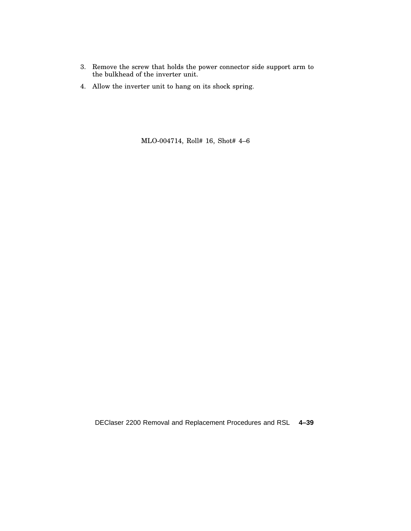- 3. Remove the screw that holds the power connector side support arm to the bulkhead of the inverter unit.
- 4. Allow the inverter unit to hang on its shock spring.

MLO-004714, Roll# 16, Shot# 4–6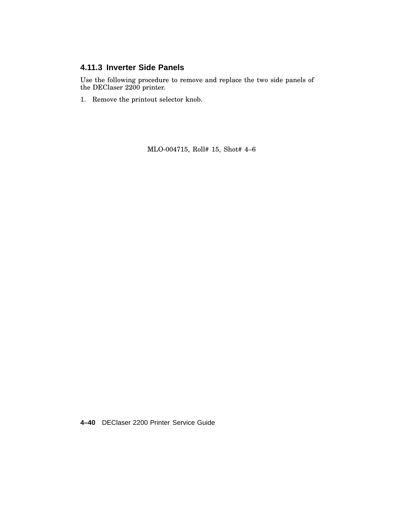### **4.11.3 Inverter Side Panels**

Use the following procedure to remove and replace the two side panels of the DEClaser 2200 printer.

1. Remove the printout selector knob.

MLO-004715, Roll# 15, Shot# 4–6

**4–40** DEClaser 2200 Printer Service Guide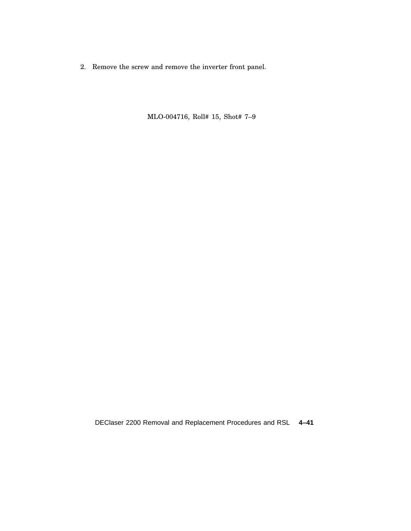2. Remove the screw and remove the inverter front panel.

MLO-004716, Roll# 15, Shot# 7–9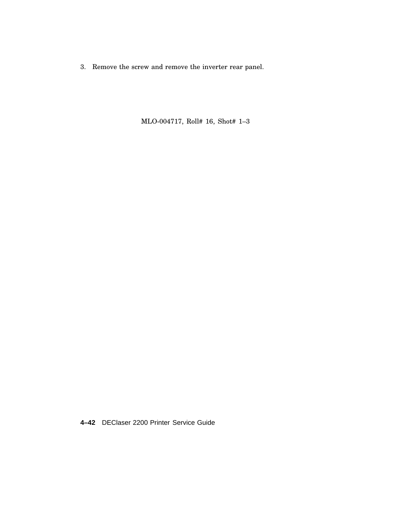3. Remove the screw and remove the inverter rear panel.

MLO-004717, Roll# 16, Shot# 1–3

**4–42** DEClaser 2200 Printer Service Guide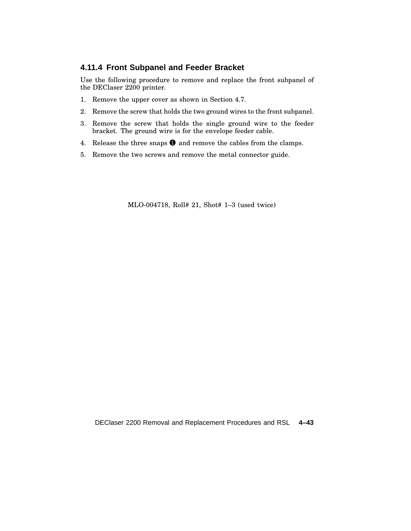#### **4.11.4 Front Subpanel and Feeder Bracket**

Use the following procedure to remove and replace the front subpanel of the DEClaser 2200 printer.

- 1. Remove the upper cover as shown in Section 4.7.
- 2. Remove the screw that holds the two ground wires to the front subpanel.
- 3. Remove the screw that holds the single ground wire to the feeder bracket. The ground wire is for the envelope feeder cable.
- 4. Release the three snaps  $\bullet$  and remove the cables from the clamps.
- 5. Remove the two screws and remove the metal connector guide.

MLO-004718, Roll# 21, Shot# 1–3 (used twice)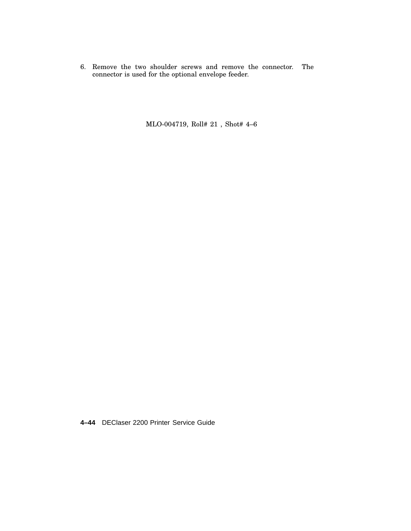6. Remove the two shoulder screws and remove the connector. The connector is used for the optional envelope feeder.

MLO-004719, Roll# 21 , Shot# 4–6

**4–44** DEClaser 2200 Printer Service Guide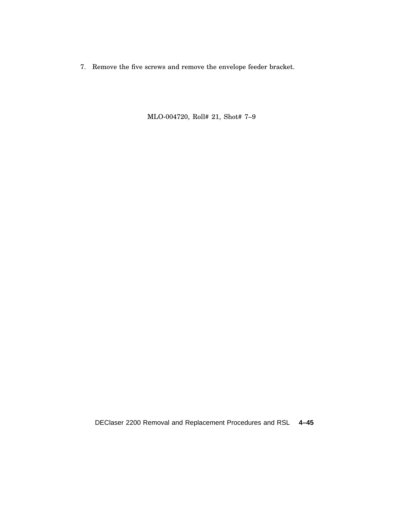7. Remove the five screws and remove the envelope feeder bracket.

MLO-004720, Roll# 21, Shot# 7–9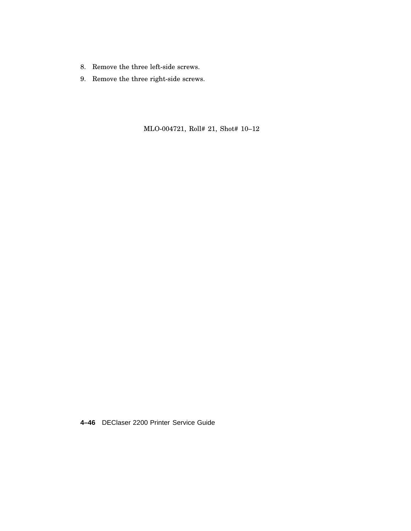- 8. Remove the three left-side screws.
- 9. Remove the three right-side screws.

MLO-004721, Roll# 21, Shot# 10–12

**4–46** DEClaser 2200 Printer Service Guide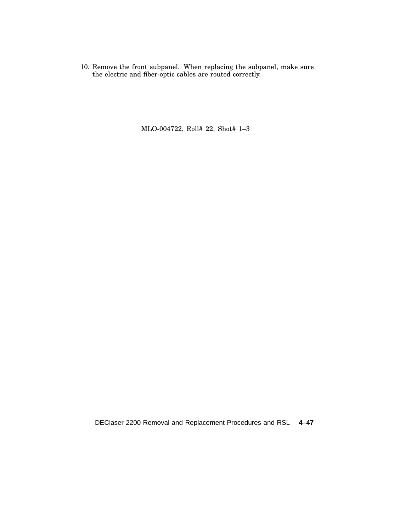10. Remove the front subpanel. When replacing the subpanel, make sure the electric and fiber-optic cables are routed correctly.

MLO-004722, Roll# 22, Shot# 1–3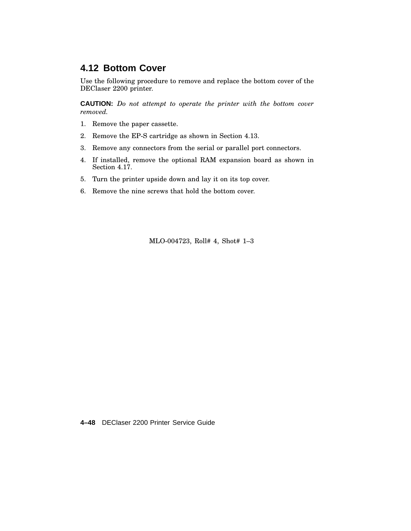### **4.12 Bottom Cover**

Use the following procedure to remove and replace the bottom cover of the DEClaser 2200 printer.

**CAUTION:** *Do not attempt to operate the printer with the bottom cover removed.*

- 1. Remove the paper cassette.
- 2. Remove the EP-S cartridge as shown in Section 4.13.
- 3. Remove any connectors from the serial or parallel port connectors.
- 4. If installed, remove the optional RAM expansion board as shown in Section 4.17.
- 5. Turn the printer upside down and lay it on its top cover.
- 6. Remove the nine screws that hold the bottom cover.

MLO-004723, Roll# 4, Shot# 1–3

**4–48** DEClaser 2200 Printer Service Guide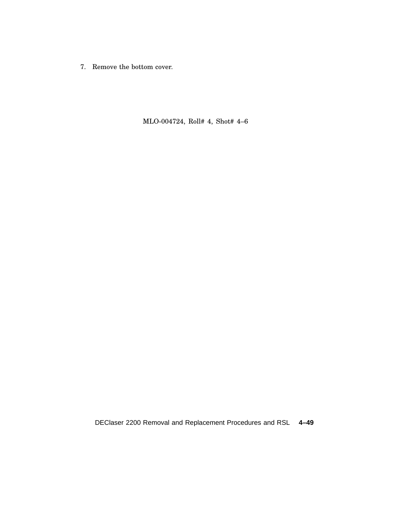7. Remove the bottom cover.

MLO-004724, Roll# 4, Shot# 4–6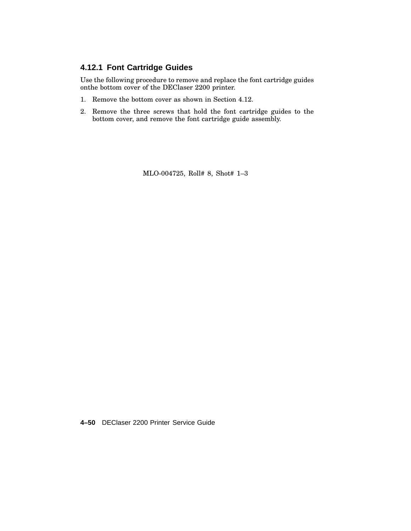#### **4.12.1 Font Cartridge Guides**

Use the following procedure to remove and replace the font cartridge guides onthe bottom cover of the DEClaser 2200 printer.

- 1. Remove the bottom cover as shown in Section 4.12.
- 2. Remove the three screws that hold the font cartridge guides to the bottom cover, and remove the font cartridge guide assembly.

MLO-004725, Roll# 8, Shot# 1–3

**4–50** DEClaser 2200 Printer Service Guide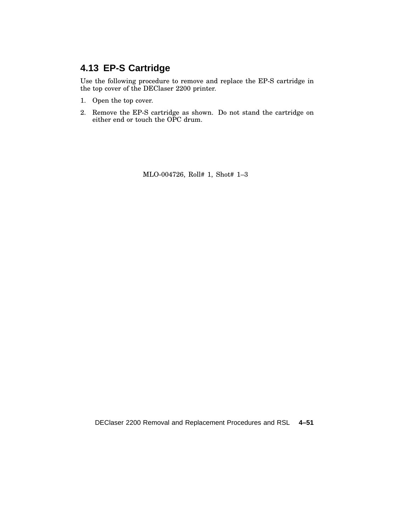# **4.13 EP-S Cartridge**

Use the following procedure to remove and replace the EP-S cartridge in the top cover of the DEClaser 2200 printer.

- 1. Open the top cover.
- 2. Remove the EP-S cartridge as shown. Do not stand the cartridge on either end or touch the OPC drum.

MLO-004726, Roll# 1, Shot# 1–3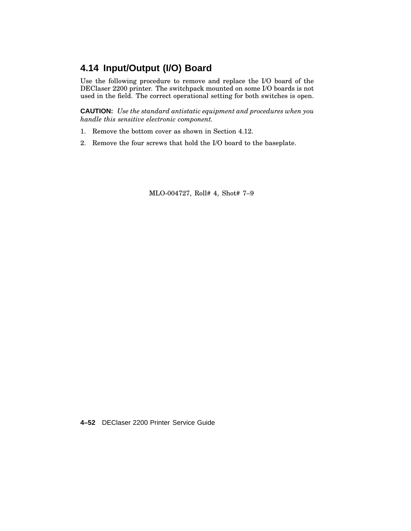## **4.14 Input/Output (I/O) Board**

Use the following procedure to remove and replace the I/O board of the DEClaser 2200 printer. The switchpack mounted on some I/O boards is not used in the field. The correct operational setting for both switches is open.

**CAUTION:** *Use the standard antistatic equipment and procedures when you handle this sensitive electronic component.*

- 1. Remove the bottom cover as shown in Section 4.12.
- 2. Remove the four screws that hold the I/O board to the baseplate.

MLO-004727, Roll# 4, Shot# 7–9

**4–52** DEClaser 2200 Printer Service Guide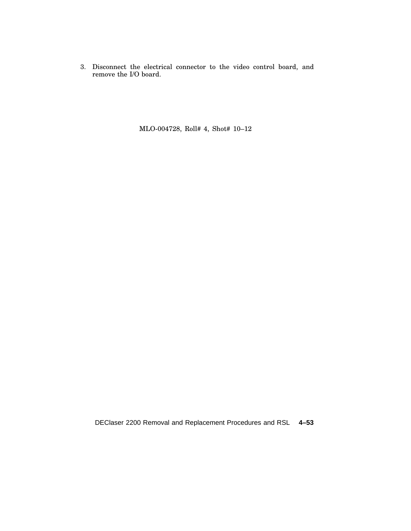3. Disconnect the electrical connector to the video control board, and remove the I/O board.

MLO-004728, Roll# 4, Shot# 10–12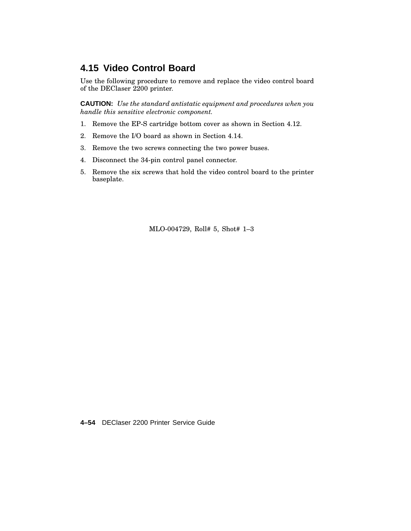### **4.15 Video Control Board**

Use the following procedure to remove and replace the video control board of the DEClaser 2200 printer.

**CAUTION:** *Use the standard antistatic equipment and procedures when you handle this sensitive electronic component.*

- 1. Remove the EP-S cartridge bottom cover as shown in Section 4.12.
- 2. Remove the I/O board as shown in Section 4.14.
- 3. Remove the two screws connecting the two power buses.
- 4. Disconnect the 34-pin control panel connector.
- 5. Remove the six screws that hold the video control board to the printer baseplate.

MLO-004729, Roll# 5, Shot# 1–3

**4–54** DEClaser 2200 Printer Service Guide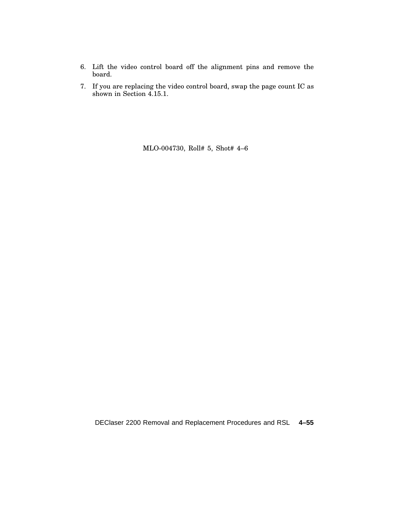- 6. Lift the video control board off the alignment pins and remove the board.
- 7. If you are replacing the video control board, swap the page count IC as shown in Section 4.15.1.

MLO-004730, Roll# 5, Shot# 4–6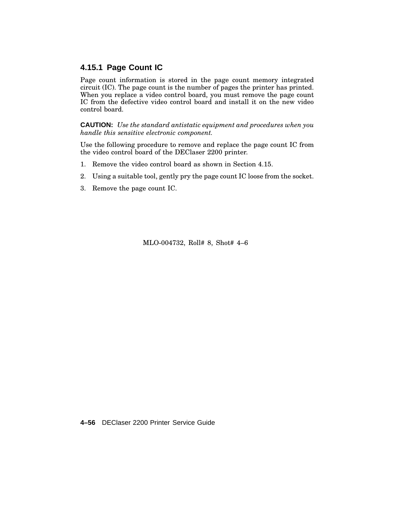#### **4.15.1 Page Count IC**

Page count information is stored in the page count memory integrated circuit (IC). The page count is the number of pages the printer has printed. When you replace a video control board, you must remove the page count IC from the defective video control board and install it on the new video control board.

**CAUTION:** *Use the standard antistatic equipment and procedures when you handle this sensitive electronic component.*

Use the following procedure to remove and replace the page count IC from the video control board of the DEClaser 2200 printer.

- 1. Remove the video control board as shown in Section 4.15.
- 2. Using a suitable tool, gently pry the page count IC loose from the socket.
- 3. Remove the page count IC.

MLO-004732, Roll# 8, Shot# 4–6

**4–56** DEClaser 2200 Printer Service Guide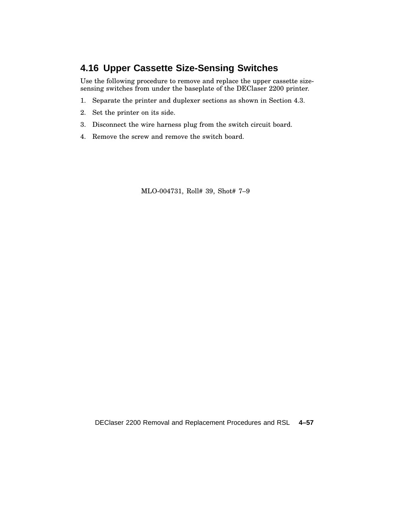# **4.16 Upper Cassette Size-Sensing Switches**

Use the following procedure to remove and replace the upper cassette sizesensing switches from under the baseplate of the DEClaser 2200 printer.

- 1. Separate the printer and duplexer sections as shown in Section 4.3.
- 2. Set the printer on its side.
- 3. Disconnect the wire harness plug from the switch circuit board.
- 4. Remove the screw and remove the switch board.

MLO-004731, Roll# 39, Shot# 7–9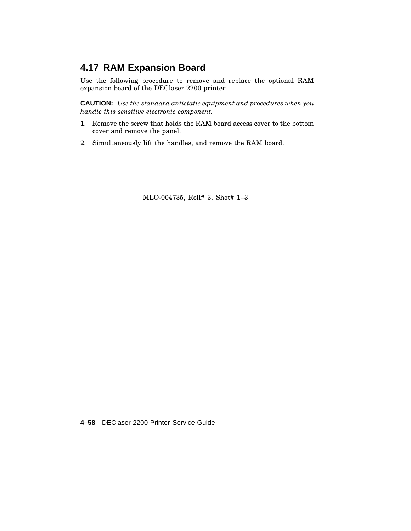# **4.17 RAM Expansion Board**

Use the following procedure to remove and replace the optional RAM expansion board of the DEClaser 2200 printer.

**CAUTION:** *Use the standard antistatic equipment and procedures when you handle this sensitive electronic component.*

- 1. Remove the screw that holds the RAM board access cover to the bottom cover and remove the panel.
- 2. Simultaneously lift the handles, and remove the RAM board.

MLO-004735, Roll# 3, Shot# 1–3

**4–58** DEClaser 2200 Printer Service Guide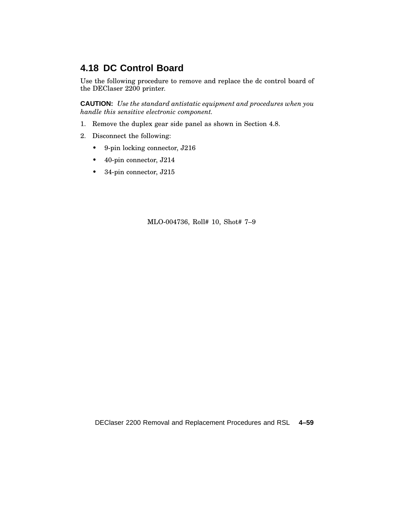## **4.18 DC Control Board**

Use the following procedure to remove and replace the dc control board of the DEClaser 2200 printer.

**CAUTION:** *Use the standard antistatic equipment and procedures when you handle this sensitive electronic component.*

- 1. Remove the duplex gear side panel as shown in Section 4.8.
- 2. Disconnect the following:
	- 9-pin locking connector, J216
	- 40-pin connector, J214
	- 34-pin connector, J215

MLO-004736, Roll# 10, Shot# 7–9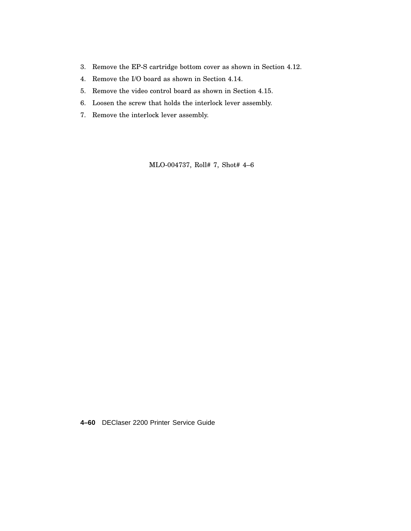- 3. Remove the EP-S cartridge bottom cover as shown in Section 4.12.
- 4. Remove the I/O board as shown in Section 4.14.
- 5. Remove the video control board as shown in Section 4.15.
- 6. Loosen the screw that holds the interlock lever assembly.
- 7. Remove the interlock lever assembly.

MLO-004737, Roll# 7, Shot# 4–6

**4–60** DEClaser 2200 Printer Service Guide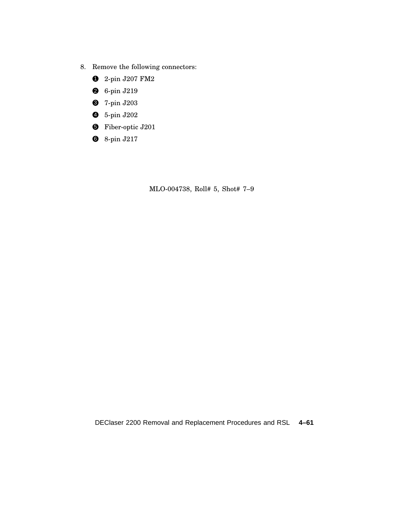- 8. Remove the following connectors:
	- 2-pin J207 FM2
	- 6-pin J219
	- 7-pin J203
	- 5-pin J202
	- Fiber-optic J201
	- 8-pin J217

MLO-004738, Roll# 5, Shot# 7–9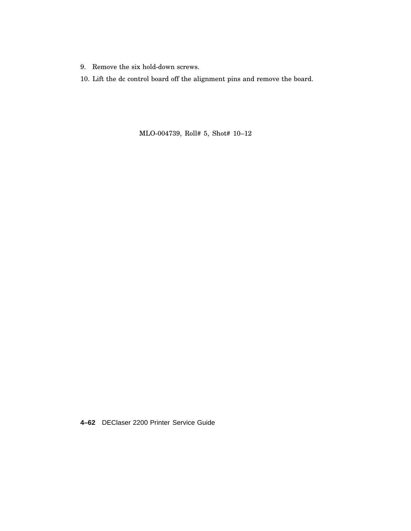- 9. Remove the six hold-down screws.
- 10. Lift the dc control board off the alignment pins and remove the board.

MLO-004739, Roll# 5, Shot# 10–12

**4–62** DEClaser 2200 Printer Service Guide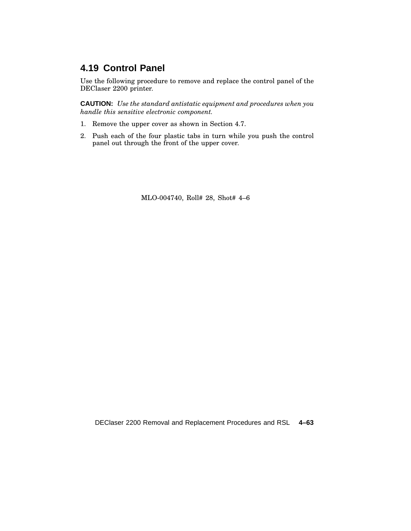## **4.19 Control Panel**

Use the following procedure to remove and replace the control panel of the DEClaser 2200 printer.

**CAUTION:** *Use the standard antistatic equipment and procedures when you handle this sensitive electronic component.*

- 1. Remove the upper cover as shown in Section 4.7.
- 2. Push each of the four plastic tabs in turn while you push the control panel out through the front of the upper cover.

MLO-004740, Roll# 28, Shot# 4–6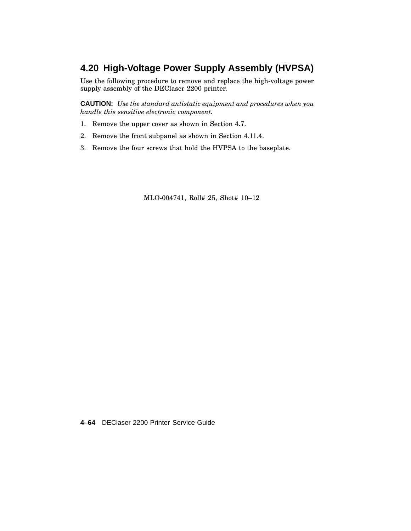## **4.20 High-Voltage Power Supply Assembly (HVPSA)**

Use the following procedure to remove and replace the high-voltage power supply assembly of the DEClaser 2200 printer.

**CAUTION:** *Use the standard antistatic equipment and procedures when you handle this sensitive electronic component.*

- 1. Remove the upper cover as shown in Section 4.7.
- 2. Remove the front subpanel as shown in Section 4.11.4.
- 3. Remove the four screws that hold the HVPSA to the baseplate.

MLO-004741, Roll# 25, Shot# 10–12

**4–64** DEClaser 2200 Printer Service Guide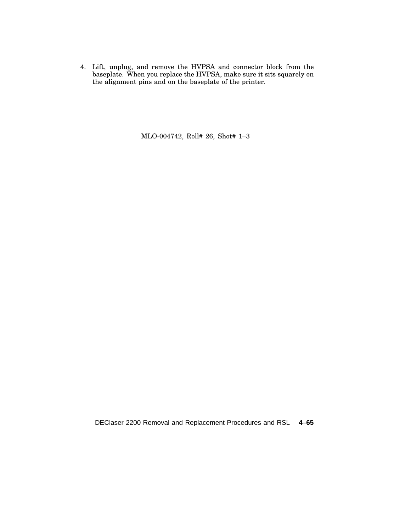4. Lift, unplug, and remove the HVPSA and connector block from the baseplate. When you replace the HVPSA, make sure it sits squarely on the alignment pins and on the baseplate of the printer.

MLO-004742, Roll# 26, Shot# 1–3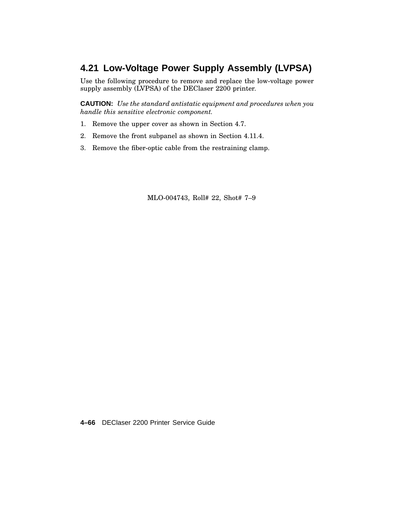## **4.21 Low-Voltage Power Supply Assembly (LVPSA)**

Use the following procedure to remove and replace the low-voltage power supply assembly (LVPSA) of the DEClaser 2200 printer.

**CAUTION:** *Use the standard antistatic equipment and procedures when you handle this sensitive electronic component.*

- 1. Remove the upper cover as shown in Section 4.7.
- 2. Remove the front subpanel as shown in Section 4.11.4.
- 3. Remove the fiber-optic cable from the restraining clamp.

MLO-004743, Roll# 22, Shot# 7–9

**4–66** DEClaser 2200 Printer Service Guide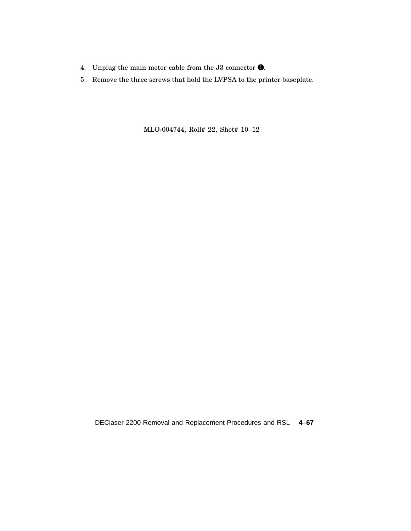- 4. Unplug the main motor cable from the J3 connector  $\bullet$ .
- 5. Remove the three screws that hold the LVPSA to the printer baseplate.

MLO-004744, Roll# 22, Shot# 10–12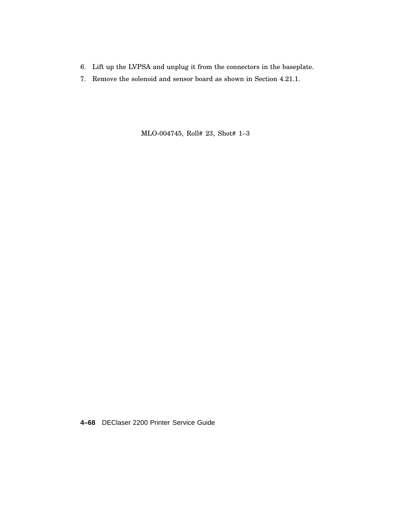- 6. Lift up the LVPSA and unplug it from the connectors in the baseplate.
- 7. Remove the solenoid and sensor board as shown in Section 4.21.1.

MLO-004745, Roll# 23, Shot# 1–3

**4–68** DEClaser 2200 Printer Service Guide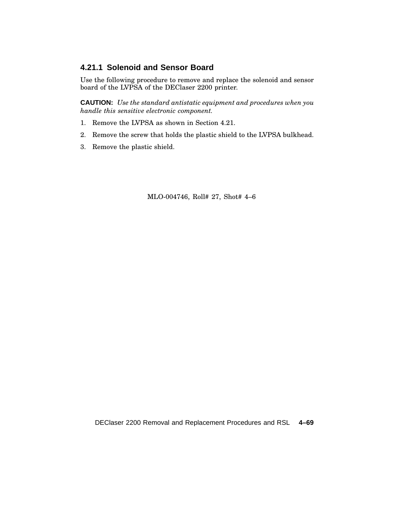#### **4.21.1 Solenoid and Sensor Board**

Use the following procedure to remove and replace the solenoid and sensor board of the LVPSA of the DEClaser 2200 printer.

**CAUTION:** *Use the standard antistatic equipment and procedures when you handle this sensitive electronic component.*

- 1. Remove the LVPSA as shown in Section 4.21.
- 2. Remove the screw that holds the plastic shield to the LVPSA bulkhead.
- 3. Remove the plastic shield.

MLO-004746, Roll# 27, Shot# 4–6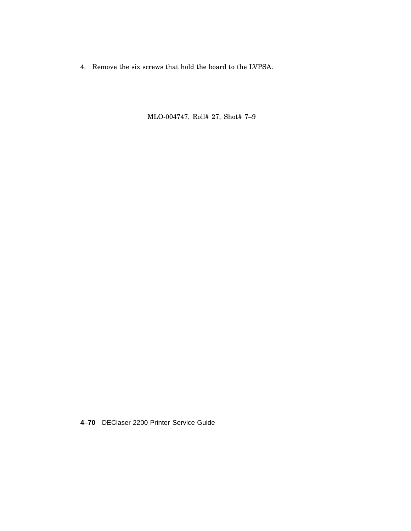4. Remove the six screws that hold the board to the LVPSA.

MLO-004747, Roll# 27, Shot# 7–9

**4–70** DEClaser 2200 Printer Service Guide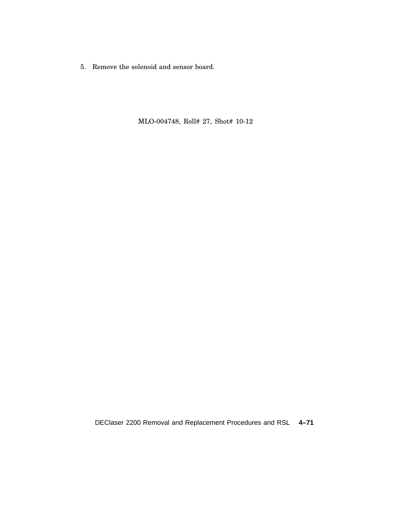5. Remove the solenoid and sensor board.

MLO-004748, Roll# 27, Shot# 10-12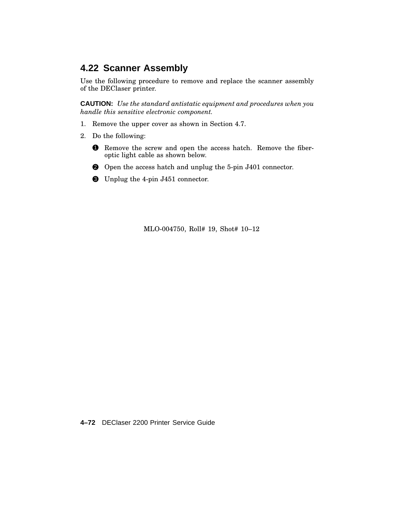## **4.22 Scanner Assembly**

Use the following procedure to remove and replace the scanner assembly of the DEClaser printer.

**CAUTION:** *Use the standard antistatic equipment and procedures when you handle this sensitive electronic component.*

- 1. Remove the upper cover as shown in Section 4.7.
- 2. Do the following:
	- 1 Remove the screw and open the access hatch. Remove the fiberoptic light cable as shown below.
	- 2 Open the access hatch and unplug the 5-pin J401 connector.
	- 3 Unplug the 4-pin J451 connector.

MLO-004750, Roll# 19, Shot# 10–12

**4–72** DEClaser 2200 Printer Service Guide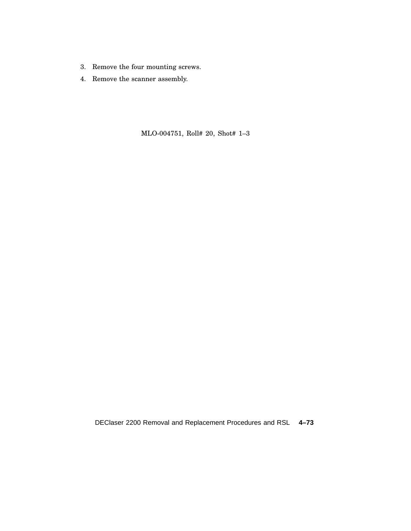- 3. Remove the four mounting screws.
- 4. Remove the scanner assembly.

MLO-004751, Roll# 20, Shot# 1–3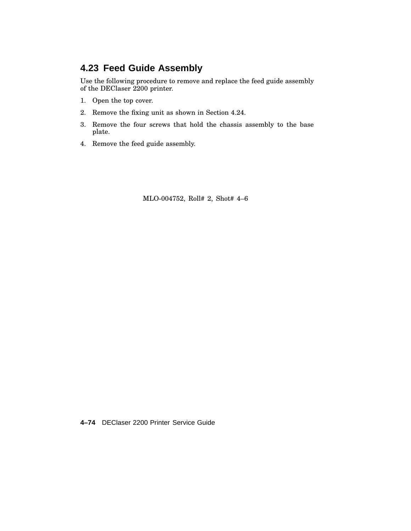## **4.23 Feed Guide Assembly**

Use the following procedure to remove and replace the feed guide assembly of the DEClaser 2200 printer.

- 1. Open the top cover.
- 2. Remove the fixing unit as shown in Section 4.24.
- 3. Remove the four screws that hold the chassis assembly to the base plate.
- 4. Remove the feed guide assembly.

MLO-004752, Roll# 2, Shot# 4–6

**4–74** DEClaser 2200 Printer Service Guide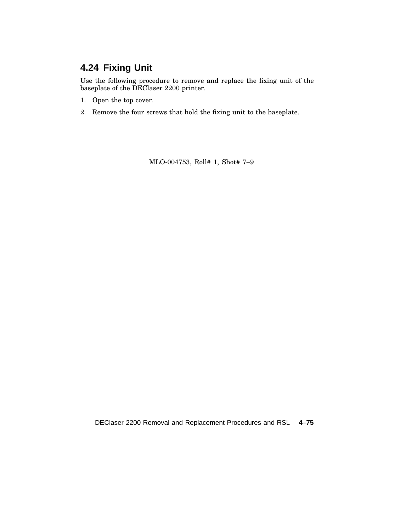# **4.24 Fixing Unit**

Use the following procedure to remove and replace the fixing unit of the baseplate of the DEClaser 2200 printer.

- 1. Open the top cover.
- 2. Remove the four screws that hold the fixing unit to the baseplate.

MLO-004753, Roll# 1, Shot# 7–9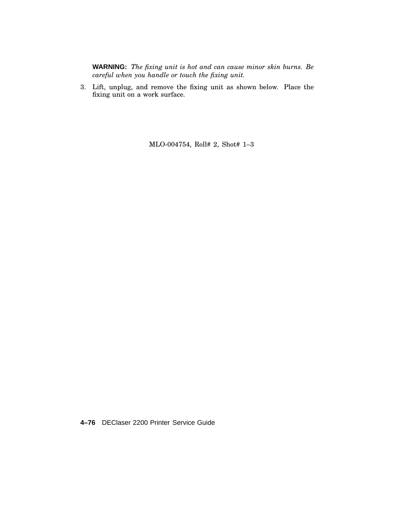**WARNING:** *The fixing unit is hot and can cause minor skin burns. Be careful when you handle or touch the fixing unit.*

3. Lift, unplug, and remove the fixing unit as shown below. Place the fixing unit on a work surface.

MLO-004754, Roll# 2, Shot# 1–3

**4–76** DEClaser 2200 Printer Service Guide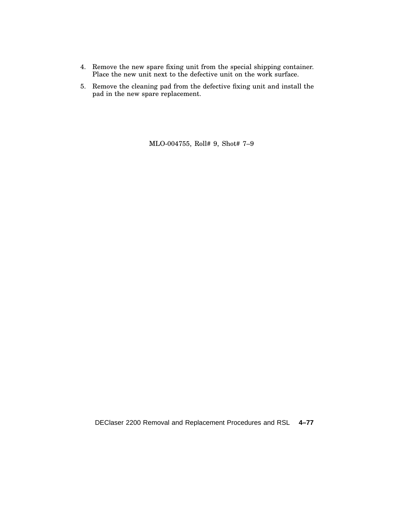- 4. Remove the new spare fixing unit from the special shipping container. Place the new unit next to the defective unit on the work surface.
- 5. Remove the cleaning pad from the defective fixing unit and install the pad in the new spare replacement.

MLO-004755, Roll# 9, Shot# 7–9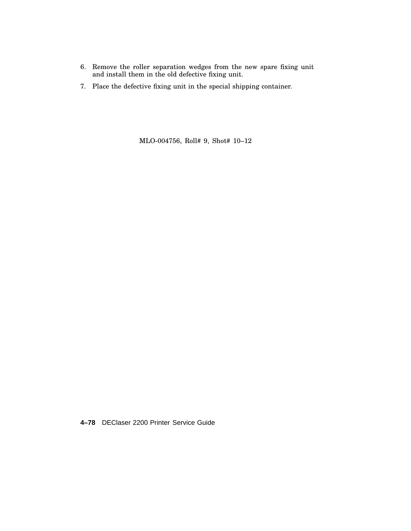- 6. Remove the roller separation wedges from the new spare fixing unit and install them in the old defective fixing unit.
- 7. Place the defective fixing unit in the special shipping container.

MLO-004756, Roll# 9, Shot# 10–12

**4–78** DEClaser 2200 Printer Service Guide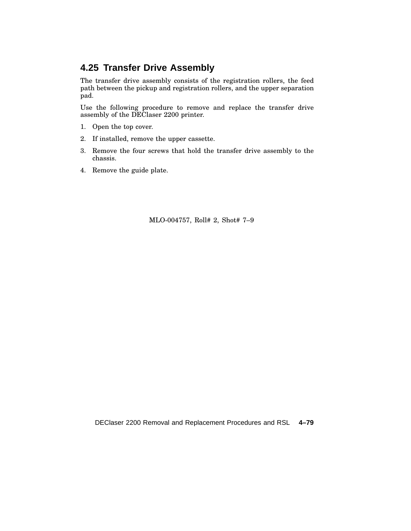## **4.25 Transfer Drive Assembly**

The transfer drive assembly consists of the registration rollers, the feed path between the pickup and registration rollers, and the upper separation pad.

Use the following procedure to remove and replace the transfer drive assembly of the DEClaser 2200 printer.

- 1. Open the top cover.
- 2. If installed, remove the upper cassette.
- 3. Remove the four screws that hold the transfer drive assembly to the chassis.
- 4. Remove the guide plate.

MLO-004757, Roll# 2, Shot# 7–9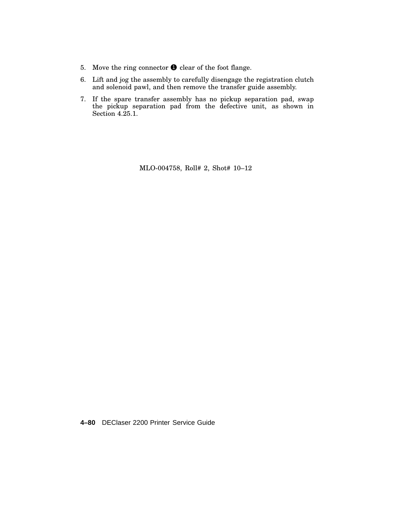- 5. Move the ring connector  $\bullet$  clear of the foot flange.
- 6. Lift and jog the assembly to carefully disengage the registration clutch and solenoid pawl, and then remove the transfer guide assembly.
- 7. If the spare transfer assembly has no pickup separation pad, swap the pickup separation pad from the defective unit, as shown in Section 4.25.1.

MLO-004758, Roll# 2, Shot# 10–12

**4–80** DEClaser 2200 Printer Service Guide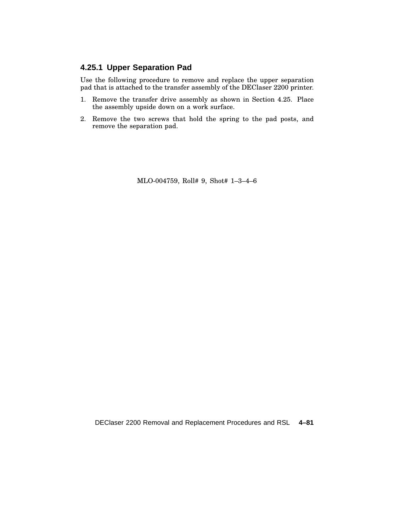#### **4.25.1 Upper Separation Pad**

Use the following procedure to remove and replace the upper separation pad that is attached to the transfer assembly of the DEClaser 2200 printer.

- 1. Remove the transfer drive assembly as shown in Section 4.25. Place the assembly upside down on a work surface.
- 2. Remove the two screws that hold the spring to the pad posts, and remove the separation pad.

MLO-004759, Roll# 9, Shot# 1–3–4–6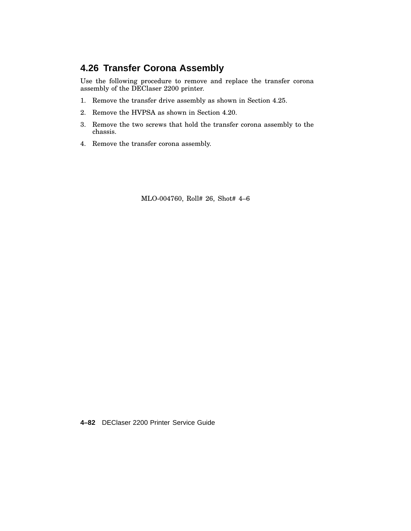## **4.26 Transfer Corona Assembly**

Use the following procedure to remove and replace the transfer corona assembly of the DEClaser 2200 printer.

- 1. Remove the transfer drive assembly as shown in Section 4.25.
- 2. Remove the HVPSA as shown in Section 4.20.
- 3. Remove the two screws that hold the transfer corona assembly to the chassis.
- 4. Remove the transfer corona assembly.

MLO-004760, Roll# 26, Shot# 4–6

**4–82** DEClaser 2200 Printer Service Guide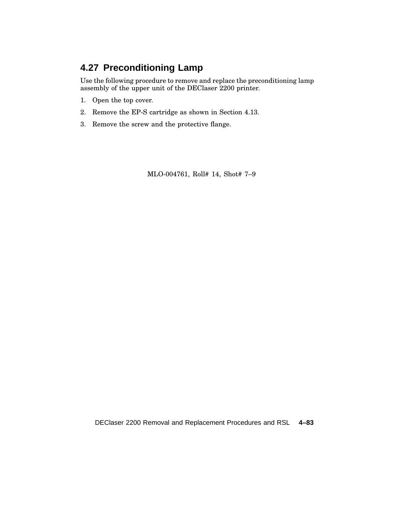# **4.27 Preconditioning Lamp**

Use the following procedure to remove and replace the preconditioning lamp assembly of the upper unit of the DEClaser 2200 printer.

- 1. Open the top cover.
- 2. Remove the EP-S cartridge as shown in Section 4.13.
- 3. Remove the screw and the protective flange.

MLO-004761, Roll# 14, Shot# 7–9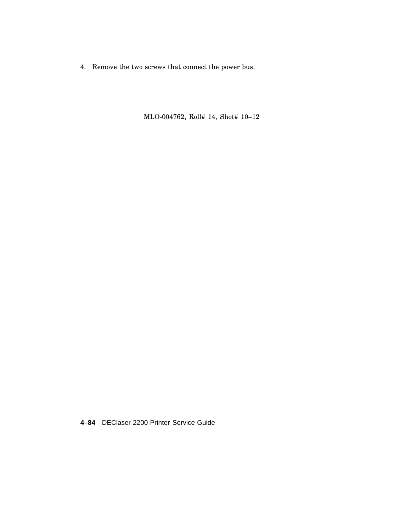4. Remove the two screws that connect the power bus.

MLO-004762, Roll# 14, Shot# 10–12

**4–84** DEClaser 2200 Printer Service Guide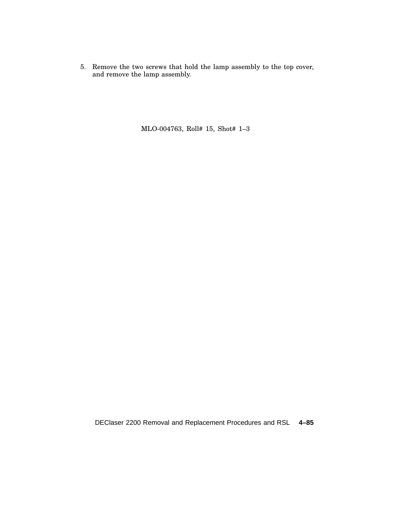5. Remove the two screws that hold the lamp assembly to the top cover, and remove the lamp assembly.

MLO-004763, Roll# 15, Shot# 1–3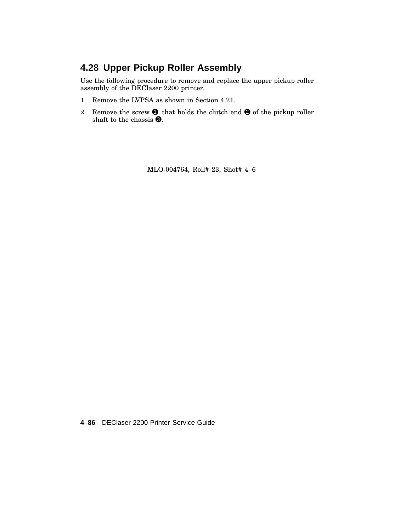# **4.28 Upper Pickup Roller Assembly**

Use the following procedure to remove and replace the upper pickup roller assembly of the DEClaser 2200 printer.

- 1. Remove the LVPSA as shown in Section 4.21.
- 2. Remove the screw  $\bullet$  that holds the clutch end  $\bullet$  of the pickup roller shaft to the chassis  $\Theta$ .

MLO-004764, Roll# 23, Shot# 4–6

**4–86** DEClaser 2200 Printer Service Guide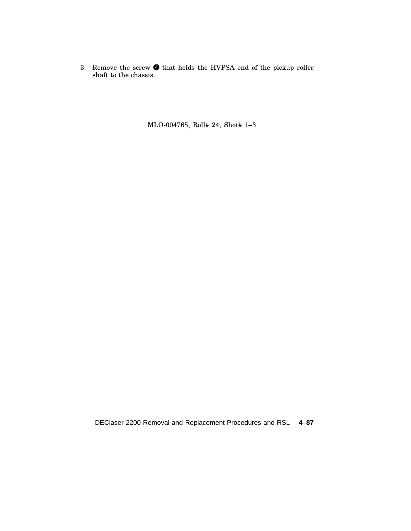3. Remove the screw  $\bullet$  that holds the HVPSA end of the pickup roller shaft to the chassis.

MLO-004765, Roll# 24, Shot# 1–3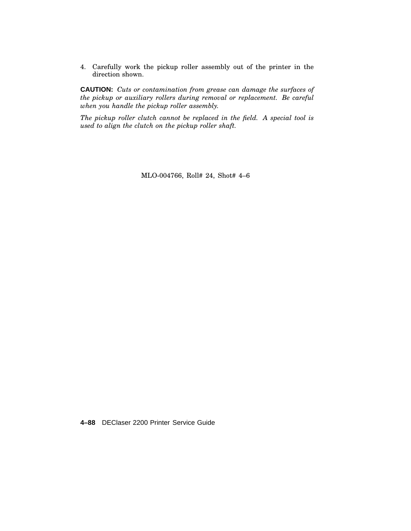4. Carefully work the pickup roller assembly out of the printer in the direction shown.

**CAUTION:** *Cuts or contamination from grease can damage the surfaces of the pickup or auxiliary rollers during removal or replacement. Be careful when you handle the pickup roller assembly.*

*The pickup roller clutch cannot be replaced in the field. A special tool is used to align the clutch on the pickup roller shaft.*

MLO-004766, Roll# 24, Shot# 4–6

**4–88** DEClaser 2200 Printer Service Guide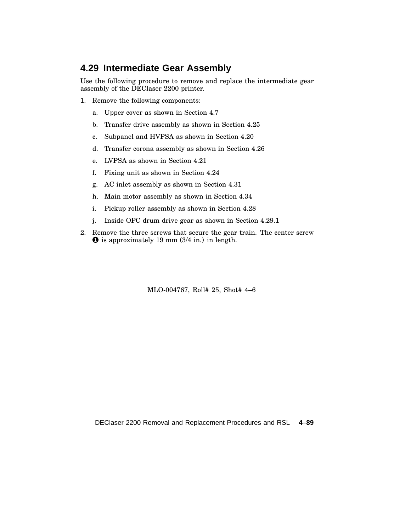### **4.29 Intermediate Gear Assembly**

Use the following procedure to remove and replace the intermediate gear assembly of the DEClaser 2200 printer.

- 1. Remove the following components:
	- a. Upper cover as shown in Section 4.7
	- b. Transfer drive assembly as shown in Section 4.25
	- c. Subpanel and HVPSA as shown in Section 4.20
	- d. Transfer corona assembly as shown in Section 4.26
	- e. LVPSA as shown in Section 4.21
	- f. Fixing unit as shown in Section 4.24
	- g. AC inlet assembly as shown in Section 4.31
	- h. Main motor assembly as shown in Section 4.34
	- i. Pickup roller assembly as shown in Section 4.28
	- j. Inside OPC drum drive gear as shown in Section 4.29.1
- 2. Remove the three screws that secure the gear train. The center screw  $\bullet$  is approximately 19 mm (3/4 in.) in length.

MLO-004767, Roll# 25, Shot# 4–6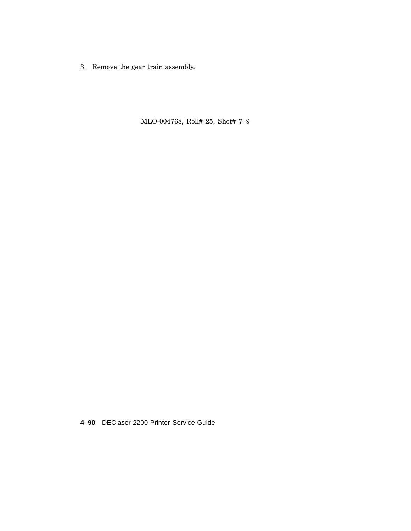3. Remove the gear train assembly.

MLO-004768, Roll# 25, Shot# 7–9

**4–90** DEClaser 2200 Printer Service Guide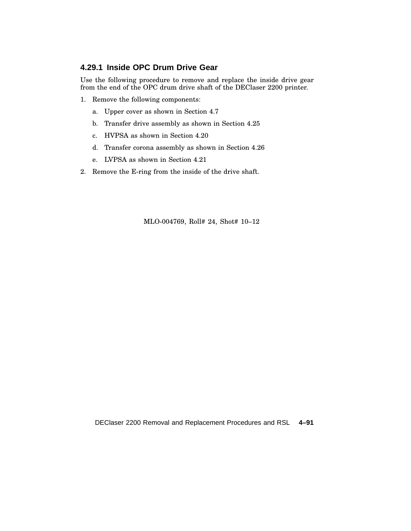#### **4.29.1 Inside OPC Drum Drive Gear**

Use the following procedure to remove and replace the inside drive gear from the end of the OPC drum drive shaft of the DEClaser 2200 printer.

- 1. Remove the following components:
	- a. Upper cover as shown in Section 4.7
	- b. Transfer drive assembly as shown in Section 4.25
	- c. HVPSA as shown in Section 4.20
	- d. Transfer corona assembly as shown in Section 4.26
	- e. LVPSA as shown in Section 4.21
- 2. Remove the E-ring from the inside of the drive shaft.

MLO-004769, Roll# 24, Shot# 10–12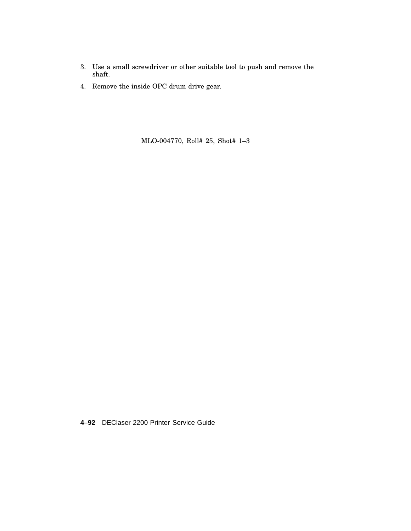- 3. Use a small screwdriver or other suitable tool to push and remove the shaft.
- 4. Remove the inside OPC drum drive gear.

MLO-004770, Roll# 25, Shot# 1–3

**4–92** DEClaser 2200 Printer Service Guide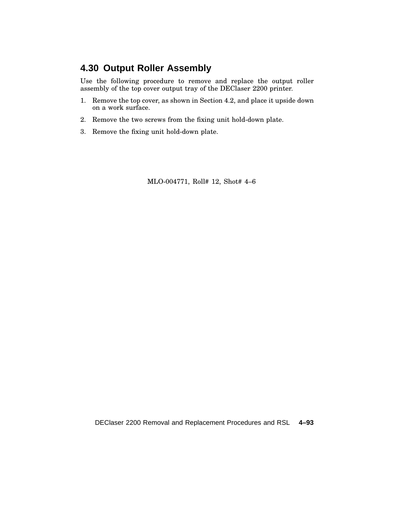## **4.30 Output Roller Assembly**

Use the following procedure to remove and replace the output roller assembly of the top cover output tray of the DEClaser 2200 printer.

- 1. Remove the top cover, as shown in Section 4.2, and place it upside down on a work surface.
- 2. Remove the two screws from the fixing unit hold-down plate.
- 3. Remove the fixing unit hold-down plate.

MLO-004771, Roll# 12, Shot# 4–6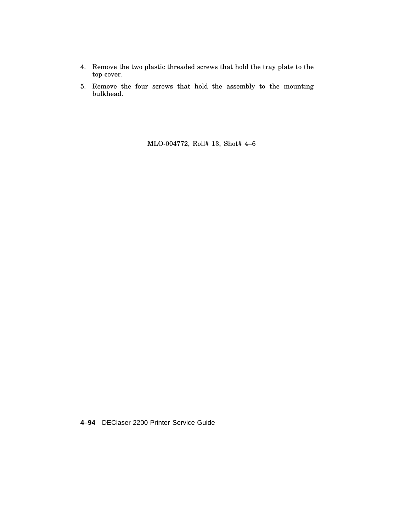- 4. Remove the two plastic threaded screws that hold the tray plate to the top cover.
- 5. Remove the four screws that hold the assembly to the mounting bulkhead.

MLO-004772, Roll# 13, Shot# 4–6

**4–94** DEClaser 2200 Printer Service Guide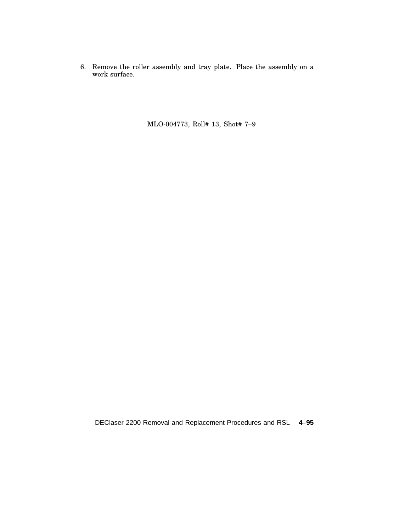6. Remove the roller assembly and tray plate. Place the assembly on a work surface.

MLO-004773, Roll# 13, Shot# 7–9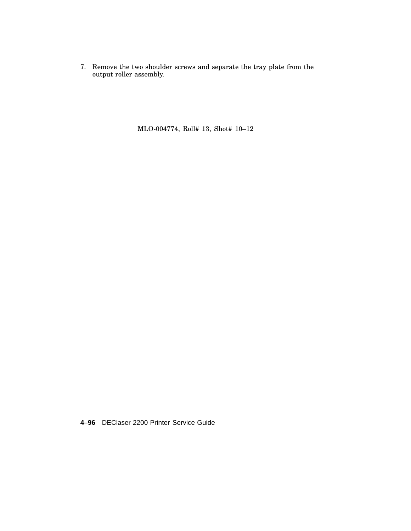7. Remove the two shoulder screws and separate the tray plate from the output roller assembly.

MLO-004774, Roll# 13, Shot# 10–12

**4–96** DEClaser 2200 Printer Service Guide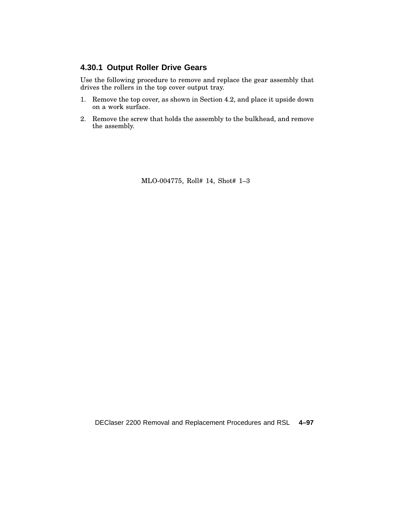#### **4.30.1 Output Roller Drive Gears**

Use the following procedure to remove and replace the gear assembly that drives the rollers in the top cover output tray.

- 1. Remove the top cover, as shown in Section 4.2, and place it upside down on a work surface.
- 2. Remove the screw that holds the assembly to the bulkhead, and remove the assembly.

MLO-004775, Roll# 14, Shot# 1–3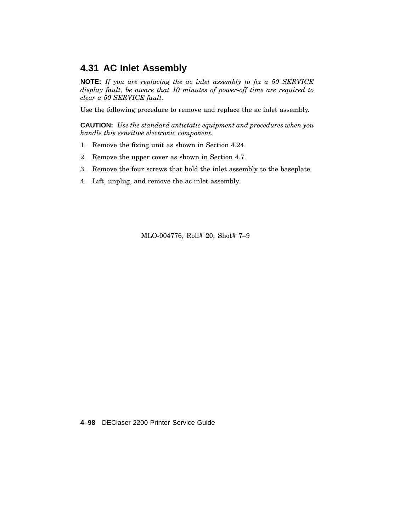## **4.31 AC Inlet Assembly**

**NOTE:** *If you are replacing the ac inlet assembly to fix a 50 SERVICE display fault, be aware that 10 minutes of power-off time are required to clear a 50 SERVICE fault.*

Use the following procedure to remove and replace the ac inlet assembly.

**CAUTION:** *Use the standard antistatic equipment and procedures when you handle this sensitive electronic component.*

- 1. Remove the fixing unit as shown in Section 4.24.
- 2. Remove the upper cover as shown in Section 4.7.
- 3. Remove the four screws that hold the inlet assembly to the baseplate.
- 4. Lift, unplug, and remove the ac inlet assembly.

MLO-004776, Roll# 20, Shot# 7–9

**4–98** DEClaser 2200 Printer Service Guide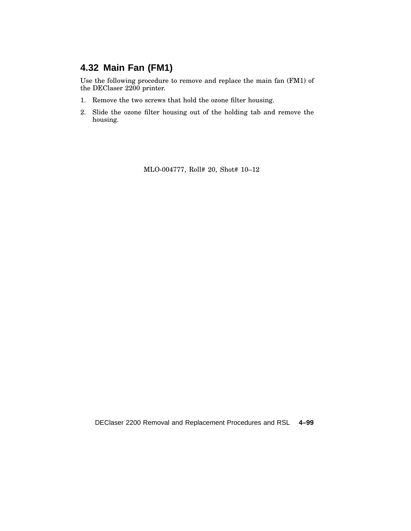# **4.32 Main Fan (FM1)**

Use the following procedure to remove and replace the main fan (FM1) of the DEClaser 2200 printer.

- 1. Remove the two screws that hold the ozone filter housing.
- 2. Slide the ozone filter housing out of the holding tab and remove the housing.

MLO-004777, Roll# 20, Shot# 10–12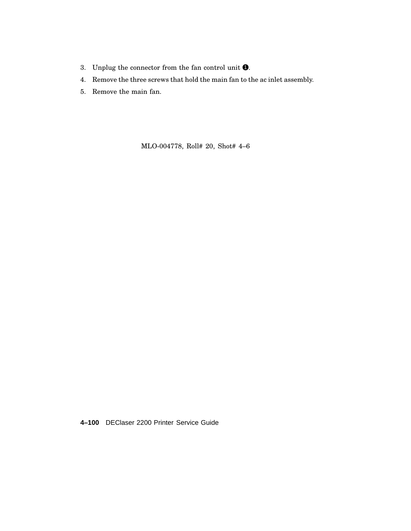- 3. Unplug the connector from the fan control unit  $\bullet$ .
- 4. Remove the three screws that hold the main fan to the ac inlet assembly.
- 5. Remove the main fan.

MLO-004778, Roll# 20, Shot# 4–6

**4–100** DEClaser 2200 Printer Service Guide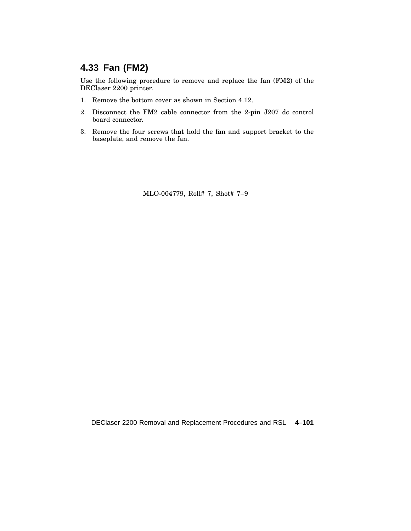# **4.33 Fan (FM2)**

Use the following procedure to remove and replace the fan (FM2) of the DEClaser 2200 printer.

- 1. Remove the bottom cover as shown in Section 4.12.
- 2. Disconnect the FM2 cable connector from the 2-pin J207 dc control board connector.
- 3. Remove the four screws that hold the fan and support bracket to the baseplate, and remove the fan.

MLO-004779, Roll# 7, Shot# 7–9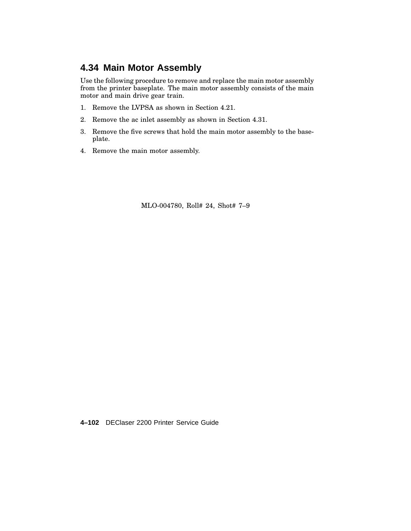## **4.34 Main Motor Assembly**

Use the following procedure to remove and replace the main motor assembly from the printer baseplate. The main motor assembly consists of the main motor and main drive gear train.

- 1. Remove the LVPSA as shown in Section 4.21.
- 2. Remove the ac inlet assembly as shown in Section 4.31.
- 3. Remove the five screws that hold the main motor assembly to the baseplate.
- 4. Remove the main motor assembly.

MLO-004780, Roll# 24, Shot# 7–9

**4–102** DEClaser 2200 Printer Service Guide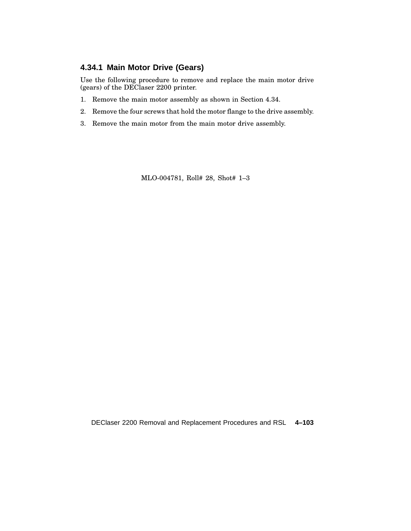## **4.34.1 Main Motor Drive (Gears)**

Use the following procedure to remove and replace the main motor drive (gears) of the DEClaser 2200 printer.

- 1. Remove the main motor assembly as shown in Section 4.34.
- 2. Remove the four screws that hold the motor flange to the drive assembly.
- 3. Remove the main motor from the main motor drive assembly.

MLO-004781, Roll# 28, Shot# 1–3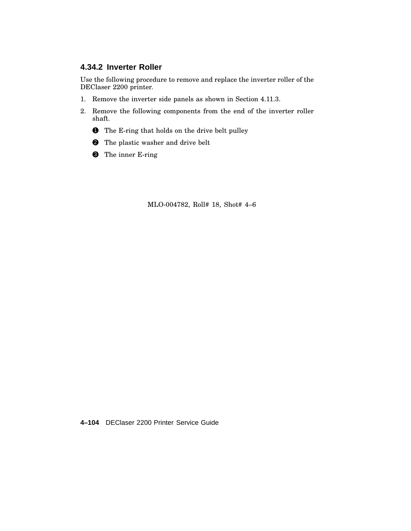### **4.34.2 Inverter Roller**

Use the following procedure to remove and replace the inverter roller of the DEClaser 2200 printer.

- 1. Remove the inverter side panels as shown in Section 4.11.3.
- 2. Remove the following components from the end of the inverter roller shaft.
	- **1** The E-ring that holds on the drive belt pulley
	- 2 The plastic washer and drive belt
	- <sup>3</sup> The inner E-ring

MLO-004782, Roll# 18, Shot# 4–6

**4–104** DEClaser 2200 Printer Service Guide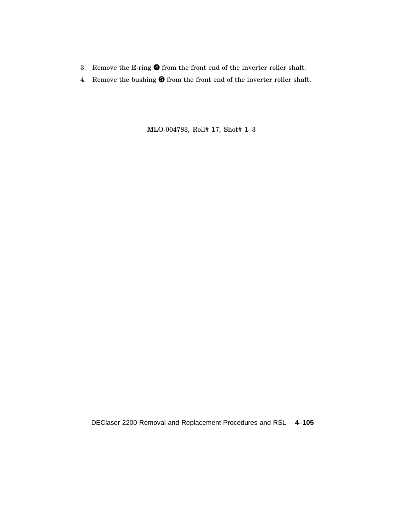- 3. Remove the E-ring  $\bullet$  from the front end of the inverter roller shaft.
- 4. Remove the bushing  $\bigcirc$  from the front end of the inverter roller shaft.

MLO-004783, Roll# 17, Shot# 1–3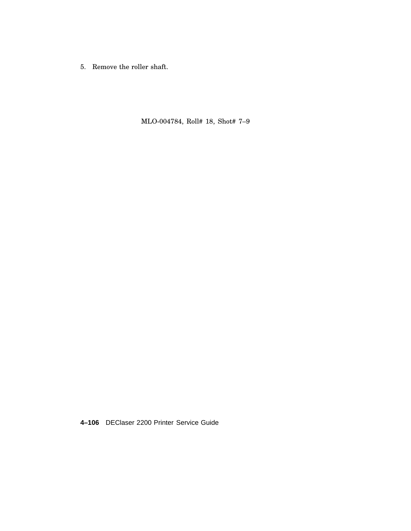5. Remove the roller shaft.

MLO-004784, Roll# 18, Shot# 7–9

**4–106** DEClaser 2200 Printer Service Guide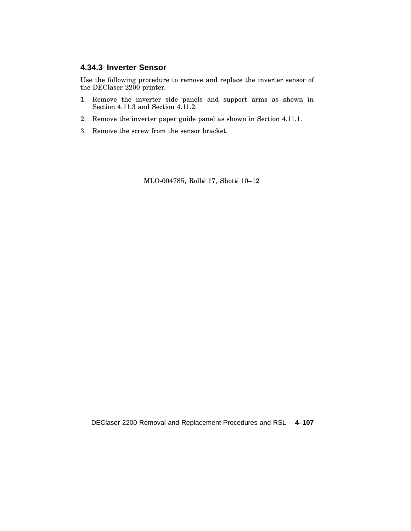### **4.34.3 Inverter Sensor**

Use the following procedure to remove and replace the inverter sensor of the DEClaser 2200 printer.

- 1. Remove the inverter side panels and support arms as shown in Section 4.11.3 and Section 4.11.2.
- 2. Remove the inverter paper guide panel as shown in Section 4.11.1.
- 3. Remove the screw from the sensor bracket.

MLO-004785, Roll# 17, Shot# 10–12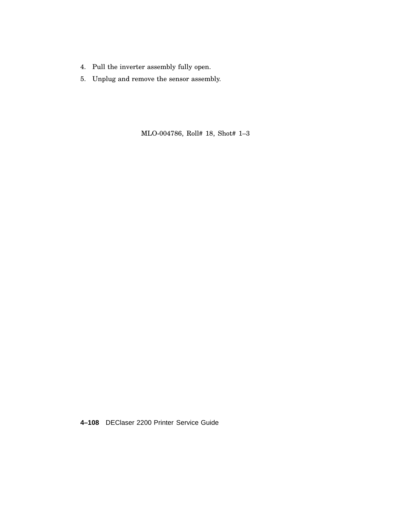- 4. Pull the inverter assembly fully open.
- 5. Unplug and remove the sensor assembly.

MLO-004786, Roll# 18, Shot# 1–3

**4–108** DEClaser 2200 Printer Service Guide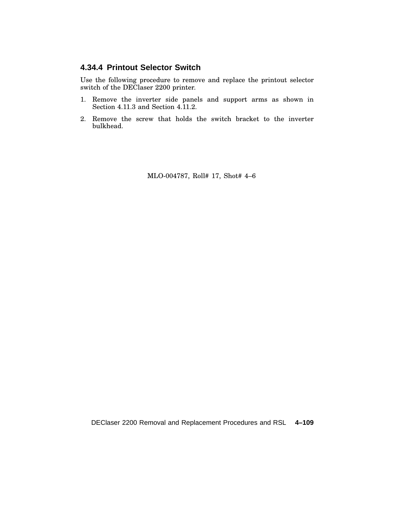### **4.34.4 Printout Selector Switch**

Use the following procedure to remove and replace the printout selector switch of the DEClaser 2200 printer.

- 1. Remove the inverter side panels and support arms as shown in Section 4.11.3 and Section 4.11.2.
- 2. Remove the screw that holds the switch bracket to the inverter bulkhead.

MLO-004787, Roll# 17, Shot# 4–6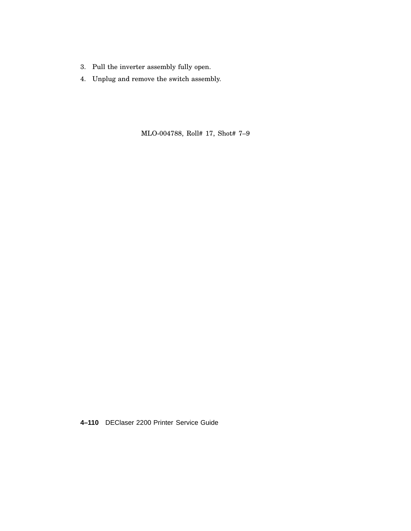- 3. Pull the inverter assembly fully open.
- 4. Unplug and remove the switch assembly.

MLO-004788, Roll# 17, Shot# 7–9

**4–110** DEClaser 2200 Printer Service Guide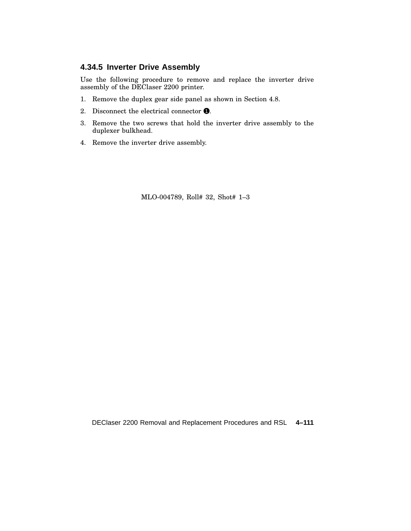#### **4.34.5 Inverter Drive Assembly**

Use the following procedure to remove and replace the inverter drive assembly of the DEClaser 2200 printer.

- 1. Remove the duplex gear side panel as shown in Section 4.8.
- 2. Disconnect the electrical connector  $\bullet$ .
- 3. Remove the two screws that hold the inverter drive assembly to the duplexer bulkhead.
- 4. Remove the inverter drive assembly.

MLO-004789, Roll# 32, Shot# 1–3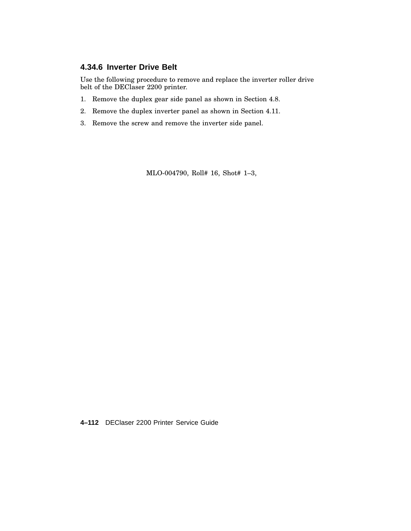### **4.34.6 Inverter Drive Belt**

Use the following procedure to remove and replace the inverter roller drive belt of the DEClaser 2200 printer.

- 1. Remove the duplex gear side panel as shown in Section 4.8.
- 2. Remove the duplex inverter panel as shown in Section 4.11.
- 3. Remove the screw and remove the inverter side panel.

MLO-004790, Roll# 16, Shot# 1–3,

**4–112** DEClaser 2200 Printer Service Guide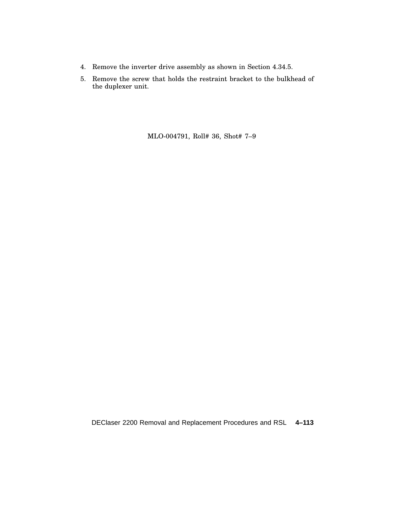- 4. Remove the inverter drive assembly as shown in Section 4.34.5.
- 5. Remove the screw that holds the restraint bracket to the bulkhead of the duplexer unit.

MLO-004791, Roll# 36, Shot# 7–9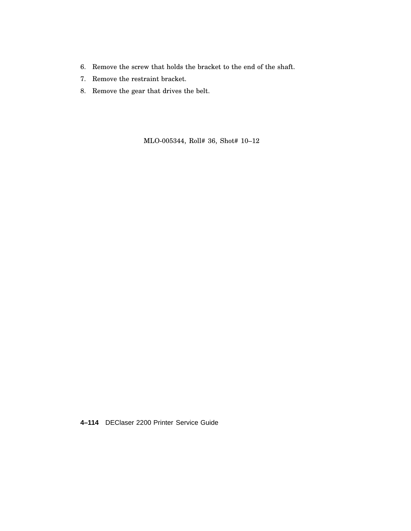- 6. Remove the screw that holds the bracket to the end of the shaft.
- 7. Remove the restraint bracket.
- 8. Remove the gear that drives the belt.

MLO-005344, Roll# 36, Shot# 10–12

**4–114** DEClaser 2200 Printer Service Guide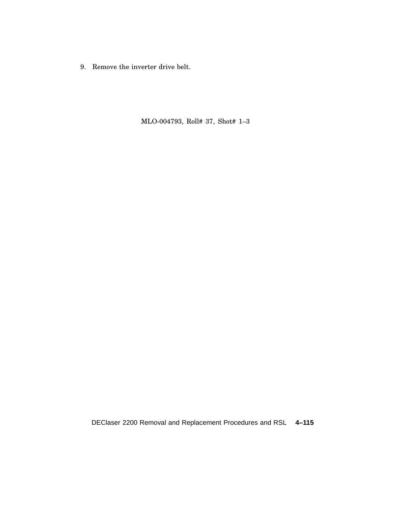9. Remove the inverter drive belt.

MLO-004793, Roll# 37, Shot# 1–3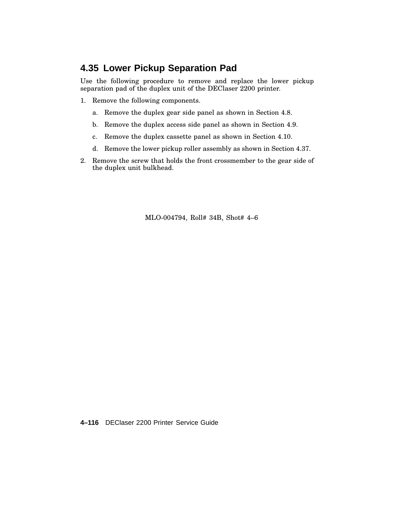## **4.35 Lower Pickup Separation Pad**

Use the following procedure to remove and replace the lower pickup separation pad of the duplex unit of the DEClaser 2200 printer.

- 1. Remove the following components.
	- a. Remove the duplex gear side panel as shown in Section 4.8.
	- b. Remove the duplex access side panel as shown in Section 4.9.
	- c. Remove the duplex cassette panel as shown in Section 4.10.
	- d. Remove the lower pickup roller assembly as shown in Section 4.37.
- 2. Remove the screw that holds the front crossmember to the gear side of the duplex unit bulkhead.

MLO-004794, Roll# 34B, Shot# 4–6

**4–116** DEClaser 2200 Printer Service Guide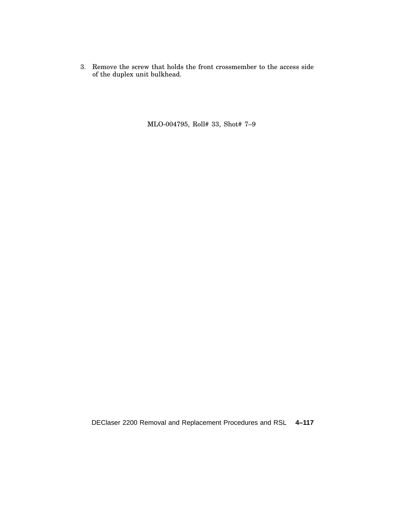3. Remove the screw that holds the front crossmember to the access side of the duplex unit bulkhead.

MLO-004795, Roll# 33, Shot# 7–9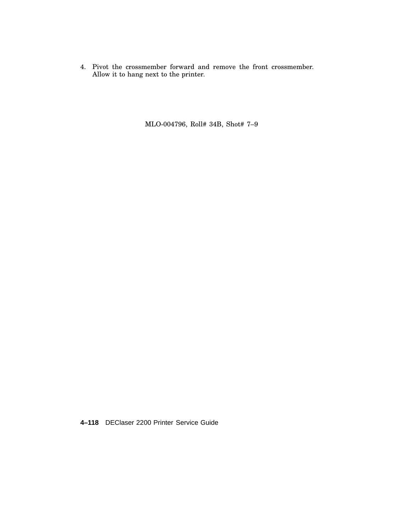4. Pivot the crossmember forward and remove the front crossmember. Allow it to hang next to the printer.

MLO-004796, Roll# 34B, Shot# 7–9

**4–118** DEClaser 2200 Printer Service Guide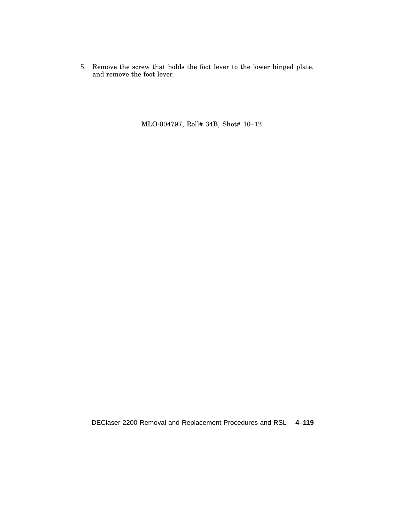5. Remove the screw that holds the foot lever to the lower hinged plate, and remove the foot lever.

MLO-004797, Roll# 34B, Shot# 10–12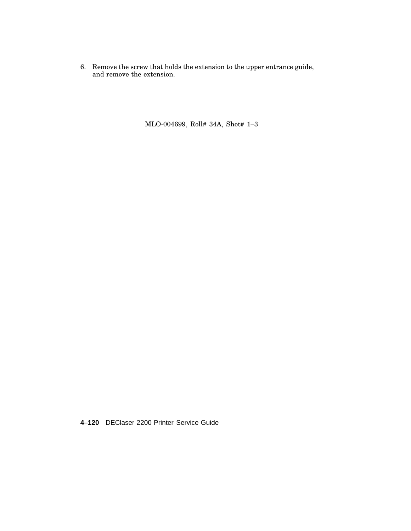6. Remove the screw that holds the extension to the upper entrance guide, and remove the extension.

MLO-004699, Roll# 34A, Shot# 1–3

**4–120** DEClaser 2200 Printer Service Guide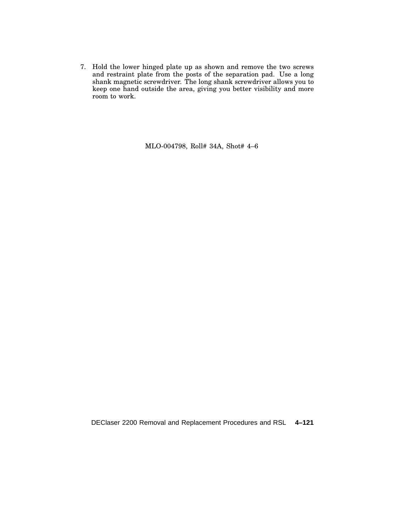7. Hold the lower hinged plate up as shown and remove the two screws and restraint plate from the posts of the separation pad. Use a long shank magnetic screwdriver. The long shank screwdriver allows you to keep one hand outside the area, giving you better visibility and more room to work.

MLO-004798, Roll# 34A, Shot# 4–6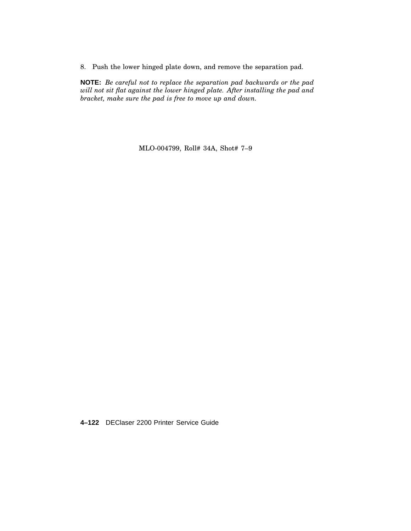8. Push the lower hinged plate down, and remove the separation pad.

**NOTE:** *Be careful not to replace the separation pad backwards or the pad will not sit flat against the lower hinged plate. After installing the pad and bracket, make sure the pad is free to move up and down.*

MLO-004799, Roll# 34A, Shot# 7–9

**4–122** DEClaser 2200 Printer Service Guide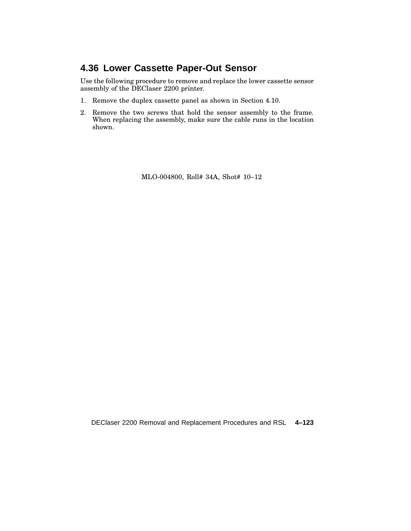## **4.36 Lower Cassette Paper-Out Sensor**

Use the following procedure to remove and replace the lower cassette sensor assembly of the DEClaser 2200 printer.

- 1. Remove the duplex cassette panel as shown in Section 4.10.
- 2. Remove the two screws that hold the sensor assembly to the frame. When replacing the assembly, make sure the cable runs in the location shown.

MLO-004800, Roll# 34A, Shot# 10–12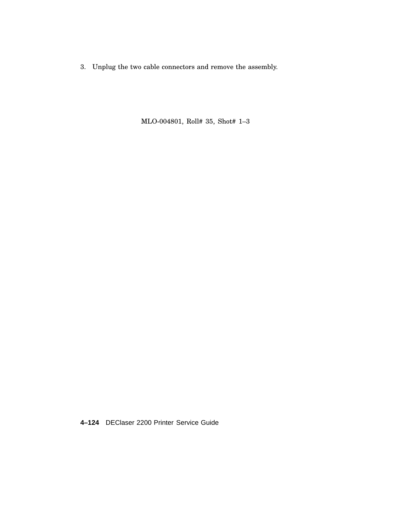3. Unplug the two cable connectors and remove the assembly.

MLO-004801, Roll# 35, Shot# 1–3

**4–124** DEClaser 2200 Printer Service Guide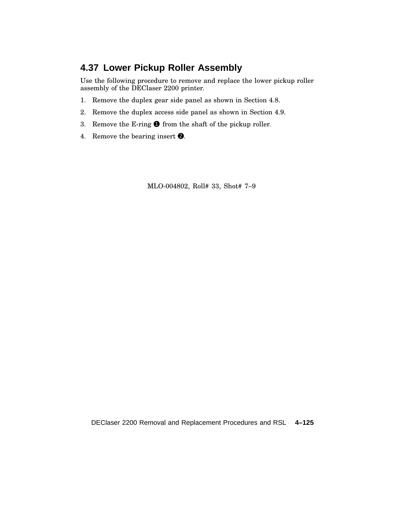# **4.37 Lower Pickup Roller Assembly**

Use the following procedure to remove and replace the lower pickup roller assembly of the DEClaser 2200 printer.

- 1. Remove the duplex gear side panel as shown in Section 4.8.
- 2. Remove the duplex access side panel as shown in Section 4.9.
- 3. Remove the E-ring  $\bullet$  from the shaft of the pickup roller.
- 4. Remove the bearing insert  $\bullet$ .

MLO-004802, Roll# 33, Shot# 7–9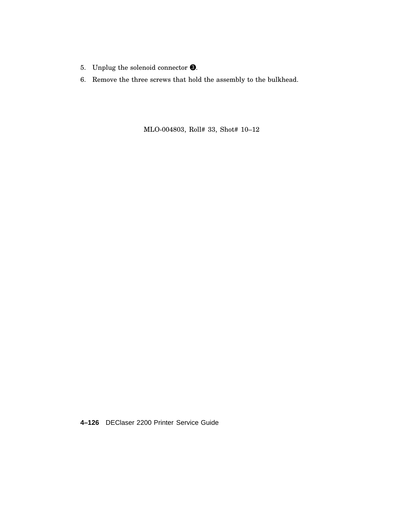- 5. Unplug the solenoid connector  $\bigcirc$ .
- 6. Remove the three screws that hold the assembly to the bulkhead.

MLO-004803, Roll# 33, Shot# 10–12

**4–126** DEClaser 2200 Printer Service Guide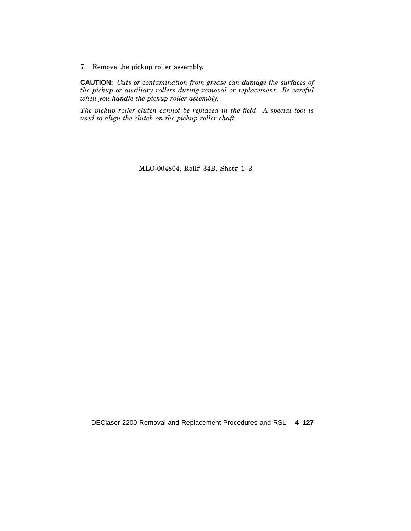7. Remove the pickup roller assembly.

**CAUTION:** *Cuts or contamination from grease can damage the surfaces of the pickup or auxiliary rollers during removal or replacement. Be careful when you handle the pickup roller assembly.*

*The pickup roller clutch cannot be replaced in the field. A special tool is used to align the clutch on the pickup roller shaft.*

MLO-004804, Roll# 34B, Shot# 1–3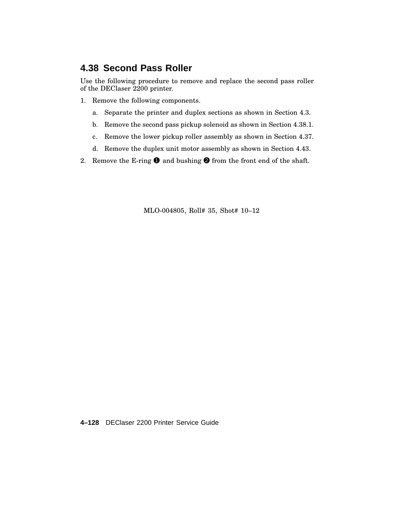## **4.38 Second Pass Roller**

Use the following procedure to remove and replace the second pass roller of the DEClaser 2200 printer.

- 1. Remove the following components.
	- a. Separate the printer and duplex sections as shown in Section 4.3.
	- b. Remove the second pass pickup solenoid as shown in Section 4.38.1.
	- c. Remove the lower pickup roller assembly as shown in Section 4.37.
	- d. Remove the duplex unit motor assembly as shown in Section 4.43.
- 2. Remove the E-ring  $\bullet$  and bushing  $\bullet$  from the front end of the shaft.

MLO-004805, Roll# 35, Shot# 10–12

**4–128** DEClaser 2200 Printer Service Guide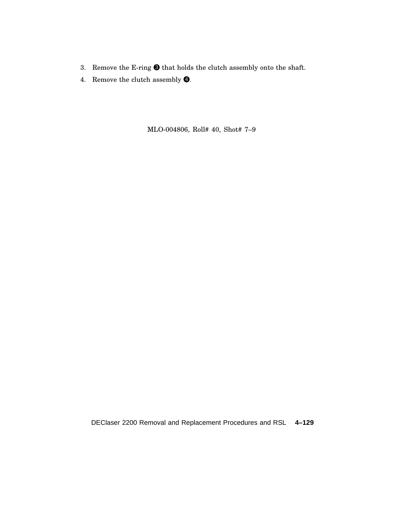- 3. Remove the E-ring  $\bigcirc$  that holds the clutch assembly onto the shaft.
- 4. Remove the clutch assembly  $\bullet$ .

MLO-004806, Roll# 40, Shot# 7–9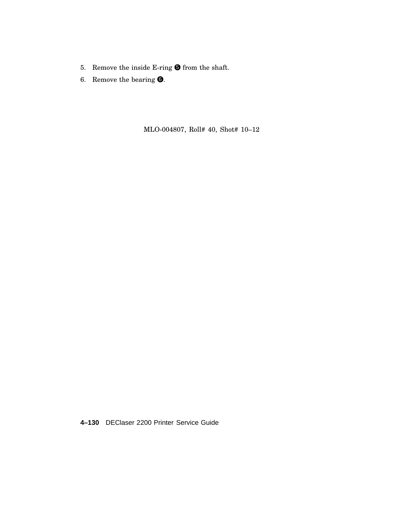- 5. Remove the inside E-ring  $\bigcirc$  from the shaft.
- 6. Remove the bearing  $\bullet$ .

MLO-004807, Roll# 40, Shot# 10–12

**4–130** DEClaser 2200 Printer Service Guide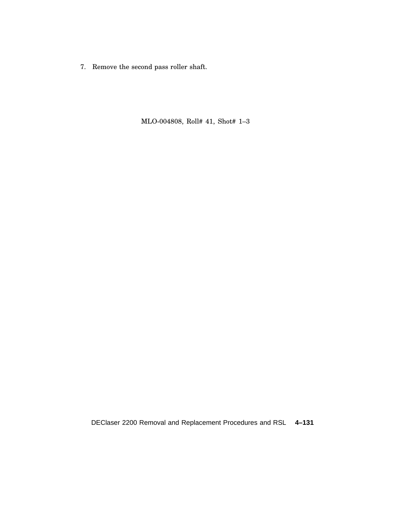7. Remove the second pass roller shaft.

MLO-004808, Roll# 41, Shot# 1–3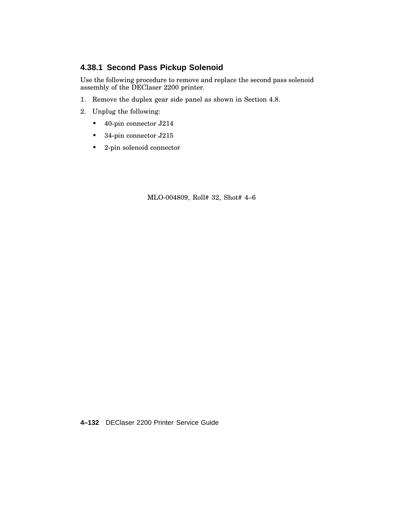## **4.38.1 Second Pass Pickup Solenoid**

Use the following procedure to remove and replace the second pass solenoid assembly of the DEClaser 2200 printer.

- 1. Remove the duplex gear side panel as shown in Section 4.8.
- 2. Unplug the following:
	- 40-pin connector J214
	- 34-pin connector J215
	- 2-pin solenoid connector

MLO-004809, Roll# 32, Shot# 4–6

**4–132** DEClaser 2200 Printer Service Guide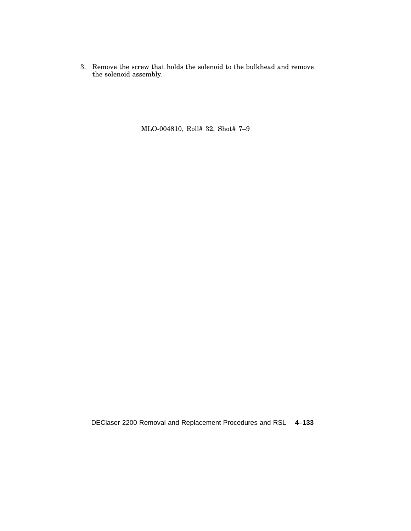3. Remove the screw that holds the solenoid to the bulkhead and remove the solenoid assembly.

MLO-004810, Roll# 32, Shot# 7–9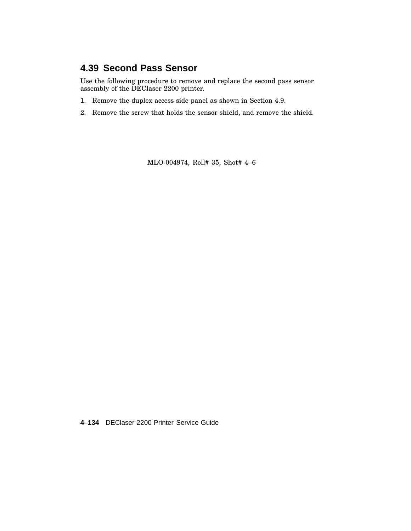### **4.39 Second Pass Sensor**

Use the following procedure to remove and replace the second pass sensor assembly of the DEClaser 2200 printer.

- 1. Remove the duplex access side panel as shown in Section 4.9.
- 2. Remove the screw that holds the sensor shield, and remove the shield.

MLO-004974, Roll# 35, Shot# 4–6

**4–134** DEClaser 2200 Printer Service Guide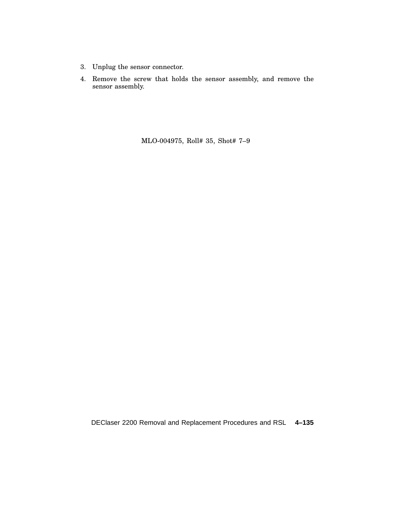- 3. Unplug the sensor connector.
- 4. Remove the screw that holds the sensor assembly, and remove the sensor assembly.

MLO-004975, Roll# 35, Shot# 7–9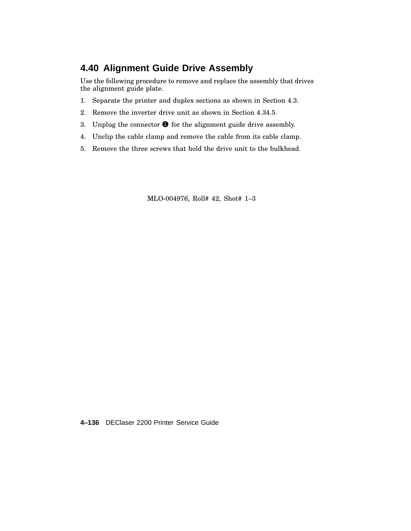### **4.40 Alignment Guide Drive Assembly**

Use the following procedure to remove and replace the assembly that drives the alignment guide plate.

- 1. Separate the printer and duplex sections as shown in Section 4.3.
- 2. Remove the inverter drive unit as shown in Section 4.34.5.
- 3. Unplug the connector  $\bullet$  for the alignment guide drive assembly.
- 4. Unclip the cable clamp and remove the cable from its cable clamp.
- 5. Remove the three screws that hold the drive unit to the bulkhead.

MLO-004976, Roll# 42, Shot# 1–3

**4–136** DEClaser 2200 Printer Service Guide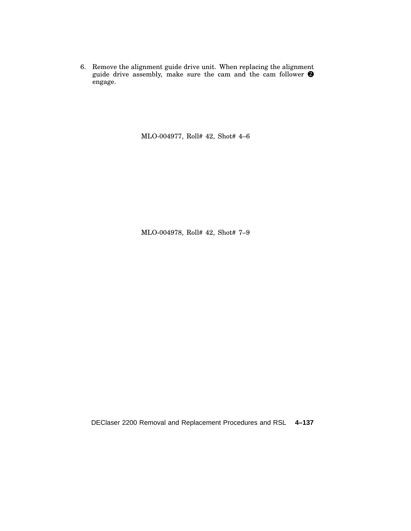6. Remove the alignment guide drive unit. When replacing the alignment guide drive assembly, make sure the cam and the cam follower  $\bullet$ engage.

MLO-004977, Roll# 42, Shot# 4–6

MLO-004978, Roll# 42, Shot# 7–9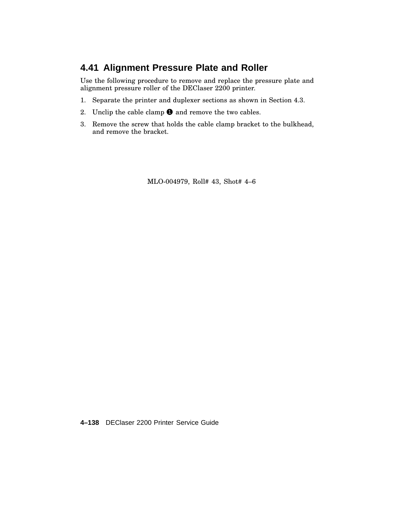### **4.41 Alignment Pressure Plate and Roller**

Use the following procedure to remove and replace the pressure plate and alignment pressure roller of the DEClaser 2200 printer.

- 1. Separate the printer and duplexer sections as shown in Section 4.3.
- 2. Unclip the cable clamp  $\bullet$  and remove the two cables.
- 3. Remove the screw that holds the cable clamp bracket to the bulkhead, and remove the bracket.

MLO-004979, Roll# 43, Shot# 4–6

**4–138** DEClaser 2200 Printer Service Guide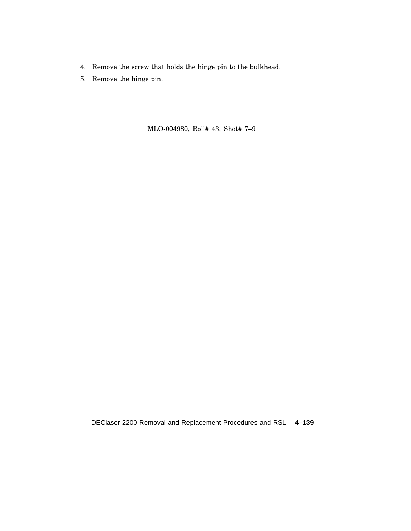- 4. Remove the screw that holds the hinge pin to the bulkhead.
- 5. Remove the hinge pin.

MLO-004980, Roll# 43, Shot# 7–9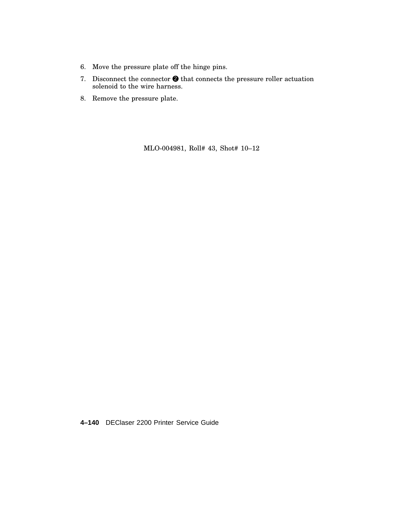- 6. Move the pressure plate off the hinge pins.
- 7. Disconnect the connector  $\bullet$  that connects the pressure roller actuation solenoid to the wire harness.
- 8. Remove the pressure plate.

MLO-004981, Roll# 43, Shot# 10–12

**4–140** DEClaser 2200 Printer Service Guide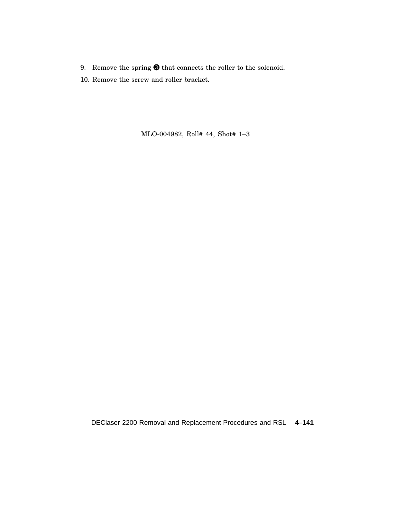- 9. Remove the spring  $\bigcirc$  that connects the roller to the solenoid.
- 10. Remove the screw and roller bracket.

MLO-004982, Roll# 44, Shot# 1–3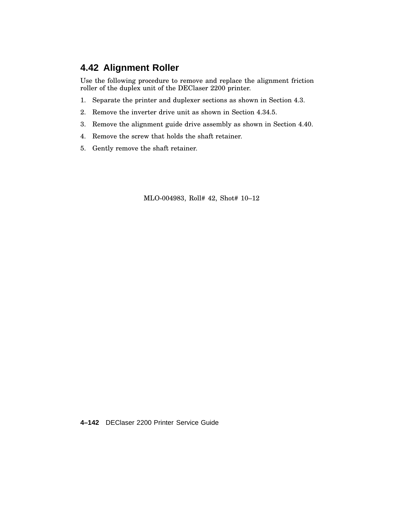### **4.42 Alignment Roller**

Use the following procedure to remove and replace the alignment friction roller of the duplex unit of the DEClaser 2200 printer.

- 1. Separate the printer and duplexer sections as shown in Section 4.3.
- 2. Remove the inverter drive unit as shown in Section 4.34.5.
- 3. Remove the alignment guide drive assembly as shown in Section 4.40.
- 4. Remove the screw that holds the shaft retainer.
- 5. Gently remove the shaft retainer.

MLO-004983, Roll# 42, Shot# 10–12

**4–142** DEClaser 2200 Printer Service Guide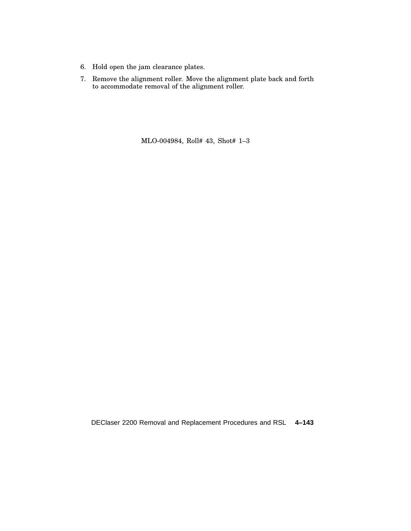- 6. Hold open the jam clearance plates.
- 7. Remove the alignment roller. Move the alignment plate back and forth to accommodate removal of the alignment roller.

MLO-004984, Roll# 43, Shot# 1–3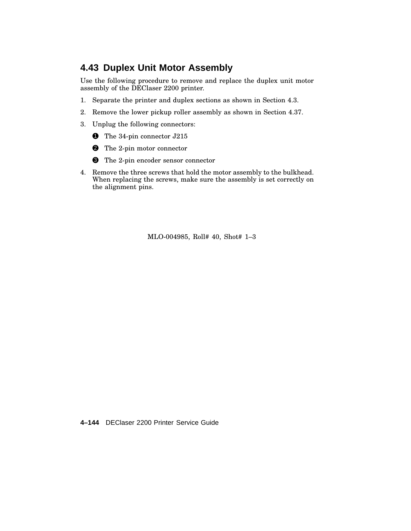### **4.43 Duplex Unit Motor Assembly**

Use the following procedure to remove and replace the duplex unit motor assembly of the DEClaser 2200 printer.

- 1. Separate the printer and duplex sections as shown in Section 4.3.
- 2. Remove the lower pickup roller assembly as shown in Section 4.37.
- 3. Unplug the following connectors:
	- **1** The 34-pin connector J215
	- 2 The 2-pin motor connector
	- <sup>3</sup> The 2-pin encoder sensor connector
- 4. Remove the three screws that hold the motor assembly to the bulkhead. When replacing the screws, make sure the assembly is set correctly on the alignment pins.

MLO-004985, Roll# 40, Shot# 1–3

**4–144** DEClaser 2200 Printer Service Guide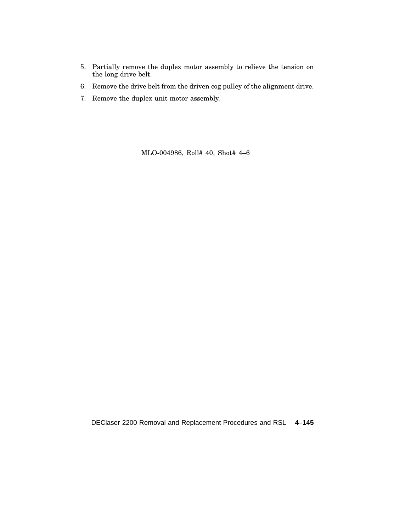- 5. Partially remove the duplex motor assembly to relieve the tension on the long drive belt.
- 6. Remove the drive belt from the driven cog pulley of the alignment drive.
- 7. Remove the duplex unit motor assembly.

MLO-004986, Roll# 40, Shot# 4–6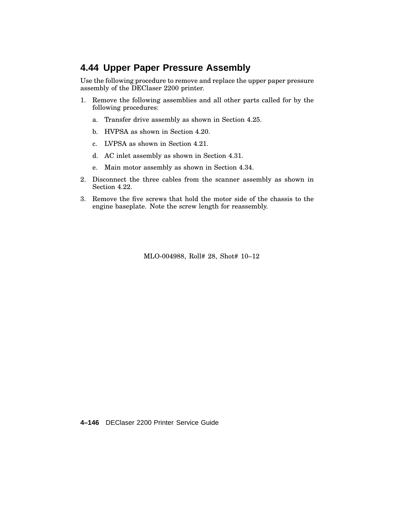### **4.44 Upper Paper Pressure Assembly**

Use the following procedure to remove and replace the upper paper pressure assembly of the DEClaser 2200 printer.

- 1. Remove the following assemblies and all other parts called for by the following procedures:
	- a. Transfer drive assembly as shown in Section 4.25.
	- b. HVPSA as shown in Section 4.20.
	- c. LVPSA as shown in Section 4.21.
	- d. AC inlet assembly as shown in Section 4.31.
	- e. Main motor assembly as shown in Section 4.34.
- 2. Disconnect the three cables from the scanner assembly as shown in Section 4.22.
- 3. Remove the five screws that hold the motor side of the chassis to the engine baseplate. Note the screw length for reassembly.

MLO-004988, Roll# 28, Shot# 10–12

**4–146** DEClaser 2200 Printer Service Guide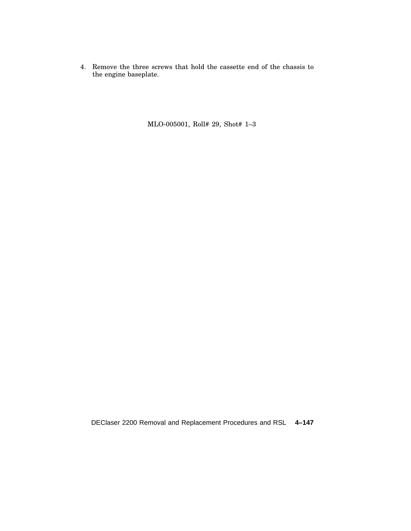4. Remove the three screws that hold the cassette end of the chassis to the engine baseplate.

MLO-005001, Roll# 29, Shot# 1–3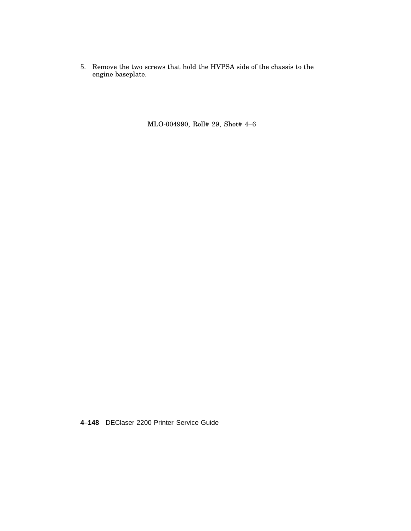5. Remove the two screws that hold the HVPSA side of the chassis to the engine baseplate.

MLO-004990, Roll# 29, Shot# 4–6

**4–148** DEClaser 2200 Printer Service Guide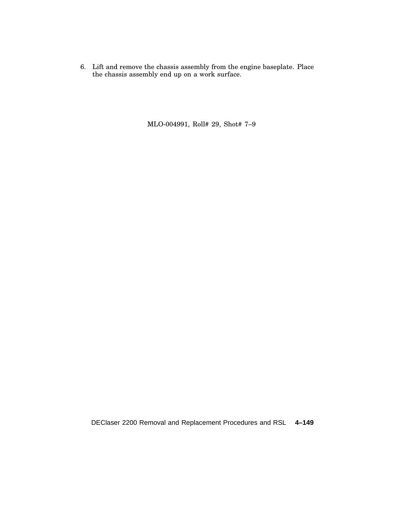6. Lift and remove the chassis assembly from the engine baseplate. Place the chassis assembly end up on a work surface.

MLO-004991, Roll# 29, Shot# 7–9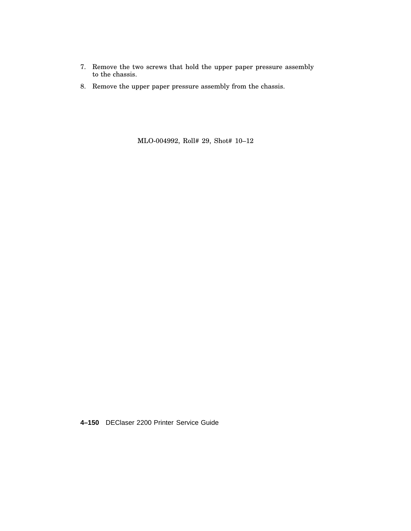- 7. Remove the two screws that hold the upper paper pressure assembly to the chassis.
- 8. Remove the upper paper pressure assembly from the chassis.

MLO-004992, Roll# 29, Shot# 10–12

**4–150** DEClaser 2200 Printer Service Guide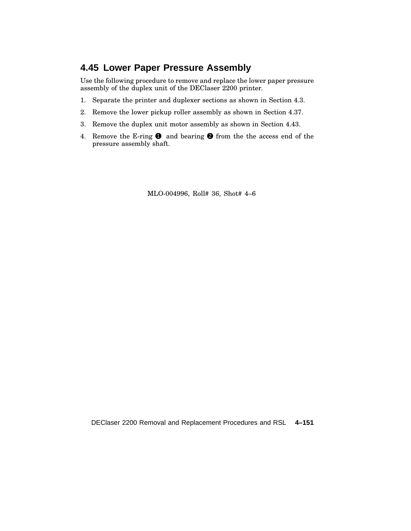### **4.45 Lower Paper Pressure Assembly**

Use the following procedure to remove and replace the lower paper pressure assembly of the duplex unit of the DEClaser 2200 printer.

- 1. Separate the printer and duplexer sections as shown in Section 4.3.
- 2. Remove the lower pickup roller assembly as shown in Section 4.37.
- 3. Remove the duplex unit motor assembly as shown in Section 4.43.
- 4. Remove the E-ring  $\bullet$  and bearing  $\bullet$  from the the access end of the pressure assembly shaft.

MLO-004996, Roll# 36, Shot# 4–6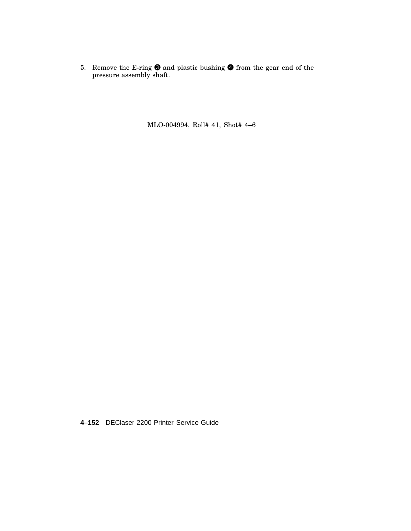5. Remove the E-ring  $\bigcirc$  and plastic bushing  $\bigcirc$  from the gear end of the pressure assembly shaft.

MLO-004994, Roll# 41, Shot# 4–6

**4–152** DEClaser 2200 Printer Service Guide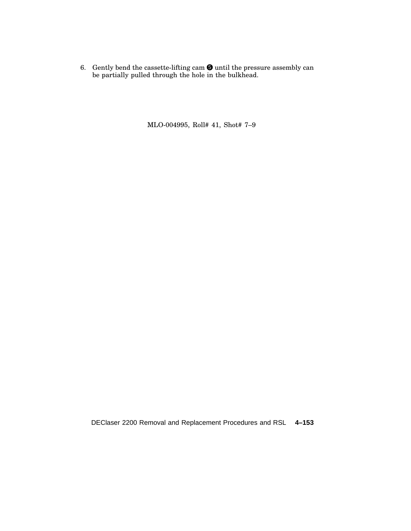6. Gently bend the cassette-lifting cam  $\bullet$  until the pressure assembly can be partially pulled through the hole in the bulkhead.

MLO-004995, Roll# 41, Shot# 7–9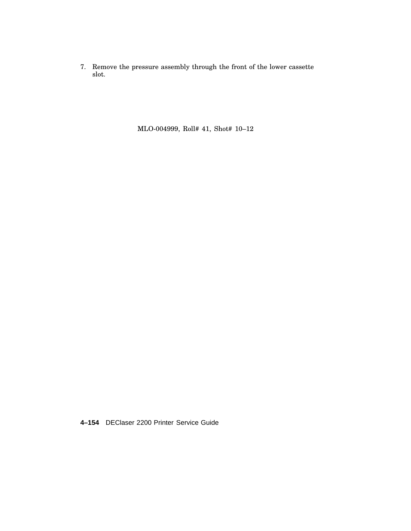7. Remove the pressure assembly through the front of the lower cassette slot.

MLO-004999, Roll# 41, Shot# 10–12

**4–154** DEClaser 2200 Printer Service Guide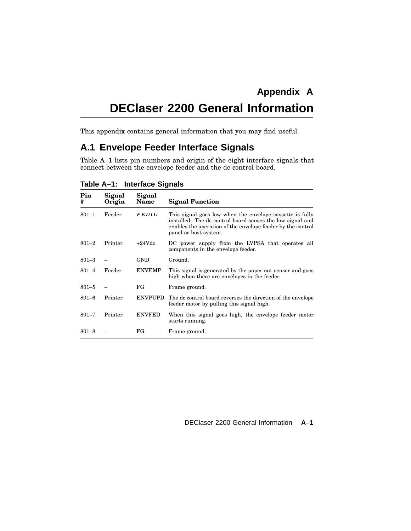# **DEClaser 2200 General Information**

This appendix contains general information that you may find useful.

### **A.1 Envelope Feeder Interface Signals**

Table A–1 lists pin numbers and origin of the eight interface signals that connect between the envelope feeder and the dc control board.

| Pin<br>#  | Signal<br>Origin | Signal<br>Name | <b>Signal Function</b>                                                                                                                                                                                        |
|-----------|------------------|----------------|---------------------------------------------------------------------------------------------------------------------------------------------------------------------------------------------------------------|
| $801 - 1$ | Feeder           | FEDID          | This signal goes low when the envelope cassette is fully<br>installed. The dc control board senses the low signal and<br>enables the operation of the envelope feeder by the control<br>panel or host system. |
| $801 - 2$ | Printer          | $+24Vdc$       | DC power supply from the LVPSA that operates all<br>components in the envelope feeder.                                                                                                                        |
| $801 - 3$ |                  | GND            | Ground.                                                                                                                                                                                                       |
| $801 - 4$ | Feeder           | <b>ENVEMP</b>  | This signal is generated by the paper out sensor and goes<br>high when there are envelopes in the feeder.                                                                                                     |
| $801 - 5$ |                  | FG             | Frame ground.                                                                                                                                                                                                 |
| $801 - 6$ | Printer          | <b>ENVPUPD</b> | The dc control board reverses the direction of the envelope<br>feeder motor by pulling this signal high.                                                                                                      |
| $801 - 7$ | Printer          | <b>ENVFED</b>  | When this signal goes high, the envelope feeder motor<br>starts running.                                                                                                                                      |
| $801 - 8$ |                  | FG             | Frame ground.                                                                                                                                                                                                 |

**Table A–1: Interface Signals**

DEClaser 2200 General Information **A–1**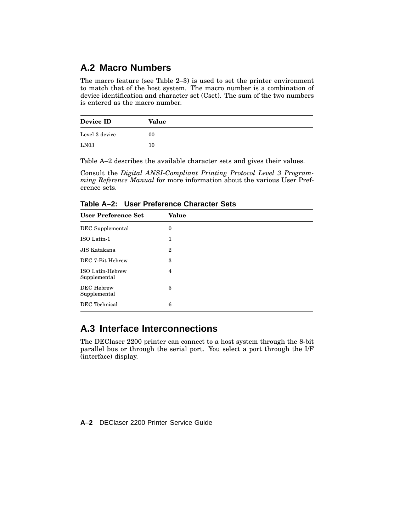### **A.2 Macro Numbers**

The macro feature (see Table 2–3) is used to set the printer environment to match that of the host system. The macro number is a combination of device identification and character set (Cset). The sum of the two numbers is entered as the macro number.

| Device ID      | Value |  |
|----------------|-------|--|
| Level 3 device | 00    |  |
| LN03           | 10    |  |

Table A–2 describes the available character sets and gives their values.

Consult the *Digital ANSI-Compliant Printing Protocol Level 3 Programming Reference Manual* for more information about the various User Preference sets.

**Table A–2: User Preference Character Sets**

| <b>User Preference Set</b>       | Value            |
|----------------------------------|------------------|
| DEC Supplemental                 | 0                |
| ISO Latin-1                      | 1                |
| JIS Katakana                     | $\boldsymbol{2}$ |
| DEC 7-Bit Hebrew                 | 3                |
| ISO Latin-Hebrew<br>Supplemental | 4                |
| DEC Hebrew<br>Supplemental       | 5                |
| DEC Technical                    | 6                |

### **A.3 Interface Interconnections**

The DEClaser 2200 printer can connect to a host system through the 8-bit parallel bus or through the serial port. You select a port through the I/F (interface) display.

**A–2** DEClaser 2200 Printer Service Guide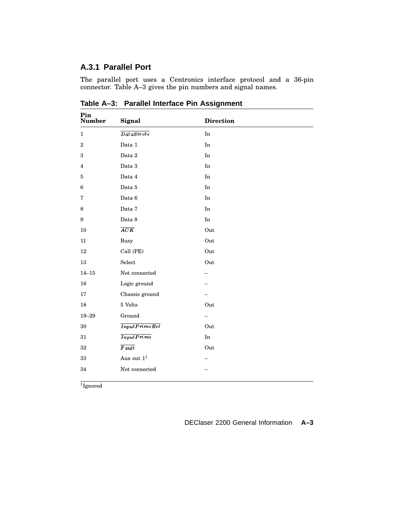#### **A.3.1 Parallel Port**

The parallel port uses a Centronics interface protocol and a 36-pin connector. Table A–3 gives the pin numbers and signal names.

| Pin<br><b>Number</b>    | Signal                                                                                                                         | <b>Direction</b>           |  |
|-------------------------|--------------------------------------------------------------------------------------------------------------------------------|----------------------------|--|
| $\mathbf{1}$            | $\overline{D{\hskip.1em} a{\hskip.1em} s{\hskip.1em} a{\hskip.1em} s{\hskip.1em} t{\hskip.1em} o{\hskip.1em} b{\hskip.1em} e}$ | $\mathop{\rm In}\nolimits$ |  |
| $\overline{2}$          | Data 1                                                                                                                         | In                         |  |
| 3                       | Data $2\,$                                                                                                                     | $\mathop{\rm In}\nolimits$ |  |
| $\overline{\mathbf{4}}$ | Data 3                                                                                                                         | $\mathop{\mathrm{In}}$     |  |
| $\bf 5$                 | Data 4                                                                                                                         | In                         |  |
| 6                       | Data $5\,$                                                                                                                     | $\mathop{\mathrm{In}}$     |  |
| 7                       | Data 6                                                                                                                         | In                         |  |
| 8                       | Data 7                                                                                                                         | $\rm In$                   |  |
| 9                       | Data 8                                                                                                                         | $\mathop{\mathrm{In}}$     |  |
| $10\,$                  | ACK                                                                                                                            | Out                        |  |
| $11\,$                  | <b>Busy</b>                                                                                                                    | Out                        |  |
| 12                      | Call (PE)                                                                                                                      | Out                        |  |
| $13\,$                  | Select                                                                                                                         | Out                        |  |
| $14 - 15$               | Not connected                                                                                                                  |                            |  |
| 16                      | Logic ground                                                                                                                   |                            |  |
| 17                      | Chassis ground                                                                                                                 |                            |  |
| $18\,$                  | $5$ Volts                                                                                                                      | Out                        |  |
| $19 - 29$               | Ground                                                                                                                         | -                          |  |
| $30\,$                  | InputPrimeRet                                                                                                                  | Out                        |  |
| $31\,$                  | <b>InputPrime</b>                                                                                                              | $\operatorname{In}$        |  |
| 32                      | $\overline{Fault}$                                                                                                             | Out                        |  |
| $33\,$                  | Aux out $\mathbf{1}^1$                                                                                                         |                            |  |
| 34                      | Not connected                                                                                                                  |                            |  |
|                         |                                                                                                                                |                            |  |

**Table A–3: Parallel Interface Pin Assignment**

1 Ignored

DEClaser 2200 General Information **A–3**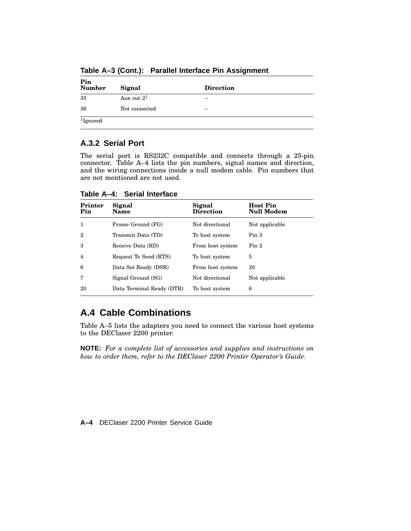| Pin<br>Number | Signal        | <b>Direction</b> |  |
|---------------|---------------|------------------|--|
| 35            | Aux out $2^1$ | -                |  |
| 36            | Not connected | -                |  |
| $1$ Ignored   |               |                  |  |

**Table A–3 (Cont.): Parallel Interface Pin Assignment**

#### **A.3.2 Serial Port**

The serial port is RS232C compatible and connects through a 25-pin connector. Table A–4 lists the pin numbers, signal names and direction, and the wiring connections inside a null modem cable. Pin numbers that are not mentioned are not used.

**Printer Pin Signal Name Signal Direction Host Pin Null Modem** 1 Frame Ground (FG) Not directional Not applicable 2 Transmit Data (TD) To host system Pin 3 3 Receive Data (RD) From host system Pin 2 4 Request To Send (RTS) To host system 5 6 Data Set Ready (DSR) From host system 20 7 Signal Ground (SG) Not directional Not applicable 20 Data Terminal Ready (DTR) To host system 6

**Table A–4: Serial Interface**

### **A.4 Cable Combinations**

Table A–5 lists the adapters you need to connect the various host systems to the DEClaser 2200 printer.

**NOTE:** *For a complete list of accessories and supplies and instructions on how to order them, refer to the DEClaser 2200 Printer Operator's Guide.*

**A–4** DEClaser 2200 Printer Service Guide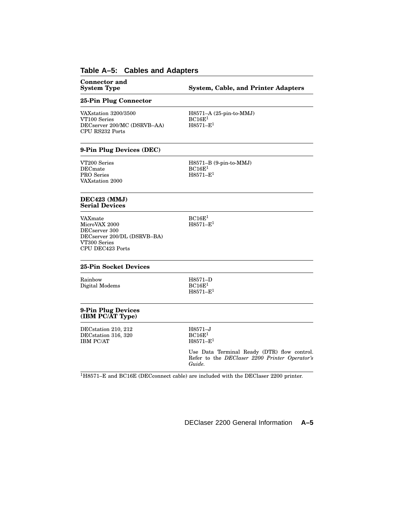### **Table A–5: Cables and Adapters**

| <b>Connector and</b><br><b>System Type</b>                                                                   | <b>System, Cable, and Printer Adapters</b>                                                             |  |
|--------------------------------------------------------------------------------------------------------------|--------------------------------------------------------------------------------------------------------|--|
| 25-Pin Plug Connector                                                                                        |                                                                                                        |  |
| VAXstation 3200/3500<br>VT100 Series<br>DECserver 200/MC (DSRVB-AA)<br>CPU RS232 Ports                       | $H8571-A (25-pin-to-MMJ)$<br>BC16E <sup>1</sup><br>$H8571 - E1$                                        |  |
| 9-Pin Plug Devices (DEC)                                                                                     |                                                                                                        |  |
| VT200 Series<br><b>DECmate</b><br>PRO Series<br>VAXstation 2000                                              | H8571-B (9-pin-to-MMJ)<br>BC16E <sup>1</sup><br>$H8571 - E1$                                           |  |
| DEC423 (MMJ)<br><b>Serial Devices</b>                                                                        |                                                                                                        |  |
| VAXmate<br>MicroVAX 2000<br>DECserver 300<br>DECserver 200/DL (DSRVB-BA)<br>VT300 Series<br>CPU DEC423 Ports | BC16E <sup>1</sup><br>$H8571 - E1$                                                                     |  |
| <b>25-Pin Socket Devices</b>                                                                                 |                                                                                                        |  |
| Rainbow<br>Digital Modems                                                                                    | H8571-D<br>BC16E <sup>1</sup><br>$H8571 - E1$                                                          |  |
| 9-Pin Plug Devices<br>(IBM PC/AT Type)                                                                       |                                                                                                        |  |
| DECstation 210, 212<br>DECstation 316, 320<br><b>IBM PC/AT</b>                                               | $H8571 - J$<br>BC16E <sup>1</sup><br>$H8571 - E^1$                                                     |  |
|                                                                                                              | Use Data Terminal Ready (DTR) flow control.<br>Refer to the DEClaser 2200 Printer Operator's<br>Guide. |  |
|                                                                                                              | $1\mu$ 2571 F and $2C16F$ (DFCeannast eable) are included with the DFClaser 2200 printer               |  |

<sup>1</sup>H8571–E and BC16E (DECconnect cable) are included with the DEClaser 2200 printer.

DEClaser 2200 General Information **A–5**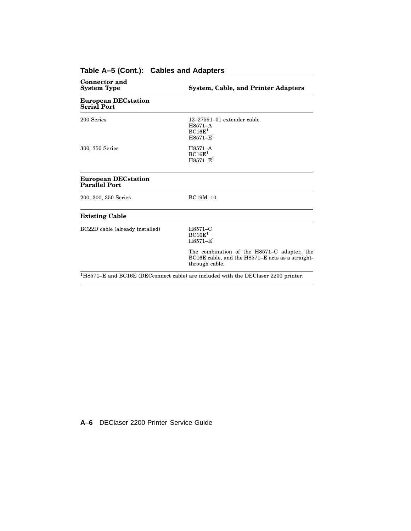| <b>Connector and</b><br><b>System Type</b>         | <b>System, Cable, and Printer Adapters</b>                                                                        |
|----------------------------------------------------|-------------------------------------------------------------------------------------------------------------------|
| <b>European DECstation</b><br><b>Serial Port</b>   |                                                                                                                   |
| 200 Series                                         | $12-27591-01$ extender cable.<br>H8571-A<br>BC16E <sup>1</sup><br>$H8571 - E1$                                    |
| 300, 350 Series                                    | H8571-A<br>BC16E <sup>1</sup><br>$H8571 - E1$                                                                     |
| <b>European DECstation</b><br><b>Parallel Port</b> |                                                                                                                   |
| 200, 300, 350 Series                               | <b>BC19M-10</b>                                                                                                   |
| <b>Existing Cable</b>                              |                                                                                                                   |
| BC22D cable (already installed)                    | H8571-C<br>BC16E <sup>1</sup><br>$H8571 - E1$                                                                     |
|                                                    | The combination of the H8571–C adapter, the<br>BC16E cable, and the H8571–E acts as a straight-<br>through cable. |
|                                                    | $1H8571-E$ and BC16E (DECconnect cable) are included with the DEClaser 2200 printer.                              |

### **Table A–5 (Cont.): Cables and Adapters**

**A–6** DEClaser 2200 Printer Service Guide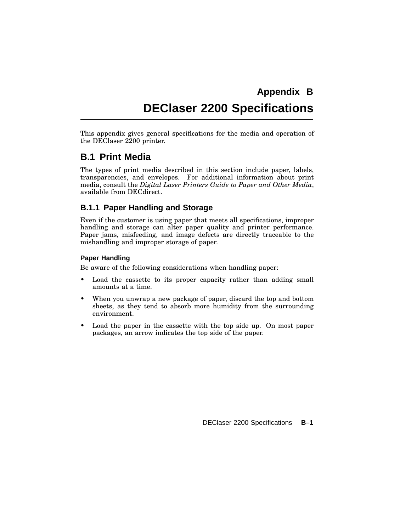## **Appendix B DEClaser 2200 Specifications**

This appendix gives general specifications for the media and operation of the DEClaser 2200 printer.

### **B.1 Print Media**

The types of print media described in this section include paper, labels, transparencies, and envelopes. For additional information about print media, consult the *Digital Laser Printers Guide to Paper and Other Media*, available from DECdirect.

#### **B.1.1 Paper Handling and Storage**

Even if the customer is using paper that meets all specifications, improper handling and storage can alter paper quality and printer performance. Paper jams, misfeeding, and image defects are directly traceable to the mishandling and improper storage of paper.

#### **Paper Handling**

Be aware of the following considerations when handling paper:

- Load the cassette to its proper capacity rather than adding small amounts at a time.
- When you unwrap a new package of paper, discard the top and bottom sheets, as they tend to absorb more humidity from the surrounding environment.
- Load the paper in the cassette with the top side up. On most paper packages, an arrow indicates the top side of the paper.

DEClaser 2200 Specifications **B–1**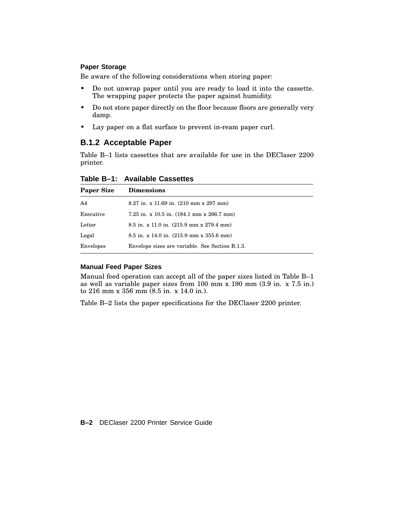#### **Paper Storage**

Be aware of the following considerations when storing paper:

- Do not unwrap paper until you are ready to load it into the cassette. The wrapping paper protects the paper against humidity.
- Do not store paper directly on the floor because floors are generally very damp.
- Lay paper on a flat surface to prevent in-ream paper curl.

#### **B.1.2 Acceptable Paper**

Table B–1 lists cassettes that are available for use in the DEClaser 2200 printer.

| Table B-1: Available Cassettes |  |  |  |  |
|--------------------------------|--|--|--|--|
|--------------------------------|--|--|--|--|

| <b>Paper Size</b> | <b>Dimensions</b>                                                |
|-------------------|------------------------------------------------------------------|
| A <sub>4</sub>    | $8.27$ in. x 11.69 in. $(210 \text{ mm} \times 297 \text{ mm})$  |
| Executive         | 7.25 in. x 10.5 in. $(184.1 \text{ mm} \times 266.7 \text{ mm})$ |
| Letter            | $8.5$ in. x 11.0 in. $(215.9$ mm x 279.4 mm)                     |
| Legal             | $8.5$ in. x 14.0 in. $(215.9$ mm x 355.6 mm)                     |
| Envelopes         | Envelope sizes are variable. See Section B.1.3.                  |

#### **Manual Feed Paper Sizes**

Manual feed operation can accept all of the paper sizes listed in Table B–1 as well as variable paper sizes from 100 mm x 190 mm (3.9 in. x 7.5 in.) to 216 mm x 356 mm (8.5 in. x 14.0 in.).

Table B–2 lists the paper specifications for the DEClaser 2200 printer.

**B–2** DEClaser 2200 Printer Service Guide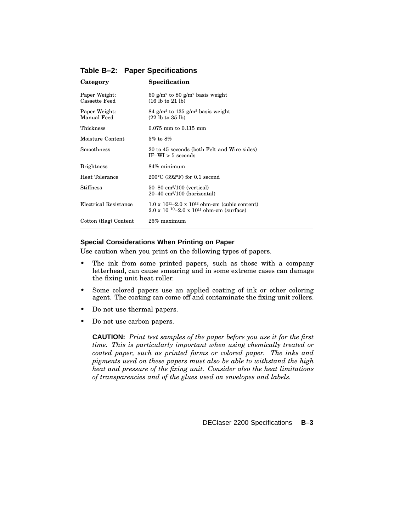| Category                       | Specification                                                                                                                   |
|--------------------------------|---------------------------------------------------------------------------------------------------------------------------------|
| Paper Weight:<br>Cassette Feed | 60 g/m <sup>2</sup> to 80 g/m <sup>2</sup> basis weight<br>$(16 \text{ lb to } 21 \text{ lb})$                                  |
| Paper Weight:<br>Manual Feed   | 84 g/m <sup>2</sup> to 135 g/m <sup>2</sup> basis weight<br>$(22 \text{ lb to } 35 \text{ lb})$                                 |
| Thickness                      | $0.075$ mm to $0.115$ mm                                                                                                        |
| Moisture Content               | $5\%$ to $8\%$                                                                                                                  |
| Smoothness                     | 20 to 45 seconds (both Felt and Wire sides)<br>$IF-WI > 5$ seconds                                                              |
| <b>Brightness</b>              | $84\%$ minimum                                                                                                                  |
| Heat Tolerance                 | $200^{\circ}$ C (392 $^{\circ}$ F) for 0.1 second                                                                               |
| Stiffness                      | $50 - 80$ cm <sup>2</sup> /100 (vertical)<br>$20-40$ cm <sup>2</sup> /100 (horizontal)                                          |
| Electrical Resistance          | $1.0 \times 10^{11} - 2.0 \times 10^{12}$ ohm-cm (cubic content)<br>$2.0 \times 10^{-10} - 2.0 \times 10^{11}$ ohm-cm (surface) |
| Cotton (Rag) Content           | $25\%$ maximum                                                                                                                  |

**Table B–2: Paper Specifications**

#### **Special Considerations When Printing on Paper**

Use caution when you print on the following types of papers.

- The ink from some printed papers, such as those with a company letterhead, can cause smearing and in some extreme cases can damage the fixing unit heat roller.
- Some colored papers use an applied coating of ink or other coloring agent. The coating can come off and contaminate the fixing unit rollers.
- Do not use thermal papers.
- Do not use carbon papers.

**CAUTION:** *Print test samples of the paper before you use it for the first time. This is particularly important when using chemically treated or coated paper, such as printed forms or colored paper. The inks and pigments used on these papers must also be able to withstand the high heat and pressure of the fixing unit. Consider also the heat limitations of transparencies and of the glues used on envelopes and labels.*

DEClaser 2200 Specifications **B–3**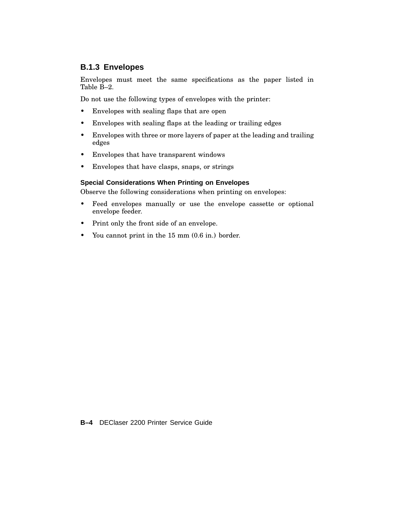#### **B.1.3 Envelopes**

Envelopes must meet the same specifications as the paper listed in Table B–2.

Do not use the following types of envelopes with the printer:

- Envelopes with sealing flaps that are open
- Envelopes with sealing flaps at the leading or trailing edges
- Envelopes with three or more layers of paper at the leading and trailing edges
- Envelopes that have transparent windows
- Envelopes that have clasps, snaps, or strings

#### **Special Considerations When Printing on Envelopes**

Observe the following considerations when printing on envelopes:

- Feed envelopes manually or use the envelope cassette or optional envelope feeder.
- Print only the front side of an envelope.
- You cannot print in the 15 mm (0.6 in.) border.

**B–4** DEClaser 2200 Printer Service Guide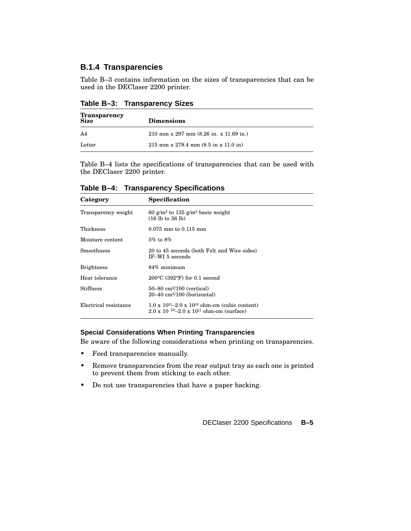#### **B.1.4 Transparencies**

Table B–3 contains information on the sizes of transparencies that can be used in the DEClaser 2200 printer.

| <b>Transparency</b><br><b>Size</b> | <b>Dimensions</b>                                                                |  |
|------------------------------------|----------------------------------------------------------------------------------|--|
| A4                                 | 210 mm x 297 mm $(8.26 \text{ in. x } 11.69 \text{ in.})$                        |  |
| Letter                             | $215 \text{ mm} \times 279.4 \text{ mm} (8.5 \text{ in} \times 11.0 \text{ in})$ |  |

**Table B–3: Transparency Sizes**

Table B–4 lists the specifications of transparencies that can be used with the DEClaser 2200 printer.

| Category              | Specification                                                                                                                   |
|-----------------------|---------------------------------------------------------------------------------------------------------------------------------|
| Transparency weight   | 60 g/m <sup>2</sup> to 135 g/m <sup>2</sup> basis weight<br>$(16 \text{ lb to } 36 \text{ lb})$                                 |
| Thickness             | $0.075$ mm to $0.115$ mm                                                                                                        |
| Moisture content      | $5\%$ to $8\%$                                                                                                                  |
| <b>Smoothness</b>     | 20 to 45 seconds (both Felt and Wire sides)<br>IF-WI 5 seconds                                                                  |
| <b>Brightness</b>     | $84\%$ minimum                                                                                                                  |
| Heat tolerance        | $200^{\circ}$ C (392 $^{\circ}$ F) for 0.1 second                                                                               |
| <b>Stiffness</b>      | $50 - 80$ cm <sup>2</sup> /100 (vertical)<br>$20-40$ cm <sup>2</sup> /100 (horizontal)                                          |
| Electrical resistance | $1.0 \times 10^{11} - 2.0 \times 10^{12}$ ohm-cm (cubic content)<br>$2.0 \times 10^{-10} - 2.0 \times 10^{11}$ ohm-cm (surface) |

**Table B–4: Transparency Specifications**

#### **Special Considerations When Printing Transparencies**

Be aware of the following considerations when printing on transparencies.

- Feed transparencies manually.
- Remove transparencies from the rear output tray as each one is printed to prevent them from sticking to each other.
- Do not use transparencies that have a paper backing.

DEClaser 2200 Specifications **B–5**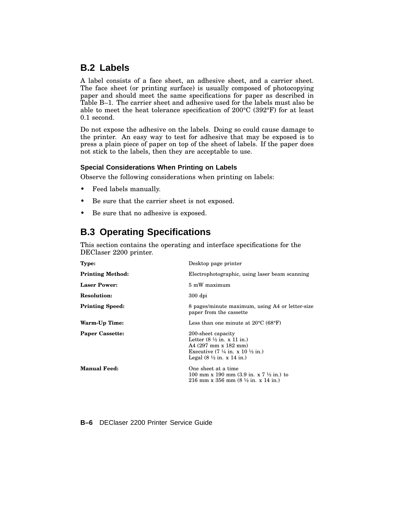### **B.2 Labels**

A label consists of a face sheet, an adhesive sheet, and a carrier sheet. The face sheet (or printing surface) is usually composed of photocopying paper and should meet the same specifications for paper as described in Table B–1. The carrier sheet and adhesive used for the labels must also be able to meet the heat tolerance specification of 200°C (392°F) for at least 0.1 second.

Do not expose the adhesive on the labels. Doing so could cause damage to the printer. An easy way to test for adhesive that may be exposed is to press a plain piece of paper on top of the sheet of labels. If the paper does not stick to the labels, then they are acceptable to use.

#### **Special Considerations When Printing on Labels**

Observe the following considerations when printing on labels:

- Feed labels manually.
- Be sure that the carrier sheet is not exposed.
- Be sure that no adhesive is exposed.

### **B.3 Operating Specifications**

This section contains the operating and interface specifications for the DEClaser 2200 printer.

| Type:                   | Desktop page printer                                                                                                                                                                                                                   |
|-------------------------|----------------------------------------------------------------------------------------------------------------------------------------------------------------------------------------------------------------------------------------|
| <b>Printing Method:</b> | Electrophotographic, using laser beam scanning                                                                                                                                                                                         |
| <b>Laser Power:</b>     | 5 mW maximum                                                                                                                                                                                                                           |
| <b>Resolution:</b>      | $300$ dpi                                                                                                                                                                                                                              |
| <b>Printing Speed:</b>  | 8 pages/minute maximum, using A4 or letter-size<br>paper from the cassette                                                                                                                                                             |
| Warm-Up Time:           | Less than one minute at $20^{\circ}$ C (68 $^{\circ}$ F)                                                                                                                                                                               |
| <b>Paper Cassette:</b>  | 200-sheet capacity<br>Letter $(8 \frac{1}{2} \text{ in. x } 11 \text{ in.})$<br>A4 (297 mm x 182 mm)<br>Executive $(7 \frac{1}{4} \text{ in. x } 10 \frac{1}{2} \text{ in.})$<br>Legal $(8 \frac{1}{2} \text{ in. x } 14 \text{ in.})$ |
| <b>Manual Feed:</b>     | One sheet at a time<br>100 mm x 190 mm $(3.9 \text{ in. x } 7 \frac{1}{2} \text{ in.})$ to<br>216 mm x 356 mm $(8 \frac{1}{2}$ in. x 14 in.)                                                                                           |

#### **B–6** DEClaser 2200 Printer Service Guide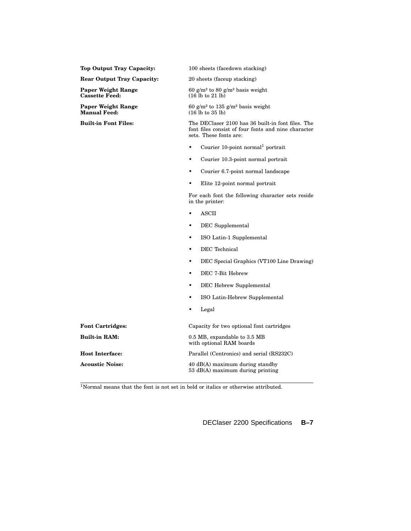| <b>Top Output Tray Capacity:</b>                 | 100 sheets (facedown stacking)                                                                                                     |
|--------------------------------------------------|------------------------------------------------------------------------------------------------------------------------------------|
| <b>Rear Output Tray Capacity:</b>                | 20 sheets (faceup stacking)                                                                                                        |
| Paper Weight Range<br><b>Cassette Feed:</b>      | 60 g/m <sup>2</sup> to 80 g/m <sup>2</sup> basis weight<br>$(16 \text{ lb to } 21 \text{ lb})$                                     |
| <b>Paper Weight Range</b><br><b>Manual Feed:</b> | 60 g/m <sup>2</sup> to 135 g/m <sup>2</sup> basis weight<br>$(16 \text{ lb to } 35 \text{ lb})$                                    |
| <b>Built-in Font Files:</b>                      | The DEClaser 2100 has 36 built-in font files. The<br>font files consist of four fonts and nine character<br>sets. These fonts are: |
|                                                  | Courier 10-point normal <sup>1</sup> portrait<br>$\bullet$                                                                         |
|                                                  | Courier 10.3-point normal portrait<br>$\bullet$                                                                                    |
|                                                  | Courier 6.7-point normal landscape<br>$\bullet$                                                                                    |
|                                                  | Elite 12-point normal portrait<br>$\bullet$                                                                                        |
|                                                  | For each font the following character sets reside<br>in the printer:                                                               |
|                                                  | <b>ASCII</b><br>$\bullet$                                                                                                          |
|                                                  | DEC Supplemental<br>$\bullet$                                                                                                      |
|                                                  | ISO Latin-1 Supplemental<br>$\bullet$                                                                                              |
|                                                  | DEC Technical<br>$\bullet$                                                                                                         |
|                                                  | DEC Special Graphics (VT100 Line Drawing)<br>$\bullet$                                                                             |
|                                                  | DEC 7-Bit Hebrew<br>$\bullet$                                                                                                      |
|                                                  | DEC Hebrew Supplemental<br>$\bullet$                                                                                               |
|                                                  | ISO Latin-Hebrew Supplemental<br>٠                                                                                                 |
|                                                  | Legal<br>$\bullet$                                                                                                                 |
| <b>Font Cartridges:</b>                          | Capacity for two optional font cartridges                                                                                          |
| <b>Built-in RAM:</b>                             | 0.5 MB, expandable to 3.5 MB<br>with optional RAM boards                                                                           |
| <b>Host Interface:</b>                           | Parallel (Centronics) and serial (RS232C)                                                                                          |
| <b>Acoustic Noise:</b>                           | 40 dB(A) maximum during standby<br>53 dB(A) maximum during printing                                                                |

 $\overline{\textrm{1}$  Normal means that the font is not set in bold or italics or otherwise attributed.

DEClaser 2200 Specifications **B–7**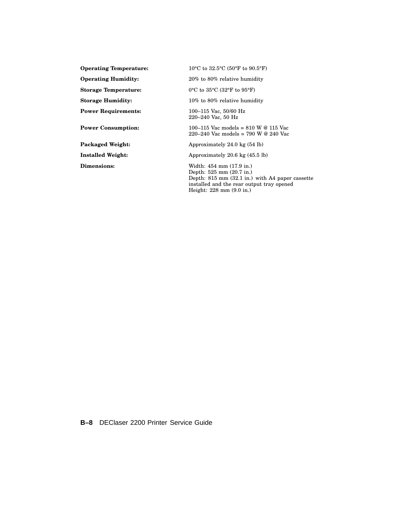**Operating Temperature:** 10°C to 32.5°C (50°F to 90.5°F) **Operating Humidity:** 20% to 80% relative humidity **Storage Temperature:** 0°C to 35°C (32°F to 95°F) **Storage Humidity:** 10% to 80% relative humidity **Power Requirements:** 100–115 Vac, 50/60 Hz **Power Consumption:** 100–115 Vac models = 810 W @ 115 Vac **Packaged Weight:** Approximately 24.0 kg (54 lb) **Installed Weight:** Approximately 20.6 kg (45.5 lb) **Dimensions:** Width: 454 mm (17.9 in.)

220–240 Vac, 50 Hz  $220 - 240$  Vac models = 790 W @ 240 Vac Depth: 525 mm (20.7 in.) Depth: 815 mm (32.1 in.) with A4 paper cassette installed and the rear output tray opened

Height: 228 mm (9.0 in.)

**B–8** DEClaser 2200 Printer Service Guide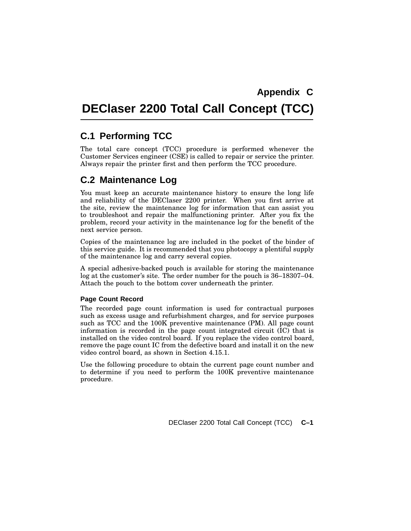## **DEClaser 2200 Total Call Concept (TCC)**

### **C.1 Performing TCC**

The total care concept (TCC) procedure is performed whenever the Customer Services engineer (CSE) is called to repair or service the printer. Always repair the printer first and then perform the TCC procedure.

### **C.2 Maintenance Log**

You must keep an accurate maintenance history to ensure the long life and reliability of the DEClaser 2200 printer. When you first arrive at the site, review the maintenance log for information that can assist you to troubleshoot and repair the malfunctioning printer. After you fix the problem, record your activity in the maintenance log for the benefit of the next service person.

Copies of the maintenance log are included in the pocket of the binder of this service guide. It is recommended that you photocopy a plentiful supply of the maintenance log and carry several copies.

A special adhesive-backed pouch is available for storing the maintenance log at the customer's site. The order number for the pouch is 36–18307–04. Attach the pouch to the bottom cover underneath the printer.

#### **Page Count Record**

The recorded page count information is used for contractual purposes such as excess usage and refurbishment charges, and for service purposes such as TCC and the 100K preventive maintenance (PM). All page count information is recorded in the page count integrated circuit (IC) that is installed on the video control board. If you replace the video control board, remove the page count IC from the defective board and install it on the new video control board, as shown in Section 4.15.1.

Use the following procedure to obtain the current page count number and to determine if you need to perform the 100K preventive maintenance procedure.

DEClaser 2200 Total Call Concept (TCC) **C–1**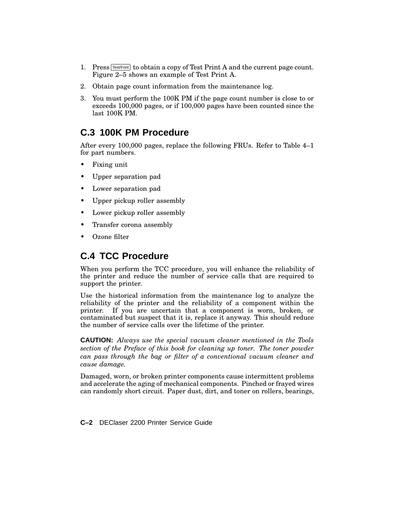- 1. Press  $Test/Font$  to obtain a copy of Test Print A and the current page count. Figure 2–5 shows an example of Test Print A.
- 2. Obtain page count information from the maintenance log.
- 3. You must perform the 100K PM if the page count number is close to or exceeds 100,000 pages, or if 100,000 pages have been counted since the last 100K PM.

### **C.3 100K PM Procedure**

After every 100,000 pages, replace the following FRUs. Refer to Table 4–1 for part numbers.

- Fixing unit
- Upper separation pad
- Lower separation pad
- Upper pickup roller assembly
- Lower pickup roller assembly
- Transfer corona assembly
- Ozone filter

### **C.4 TCC Procedure**

When you perform the TCC procedure, you will enhance the reliability of the printer and reduce the number of service calls that are required to support the printer.

Use the historical information from the maintenance log to analyze the reliability of the printer and the reliability of a component within the printer. If you are uncertain that a component is worn, broken, or contaminated but suspect that it is, replace it anyway. This should reduce the number of service calls over the lifetime of the printer.

**CAUTION:** *Always use the special vacuum cleaner mentioned in the Tools section of the Preface of this book for cleaning up toner. The toner powder can pass through the bag or filter of a conventional vacuum cleaner and cause damage.*

Damaged, worn, or broken printer components cause intermittent problems and accelerate the aging of mechanical components. Pinched or frayed wires can randomly short circuit. Paper dust, dirt, and toner on rollers, bearings,

**C–2** DEClaser 2200 Printer Service Guide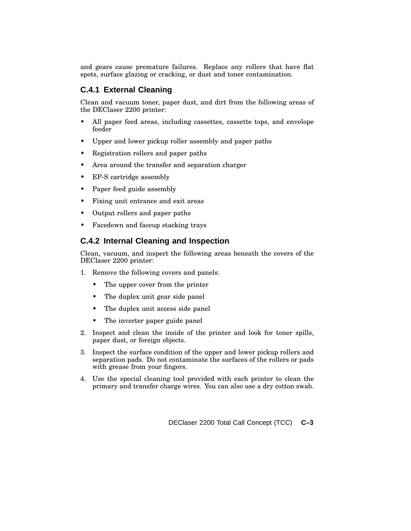and gears cause premature failures. Replace any rollers that have flat spots, surface glazing or cracking, or dust and toner contamination.

#### **C.4.1 External Cleaning**

Clean and vacuum toner, paper dust, and dirt from the following areas of the DEClaser 2200 printer:

- All paper feed areas, including cassettes, cassette tops, and envelope feeder
- Upper and lower pickup roller assembly and paper paths
- Registration rollers and paper paths
- Area around the transfer and separation charger
- EP-S cartridge assembly
- Paper feed guide assembly
- Fixing unit entrance and exit areas
- Output rollers and paper paths
- Facedown and faceup stacking trays

#### **C.4.2 Internal Cleaning and Inspection**

Clean, vacuum, and inspect the following areas beneath the covers of the DEClaser 2200 printer:

- 1. Remove the following covers and panels:
	- The upper cover from the printer
	- The duplex unit gear side panel
	- The duplex unit access side panel
	- The inverter paper guide panel
- 2. Inspect and clean the inside of the printer and look for toner spills, paper dust, or foreign objects.
- 3. Inspect the surface condition of the upper and lower pickup rollers and separation pads. Do not contaminate the surfaces of the rollers or pads with grease from your fingers.
- 4. Use the special cleaning tool provided with each printer to clean the primary and transfer charge wires. You can also use a dry cotton swab.

DEClaser 2200 Total Call Concept (TCC) **C–3**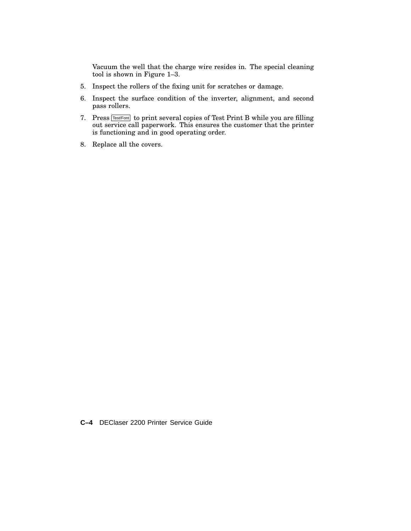Vacuum the well that the charge wire resides in. The special cleaning tool is shown in Figure 1–3.

- 5. Inspect the rollers of the fixing unit for scratches or damage.
- 6. Inspect the surface condition of the inverter, alignment, and second pass rollers.
- 7. Press **Test/Font** to print several copies of Test Print B while you are filling out service call paperwork. This ensures the customer that the printer is functioning and in good operating order.
- 8. Replace all the covers.

**C–4** DEClaser 2200 Printer Service Guide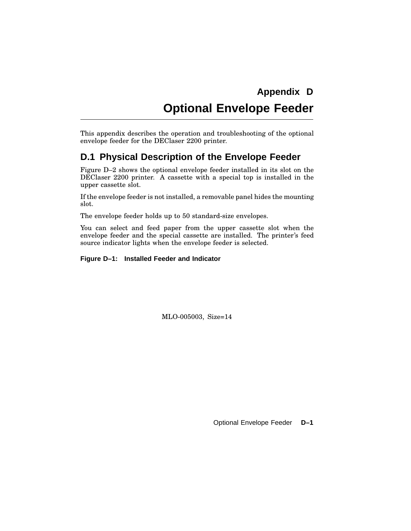# **Appendix D Optional Envelope Feeder**

This appendix describes the operation and troubleshooting of the optional envelope feeder for the DEClaser 2200 printer.

### **D.1 Physical Description of the Envelope Feeder**

Figure D–2 shows the optional envelope feeder installed in its slot on the DEClaser 2200 printer. A cassette with a special top is installed in the upper cassette slot.

If the envelope feeder is not installed, a removable panel hides the mounting slot.

The envelope feeder holds up to 50 standard-size envelopes.

You can select and feed paper from the upper cassette slot when the envelope feeder and the special cassette are installed. The printer's feed source indicator lights when the envelope feeder is selected.

**Figure D–1: Installed Feeder and Indicator**

MLO-005003, Size=14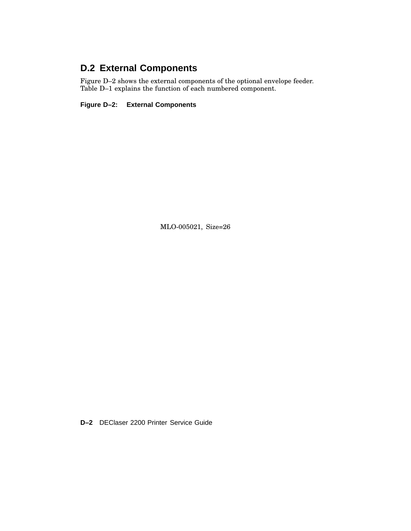## **D.2 External Components**

Figure D–2 shows the external components of the optional envelope feeder. Table D–1 explains the function of each numbered component.

**Figure D–2: External Components**

MLO-005021, Size=26

**D–2** DEClaser 2200 Printer Service Guide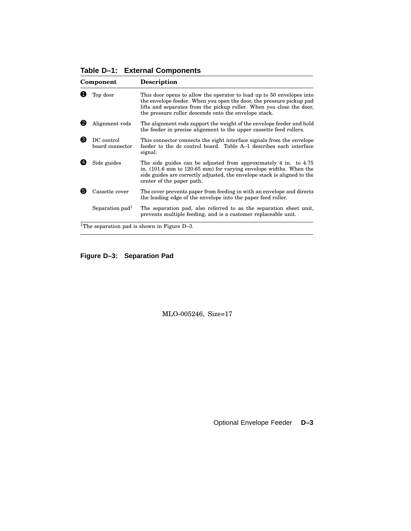#### **Table D–1: External Components**

| Component |                               | <b>Description</b>                                                                                                                                                                                                                                                             |  |  |
|-----------|-------------------------------|--------------------------------------------------------------------------------------------------------------------------------------------------------------------------------------------------------------------------------------------------------------------------------|--|--|
|           | Top door                      | This door opens to allow the operator to load up to 50 envelopes into<br>the envelope feeder. When you open the door, the pressure pickup pad<br>lifts and separates from the pickup roller. When you close the door,<br>the pressure roller descends onto the envelope stack. |  |  |
|           | Alignment rods                | The alignment rods support the weight of the envelope feeder and hold<br>the feeder in precise alignment to the upper cassette feed rollers.                                                                                                                                   |  |  |
| ❸         | DC control<br>board connector | This connector connects the eight interface signals from the envelope<br>feeder to the dc control board. Table A-1 describes each interface<br>signal.                                                                                                                         |  |  |
|           | Side guides                   | The side guides can be adjusted from approximately 4 in. to 4.75<br>in. $(101.6 \text{ mm to } 120.65 \text{ mm})$ for varying envelope widths. When the<br>side guides are correctly adjusted, the envelope stack is aligned to the<br>center of the paper path.              |  |  |
| 61        | Cassette cover                | The cover prevents paper from feeding in with an envelope and directs<br>the leading edge of the envelope into the paper feed roller.                                                                                                                                          |  |  |
|           | Separation pad <sup>1</sup>   | The separation pad, also referred to as the separation sheet unit,<br>prevents multiple feeding, and is a customer replaceable unit.                                                                                                                                           |  |  |
|           |                               | <sup>1</sup> The separation pad is shown in Figure $D-3$ .                                                                                                                                                                                                                     |  |  |

**Figure D–3: Separation Pad**

MLO-005246, Size=17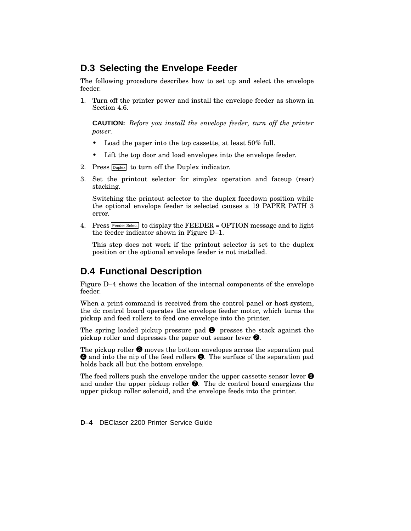#### **D.3 Selecting the Envelope Feeder**

The following procedure describes how to set up and select the envelope feeder.

1. Turn off the printer power and install the envelope feeder as shown in Section 4.6.

**CAUTION:** *Before you install the envelope feeder, turn off the printer power.*

- Load the paper into the top cassette, at least 50% full.
- Lift the top door and load envelopes into the envelope feeder.
- 2. Press  $\boxed{\text{Duplex}}$  to turn off the Duplex indicator.
- 3. Set the printout selector for simplex operation and faceup (rear) stacking.

Switching the printout selector to the duplex facedown position while the optional envelope feeder is selected causes a 19 PAPER PATH 3 error.

4. Press  $Feeder Select$  to display the  $FEEDER = OPTION$  message and to light the feeder indicator shown in Figure D–1.

This step does not work if the printout selector is set to the duplex position or the optional envelope feeder is not installed.

#### **D.4 Functional Description**

Figure D–4 shows the location of the internal components of the envelope feeder.

When a print command is received from the control panel or host system, the dc control board operates the envelope feeder motor, which turns the pickup and feed rollers to feed one envelope into the printer.

The spring loaded pickup pressure pad  $\bullet$  presses the stack against the pickup roller and depresses the paper out sensor lever  $\bullet$ .

The pickup roller  $\Theta$  moves the bottom envelopes across the separation pad  $\bullet$  and into the nip of the feed rollers  $\bullet$ . The surface of the separation pad holds back all but the bottom envelope.

The feed rollers push the envelope under the upper cassette sensor lever  $\Theta$ and under the upper pickup roller  $\bullet$ . The dc control board energizes the upper pickup roller solenoid, and the envelope feeds into the printer.

**D–4** DEClaser 2200 Printer Service Guide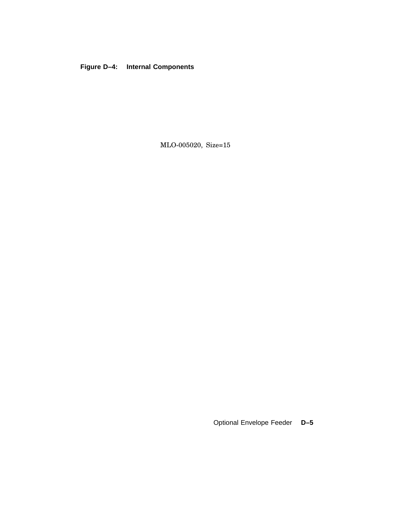#### **Figure D–4: Internal Components**

MLO-005020, Size=15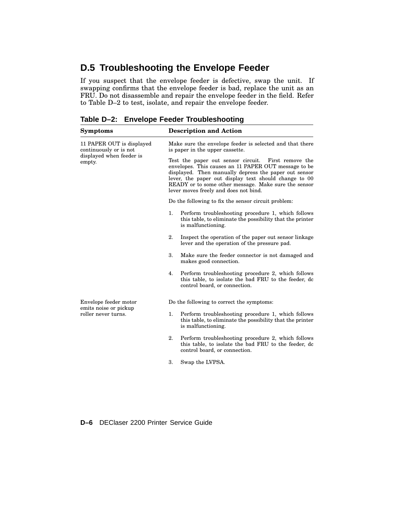## **D.5 Troubleshooting the Envelope Feeder**

If you suspect that the envelope feeder is defective, swap the unit. If swapping confirms that the envelope feeder is bad, replace the unit as an FRU. Do not disassemble and repair the envelope feeder in the field. Refer to Table D–2 to test, isolate, and repair the envelope feeder.

| <b>Symptoms</b>                                     | <b>Description and Action</b>                                                                                                                                                                                                                                                                                                  |  |  |  |
|-----------------------------------------------------|--------------------------------------------------------------------------------------------------------------------------------------------------------------------------------------------------------------------------------------------------------------------------------------------------------------------------------|--|--|--|
| 11 PAPER OUT is displayed<br>continuously or is not | Make sure the envelope feeder is selected and that there<br>is paper in the upper cassette.                                                                                                                                                                                                                                    |  |  |  |
| displayed when feeder is<br>empty.                  | Test the paper out sensor circuit. First remove the<br>envelopes. This causes an 11 PAPER OUT message to be<br>displayed. Then manually depress the paper out sensor<br>lever, the paper out display text should change to 00<br>READY or to some other message. Make sure the sensor<br>lever moves freely and does not bind. |  |  |  |
|                                                     | Do the following to fix the sensor circuit problem:                                                                                                                                                                                                                                                                            |  |  |  |
|                                                     | Perform troubleshooting procedure 1, which follows<br>1.<br>this table, to eliminate the possibility that the printer<br>is malfunctioning.                                                                                                                                                                                    |  |  |  |
|                                                     | 2.<br>Inspect the operation of the paper out sensor linkage<br>lever and the operation of the pressure pad.                                                                                                                                                                                                                    |  |  |  |
|                                                     | 3.<br>Make sure the feeder connector is not damaged and<br>makes good connection.                                                                                                                                                                                                                                              |  |  |  |
|                                                     | Perform troubleshooting procedure 2, which follows<br>4.<br>this table, to isolate the bad FRU to the feeder, dc<br>control board, or connection.                                                                                                                                                                              |  |  |  |
| Envelope feeder motor                               | Do the following to correct the symptoms:                                                                                                                                                                                                                                                                                      |  |  |  |
| emits noise or pickup<br>roller never turns.        | 1.<br>Perform troubleshooting procedure 1, which follows<br>this table, to eliminate the possibility that the printer<br>is malfunctioning.                                                                                                                                                                                    |  |  |  |
|                                                     | 2.<br>Perform troubleshooting procedure 2, which follows<br>this table, to isolate the bad FRU to the feeder, do<br>control board, or connection.                                                                                                                                                                              |  |  |  |
|                                                     | 3.<br>Swap the LVPSA.                                                                                                                                                                                                                                                                                                          |  |  |  |

**Table D–2: Envelope Feeder Troubleshooting**

**D–6** DEClaser 2200 Printer Service Guide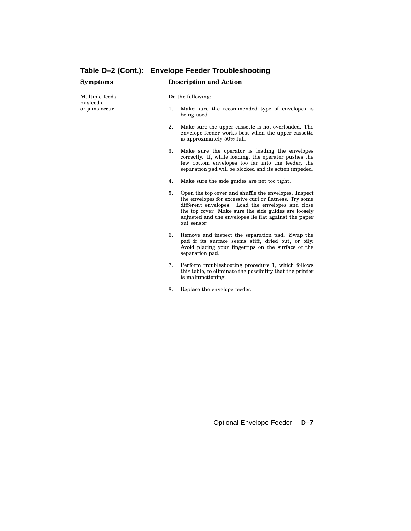| <b>Symptoms</b>             | <b>Description and Action</b> |                                                                                                                                                                                                                                                                                                      |  |  |
|-----------------------------|-------------------------------|------------------------------------------------------------------------------------------------------------------------------------------------------------------------------------------------------------------------------------------------------------------------------------------------------|--|--|
| Multiple feeds,             |                               | Do the following:                                                                                                                                                                                                                                                                                    |  |  |
| misfeeds,<br>or jams occur. | 1.                            | Make sure the recommended type of envelopes is<br>being used.                                                                                                                                                                                                                                        |  |  |
|                             | 2.                            | Make sure the upper cassette is not overloaded. The<br>envelope feeder works best when the upper cassette<br>is approximately 50% full.                                                                                                                                                              |  |  |
|                             | 3.                            | Make sure the operator is loading the envelopes<br>correctly. If, while loading, the operator pushes the<br>few bottom envelopes too far into the feeder, the<br>separation pad will be blocked and its action impeded.                                                                              |  |  |
|                             | 4.                            | Make sure the side guides are not too tight.                                                                                                                                                                                                                                                         |  |  |
|                             | 5.                            | Open the top cover and shuffle the envelopes. Inspect<br>the envelopes for excessive curl or flatness. Try some<br>different envelopes. Load the envelopes and close<br>the top cover. Make sure the side guides are loosely<br>adjusted and the envelopes lie flat against the paper<br>out sensor. |  |  |
|                             | 6.                            | Remove and inspect the separation pad. Swap the<br>pad if its surface seems stiff, dried out, or oily.<br>Avoid placing your fingertips on the surface of the<br>separation pad.                                                                                                                     |  |  |
|                             | 7.                            | Perform troubleshooting procedure 1, which follows<br>this table, to eliminate the possibility that the printer<br>is malfunctioning.                                                                                                                                                                |  |  |
|                             | 8.                            | Replace the envelope feeder.                                                                                                                                                                                                                                                                         |  |  |

**Table D–2 (Cont.): Envelope Feeder Troubleshooting**